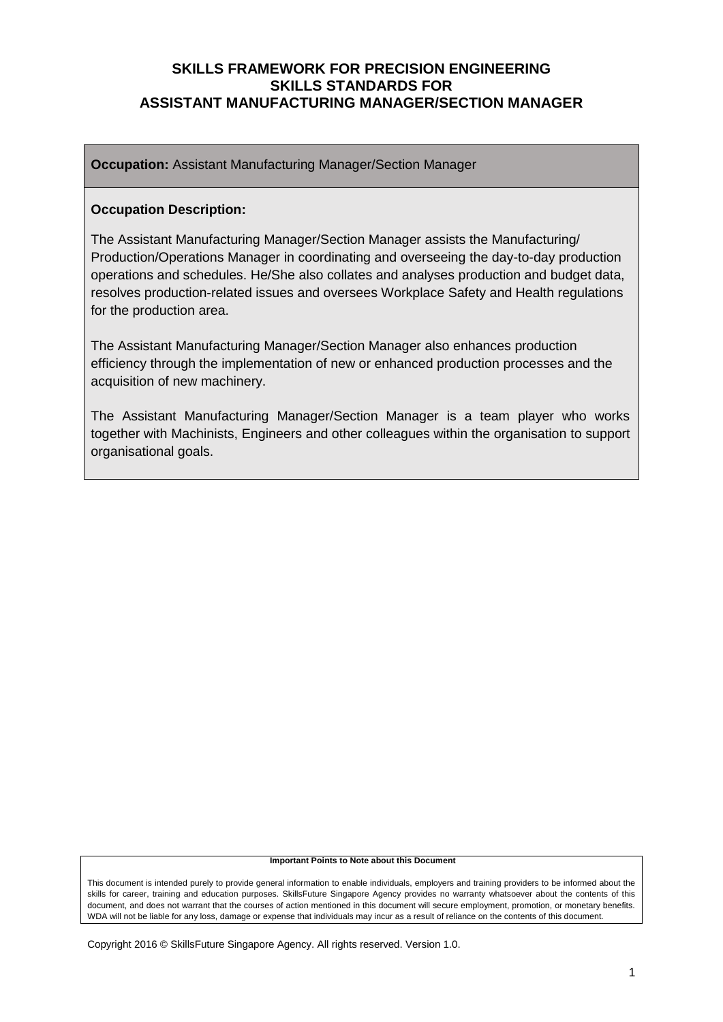**Occupation:** Assistant Manufacturing Manager/Section Manager

#### **Occupation Description:**

The Assistant Manufacturing Manager/Section Manager assists the Manufacturing/ Production/Operations Manager in coordinating and overseeing the day-to-day production operations and schedules. He/She also collates and analyses production and budget data, resolves production-related issues and oversees Workplace Safety and Health regulations for the production area.

The Assistant Manufacturing Manager/Section Manager also enhances production efficiency through the implementation of new or enhanced production processes and the acquisition of new machinery.

The Assistant Manufacturing Manager/Section Manager is a team player who works together with Machinists, Engineers and other colleagues within the organisation to support organisational goals.

#### **Important Points to Note about this Document**

This document is intended purely to provide general information to enable individuals, employers and training providers to be informed about the skills for career, training and education purposes. SkillsFuture Singapore Agency provides no warranty whatsoever about the contents of this document, and does not warrant that the courses of action mentioned in this document will secure employment, promotion, or monetary benefits. WDA will not be liable for any loss, damage or expense that individuals may incur as a result of reliance on the contents of this document.

Copyright 2016 © SkillsFuture Singapore Agency. All rights reserved. Version 1.0.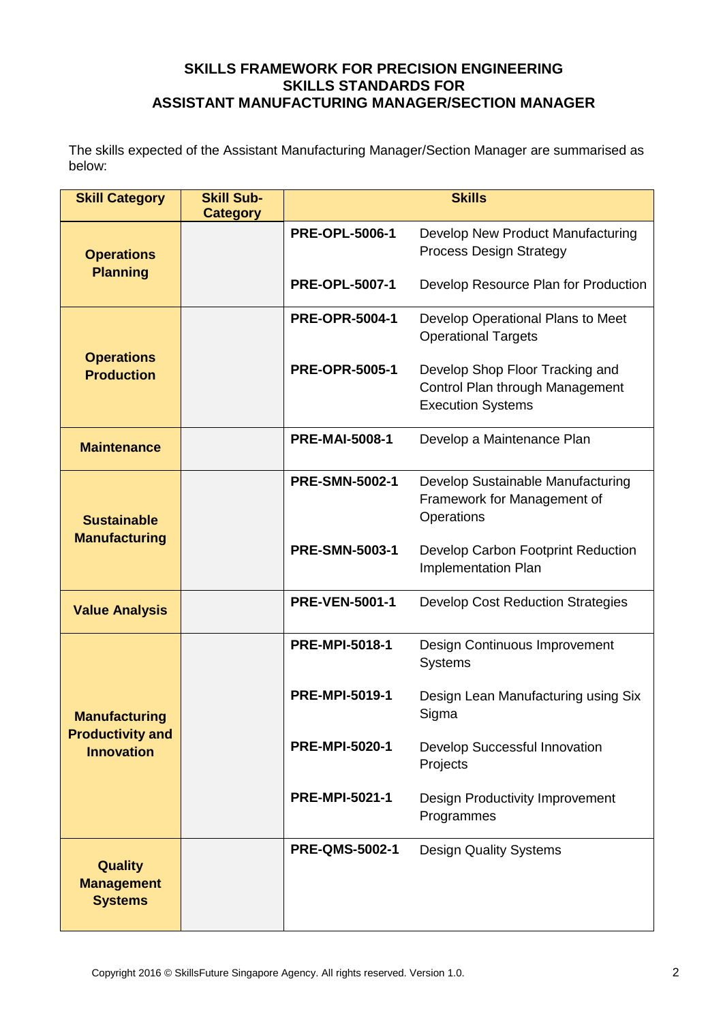The skills expected of the Assistant Manufacturing Manager/Section Manager are summarised as below:

| <b>Skill Category</b>                                 | <b>Skill Sub-</b><br><b>Category</b> |                       | <b>Skills</b>                                                                                  |
|-------------------------------------------------------|--------------------------------------|-----------------------|------------------------------------------------------------------------------------------------|
| <b>Operations</b><br><b>Planning</b>                  |                                      | <b>PRE-OPL-5006-1</b> | Develop New Product Manufacturing<br><b>Process Design Strategy</b>                            |
|                                                       |                                      | <b>PRE-OPL-5007-1</b> | Develop Resource Plan for Production                                                           |
| <b>Operations</b><br><b>Production</b>                |                                      | <b>PRE-OPR-5004-1</b> | Develop Operational Plans to Meet<br><b>Operational Targets</b>                                |
|                                                       |                                      | <b>PRE-OPR-5005-1</b> | Develop Shop Floor Tracking and<br>Control Plan through Management<br><b>Execution Systems</b> |
| <b>Maintenance</b>                                    |                                      | <b>PRE-MAI-5008-1</b> | Develop a Maintenance Plan                                                                     |
| <b>Sustainable</b>                                    |                                      | <b>PRE-SMN-5002-1</b> | Develop Sustainable Manufacturing<br>Framework for Management of<br>Operations                 |
| <b>Manufacturing</b>                                  |                                      | <b>PRE-SMN-5003-1</b> | Develop Carbon Footprint Reduction<br><b>Implementation Plan</b>                               |
| <b>Value Analysis</b>                                 |                                      | <b>PRE-VEN-5001-1</b> | <b>Develop Cost Reduction Strategies</b>                                                       |
|                                                       |                                      | <b>PRE-MPI-5018-1</b> | Design Continuous Improvement<br><b>Systems</b>                                                |
| <b>Manufacturing</b>                                  |                                      | <b>PRE-MPI-5019-1</b> | Design Lean Manufacturing using Six<br>Sigma                                                   |
| <b>Productivity and</b><br><b>Innovation</b>          |                                      | <b>PRE-MPI-5020-1</b> | Develop Successful Innovation<br>Projects                                                      |
|                                                       |                                      | <b>PRE-MPI-5021-1</b> | Design Productivity Improvement<br>Programmes                                                  |
| <b>Quality</b><br><b>Management</b><br><b>Systems</b> |                                      | <b>PRE-QMS-5002-1</b> | <b>Design Quality Systems</b>                                                                  |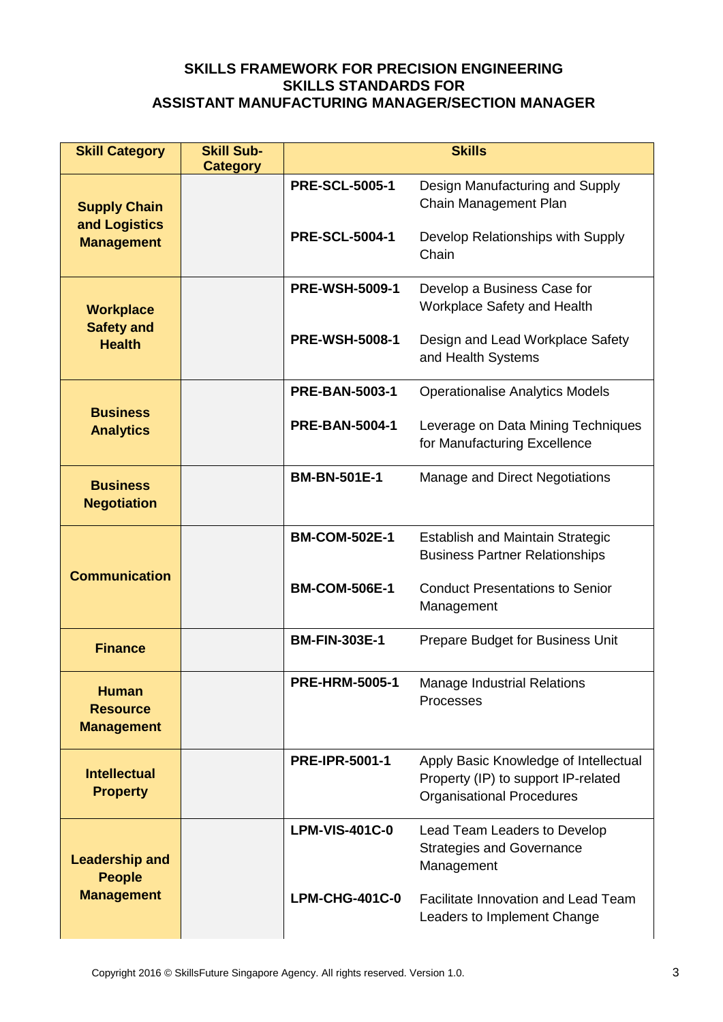| <b>Skill Category</b>                                | <b>Skill Sub-</b><br><b>Category</b> | <b>Skills</b>         |                                                                                                                  |
|------------------------------------------------------|--------------------------------------|-----------------------|------------------------------------------------------------------------------------------------------------------|
| <b>Supply Chain</b>                                  |                                      | <b>PRE-SCL-5005-1</b> | Design Manufacturing and Supply<br>Chain Management Plan                                                         |
| and Logistics<br><b>Management</b>                   |                                      | <b>PRE-SCL-5004-1</b> | Develop Relationships with Supply<br>Chain                                                                       |
| <b>Workplace</b>                                     |                                      | <b>PRE-WSH-5009-1</b> | Develop a Business Case for<br>Workplace Safety and Health                                                       |
| <b>Safety and</b><br><b>Health</b>                   |                                      | <b>PRE-WSH-5008-1</b> | Design and Lead Workplace Safety<br>and Health Systems                                                           |
|                                                      |                                      | <b>PRE-BAN-5003-1</b> | <b>Operationalise Analytics Models</b>                                                                           |
| <b>Business</b><br><b>Analytics</b>                  |                                      | <b>PRE-BAN-5004-1</b> | Leverage on Data Mining Techniques<br>for Manufacturing Excellence                                               |
| <b>Business</b><br><b>Negotiation</b>                |                                      | <b>BM-BN-501E-1</b>   | Manage and Direct Negotiations                                                                                   |
| <b>Communication</b>                                 |                                      | <b>BM-COM-502E-1</b>  | <b>Establish and Maintain Strategic</b><br><b>Business Partner Relationships</b>                                 |
|                                                      |                                      | <b>BM-COM-506E-1</b>  | <b>Conduct Presentations to Senior</b><br>Management                                                             |
| <b>Finance</b>                                       |                                      | <b>BM-FIN-303E-1</b>  | Prepare Budget for Business Unit                                                                                 |
| <b>Human</b><br><b>Resource</b><br><b>Management</b> |                                      | <b>PRE-HRM-5005-1</b> | <b>Manage Industrial Relations</b><br>Processes                                                                  |
| <b>Intellectual</b><br><b>Property</b>               |                                      | <b>PRE-IPR-5001-1</b> | Apply Basic Knowledge of Intellectual<br>Property (IP) to support IP-related<br><b>Organisational Procedures</b> |
| <b>Leadership and</b><br><b>People</b>               |                                      | <b>LPM-VIS-401C-0</b> | Lead Team Leaders to Develop<br><b>Strategies and Governance</b><br>Management                                   |
| <b>Management</b>                                    |                                      | <b>LPM-CHG-401C-0</b> | <b>Facilitate Innovation and Lead Team</b><br>Leaders to Implement Change                                        |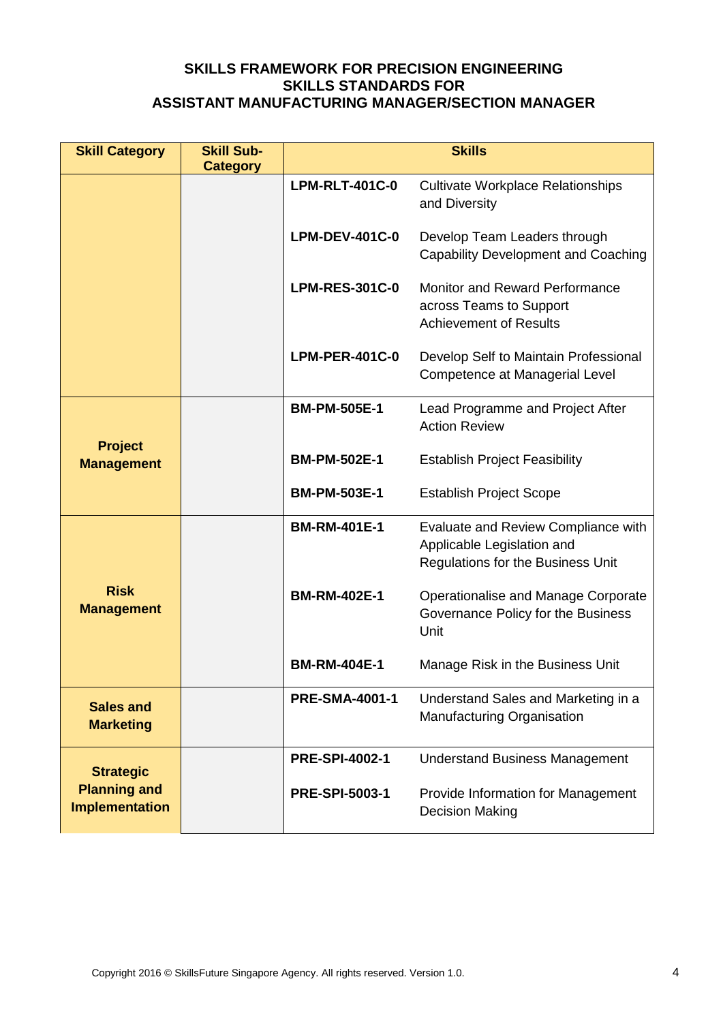| <b>Skill Category</b>                        | <b>Skill Sub-</b><br><b>Category</b> | <b>Skills</b>         |                                                                                                        |
|----------------------------------------------|--------------------------------------|-----------------------|--------------------------------------------------------------------------------------------------------|
|                                              |                                      | <b>LPM-RLT-401C-0</b> | <b>Cultivate Workplace Relationships</b><br>and Diversity                                              |
|                                              |                                      | <b>LPM-DEV-401C-0</b> | Develop Team Leaders through<br><b>Capability Development and Coaching</b>                             |
|                                              |                                      | <b>LPM-RES-301C-0</b> | Monitor and Reward Performance<br>across Teams to Support<br><b>Achievement of Results</b>             |
|                                              |                                      | <b>LPM-PER-401C-0</b> | Develop Self to Maintain Professional<br>Competence at Managerial Level                                |
|                                              |                                      | <b>BM-PM-505E-1</b>   | Lead Programme and Project After<br><b>Action Review</b>                                               |
| <b>Project</b><br><b>Management</b>          |                                      | <b>BM-PM-502E-1</b>   | <b>Establish Project Feasibility</b>                                                                   |
|                                              |                                      | <b>BM-PM-503E-1</b>   | <b>Establish Project Scope</b>                                                                         |
|                                              |                                      | <b>BM-RM-401E-1</b>   | Evaluate and Review Compliance with<br>Applicable Legislation and<br>Regulations for the Business Unit |
| <b>Risk</b><br><b>Management</b>             |                                      | <b>BM-RM-402E-1</b>   | Operationalise and Manage Corporate<br>Governance Policy for the Business<br>Unit                      |
|                                              |                                      | <b>BM-RM-404E-1</b>   | Manage Risk in the Business Unit                                                                       |
| <b>Sales and</b><br><b>Marketing</b>         |                                      | <b>PRE-SMA-4001-1</b> | Understand Sales and Marketing in a<br>Manufacturing Organisation                                      |
| <b>Strategic</b>                             |                                      | <b>PRE-SPI-4002-1</b> | <b>Understand Business Management</b>                                                                  |
| <b>Planning and</b><br><b>Implementation</b> |                                      | <b>PRE-SPI-5003-1</b> | Provide Information for Management<br><b>Decision Making</b>                                           |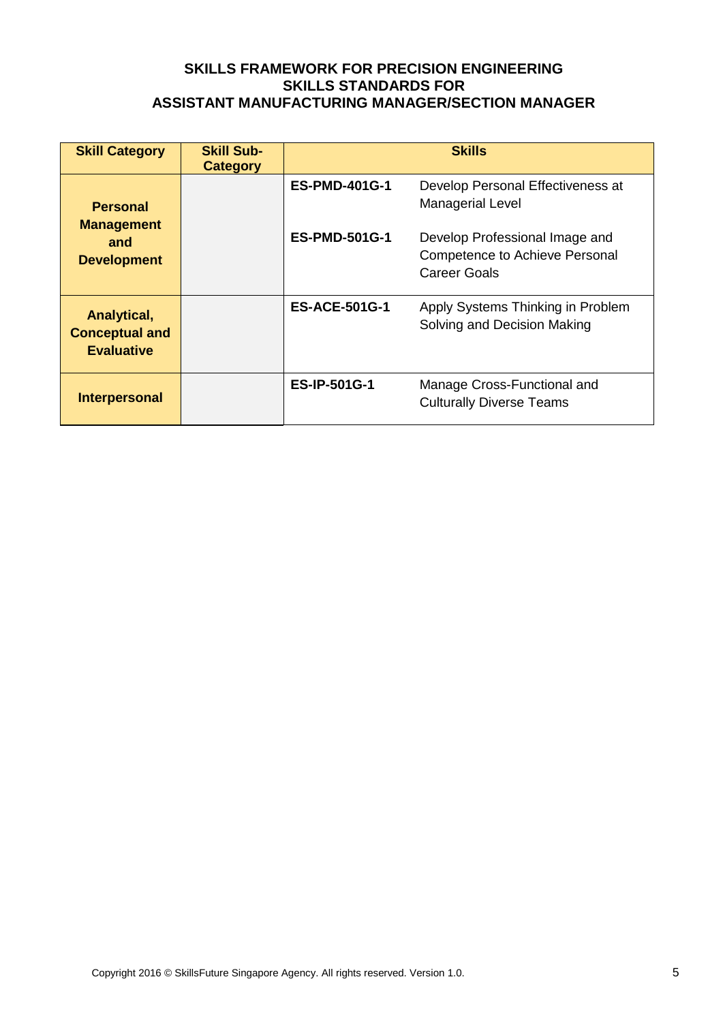| <b>Skill Category</b>                                     | <b>Skill Sub-</b><br><b>Category</b> |                      | <b>Skills</b>                                                                    |
|-----------------------------------------------------------|--------------------------------------|----------------------|----------------------------------------------------------------------------------|
| <b>Personal</b>                                           |                                      | <b>ES-PMD-401G-1</b> | Develop Personal Effectiveness at<br><b>Managerial Level</b>                     |
| <b>Management</b><br>and<br><b>Development</b>            |                                      | <b>ES-PMD-501G-1</b> | Develop Professional Image and<br>Competence to Achieve Personal<br>Career Goals |
| Analytical,<br><b>Conceptual and</b><br><b>Evaluative</b> |                                      | <b>ES-ACE-501G-1</b> | Apply Systems Thinking in Problem<br>Solving and Decision Making                 |
| <b>Interpersonal</b>                                      |                                      | <b>ES-IP-501G-1</b>  | Manage Cross-Functional and<br><b>Culturally Diverse Teams</b>                   |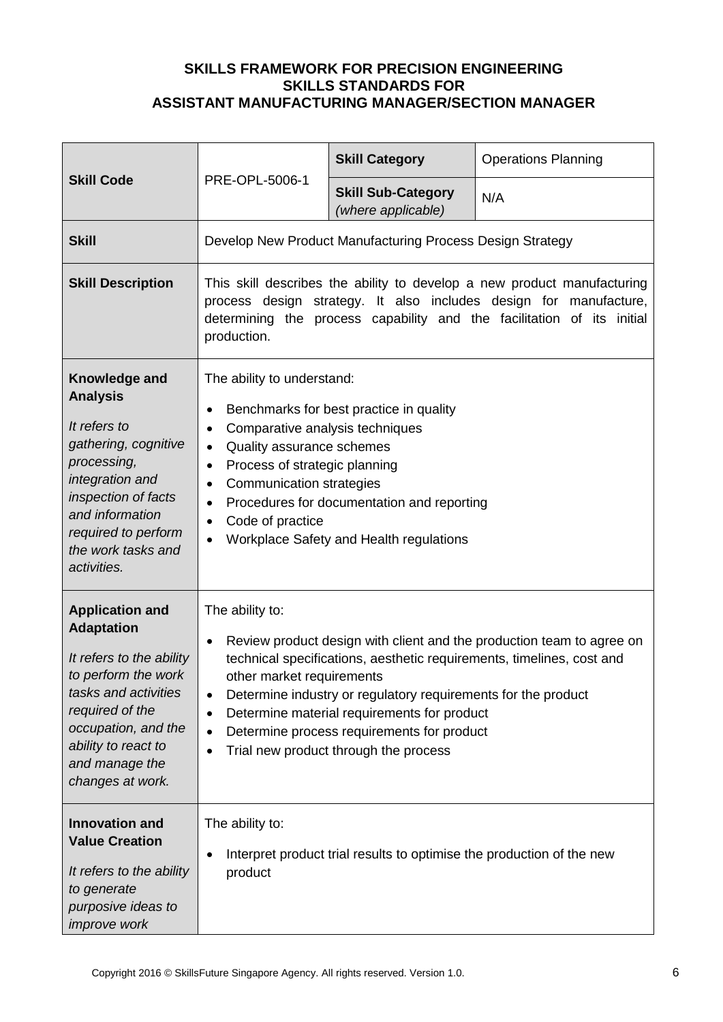|                                                                                                                                                                                                                                                        |                                                                                                                                                                                                                                                                                                                                                                                                                                                                                           | <b>Skill Category</b>                                     | <b>Operations Planning</b> |
|--------------------------------------------------------------------------------------------------------------------------------------------------------------------------------------------------------------------------------------------------------|-------------------------------------------------------------------------------------------------------------------------------------------------------------------------------------------------------------------------------------------------------------------------------------------------------------------------------------------------------------------------------------------------------------------------------------------------------------------------------------------|-----------------------------------------------------------|----------------------------|
| <b>Skill Code</b>                                                                                                                                                                                                                                      | PRE-OPL-5006-1                                                                                                                                                                                                                                                                                                                                                                                                                                                                            | <b>Skill Sub-Category</b><br>(where applicable)           | N/A                        |
| <b>Skill</b>                                                                                                                                                                                                                                           |                                                                                                                                                                                                                                                                                                                                                                                                                                                                                           | Develop New Product Manufacturing Process Design Strategy |                            |
| <b>Skill Description</b>                                                                                                                                                                                                                               | This skill describes the ability to develop a new product manufacturing<br>process design strategy. It also includes design for manufacture,<br>determining the process capability and the facilitation of its initial<br>production.                                                                                                                                                                                                                                                     |                                                           |                            |
| Knowledge and<br><b>Analysis</b><br>It refers to<br>gathering, cognitive<br>processing,<br>integration and<br>inspection of facts<br>and information<br>required to perform<br>the work tasks and<br>activities.                                       | The ability to understand:<br>Benchmarks for best practice in quality<br>$\bullet$<br>Comparative analysis techniques<br>$\bullet$<br>Quality assurance schemes<br>$\bullet$<br>Process of strategic planning<br>$\bullet$<br><b>Communication strategies</b><br>$\bullet$<br>Procedures for documentation and reporting<br>٠<br>Code of practice<br>$\bullet$<br>Workplace Safety and Health regulations<br>$\bullet$                                                                    |                                                           |                            |
| <b>Application and</b><br><b>Adaptation</b><br>It refers to the ability<br>to perform the work<br>tasks and activities<br>required of the<br>occupation, and the<br>ability to react to<br>and manage the<br>changes at work.<br><b>Innovation and</b> | The ability to:<br>Review product design with client and the production team to agree on<br>$\bullet$<br>technical specifications, aesthetic requirements, timelines, cost and<br>other market requirements<br>Determine industry or regulatory requirements for the product<br>$\bullet$<br>Determine material requirements for product<br>$\bullet$<br>Determine process requirements for product<br>$\bullet$<br>Trial new product through the process<br>$\bullet$<br>The ability to: |                                                           |                            |
| <b>Value Creation</b><br>It refers to the ability<br>to generate<br>purposive ideas to<br>improve work                                                                                                                                                 | Interpret product trial results to optimise the production of the new<br>٠<br>product                                                                                                                                                                                                                                                                                                                                                                                                     |                                                           |                            |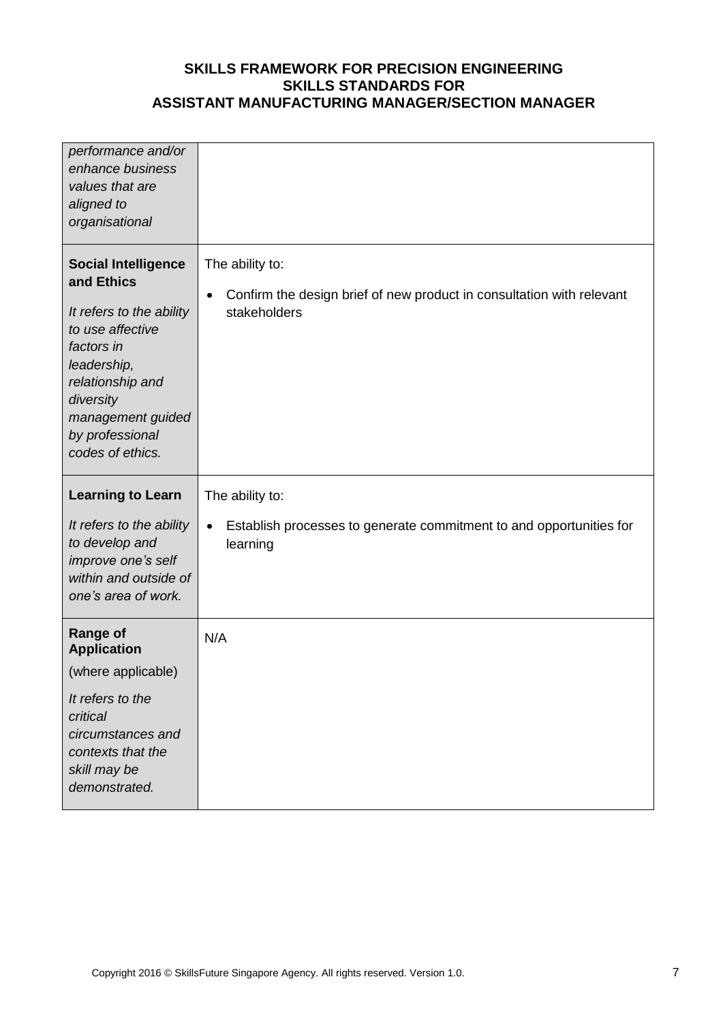| performance and/or<br>enhance business<br>values that are<br>aligned to<br>organisational                                                                                                                          |                                                                                                                       |
|--------------------------------------------------------------------------------------------------------------------------------------------------------------------------------------------------------------------|-----------------------------------------------------------------------------------------------------------------------|
| <b>Social Intelligence</b><br>and Ethics<br>It refers to the ability<br>to use affective<br>factors in<br>leadership,<br>relationship and<br>diversity<br>management guided<br>by professional<br>codes of ethics. | The ability to:<br>Confirm the design brief of new product in consultation with relevant<br>$\bullet$<br>stakeholders |
|                                                                                                                                                                                                                    |                                                                                                                       |
| <b>Learning to Learn</b>                                                                                                                                                                                           | The ability to:                                                                                                       |
| It refers to the ability<br>to develop and<br>improve one's self<br>within and outside of<br>one's area of work.                                                                                                   | Establish processes to generate commitment to and opportunities for<br>$\bullet$<br>learning                          |
| <b>Range of</b><br><b>Application</b>                                                                                                                                                                              | N/A                                                                                                                   |
| (where applicable)                                                                                                                                                                                                 |                                                                                                                       |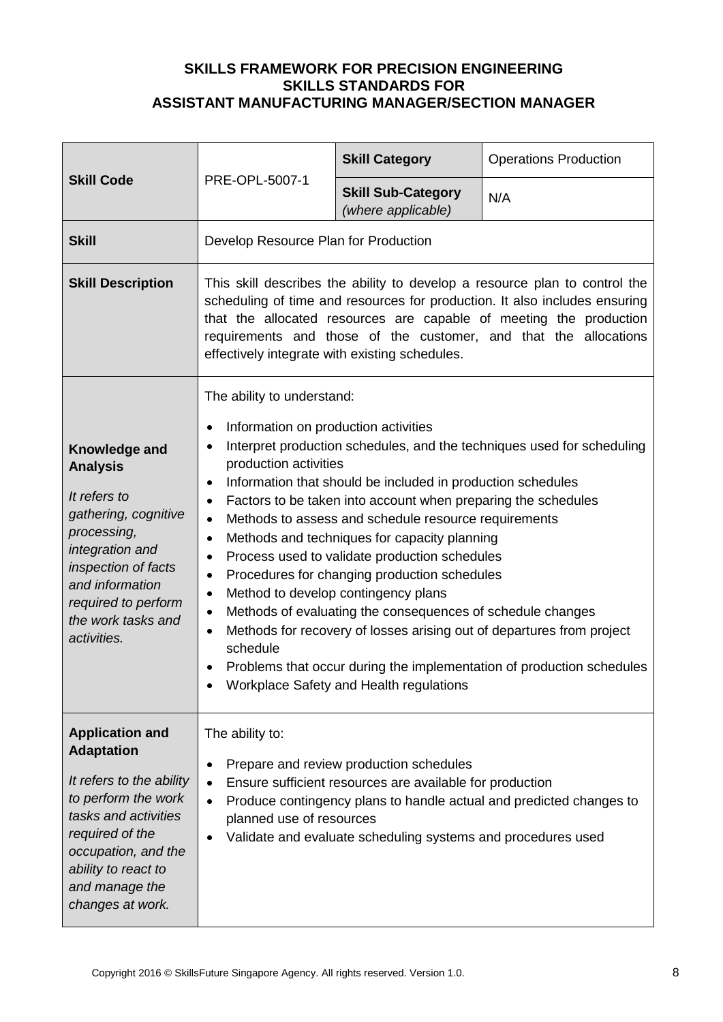|                                                                                                                                                                                                                               |                                                                                                                                                                                                                                                                                                                                                                                                                                                                                                                                                                                                                                                                                                                                                                                                                                                                                                                                                             | <b>Skill Category</b>                           | <b>Operations Production</b> |
|-------------------------------------------------------------------------------------------------------------------------------------------------------------------------------------------------------------------------------|-------------------------------------------------------------------------------------------------------------------------------------------------------------------------------------------------------------------------------------------------------------------------------------------------------------------------------------------------------------------------------------------------------------------------------------------------------------------------------------------------------------------------------------------------------------------------------------------------------------------------------------------------------------------------------------------------------------------------------------------------------------------------------------------------------------------------------------------------------------------------------------------------------------------------------------------------------------|-------------------------------------------------|------------------------------|
| <b>Skill Code</b>                                                                                                                                                                                                             | PRE-OPL-5007-1                                                                                                                                                                                                                                                                                                                                                                                                                                                                                                                                                                                                                                                                                                                                                                                                                                                                                                                                              | <b>Skill Sub-Category</b><br>(where applicable) | N/A                          |
| <b>Skill</b>                                                                                                                                                                                                                  | Develop Resource Plan for Production                                                                                                                                                                                                                                                                                                                                                                                                                                                                                                                                                                                                                                                                                                                                                                                                                                                                                                                        |                                                 |                              |
| <b>Skill Description</b>                                                                                                                                                                                                      | This skill describes the ability to develop a resource plan to control the<br>scheduling of time and resources for production. It also includes ensuring<br>that the allocated resources are capable of meeting the production<br>requirements and those of the customer, and that the allocations<br>effectively integrate with existing schedules.                                                                                                                                                                                                                                                                                                                                                                                                                                                                                                                                                                                                        |                                                 |                              |
| Knowledge and<br><b>Analysis</b><br>It refers to<br>gathering, cognitive<br>processing,<br>integration and<br>inspection of facts<br>and information<br>required to perform<br>the work tasks and<br>activities.              | The ability to understand:<br>Information on production activities<br>$\bullet$<br>Interpret production schedules, and the techniques used for scheduling<br>$\bullet$<br>production activities<br>Information that should be included in production schedules<br>$\bullet$<br>Factors to be taken into account when preparing the schedules<br>٠<br>Methods to assess and schedule resource requirements<br>$\bullet$<br>Methods and techniques for capacity planning<br>$\bullet$<br>Process used to validate production schedules<br>$\bullet$<br>Procedures for changing production schedules<br>٠<br>Method to develop contingency plans<br>$\bullet$<br>Methods of evaluating the consequences of schedule changes<br>$\bullet$<br>Methods for recovery of losses arising out of departures from project<br>$\bullet$<br>schedule<br>Problems that occur during the implementation of production schedules<br>Workplace Safety and Health regulations |                                                 |                              |
| <b>Application and</b><br><b>Adaptation</b><br>It refers to the ability<br>to perform the work<br>tasks and activities<br>required of the<br>occupation, and the<br>ability to react to<br>and manage the<br>changes at work. | The ability to:<br>Prepare and review production schedules<br>٠<br>Ensure sufficient resources are available for production<br>$\bullet$<br>Produce contingency plans to handle actual and predicted changes to<br>$\bullet$<br>planned use of resources<br>Validate and evaluate scheduling systems and procedures used<br>$\bullet$                                                                                                                                                                                                                                                                                                                                                                                                                                                                                                                                                                                                                       |                                                 |                              |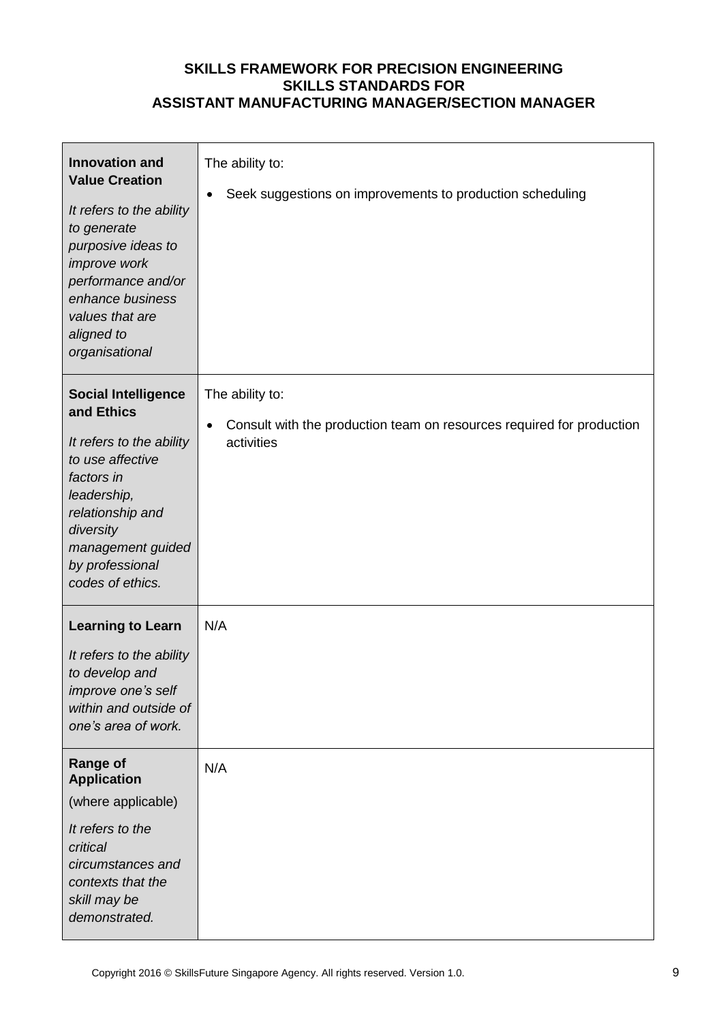| <b>Innovation and</b><br><b>Value Creation</b><br>It refers to the ability<br>to generate<br>purposive ideas to<br>improve work<br>performance and/or<br>enhance business<br>values that are<br>aligned to<br>organisational | The ability to:<br>Seek suggestions on improvements to production scheduling                                        |
|------------------------------------------------------------------------------------------------------------------------------------------------------------------------------------------------------------------------------|---------------------------------------------------------------------------------------------------------------------|
| <b>Social Intelligence</b><br>and Ethics<br>It refers to the ability<br>to use affective<br>factors in<br>leadership,<br>relationship and<br>diversity<br>management guided<br>by professional<br>codes of ethics.           | The ability to:<br>Consult with the production team on resources required for production<br>$\bullet$<br>activities |
| <b>Learning to Learn</b><br>It refers to the ability<br>to develop and<br>improve one's self<br>within and outside of<br>one's area of work.                                                                                 | N/A                                                                                                                 |
| <b>Range of</b><br><b>Application</b><br>(where applicable)<br>It refers to the<br>critical<br>circumstances and<br>contexts that the<br>skill may be<br>demonstrated.                                                       | N/A                                                                                                                 |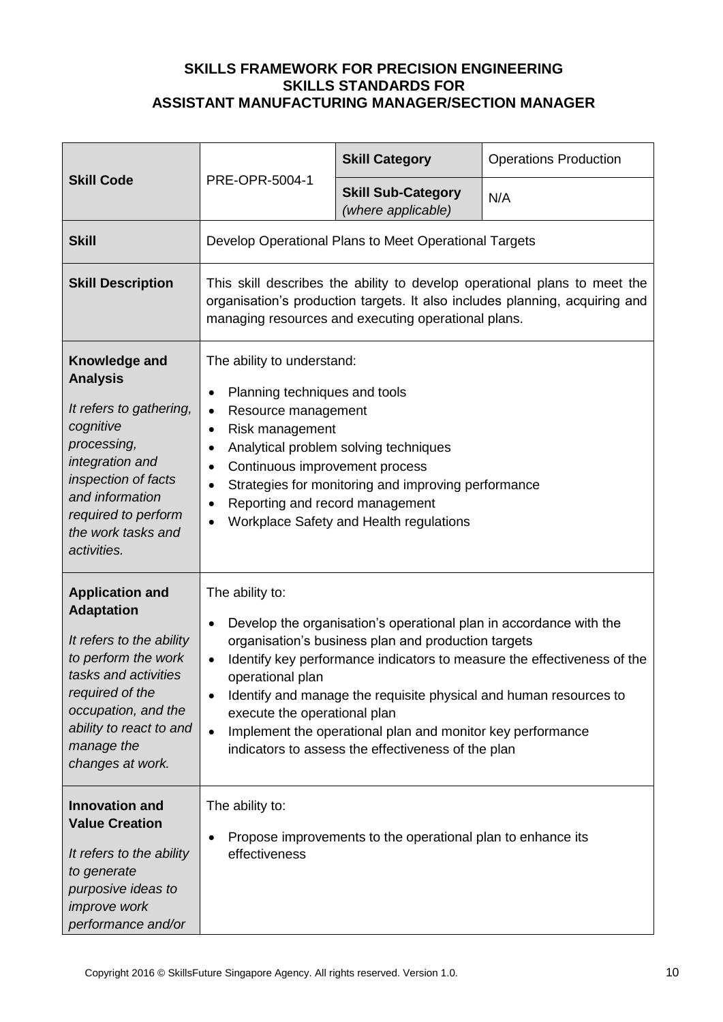|                                                                                                                                                                                                                               | <b>Skill Category</b>                                                                                                                                                                                                                                                                                                                                                                                                                                                             |                                                             | <b>Operations Production</b> |
|-------------------------------------------------------------------------------------------------------------------------------------------------------------------------------------------------------------------------------|-----------------------------------------------------------------------------------------------------------------------------------------------------------------------------------------------------------------------------------------------------------------------------------------------------------------------------------------------------------------------------------------------------------------------------------------------------------------------------------|-------------------------------------------------------------|------------------------------|
| <b>Skill Code</b>                                                                                                                                                                                                             | PRE-OPR-5004-1                                                                                                                                                                                                                                                                                                                                                                                                                                                                    | <b>Skill Sub-Category</b><br>(where applicable)             | N/A                          |
| <b>Skill</b>                                                                                                                                                                                                                  |                                                                                                                                                                                                                                                                                                                                                                                                                                                                                   | Develop Operational Plans to Meet Operational Targets       |                              |
| <b>Skill Description</b>                                                                                                                                                                                                      | This skill describes the ability to develop operational plans to meet the<br>organisation's production targets. It also includes planning, acquiring and<br>managing resources and executing operational plans.                                                                                                                                                                                                                                                                   |                                                             |                              |
| Knowledge and<br><b>Analysis</b><br>It refers to gathering,<br>cognitive<br>processing,<br>integration and<br>inspection of facts<br>and information<br>required to perform<br>the work tasks and<br>activities.              | The ability to understand:<br>Planning techniques and tools<br>$\bullet$<br>Resource management<br>$\bullet$<br>Risk management<br>٠<br>Analytical problem solving techniques<br>Continuous improvement process<br>Strategies for monitoring and improving performance<br>Reporting and record management<br>Workplace Safety and Health regulations                                                                                                                              |                                                             |                              |
| <b>Application and</b><br><b>Adaptation</b><br>It refers to the ability<br>to perform the work<br>tasks and activities<br>required of the<br>occupation, and the<br>ability to react to and<br>manage the<br>changes at work. | The ability to:<br>Develop the organisation's operational plan in accordance with the<br>$\bullet$<br>organisation's business plan and production targets<br>Identify key performance indicators to measure the effectiveness of the<br>operational plan<br>Identify and manage the requisite physical and human resources to<br>execute the operational plan<br>Implement the operational plan and monitor key performance<br>indicators to assess the effectiveness of the plan |                                                             |                              |
| <b>Innovation and</b><br><b>Value Creation</b><br>It refers to the ability<br>to generate<br>purposive ideas to<br><i>improve</i> work<br>performance and/or                                                                  | The ability to:<br>$\bullet$<br>effectiveness                                                                                                                                                                                                                                                                                                                                                                                                                                     | Propose improvements to the operational plan to enhance its |                              |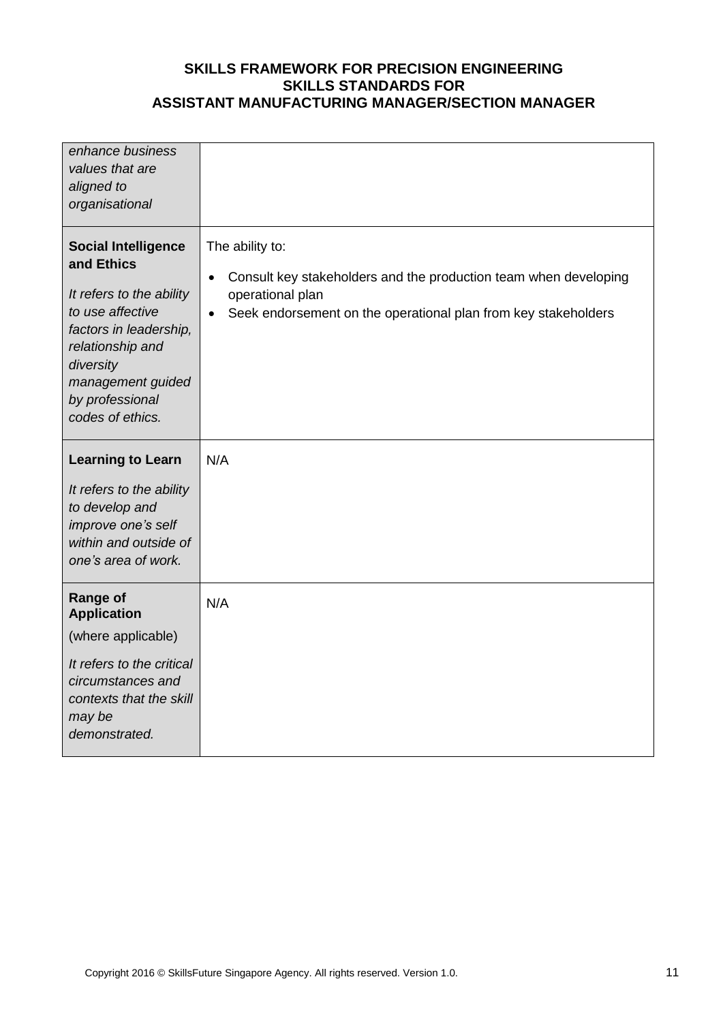| enhance business<br>values that are<br>aligned to<br>organisational                                                                                                                                             |                                                                                                                                                                                                     |
|-----------------------------------------------------------------------------------------------------------------------------------------------------------------------------------------------------------------|-----------------------------------------------------------------------------------------------------------------------------------------------------------------------------------------------------|
| <b>Social Intelligence</b><br>and Ethics<br>It refers to the ability<br>to use affective<br>factors in leadership,<br>relationship and<br>diversity<br>management guided<br>by professional<br>codes of ethics. | The ability to:<br>Consult key stakeholders and the production team when developing<br>$\bullet$<br>operational plan<br>Seek endorsement on the operational plan from key stakeholders<br>$\bullet$ |
| <b>Learning to Learn</b><br>It refers to the ability<br>to develop and<br>improve one's self<br>within and outside of<br>one's area of work.                                                                    | N/A                                                                                                                                                                                                 |
| <b>Range of</b><br><b>Application</b><br>(where applicable)<br>It refers to the critical<br>circumstances and<br>contexts that the skill<br>may be<br>demonstrated.                                             | N/A                                                                                                                                                                                                 |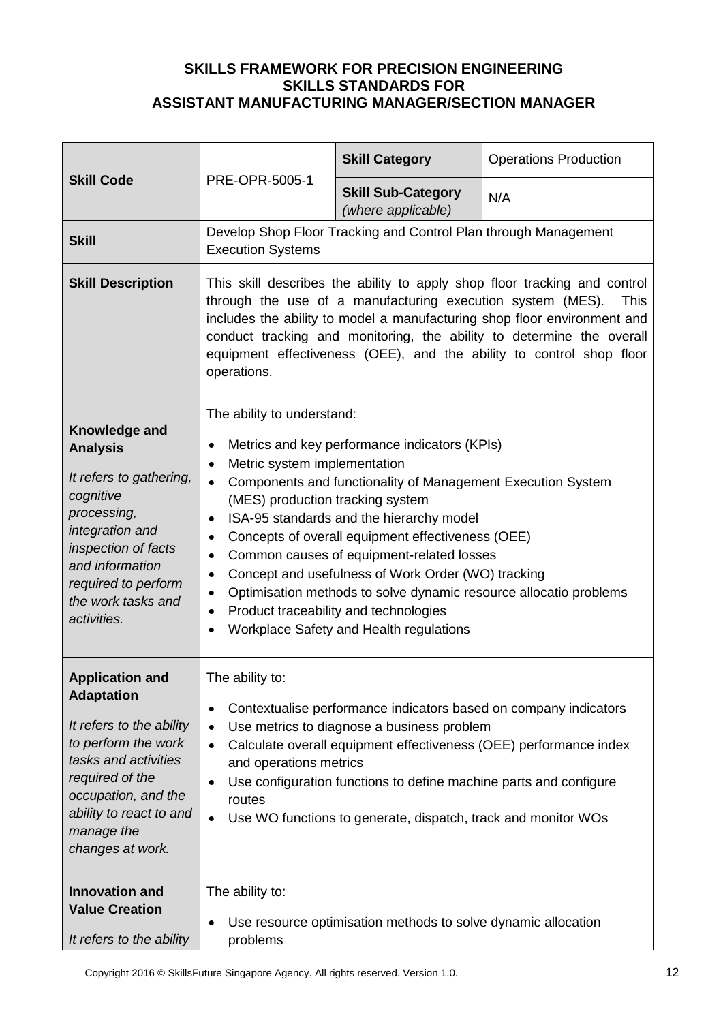|                                                                                                                                                                                                                               |                                                                                                                                                                                                                                                                                                                                                                                                                                                                                                                                                                                                                                                                  | <b>Skill Category</b>                                                                                                                                                                                                                                | <b>Operations Production</b>                                      |
|-------------------------------------------------------------------------------------------------------------------------------------------------------------------------------------------------------------------------------|------------------------------------------------------------------------------------------------------------------------------------------------------------------------------------------------------------------------------------------------------------------------------------------------------------------------------------------------------------------------------------------------------------------------------------------------------------------------------------------------------------------------------------------------------------------------------------------------------------------------------------------------------------------|------------------------------------------------------------------------------------------------------------------------------------------------------------------------------------------------------------------------------------------------------|-------------------------------------------------------------------|
| <b>Skill Code</b>                                                                                                                                                                                                             | PRE-OPR-5005-1                                                                                                                                                                                                                                                                                                                                                                                                                                                                                                                                                                                                                                                   | <b>Skill Sub-Category</b><br>(where applicable)                                                                                                                                                                                                      | N/A                                                               |
| <b>Skill</b>                                                                                                                                                                                                                  | <b>Execution Systems</b>                                                                                                                                                                                                                                                                                                                                                                                                                                                                                                                                                                                                                                         | Develop Shop Floor Tracking and Control Plan through Management                                                                                                                                                                                      |                                                                   |
| <b>Skill Description</b>                                                                                                                                                                                                      | This skill describes the ability to apply shop floor tracking and control<br>through the use of a manufacturing execution system (MES).<br><b>This</b><br>includes the ability to model a manufacturing shop floor environment and<br>conduct tracking and monitoring, the ability to determine the overall<br>equipment effectiveness (OEE), and the ability to control shop floor<br>operations.                                                                                                                                                                                                                                                               |                                                                                                                                                                                                                                                      |                                                                   |
| Knowledge and<br><b>Analysis</b><br>It refers to gathering,<br>cognitive<br>processing,<br>integration and<br>inspection of facts<br>and information<br>required to perform<br>the work tasks and<br>activities.              | The ability to understand:<br>Metrics and key performance indicators (KPIs)<br>٠<br>Metric system implementation<br>$\bullet$<br>Components and functionality of Management Execution System<br>$\bullet$<br>(MES) production tracking system<br>ISA-95 standards and the hierarchy model<br>$\bullet$<br>Concepts of overall equipment effectiveness (OEE)<br>٠<br>Common causes of equipment-related losses<br>$\bullet$<br>Concept and usefulness of Work Order (WO) tracking<br>٠<br>Optimisation methods to solve dynamic resource allocatio problems<br>٠<br>Product traceability and technologies<br>$\bullet$<br>Workplace Safety and Health regulations |                                                                                                                                                                                                                                                      |                                                                   |
| <b>Application and</b><br><b>Adaptation</b><br>It refers to the ability<br>to perform the work<br>tasks and activities<br>required of the<br>occupation, and the<br>ability to react to and<br>manage the<br>changes at work. | The ability to:<br>$\bullet$<br>$\bullet$<br>$\bullet$<br>and operations metrics<br>$\bullet$<br>routes<br>$\bullet$                                                                                                                                                                                                                                                                                                                                                                                                                                                                                                                                             | Contextualise performance indicators based on company indicators<br>Use metrics to diagnose a business problem<br>Use configuration functions to define machine parts and configure<br>Use WO functions to generate, dispatch, track and monitor WOs | Calculate overall equipment effectiveness (OEE) performance index |
| <b>Innovation and</b><br><b>Value Creation</b><br>It refers to the ability                                                                                                                                                    | The ability to:<br>$\bullet$<br>problems                                                                                                                                                                                                                                                                                                                                                                                                                                                                                                                                                                                                                         | Use resource optimisation methods to solve dynamic allocation                                                                                                                                                                                        |                                                                   |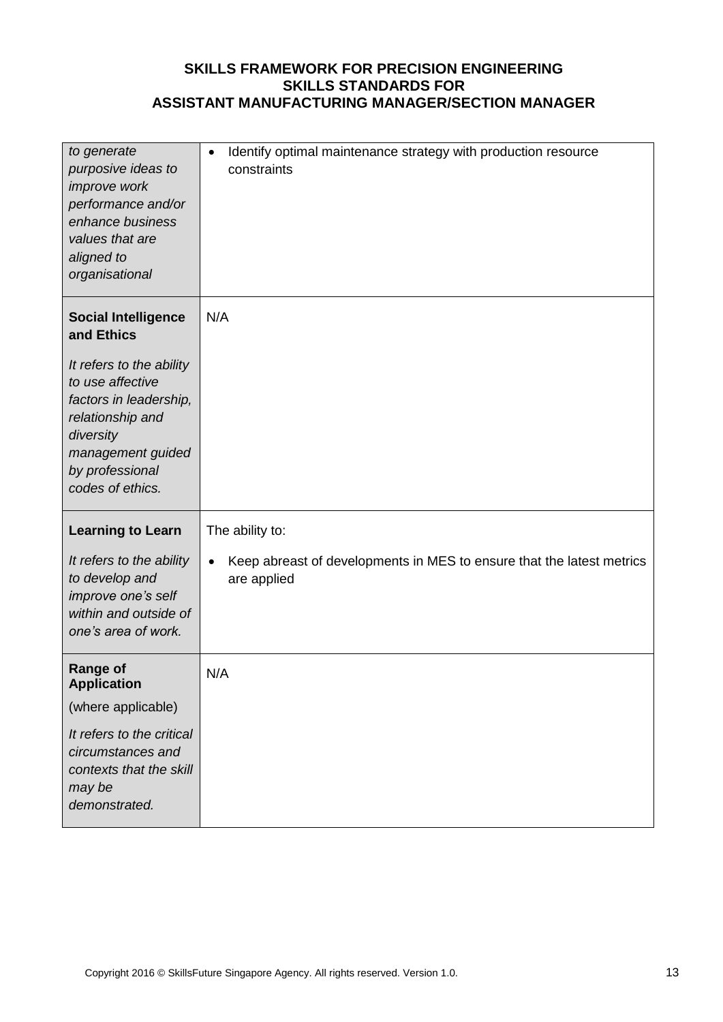| to generate<br>purposive ideas to<br>improve work<br>performance and/or<br>enhance business<br>values that are<br>aligned to<br>organisational                                                                  | Identify optimal maintenance strategy with production resource<br>$\bullet$<br>constraints              |
|-----------------------------------------------------------------------------------------------------------------------------------------------------------------------------------------------------------------|---------------------------------------------------------------------------------------------------------|
| <b>Social Intelligence</b><br>and Ethics<br>It refers to the ability<br>to use affective<br>factors in leadership,<br>relationship and<br>diversity<br>management guided<br>by professional<br>codes of ethics. | N/A                                                                                                     |
| <b>Learning to Learn</b><br>It refers to the ability<br>to develop and<br>improve one's self<br>within and outside of<br>one's area of work.                                                                    | The ability to:<br>Keep abreast of developments in MES to ensure that the latest metrics<br>are applied |
| <b>Range of</b><br><b>Application</b><br>(where applicable)<br>It refers to the critical                                                                                                                        | N/A                                                                                                     |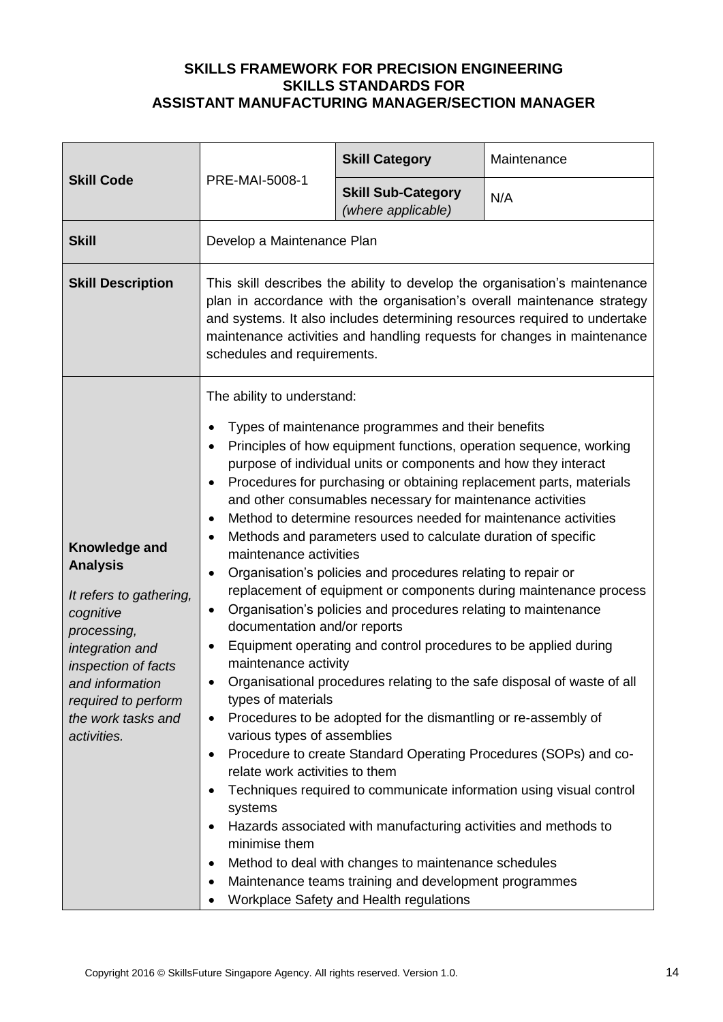| <b>Skill Code</b>                                                                                                                                                                                                | PRE-MAI-5008-1                                                                                                                                                                                                                                                                                                                               | <b>Skill Category</b>                                                                                                                                                                                                                                                                                                                                                                                                                                                                                                                                                                                                                                                                                                                                                                                                                                                                               | Maintenance                                                                                                                                                                                                                                                                                                                                                    |
|------------------------------------------------------------------------------------------------------------------------------------------------------------------------------------------------------------------|----------------------------------------------------------------------------------------------------------------------------------------------------------------------------------------------------------------------------------------------------------------------------------------------------------------------------------------------|-----------------------------------------------------------------------------------------------------------------------------------------------------------------------------------------------------------------------------------------------------------------------------------------------------------------------------------------------------------------------------------------------------------------------------------------------------------------------------------------------------------------------------------------------------------------------------------------------------------------------------------------------------------------------------------------------------------------------------------------------------------------------------------------------------------------------------------------------------------------------------------------------------|----------------------------------------------------------------------------------------------------------------------------------------------------------------------------------------------------------------------------------------------------------------------------------------------------------------------------------------------------------------|
|                                                                                                                                                                                                                  |                                                                                                                                                                                                                                                                                                                                              | <b>Skill Sub-Category</b><br>(where applicable)                                                                                                                                                                                                                                                                                                                                                                                                                                                                                                                                                                                                                                                                                                                                                                                                                                                     | N/A                                                                                                                                                                                                                                                                                                                                                            |
| <b>Skill</b>                                                                                                                                                                                                     | Develop a Maintenance Plan                                                                                                                                                                                                                                                                                                                   |                                                                                                                                                                                                                                                                                                                                                                                                                                                                                                                                                                                                                                                                                                                                                                                                                                                                                                     |                                                                                                                                                                                                                                                                                                                                                                |
| <b>Skill Description</b>                                                                                                                                                                                         | This skill describes the ability to develop the organisation's maintenance<br>plan in accordance with the organisation's overall maintenance strategy<br>and systems. It also includes determining resources required to undertake<br>maintenance activities and handling requests for changes in maintenance<br>schedules and requirements. |                                                                                                                                                                                                                                                                                                                                                                                                                                                                                                                                                                                                                                                                                                                                                                                                                                                                                                     |                                                                                                                                                                                                                                                                                                                                                                |
| Knowledge and<br><b>Analysis</b><br>It refers to gathering,<br>cognitive<br>processing,<br>integration and<br>inspection of facts<br>and information<br>required to perform<br>the work tasks and<br>activities. | The ability to understand:<br>maintenance activities<br>$\bullet$<br>$\bullet$<br>documentation and/or reports<br>maintenance activity<br>types of materials<br>$\bullet$<br>various types of assemblies<br>$\bullet$<br>relate work activities to them<br>systems<br>minimise them                                                          | Types of maintenance programmes and their benefits<br>Principles of how equipment functions, operation sequence, working<br>purpose of individual units or components and how they interact<br>and other consumables necessary for maintenance activities<br>Method to determine resources needed for maintenance activities<br>Methods and parameters used to calculate duration of specific<br>Organisation's policies and procedures relating to repair or<br>Organisation's policies and procedures relating to maintenance<br>Equipment operating and control procedures to be applied during<br>Procedures to be adopted for the dismantling or re-assembly of<br>Hazards associated with manufacturing activities and methods to<br>Method to deal with changes to maintenance schedules<br>Maintenance teams training and development programmes<br>Workplace Safety and Health regulations | Procedures for purchasing or obtaining replacement parts, materials<br>replacement of equipment or components during maintenance process<br>Organisational procedures relating to the safe disposal of waste of all<br>Procedure to create Standard Operating Procedures (SOPs) and co-<br>Techniques required to communicate information using visual control |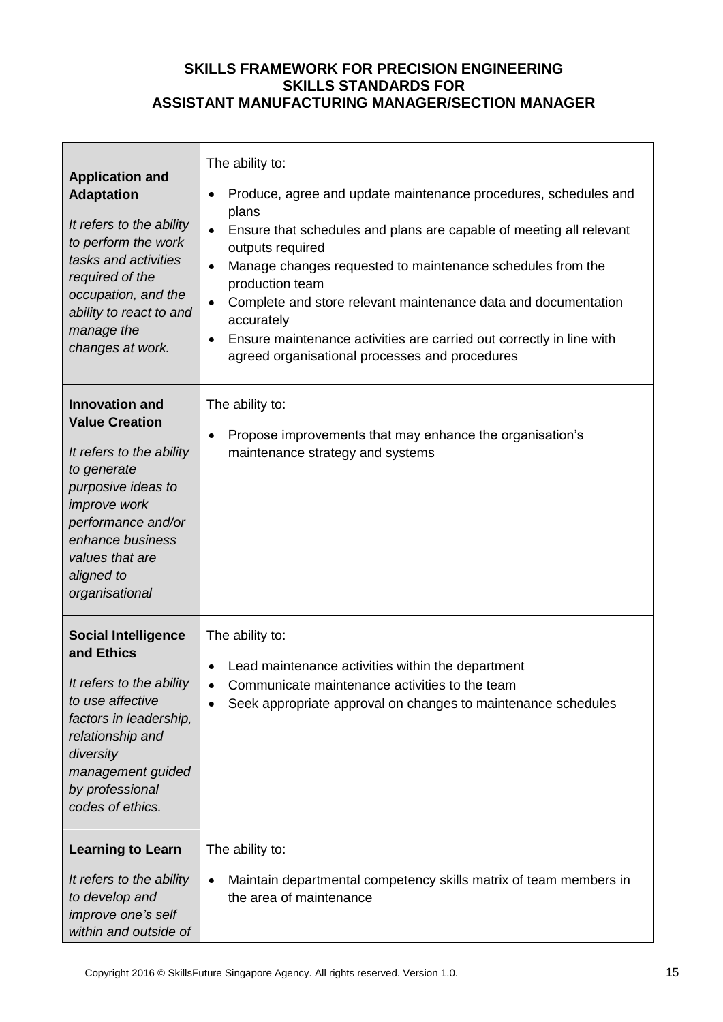| <b>Application and</b><br><b>Adaptation</b><br>It refers to the ability<br>to perform the work<br>tasks and activities<br>required of the<br>occupation, and the<br>ability to react to and<br>manage the<br>changes at work.       | The ability to:<br>Produce, agree and update maintenance procedures, schedules and<br>$\bullet$<br>plans<br>Ensure that schedules and plans are capable of meeting all relevant<br>$\bullet$<br>outputs required<br>Manage changes requested to maintenance schedules from the<br>$\bullet$<br>production team<br>Complete and store relevant maintenance data and documentation<br>$\bullet$<br>accurately<br>Ensure maintenance activities are carried out correctly in line with<br>$\bullet$<br>agreed organisational processes and procedures |
|-------------------------------------------------------------------------------------------------------------------------------------------------------------------------------------------------------------------------------------|----------------------------------------------------------------------------------------------------------------------------------------------------------------------------------------------------------------------------------------------------------------------------------------------------------------------------------------------------------------------------------------------------------------------------------------------------------------------------------------------------------------------------------------------------|
| <b>Innovation and</b><br><b>Value Creation</b><br>It refers to the ability<br>to generate<br>purposive ideas to<br><i>improve</i> work<br>performance and/or<br>enhance business<br>values that are<br>aligned to<br>organisational | The ability to:<br>Propose improvements that may enhance the organisation's<br>$\bullet$<br>maintenance strategy and systems                                                                                                                                                                                                                                                                                                                                                                                                                       |
| <b>Social Intelligence</b><br>and Ethics<br>It refers to the ability<br>to use affective<br>factors in leadership,<br>relationship and<br>diversity<br>management guided<br>by professional<br>codes of ethics.                     | The ability to:<br>Lead maintenance activities within the department<br>$\bullet$<br>Communicate maintenance activities to the team<br>Seek appropriate approval on changes to maintenance schedules                                                                                                                                                                                                                                                                                                                                               |
| <b>Learning to Learn</b><br>It refers to the ability<br>to develop and<br>improve one's self<br>within and outside of                                                                                                               | The ability to:<br>Maintain departmental competency skills matrix of team members in<br>the area of maintenance                                                                                                                                                                                                                                                                                                                                                                                                                                    |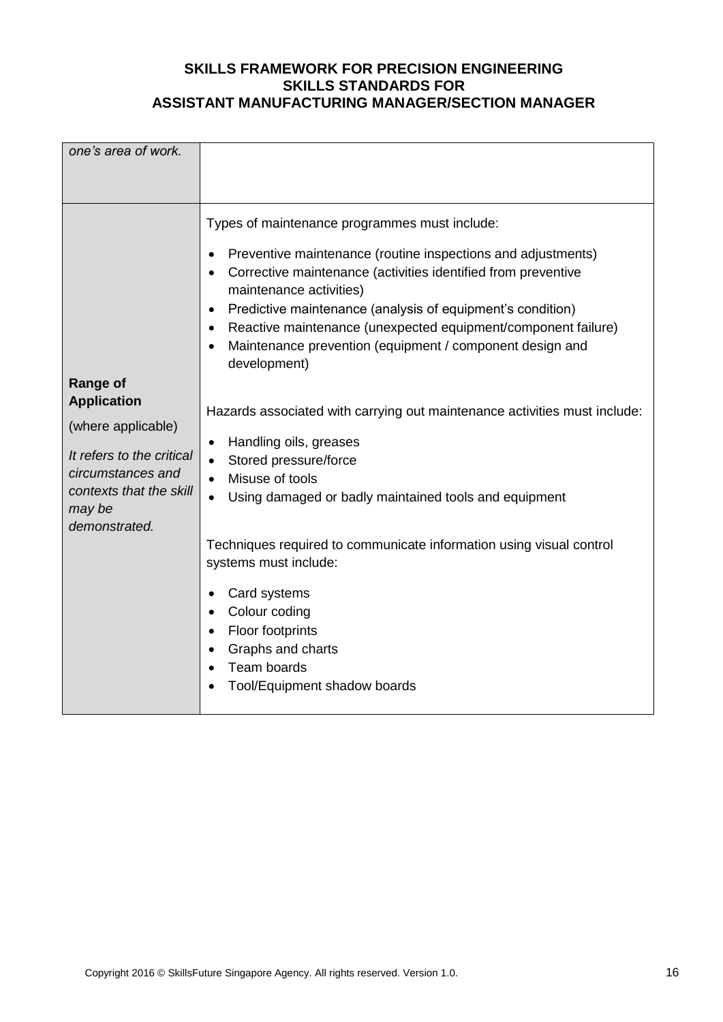| one's area of work.                                                                                                                                                 |                                                                                                                                                                                                                                                                                                                                                                                                                                                                                                                                                                                                                                                                                                                                                                                                                                                                                                                                                |
|---------------------------------------------------------------------------------------------------------------------------------------------------------------------|------------------------------------------------------------------------------------------------------------------------------------------------------------------------------------------------------------------------------------------------------------------------------------------------------------------------------------------------------------------------------------------------------------------------------------------------------------------------------------------------------------------------------------------------------------------------------------------------------------------------------------------------------------------------------------------------------------------------------------------------------------------------------------------------------------------------------------------------------------------------------------------------------------------------------------------------|
| <b>Range of</b><br><b>Application</b><br>(where applicable)<br>It refers to the critical<br>circumstances and<br>contexts that the skill<br>may be<br>demonstrated. | Types of maintenance programmes must include:<br>Preventive maintenance (routine inspections and adjustments)<br>$\bullet$<br>Corrective maintenance (activities identified from preventive<br>maintenance activities)<br>Predictive maintenance (analysis of equipment's condition)<br>$\bullet$<br>Reactive maintenance (unexpected equipment/component failure)<br>$\bullet$<br>Maintenance prevention (equipment / component design and<br>$\bullet$<br>development)<br>Hazards associated with carrying out maintenance activities must include:<br>Handling oils, greases<br>$\bullet$<br>Stored pressure/force<br>$\bullet$<br>Misuse of tools<br>Using damaged or badly maintained tools and equipment<br>Techniques required to communicate information using visual control<br>systems must include:<br>Card systems<br>Colour coding<br><b>Floor footprints</b><br>Graphs and charts<br>Team boards<br>Tool/Equipment shadow boards |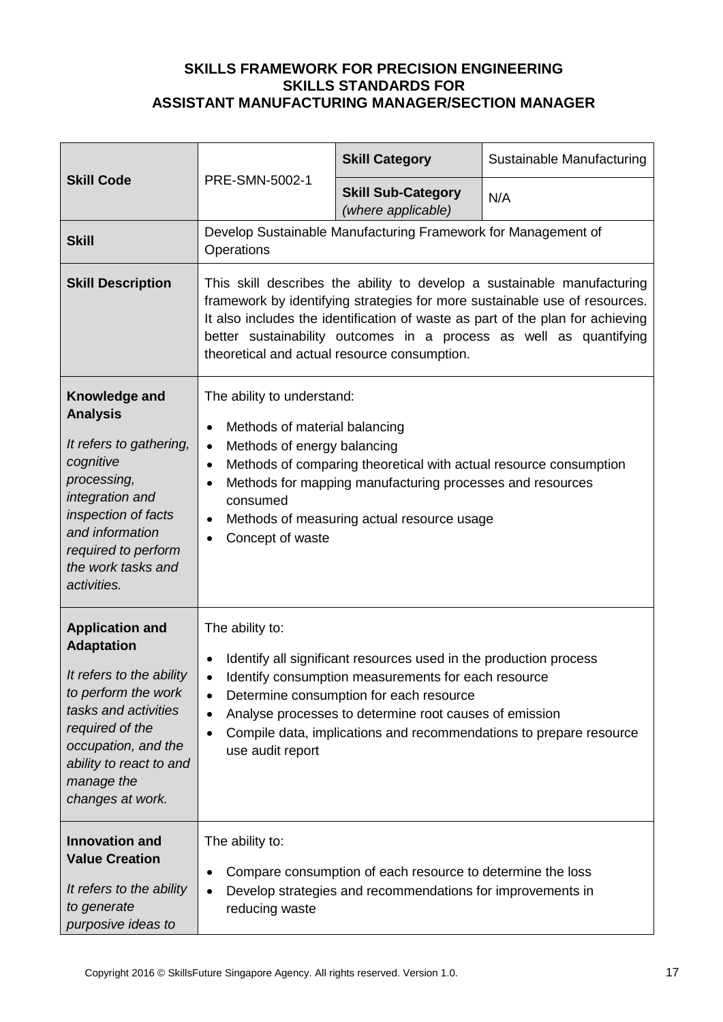|                                                                                                                                                                                                                               |                                                                                                                                                                                                                                                                                                                                                                           | <b>Skill Category</b>                                                                                                                                                        | Sustainable Manufacturing                                                                                                                                                                                                                                                                                     |
|-------------------------------------------------------------------------------------------------------------------------------------------------------------------------------------------------------------------------------|---------------------------------------------------------------------------------------------------------------------------------------------------------------------------------------------------------------------------------------------------------------------------------------------------------------------------------------------------------------------------|------------------------------------------------------------------------------------------------------------------------------------------------------------------------------|---------------------------------------------------------------------------------------------------------------------------------------------------------------------------------------------------------------------------------------------------------------------------------------------------------------|
| <b>Skill Code</b>                                                                                                                                                                                                             | PRE-SMN-5002-1                                                                                                                                                                                                                                                                                                                                                            | <b>Skill Sub-Category</b><br>(where applicable)                                                                                                                              | N/A                                                                                                                                                                                                                                                                                                           |
| <b>Skill</b>                                                                                                                                                                                                                  | Operations                                                                                                                                                                                                                                                                                                                                                                | Develop Sustainable Manufacturing Framework for Management of                                                                                                                |                                                                                                                                                                                                                                                                                                               |
| <b>Skill Description</b>                                                                                                                                                                                                      |                                                                                                                                                                                                                                                                                                                                                                           | theoretical and actual resource consumption.                                                                                                                                 | This skill describes the ability to develop a sustainable manufacturing<br>framework by identifying strategies for more sustainable use of resources.<br>It also includes the identification of waste as part of the plan for achieving<br>better sustainability outcomes in a process as well as quantifying |
| Knowledge and<br><b>Analysis</b><br>It refers to gathering,<br>cognitive<br>processing,<br>integration and<br>inspection of facts<br>and information<br>required to perform<br>the work tasks and<br>activities.              | The ability to understand:<br>Methods of material balancing<br>$\bullet$<br>Methods of energy balancing<br>$\bullet$<br>$\bullet$<br>$\bullet$<br>consumed<br>$\bullet$<br>Concept of waste                                                                                                                                                                               | Methods of comparing theoretical with actual resource consumption<br>Methods for mapping manufacturing processes and resources<br>Methods of measuring actual resource usage |                                                                                                                                                                                                                                                                                                               |
| <b>Application and</b><br><b>Adaptation</b><br>It refers to the ability<br>to perform the work<br>tasks and activities<br>required of the<br>occupation, and the<br>ability to react to and<br>manage the<br>changes at work. | The ability to:<br>Identify all significant resources used in the production process<br>Identify consumption measurements for each resource<br>Determine consumption for each resource<br>$\bullet$<br>Analyse processes to determine root causes of emission<br>$\bullet$<br>Compile data, implications and recommendations to prepare resource<br>٠<br>use audit report |                                                                                                                                                                              |                                                                                                                                                                                                                                                                                                               |
| <b>Innovation and</b><br><b>Value Creation</b><br>It refers to the ability<br>to generate<br>purposive ideas to                                                                                                               | The ability to:<br>٠<br>reducing waste                                                                                                                                                                                                                                                                                                                                    | Compare consumption of each resource to determine the loss<br>Develop strategies and recommendations for improvements in                                                     |                                                                                                                                                                                                                                                                                                               |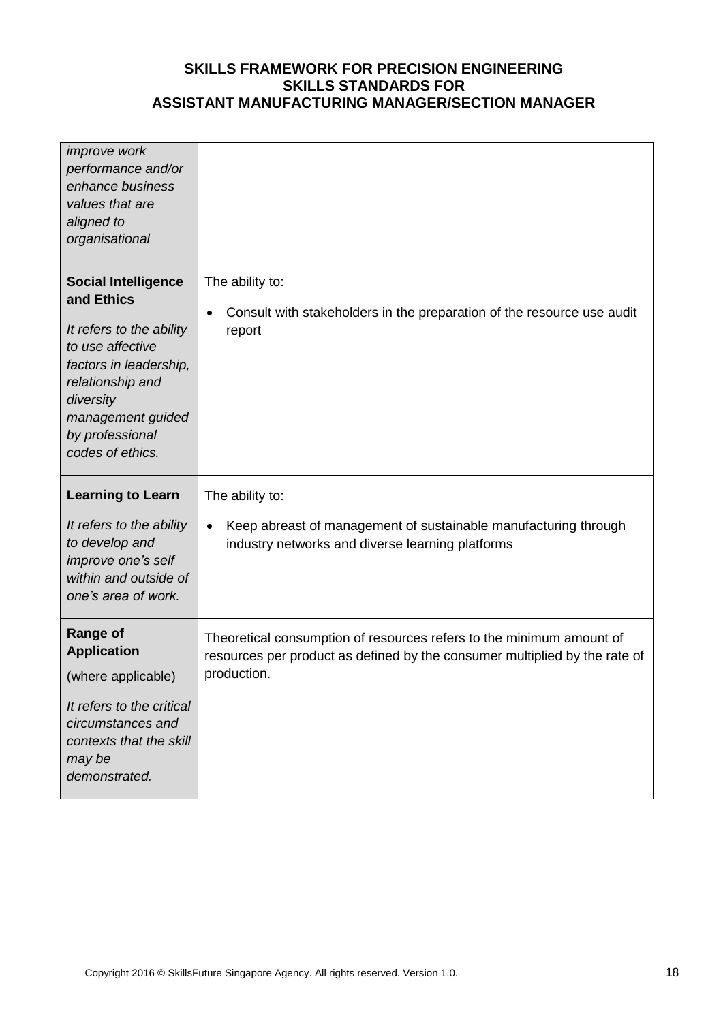| <i>improve</i> work<br>performance and/or<br>enhance business<br>values that are<br>aligned to<br>organisational                                                                                                |                                                                                                                                                                   |
|-----------------------------------------------------------------------------------------------------------------------------------------------------------------------------------------------------------------|-------------------------------------------------------------------------------------------------------------------------------------------------------------------|
| <b>Social Intelligence</b><br>and Ethics<br>It refers to the ability<br>to use affective<br>factors in leadership,<br>relationship and<br>diversity<br>management guided<br>by professional<br>codes of ethics. | The ability to:<br>Consult with stakeholders in the preparation of the resource use audit<br>$\bullet$<br>report                                                  |
| <b>Learning to Learn</b>                                                                                                                                                                                        | The ability to:                                                                                                                                                   |
| It refers to the ability<br>to develop and<br>improve one's self<br>within and outside of<br>one's area of work.                                                                                                | Keep abreast of management of sustainable manufacturing through<br>$\bullet$<br>industry networks and diverse learning platforms                                  |
| <b>Range of</b><br><b>Application</b><br>(where applicable)<br>It refers to the critical<br>circumstances and<br>contexts that the skill<br>may be<br>demonstrated.                                             | Theoretical consumption of resources refers to the minimum amount of<br>resources per product as defined by the consumer multiplied by the rate of<br>production. |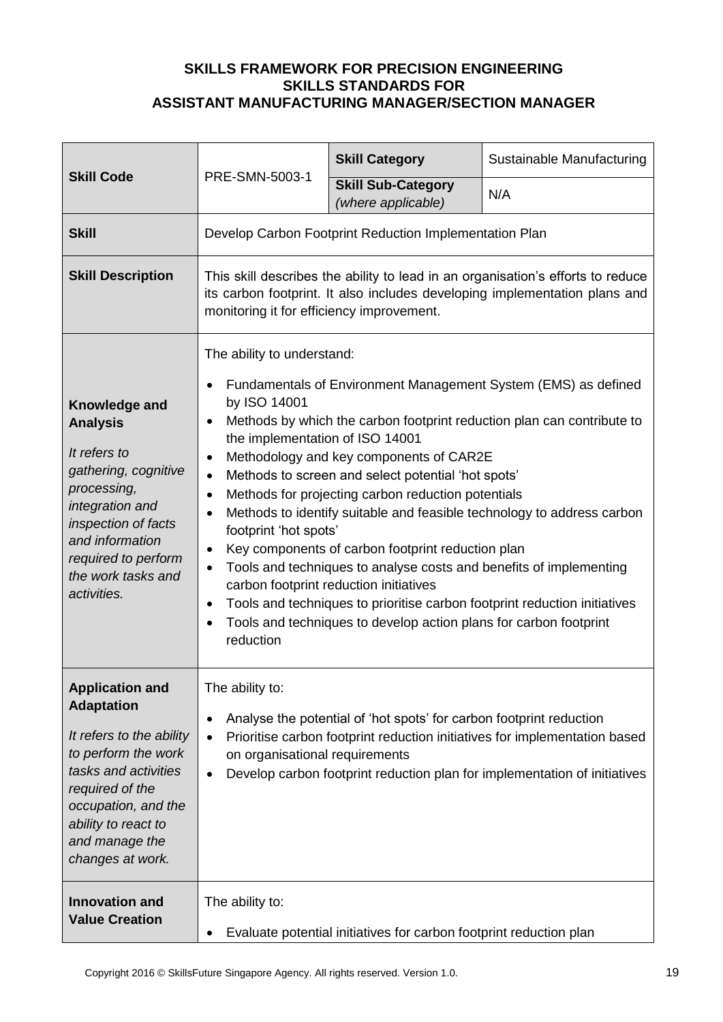|                                                                                                                                                                                                                               | PRE-SMN-5003-1                                                                                                                                                                                                                                                                                                                                                                                                                                                                                                                                                                                                                                                                                                                                                                                                                                                                                                                                            | <b>Skill Category</b>                                               | Sustainable Manufacturing                                                                                                                               |
|-------------------------------------------------------------------------------------------------------------------------------------------------------------------------------------------------------------------------------|-----------------------------------------------------------------------------------------------------------------------------------------------------------------------------------------------------------------------------------------------------------------------------------------------------------------------------------------------------------------------------------------------------------------------------------------------------------------------------------------------------------------------------------------------------------------------------------------------------------------------------------------------------------------------------------------------------------------------------------------------------------------------------------------------------------------------------------------------------------------------------------------------------------------------------------------------------------|---------------------------------------------------------------------|---------------------------------------------------------------------------------------------------------------------------------------------------------|
| <b>Skill Code</b>                                                                                                                                                                                                             |                                                                                                                                                                                                                                                                                                                                                                                                                                                                                                                                                                                                                                                                                                                                                                                                                                                                                                                                                           | <b>Skill Sub-Category</b><br>(where applicable)                     | N/A                                                                                                                                                     |
| <b>Skill</b>                                                                                                                                                                                                                  |                                                                                                                                                                                                                                                                                                                                                                                                                                                                                                                                                                                                                                                                                                                                                                                                                                                                                                                                                           | Develop Carbon Footprint Reduction Implementation Plan              |                                                                                                                                                         |
| <b>Skill Description</b>                                                                                                                                                                                                      | This skill describes the ability to lead in an organisation's efforts to reduce<br>its carbon footprint. It also includes developing implementation plans and<br>monitoring it for efficiency improvement.                                                                                                                                                                                                                                                                                                                                                                                                                                                                                                                                                                                                                                                                                                                                                |                                                                     |                                                                                                                                                         |
| Knowledge and<br><b>Analysis</b><br>It refers to<br>gathering, cognitive<br>processing,<br>integration and<br>inspection of facts<br>and information<br>required to perform<br>the work tasks and<br>activities.              | The ability to understand:<br>Fundamentals of Environment Management System (EMS) as defined<br>$\bullet$<br>by ISO 14001<br>Methods by which the carbon footprint reduction plan can contribute to<br>$\bullet$<br>the implementation of ISO 14001<br>Methodology and key components of CAR2E<br>$\bullet$<br>Methods to screen and select potential 'hot spots'<br>$\bullet$<br>Methods for projecting carbon reduction potentials<br>$\bullet$<br>Methods to identify suitable and feasible technology to address carbon<br>$\bullet$<br>footprint 'hot spots'<br>Key components of carbon footprint reduction plan<br>$\bullet$<br>Tools and techniques to analyse costs and benefits of implementing<br>$\bullet$<br>carbon footprint reduction initiatives<br>Tools and techniques to prioritise carbon footprint reduction initiatives<br>$\bullet$<br>Tools and techniques to develop action plans for carbon footprint<br>$\bullet$<br>reduction |                                                                     |                                                                                                                                                         |
| <b>Application and</b><br><b>Adaptation</b><br>It refers to the ability<br>to perform the work<br>tasks and activities<br>required of the<br>occupation, and the<br>ability to react to<br>and manage the<br>changes at work. | The ability to:<br>$\bullet$<br>$\bullet$<br>on organisational requirements<br>$\bullet$                                                                                                                                                                                                                                                                                                                                                                                                                                                                                                                                                                                                                                                                                                                                                                                                                                                                  | Analyse the potential of 'hot spots' for carbon footprint reduction | Prioritise carbon footprint reduction initiatives for implementation based<br>Develop carbon footprint reduction plan for implementation of initiatives |
| <b>Innovation and</b><br><b>Value Creation</b>                                                                                                                                                                                | The ability to:<br>$\bullet$                                                                                                                                                                                                                                                                                                                                                                                                                                                                                                                                                                                                                                                                                                                                                                                                                                                                                                                              | Evaluate potential initiatives for carbon footprint reduction plan  |                                                                                                                                                         |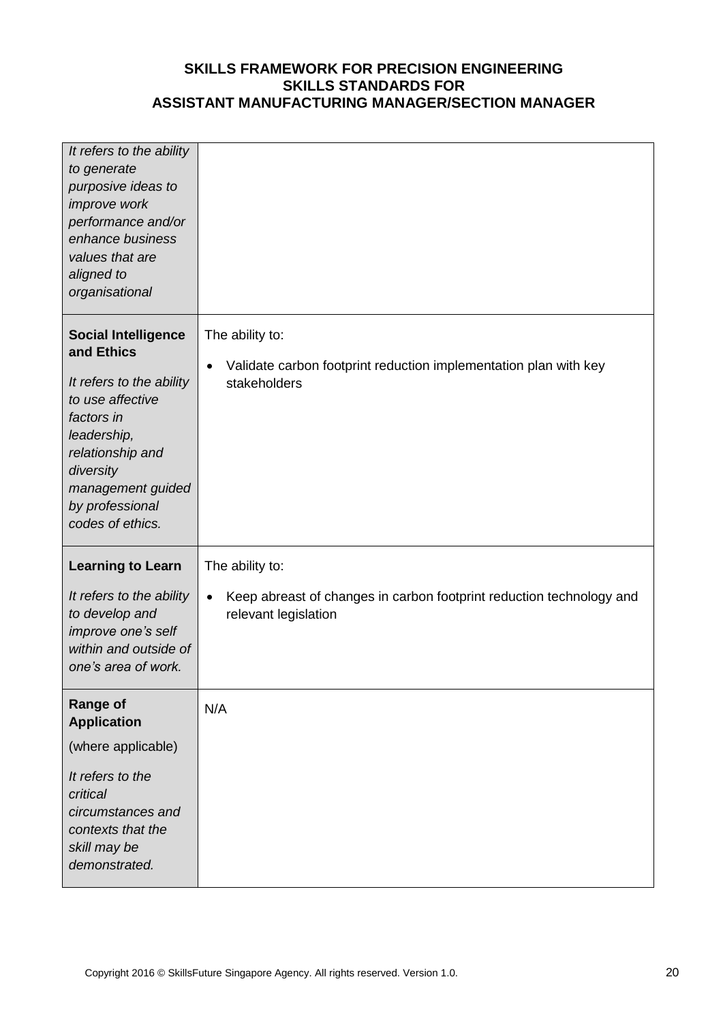| It refers to the ability<br>to generate<br>purposive ideas to<br>improve work<br>performance and/or<br>enhance business<br>values that are<br>aligned to<br>organisational                                         |                                                                                                                              |
|--------------------------------------------------------------------------------------------------------------------------------------------------------------------------------------------------------------------|------------------------------------------------------------------------------------------------------------------------------|
| <b>Social Intelligence</b><br>and Ethics<br>It refers to the ability<br>to use affective<br>factors in<br>leadership,<br>relationship and<br>diversity<br>management guided<br>by professional<br>codes of ethics. | The ability to:<br>Validate carbon footprint reduction implementation plan with key<br>$\bullet$<br>stakeholders             |
| <b>Learning to Learn</b><br>It refers to the ability<br>to develop and<br>improve one's self<br>within and outside of<br>one's area of work.                                                                       | The ability to:<br>Keep abreast of changes in carbon footprint reduction technology and<br>$\bullet$<br>relevant legislation |
| <b>Range of</b><br><b>Application</b><br>(where applicable)<br>It refers to the<br>critical<br>circumstances and<br>contexts that the<br>skill may be<br>demonstrated.                                             | N/A                                                                                                                          |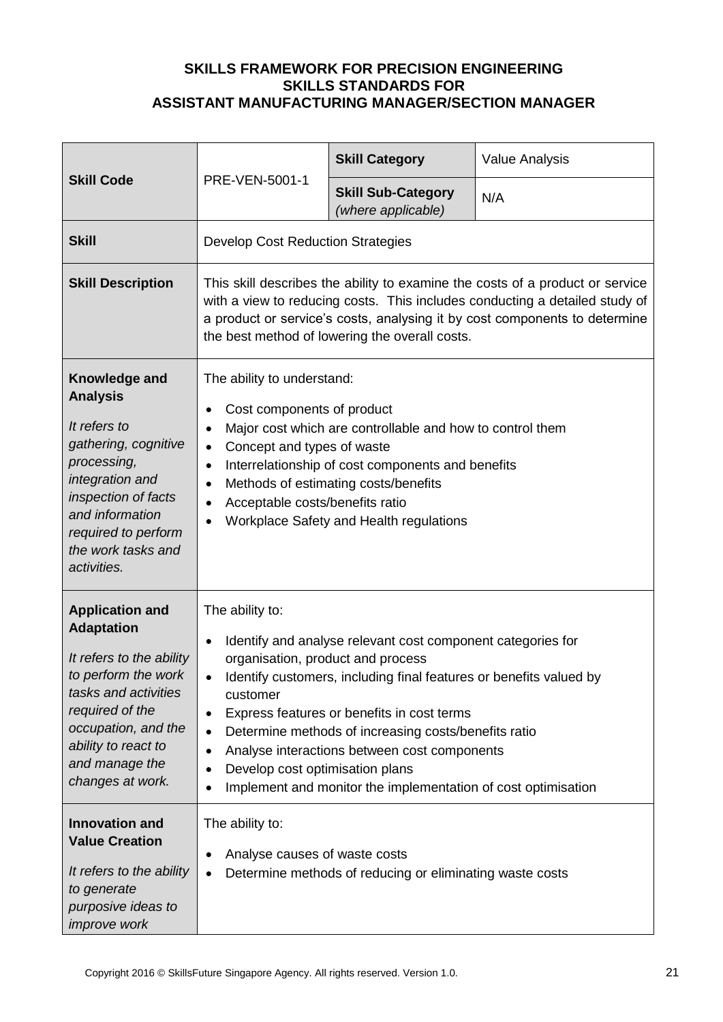| <b>Skill Code</b>                                                                                                                                                                                                             |                                                                                                                                                                                                                                                                                                                                                                                                                                                                                                                                            | <b>Skill Category</b>                                    | <b>Value Analysis</b> |
|-------------------------------------------------------------------------------------------------------------------------------------------------------------------------------------------------------------------------------|--------------------------------------------------------------------------------------------------------------------------------------------------------------------------------------------------------------------------------------------------------------------------------------------------------------------------------------------------------------------------------------------------------------------------------------------------------------------------------------------------------------------------------------------|----------------------------------------------------------|-----------------------|
|                                                                                                                                                                                                                               | PRE-VEN-5001-1                                                                                                                                                                                                                                                                                                                                                                                                                                                                                                                             | <b>Skill Sub-Category</b><br>(where applicable)          | N/A                   |
| <b>Skill</b>                                                                                                                                                                                                                  | <b>Develop Cost Reduction Strategies</b>                                                                                                                                                                                                                                                                                                                                                                                                                                                                                                   |                                                          |                       |
| <b>Skill Description</b>                                                                                                                                                                                                      | This skill describes the ability to examine the costs of a product or service<br>with a view to reducing costs. This includes conducting a detailed study of<br>a product or service's costs, analysing it by cost components to determine<br>the best method of lowering the overall costs.                                                                                                                                                                                                                                               |                                                          |                       |
| Knowledge and<br><b>Analysis</b><br>It refers to<br>gathering, cognitive<br>processing,<br>integration and<br>inspection of facts<br>and information<br>required to perform<br>the work tasks and<br>activities.              | The ability to understand:<br>Cost components of product<br>٠<br>Major cost which are controllable and how to control them<br>$\bullet$<br>Concept and types of waste<br>$\bullet$<br>Interrelationship of cost components and benefits<br>$\bullet$<br>Methods of estimating costs/benefits<br>$\bullet$<br>Acceptable costs/benefits ratio<br>$\bullet$<br>Workplace Safety and Health regulations<br>$\bullet$                                                                                                                          |                                                          |                       |
| <b>Application and</b><br><b>Adaptation</b><br>It refers to the ability<br>to perform the work<br>tasks and activities<br>required of the<br>occupation, and the<br>ability to react to<br>and manage the<br>changes at work. | The ability to:<br>Identify and analyse relevant cost component categories for<br>$\bullet$<br>organisation, product and process<br>Identify customers, including final features or benefits valued by<br>$\bullet$<br>customer<br>Express features or benefits in cost terms<br>٠<br>Determine methods of increasing costs/benefits ratio<br>$\bullet$<br>Analyse interactions between cost components<br>$\bullet$<br>Develop cost optimisation plans<br>٠<br>Implement and monitor the implementation of cost optimisation<br>$\bullet$ |                                                          |                       |
| <b>Innovation and</b><br><b>Value Creation</b><br>It refers to the ability<br>to generate<br>purposive ideas to<br>improve work                                                                                               | The ability to:<br>Analyse causes of waste costs<br>$\bullet$<br>$\bullet$                                                                                                                                                                                                                                                                                                                                                                                                                                                                 | Determine methods of reducing or eliminating waste costs |                       |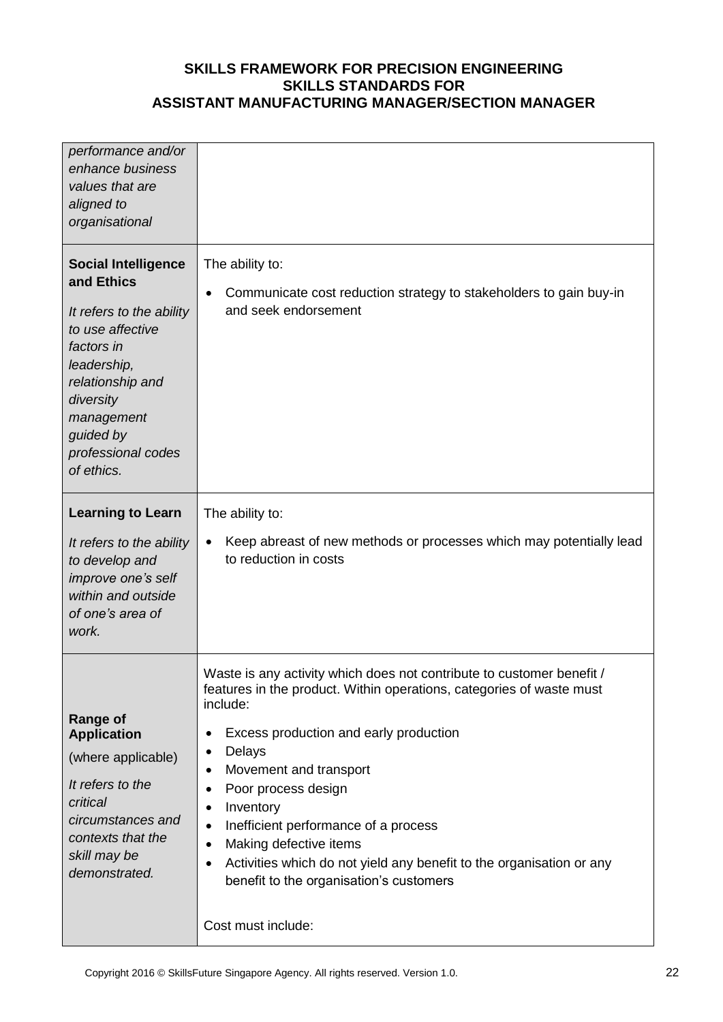| performance and/or<br>enhance business<br>values that are<br>aligned to<br>organisational                                                                                                                             |                                                                                                                                                                                                                                                                                                                                                                                                                                                                                                                                 |
|-----------------------------------------------------------------------------------------------------------------------------------------------------------------------------------------------------------------------|---------------------------------------------------------------------------------------------------------------------------------------------------------------------------------------------------------------------------------------------------------------------------------------------------------------------------------------------------------------------------------------------------------------------------------------------------------------------------------------------------------------------------------|
| <b>Social Intelligence</b><br>and Ethics<br>It refers to the ability<br>to use affective<br>factors in<br>leadership,<br>relationship and<br>diversity<br>management<br>guided by<br>professional codes<br>of ethics. | The ability to:<br>Communicate cost reduction strategy to stakeholders to gain buy-in<br>and seek endorsement                                                                                                                                                                                                                                                                                                                                                                                                                   |
| <b>Learning to Learn</b><br>It refers to the ability<br>to develop and<br>improve one's self<br>within and outside<br>of one's area of<br>work.                                                                       | The ability to:<br>Keep abreast of new methods or processes which may potentially lead<br>٠<br>to reduction in costs                                                                                                                                                                                                                                                                                                                                                                                                            |
| <b>Range of</b><br><b>Application</b><br>(where applicable)<br>It refers to the<br>critical<br>circumstances and<br>contexts that the<br>skill may be<br>demonstrated.                                                | Waste is any activity which does not contribute to customer benefit /<br>features in the product. Within operations, categories of waste must<br>include:<br>Excess production and early production<br>$\bullet$<br>Delays<br>٠<br>Movement and transport<br>Poor process design<br>Inventory<br>٠<br>Inefficient performance of a process<br>$\bullet$<br>Making defective items<br>٠<br>Activities which do not yield any benefit to the organisation or any<br>benefit to the organisation's customers<br>Cost must include: |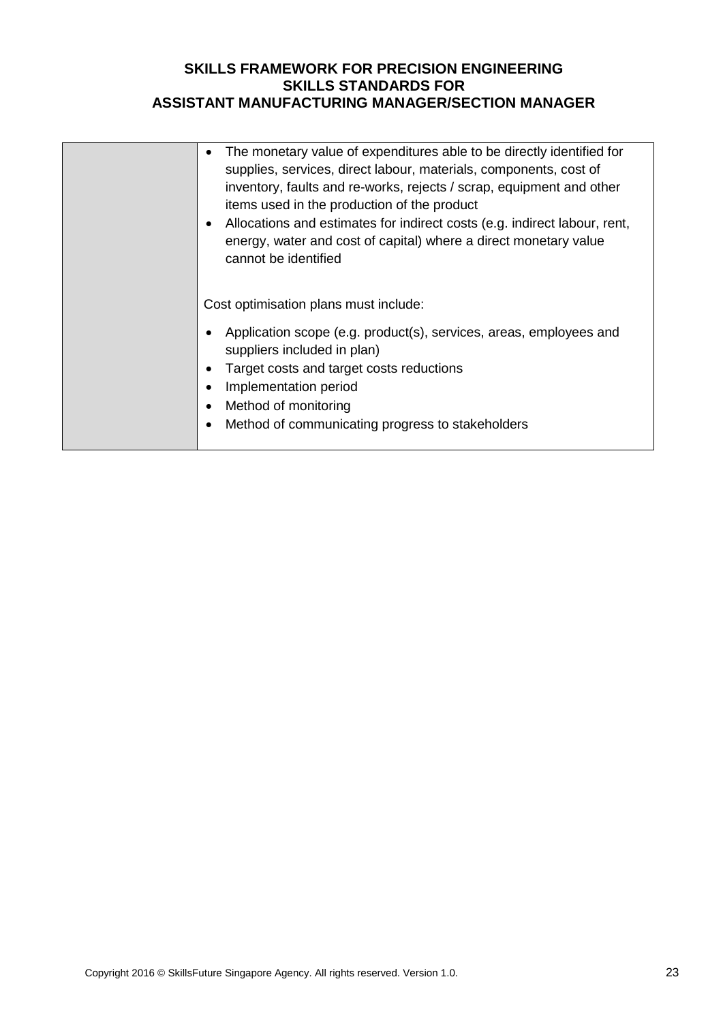| The monetary value of expenditures able to be directly identified for<br>$\bullet$<br>supplies, services, direct labour, materials, components, cost of<br>inventory, faults and re-works, rejects / scrap, equipment and other<br>items used in the production of the product<br>Allocations and estimates for indirect costs (e.g. indirect labour, rent,<br>$\bullet$<br>energy, water and cost of capital) where a direct monetary value<br>cannot be identified |
|----------------------------------------------------------------------------------------------------------------------------------------------------------------------------------------------------------------------------------------------------------------------------------------------------------------------------------------------------------------------------------------------------------------------------------------------------------------------|
| Cost optimisation plans must include:<br>Application scope (e.g. product(s), services, areas, employees and<br>suppliers included in plan)<br>Target costs and target costs reductions<br>$\bullet$<br>Implementation period<br>$\bullet$<br>Method of monitoring<br>$\bullet$<br>Method of communicating progress to stakeholders<br>$\bullet$                                                                                                                      |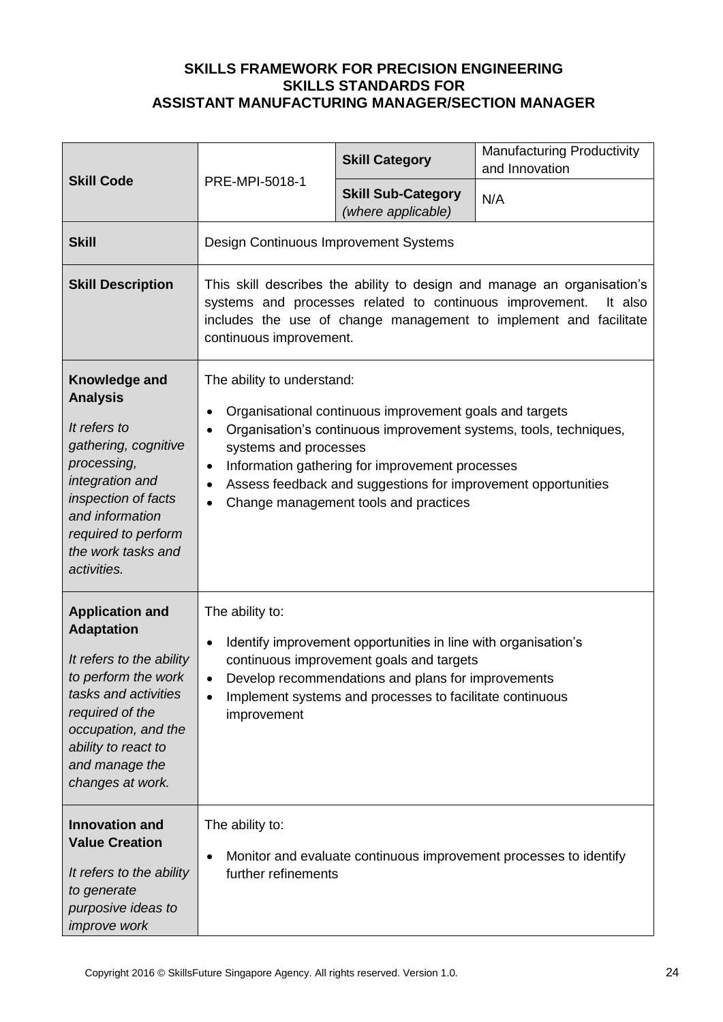| <b>Skill Code</b>                                                                                                                                                                                                             |                                                                                                                                                                                                                                                                                                       | <b>Skill Category</b>                                                                                                                                                                                                | <b>Manufacturing Productivity</b><br>and Innovation                                                                                                     |
|-------------------------------------------------------------------------------------------------------------------------------------------------------------------------------------------------------------------------------|-------------------------------------------------------------------------------------------------------------------------------------------------------------------------------------------------------------------------------------------------------------------------------------------------------|----------------------------------------------------------------------------------------------------------------------------------------------------------------------------------------------------------------------|---------------------------------------------------------------------------------------------------------------------------------------------------------|
|                                                                                                                                                                                                                               | PRE-MPI-5018-1                                                                                                                                                                                                                                                                                        | <b>Skill Sub-Category</b><br>(where applicable)                                                                                                                                                                      | N/A                                                                                                                                                     |
| <b>Skill</b>                                                                                                                                                                                                                  | Design Continuous Improvement Systems                                                                                                                                                                                                                                                                 |                                                                                                                                                                                                                      |                                                                                                                                                         |
| <b>Skill Description</b>                                                                                                                                                                                                      | continuous improvement.                                                                                                                                                                                                                                                                               | systems and processes related to continuous improvement.                                                                                                                                                             | This skill describes the ability to design and manage an organisation's<br>It also<br>includes the use of change management to implement and facilitate |
| Knowledge and<br><b>Analysis</b><br>It refers to<br>gathering, cognitive<br>processing,<br>integration and<br>inspection of facts<br>and information<br>required to perform<br>the work tasks and<br>activities.              | The ability to understand:<br>$\bullet$<br>$\bullet$<br>systems and processes<br>$\bullet$<br>$\bullet$<br>$\bullet$                                                                                                                                                                                  | Organisational continuous improvement goals and targets<br>Information gathering for improvement processes<br>Assess feedback and suggestions for improvement opportunities<br>Change management tools and practices | Organisation's continuous improvement systems, tools, techniques,                                                                                       |
| <b>Application and</b><br><b>Adaptation</b><br>It refers to the ability<br>to perform the work<br>tasks and activities<br>required of the<br>occupation, and the<br>ability to react to<br>and manage the<br>changes at work. | The ability to:<br>Identify improvement opportunities in line with organisation's<br>$\bullet$<br>continuous improvement goals and targets<br>Develop recommendations and plans for improvements<br>$\bullet$<br>Implement systems and processes to facilitate continuous<br>$\bullet$<br>improvement |                                                                                                                                                                                                                      |                                                                                                                                                         |
| <b>Innovation and</b><br><b>Value Creation</b><br>It refers to the ability<br>to generate<br>purposive ideas to<br><i>improve</i> work                                                                                        | The ability to:<br>$\bullet$<br>further refinements                                                                                                                                                                                                                                                   |                                                                                                                                                                                                                      | Monitor and evaluate continuous improvement processes to identify                                                                                       |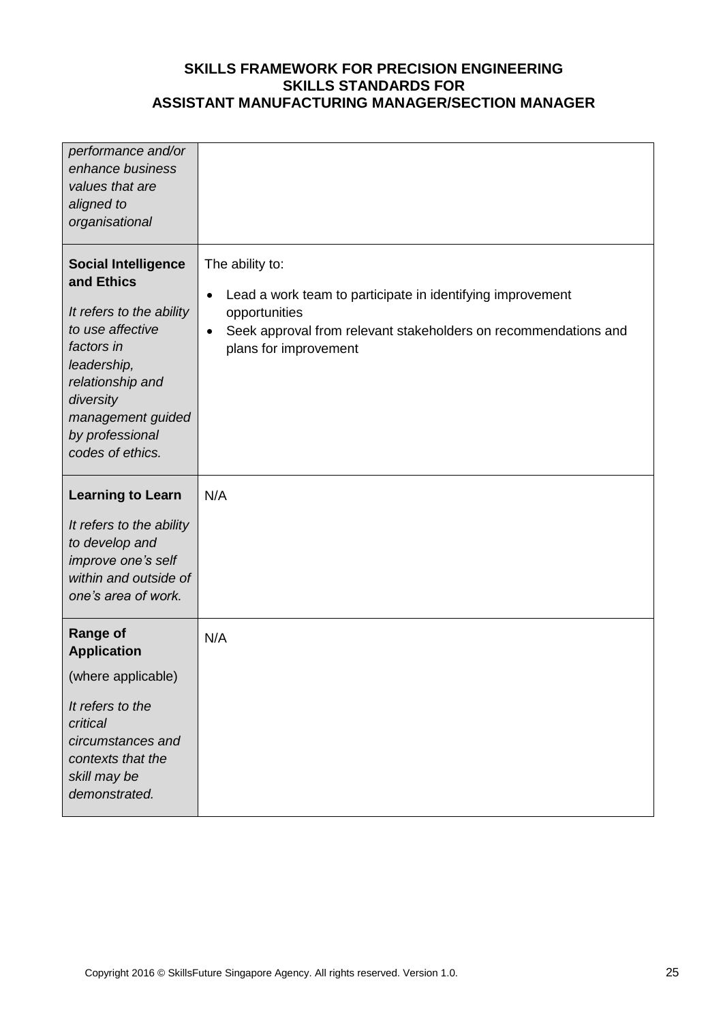| performance and/or<br>enhance business<br>values that are<br>aligned to<br>organisational                                                                                                                          |                                                                                                                                                                                                                      |
|--------------------------------------------------------------------------------------------------------------------------------------------------------------------------------------------------------------------|----------------------------------------------------------------------------------------------------------------------------------------------------------------------------------------------------------------------|
| <b>Social Intelligence</b><br>and Ethics<br>It refers to the ability<br>to use affective<br>factors in<br>leadership,<br>relationship and<br>diversity<br>management guided<br>by professional<br>codes of ethics. | The ability to:<br>Lead a work team to participate in identifying improvement<br>$\bullet$<br>opportunities<br>Seek approval from relevant stakeholders on recommendations and<br>$\bullet$<br>plans for improvement |
| <b>Learning to Learn</b><br>It refers to the ability<br>to develop and<br>improve one's self<br>within and outside of<br>one's area of work.                                                                       | N/A                                                                                                                                                                                                                  |
| <b>Range of</b><br><b>Application</b><br>(where applicable)<br>It refers to the<br>critical<br>circumstances and<br>contexts that the<br>skill may be<br>demonstrated.                                             | N/A                                                                                                                                                                                                                  |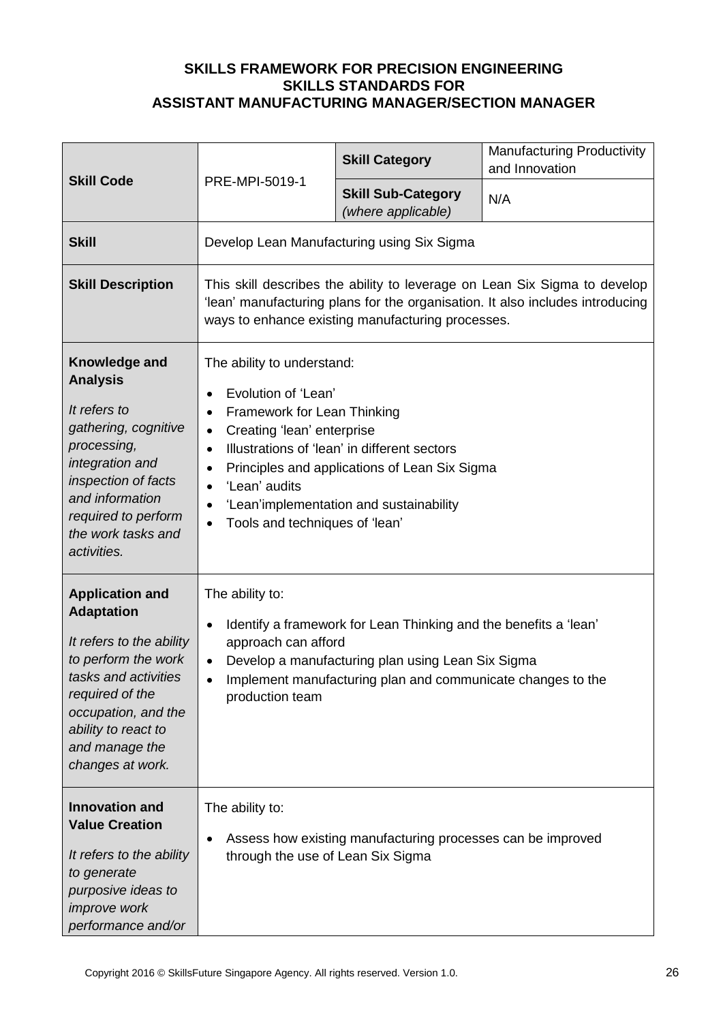| <b>Skill Code</b>                                                                                                                                                                                                             | PRE-MPI-5019-1                                                                                                                                                                                                                                                                                                                                                                                                        | <b>Skill Category</b>                                       | <b>Manufacturing Productivity</b><br>and Innovation |
|-------------------------------------------------------------------------------------------------------------------------------------------------------------------------------------------------------------------------------|-----------------------------------------------------------------------------------------------------------------------------------------------------------------------------------------------------------------------------------------------------------------------------------------------------------------------------------------------------------------------------------------------------------------------|-------------------------------------------------------------|-----------------------------------------------------|
|                                                                                                                                                                                                                               |                                                                                                                                                                                                                                                                                                                                                                                                                       | <b>Skill Sub-Category</b><br>(where applicable)             | N/A                                                 |
| <b>Skill</b>                                                                                                                                                                                                                  |                                                                                                                                                                                                                                                                                                                                                                                                                       | Develop Lean Manufacturing using Six Sigma                  |                                                     |
| <b>Skill Description</b>                                                                                                                                                                                                      | This skill describes the ability to leverage on Lean Six Sigma to develop<br>'lean' manufacturing plans for the organisation. It also includes introducing<br>ways to enhance existing manufacturing processes.                                                                                                                                                                                                       |                                                             |                                                     |
| Knowledge and<br><b>Analysis</b><br>It refers to<br>gathering, cognitive<br>processing,<br>integration and<br>inspection of facts<br>and information<br>required to perform<br>the work tasks and<br>activities.              | The ability to understand:<br>Evolution of 'Lean'<br>$\bullet$<br>Framework for Lean Thinking<br>$\bullet$<br>Creating 'lean' enterprise<br>$\bullet$<br>Illustrations of 'lean' in different sectors<br>$\bullet$<br>Principles and applications of Lean Six Sigma<br>$\bullet$<br>'Lean' audits<br>$\bullet$<br>'Lean'implementation and sustainability<br>$\bullet$<br>Tools and techniques of 'lean'<br>$\bullet$ |                                                             |                                                     |
| <b>Application and</b><br><b>Adaptation</b><br>It refers to the ability<br>to perform the work<br>tasks and activities<br>required of the<br>occupation, and the<br>ability to react to<br>and manage the<br>changes at work. | The ability to:<br>Identify a framework for Lean Thinking and the benefits a 'lean'<br>$\bullet$<br>approach can afford<br>Develop a manufacturing plan using Lean Six Sigma<br>$\bullet$<br>Implement manufacturing plan and communicate changes to the<br>$\bullet$<br>production team                                                                                                                              |                                                             |                                                     |
| <b>Innovation and</b><br><b>Value Creation</b><br>It refers to the ability<br>to generate<br>purposive ideas to<br>improve work<br>performance and/or                                                                         | The ability to:<br>through the use of Lean Six Sigma                                                                                                                                                                                                                                                                                                                                                                  | Assess how existing manufacturing processes can be improved |                                                     |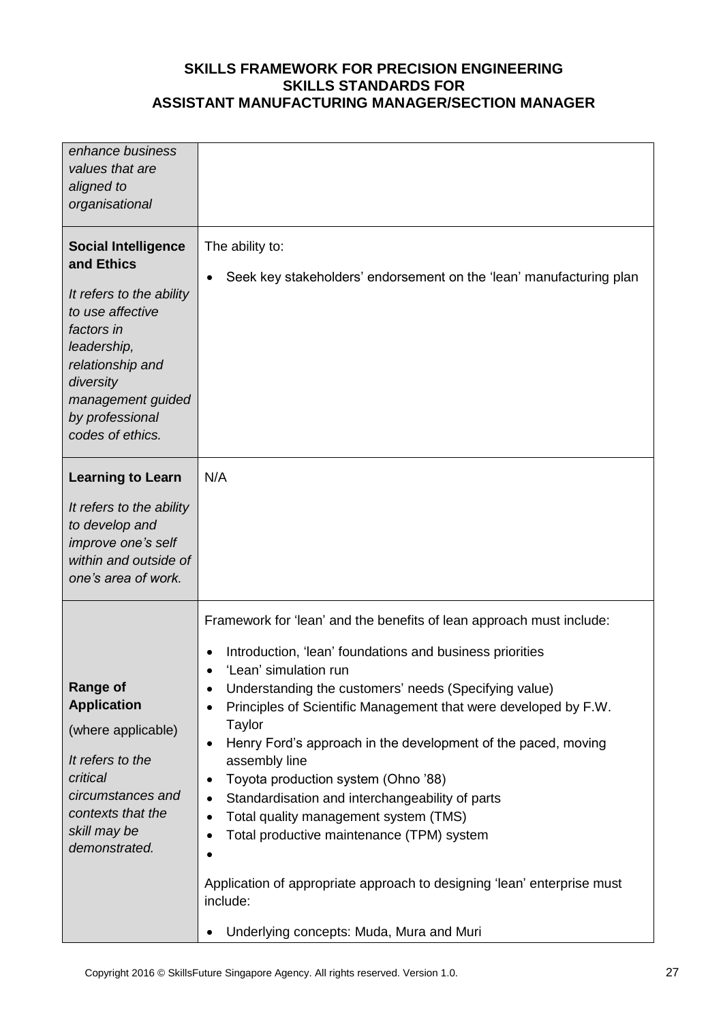| enhance business<br>values that are<br>aligned to<br>organisational                                                                                                                                                |                                                                                                                                                                                                                                                                                                                                                                                                                                                                                                                                                                                                                                                                                                                                                              |
|--------------------------------------------------------------------------------------------------------------------------------------------------------------------------------------------------------------------|--------------------------------------------------------------------------------------------------------------------------------------------------------------------------------------------------------------------------------------------------------------------------------------------------------------------------------------------------------------------------------------------------------------------------------------------------------------------------------------------------------------------------------------------------------------------------------------------------------------------------------------------------------------------------------------------------------------------------------------------------------------|
| <b>Social Intelligence</b><br>and Ethics<br>It refers to the ability<br>to use affective<br>factors in<br>leadership,<br>relationship and<br>diversity<br>management guided<br>by professional<br>codes of ethics. | The ability to:<br>Seek key stakeholders' endorsement on the 'lean' manufacturing plan                                                                                                                                                                                                                                                                                                                                                                                                                                                                                                                                                                                                                                                                       |
| <b>Learning to Learn</b><br>It refers to the ability<br>to develop and<br>improve one's self<br>within and outside of<br>one's area of work.                                                                       | N/A                                                                                                                                                                                                                                                                                                                                                                                                                                                                                                                                                                                                                                                                                                                                                          |
| <b>Range of</b><br><b>Application</b><br>(where applicable)<br>It refers to the<br>critical<br>circumstances and<br>contexts that the<br>skill may be<br>demonstrated.                                             | Framework for 'lean' and the benefits of lean approach must include:<br>Introduction, 'lean' foundations and business priorities<br>٠<br>'Lean' simulation run<br>Understanding the customers' needs (Specifying value)<br>٠<br>Principles of Scientific Management that were developed by F.W.<br>Taylor<br>Henry Ford's approach in the development of the paced, moving<br>٠<br>assembly line<br>Toyota production system (Ohno '88)<br>٠<br>Standardisation and interchangeability of parts<br>$\bullet$<br>Total quality management system (TMS)<br>$\bullet$<br>Total productive maintenance (TPM) system<br>٠<br>Application of appropriate approach to designing 'lean' enterprise must<br>include:<br>Underlying concepts: Muda, Mura and Muri<br>٠ |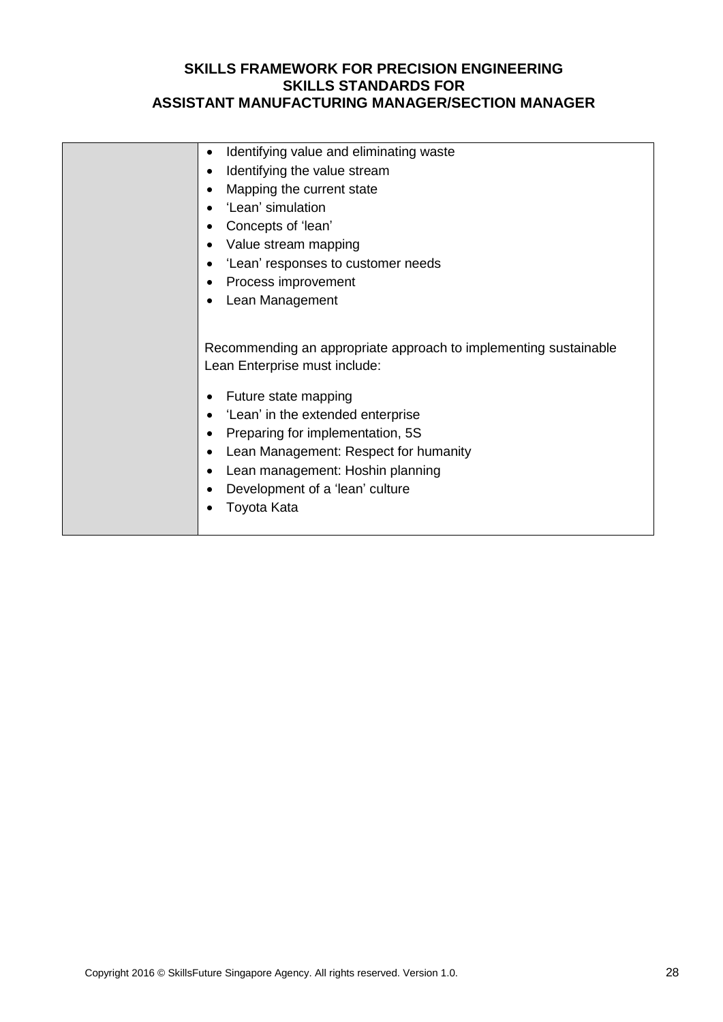| Identifying value and eliminating waste<br>٠                                                                                                                                                                                                                                                                                                                                                            |
|---------------------------------------------------------------------------------------------------------------------------------------------------------------------------------------------------------------------------------------------------------------------------------------------------------------------------------------------------------------------------------------------------------|
| Identifying the value stream<br>$\bullet$                                                                                                                                                                                                                                                                                                                                                               |
| Mapping the current state<br>$\bullet$                                                                                                                                                                                                                                                                                                                                                                  |
| 'Lean' simulation<br>$\bullet$                                                                                                                                                                                                                                                                                                                                                                          |
| Concepts of 'lean'<br>$\bullet$                                                                                                                                                                                                                                                                                                                                                                         |
| Value stream mapping<br>$\bullet$                                                                                                                                                                                                                                                                                                                                                                       |
| 'Lean' responses to customer needs<br>$\bullet$                                                                                                                                                                                                                                                                                                                                                         |
| Process improvement<br>$\bullet$                                                                                                                                                                                                                                                                                                                                                                        |
| Lean Management<br>$\bullet$                                                                                                                                                                                                                                                                                                                                                                            |
| Recommending an appropriate approach to implementing sustainable<br>Lean Enterprise must include:<br>Future state mapping<br>٠<br>'Lean' in the extended enterprise<br>$\bullet$<br>Preparing for implementation, 5S<br>$\bullet$<br>Lean Management: Respect for humanity<br>$\bullet$<br>Lean management: Hoshin planning<br>$\bullet$<br>Development of a 'lean' culture<br>$\bullet$<br>Toyota Kata |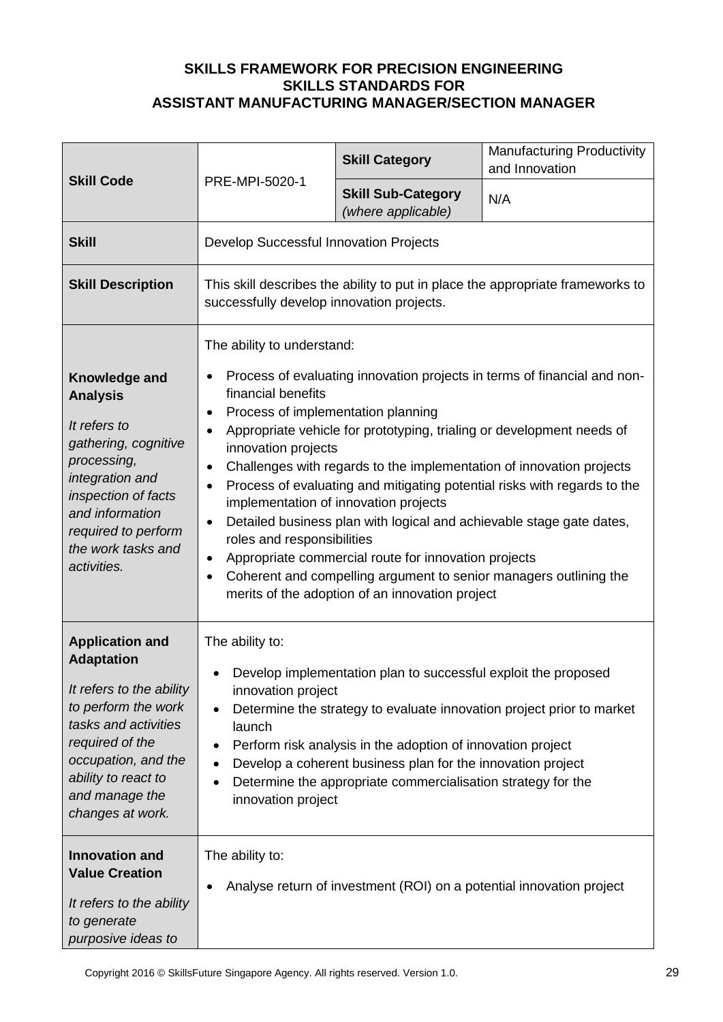| <b>Skill Code</b>                                                                                                                                                                                                             |                                                                                                                                                                                                                                                     | <b>Skill Category</b>                                                                                                                                                                                                                                        | <b>Manufacturing Productivity</b><br>and Innovation                                                                                                                                                                                                                                                                                                                                                                                                |
|-------------------------------------------------------------------------------------------------------------------------------------------------------------------------------------------------------------------------------|-----------------------------------------------------------------------------------------------------------------------------------------------------------------------------------------------------------------------------------------------------|--------------------------------------------------------------------------------------------------------------------------------------------------------------------------------------------------------------------------------------------------------------|----------------------------------------------------------------------------------------------------------------------------------------------------------------------------------------------------------------------------------------------------------------------------------------------------------------------------------------------------------------------------------------------------------------------------------------------------|
|                                                                                                                                                                                                                               | PRE-MPI-5020-1                                                                                                                                                                                                                                      | <b>Skill Sub-Category</b><br>(where applicable)                                                                                                                                                                                                              | N/A                                                                                                                                                                                                                                                                                                                                                                                                                                                |
| <b>Skill</b>                                                                                                                                                                                                                  | Develop Successful Innovation Projects                                                                                                                                                                                                              |                                                                                                                                                                                                                                                              |                                                                                                                                                                                                                                                                                                                                                                                                                                                    |
| <b>Skill Description</b>                                                                                                                                                                                                      | This skill describes the ability to put in place the appropriate frameworks to<br>successfully develop innovation projects.                                                                                                                         |                                                                                                                                                                                                                                                              |                                                                                                                                                                                                                                                                                                                                                                                                                                                    |
| Knowledge and<br><b>Analysis</b><br>It refers to<br>gathering, cognitive<br>processing,<br>integration and<br>inspection of facts<br>and information<br>required to perform<br>the work tasks and<br>activities.              | The ability to understand:<br>$\bullet$<br>financial benefits<br>Process of implementation planning<br>$\bullet$<br>$\bullet$<br>innovation projects<br>$\bullet$<br>$\bullet$<br>$\bullet$<br>roles and responsibilities<br>$\bullet$<br>$\bullet$ | implementation of innovation projects<br>Appropriate commercial route for innovation projects<br>merits of the adoption of an innovation project                                                                                                             | Process of evaluating innovation projects in terms of financial and non-<br>Appropriate vehicle for prototyping, trialing or development needs of<br>Challenges with regards to the implementation of innovation projects<br>Process of evaluating and mitigating potential risks with regards to the<br>Detailed business plan with logical and achievable stage gate dates,<br>Coherent and compelling argument to senior managers outlining the |
| <b>Application and</b><br><b>Adaptation</b><br>It refers to the ability<br>to perform the work<br>tasks and activities<br>required of the<br>occupation, and the<br>ability to react to<br>and manage the<br>changes at work. | The ability to:<br>innovation project<br>launch<br>$\bullet$<br>innovation project                                                                                                                                                                  | Develop implementation plan to successful exploit the proposed<br>Perform risk analysis in the adoption of innovation project<br>Develop a coherent business plan for the innovation project<br>Determine the appropriate commercialisation strategy for the | Determine the strategy to evaluate innovation project prior to market                                                                                                                                                                                                                                                                                                                                                                              |
| <b>Innovation and</b><br><b>Value Creation</b><br>It refers to the ability<br>to generate<br>purposive ideas to                                                                                                               | The ability to:<br>$\bullet$                                                                                                                                                                                                                        | Analyse return of investment (ROI) on a potential innovation project                                                                                                                                                                                         |                                                                                                                                                                                                                                                                                                                                                                                                                                                    |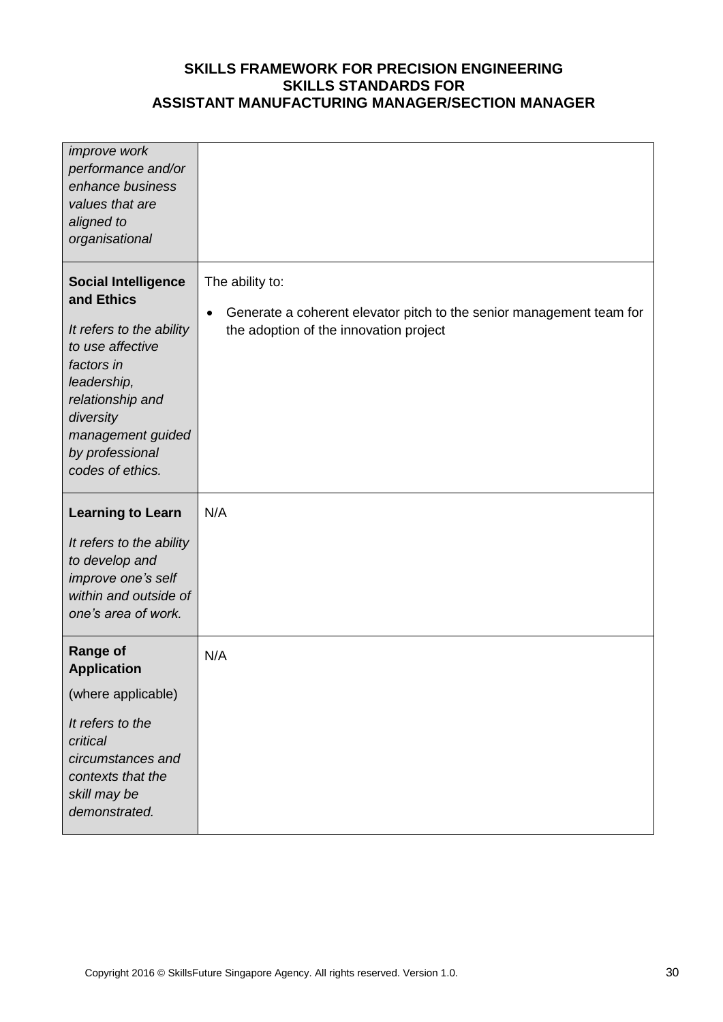| improve work<br>performance and/or<br>enhance business<br>values that are<br>aligned to<br>organisational                                                                                                          |                                                                                                                                                |
|--------------------------------------------------------------------------------------------------------------------------------------------------------------------------------------------------------------------|------------------------------------------------------------------------------------------------------------------------------------------------|
| <b>Social Intelligence</b><br>and Ethics<br>It refers to the ability<br>to use affective<br>factors in<br>leadership,<br>relationship and<br>diversity<br>management guided<br>by professional<br>codes of ethics. | The ability to:<br>Generate a coherent elevator pitch to the senior management team for<br>$\bullet$<br>the adoption of the innovation project |
| <b>Learning to Learn</b><br>It refers to the ability<br>to develop and<br>improve one's self<br>within and outside of<br>one's area of work.                                                                       | N/A                                                                                                                                            |
| <b>Range of</b><br><b>Application</b><br>(where applicable)<br>It refers to the<br>critical<br>circumstances and<br>contexts that the<br>skill may be<br>demonstrated.                                             | N/A                                                                                                                                            |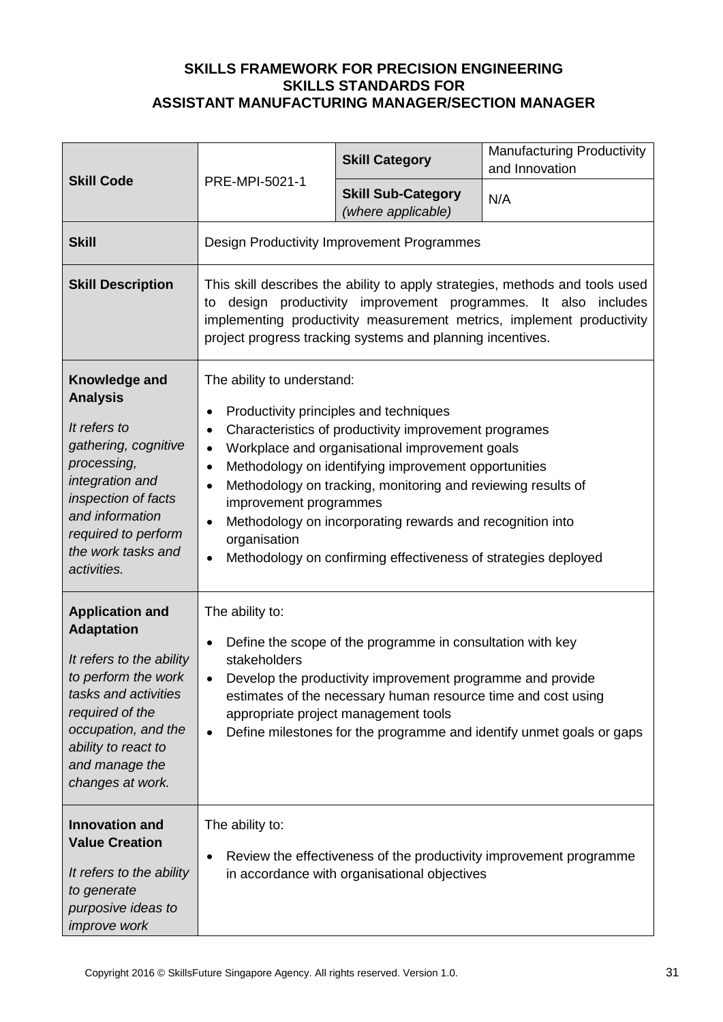|                                                                                                                                                                                                                               | PRE-MPI-5021-1                                                                                                                                                                                                                                                                                                                                                         | <b>Skill Category</b>                                                                                                                                                                                                                                                                                                                                                                                    | <b>Manufacturing Productivity</b><br>and Innovation                                                                                                               |
|-------------------------------------------------------------------------------------------------------------------------------------------------------------------------------------------------------------------------------|------------------------------------------------------------------------------------------------------------------------------------------------------------------------------------------------------------------------------------------------------------------------------------------------------------------------------------------------------------------------|----------------------------------------------------------------------------------------------------------------------------------------------------------------------------------------------------------------------------------------------------------------------------------------------------------------------------------------------------------------------------------------------------------|-------------------------------------------------------------------------------------------------------------------------------------------------------------------|
| <b>Skill Code</b>                                                                                                                                                                                                             |                                                                                                                                                                                                                                                                                                                                                                        | <b>Skill Sub-Category</b><br>(where applicable)                                                                                                                                                                                                                                                                                                                                                          | N/A                                                                                                                                                               |
| <b>Skill</b>                                                                                                                                                                                                                  |                                                                                                                                                                                                                                                                                                                                                                        | Design Productivity Improvement Programmes                                                                                                                                                                                                                                                                                                                                                               |                                                                                                                                                                   |
| <b>Skill Description</b>                                                                                                                                                                                                      | to                                                                                                                                                                                                                                                                                                                                                                     | design productivity improvement programmes. It also<br>project progress tracking systems and planning incentives.                                                                                                                                                                                                                                                                                        | This skill describes the ability to apply strategies, methods and tools used<br>includes<br>implementing productivity measurement metrics, implement productivity |
| Knowledge and<br><b>Analysis</b><br>It refers to<br>gathering, cognitive<br>processing,<br>integration and<br>inspection of facts<br>and information<br>required to perform<br>the work tasks and<br>activities.              | The ability to understand:<br>٠<br>$\bullet$<br>$\bullet$<br>$\bullet$<br>$\bullet$<br>improvement programmes<br>$\bullet$<br>organisation<br>$\bullet$                                                                                                                                                                                                                | Productivity principles and techniques<br>Characteristics of productivity improvement programes<br>Workplace and organisational improvement goals<br>Methodology on identifying improvement opportunities<br>Methodology on tracking, monitoring and reviewing results of<br>Methodology on incorporating rewards and recognition into<br>Methodology on confirming effectiveness of strategies deployed |                                                                                                                                                                   |
| <b>Application and</b><br><b>Adaptation</b><br>It refers to the ability<br>to perform the work<br>tasks and activities<br>required of the<br>occupation, and the<br>ability to react to<br>and manage the<br>changes at work. | The ability to:<br>Define the scope of the programme in consultation with key<br>$\bullet$<br>stakeholders<br>Develop the productivity improvement programme and provide<br>estimates of the necessary human resource time and cost using<br>appropriate project management tools<br>Define milestones for the programme and identify unmet goals or gaps<br>$\bullet$ |                                                                                                                                                                                                                                                                                                                                                                                                          |                                                                                                                                                                   |
| <b>Innovation and</b><br><b>Value Creation</b><br>It refers to the ability<br>to generate<br>purposive ideas to<br><i>improve</i> work                                                                                        | The ability to:<br>$\bullet$                                                                                                                                                                                                                                                                                                                                           | in accordance with organisational objectives                                                                                                                                                                                                                                                                                                                                                             | Review the effectiveness of the productivity improvement programme                                                                                                |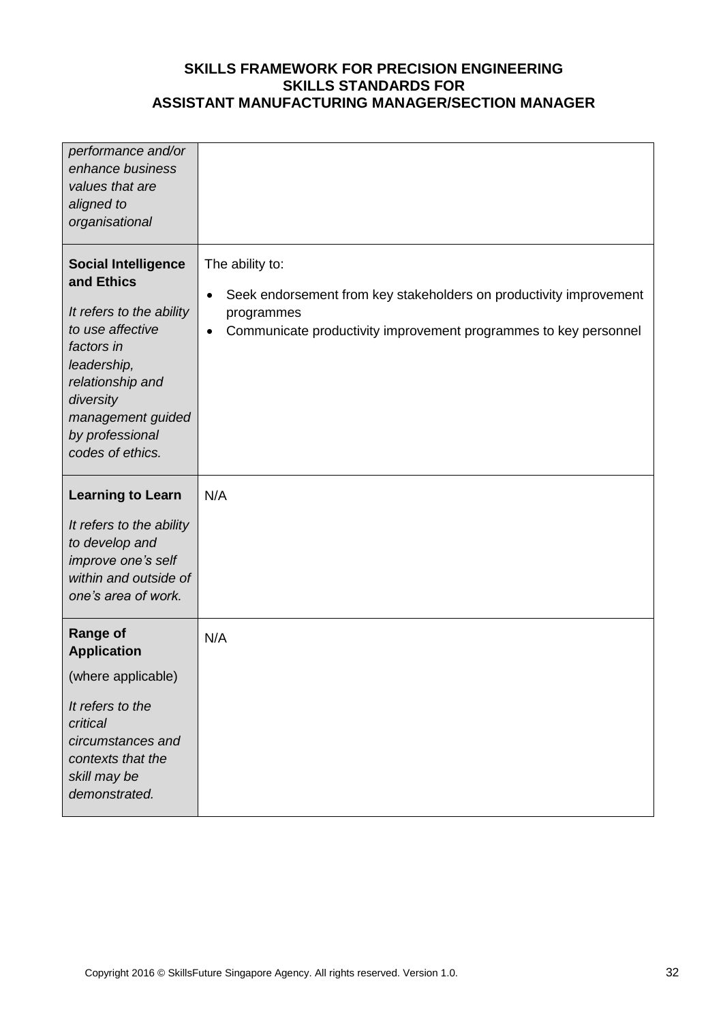| performance and/or<br>enhance business<br>values that are<br>aligned to<br>organisational                                                                                                                          |                                                                                                                                                                                                   |
|--------------------------------------------------------------------------------------------------------------------------------------------------------------------------------------------------------------------|---------------------------------------------------------------------------------------------------------------------------------------------------------------------------------------------------|
| <b>Social Intelligence</b><br>and Ethics<br>It refers to the ability<br>to use affective<br>factors in<br>leadership,<br>relationship and<br>diversity<br>management guided<br>by professional<br>codes of ethics. | The ability to:<br>Seek endorsement from key stakeholders on productivity improvement<br>$\bullet$<br>programmes<br>Communicate productivity improvement programmes to key personnel<br>$\bullet$ |
| <b>Learning to Learn</b><br>It refers to the ability<br>to develop and<br>improve one's self<br>within and outside of<br>one's area of work.                                                                       | N/A                                                                                                                                                                                               |
| <b>Range of</b><br><b>Application</b><br>(where applicable)<br>It refers to the<br>critical<br>circumstances and<br>contexts that the<br>skill may be<br>demonstrated.                                             | N/A                                                                                                                                                                                               |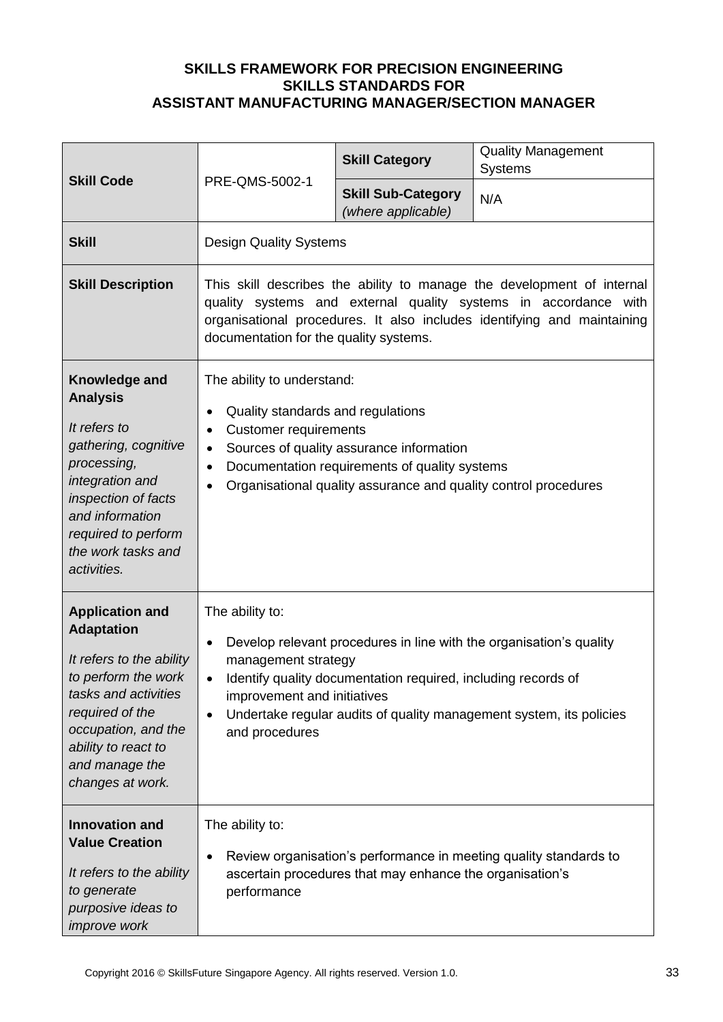| <b>Skill Code</b>                                                                                                                                                                                                             |                                                                                                                                                                                                                                                                                                                                               | <b>Skill Category</b>                                    | <b>Quality Management</b><br><b>Systems</b>                       |
|-------------------------------------------------------------------------------------------------------------------------------------------------------------------------------------------------------------------------------|-----------------------------------------------------------------------------------------------------------------------------------------------------------------------------------------------------------------------------------------------------------------------------------------------------------------------------------------------|----------------------------------------------------------|-------------------------------------------------------------------|
|                                                                                                                                                                                                                               | PRE-QMS-5002-1                                                                                                                                                                                                                                                                                                                                | <b>Skill Sub-Category</b><br>(where applicable)          | N/A                                                               |
| <b>Skill</b>                                                                                                                                                                                                                  | <b>Design Quality Systems</b>                                                                                                                                                                                                                                                                                                                 |                                                          |                                                                   |
| <b>Skill Description</b>                                                                                                                                                                                                      | This skill describes the ability to manage the development of internal<br>quality systems and external quality systems in accordance with<br>organisational procedures. It also includes identifying and maintaining<br>documentation for the quality systems.                                                                                |                                                          |                                                                   |
| Knowledge and<br><b>Analysis</b><br>It refers to<br>gathering, cognitive<br>processing,<br>integration and<br>inspection of facts<br>and information<br>required to perform<br>the work tasks and<br>activities.              | The ability to understand:<br>Quality standards and regulations<br>$\bullet$<br><b>Customer requirements</b><br>$\bullet$<br>Sources of quality assurance information<br>$\bullet$<br>Documentation requirements of quality systems<br>$\bullet$<br>Organisational quality assurance and quality control procedures<br>$\bullet$              |                                                          |                                                                   |
| <b>Application and</b><br><b>Adaptation</b><br>It refers to the ability<br>to perform the work<br>tasks and activities<br>required of the<br>occupation, and the<br>ability to react to<br>and manage the<br>changes at work. | The ability to:<br>Develop relevant procedures in line with the organisation's quality<br>$\bullet$<br>management strategy<br>Identify quality documentation required, including records of<br>$\bullet$<br>improvement and initiatives<br>Undertake regular audits of quality management system, its policies<br>$\bullet$<br>and procedures |                                                          |                                                                   |
| <b>Innovation and</b><br><b>Value Creation</b><br>It refers to the ability<br>to generate<br>purposive ideas to<br><i>improve</i> work                                                                                        | The ability to:<br>$\bullet$<br>performance                                                                                                                                                                                                                                                                                                   | ascertain procedures that may enhance the organisation's | Review organisation's performance in meeting quality standards to |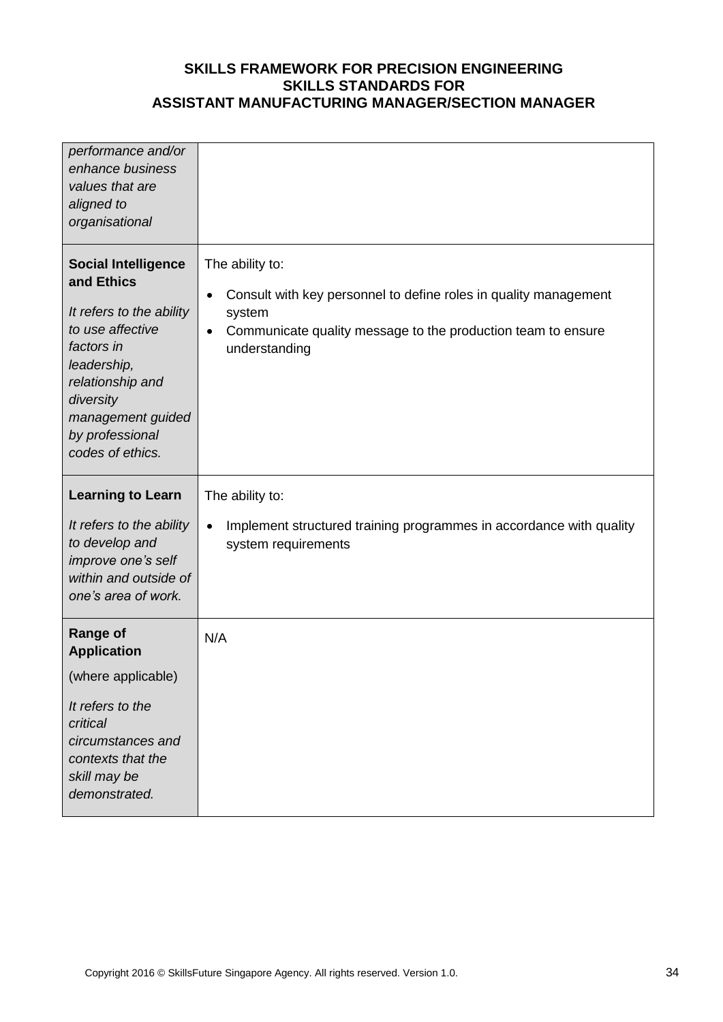| performance and/or<br>enhance business<br>values that are<br>aligned to<br>organisational                                                                                                                          |                                                                                                                                                                                                  |
|--------------------------------------------------------------------------------------------------------------------------------------------------------------------------------------------------------------------|--------------------------------------------------------------------------------------------------------------------------------------------------------------------------------------------------|
| <b>Social Intelligence</b><br>and Ethics<br>It refers to the ability<br>to use affective<br>factors in<br>leadership,<br>relationship and<br>diversity<br>management guided<br>by professional<br>codes of ethics. | The ability to:<br>Consult with key personnel to define roles in quality management<br>$\bullet$<br>system<br>Communicate quality message to the production team to ensure<br>٠<br>understanding |
| <b>Learning to Learn</b><br>It refers to the ability<br>to develop and<br>improve one's self<br>within and outside of<br>one's area of work.                                                                       | The ability to:<br>Implement structured training programmes in accordance with quality<br>$\bullet$<br>system requirements                                                                       |
| <b>Range of</b><br><b>Application</b><br>(where applicable)<br>It refers to the<br>critical<br>circumstances and<br>contexts that the<br>skill may be<br>demonstrated.                                             | N/A                                                                                                                                                                                              |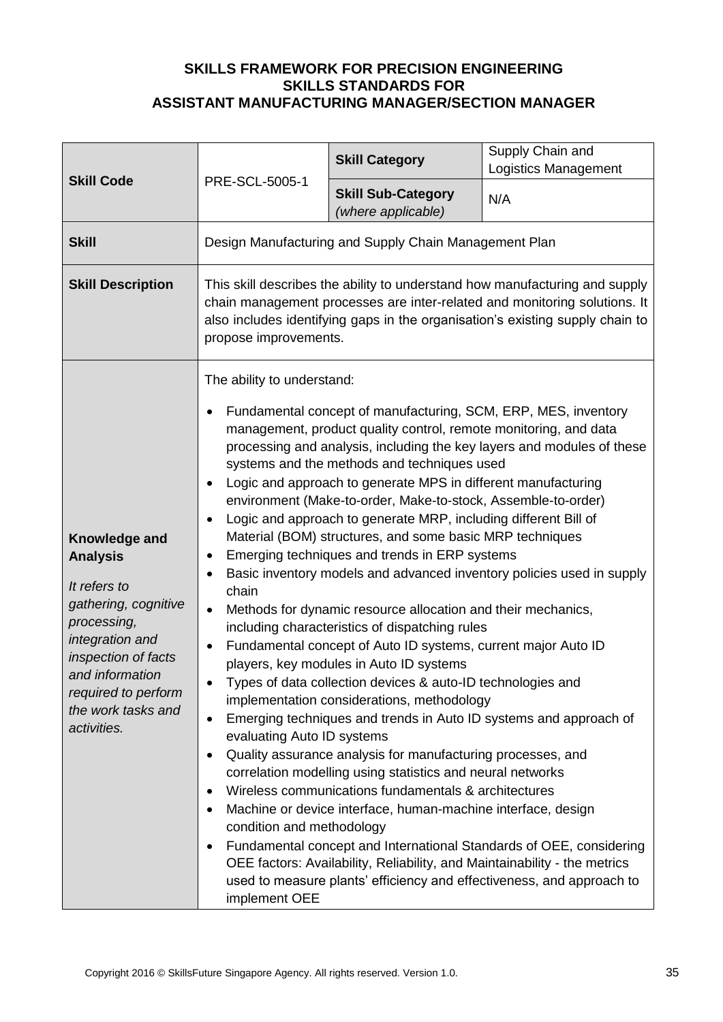| <b>Skill Code</b>                                                                                                                                                                                                | PRE-SCL-5005-1                                                                                                                                                                                                                                                     | <b>Skill Category</b>                                                                                                                                                                                                                                                                                                                                                                                                                                                                                                                                                                                                                                                                                                                                                                                                                                                                                                                                                                                                                                                                                                                                                            | Supply Chain and<br><b>Logistics Management</b>                                                                                                                                                                                                                                                                                                                      |
|------------------------------------------------------------------------------------------------------------------------------------------------------------------------------------------------------------------|--------------------------------------------------------------------------------------------------------------------------------------------------------------------------------------------------------------------------------------------------------------------|----------------------------------------------------------------------------------------------------------------------------------------------------------------------------------------------------------------------------------------------------------------------------------------------------------------------------------------------------------------------------------------------------------------------------------------------------------------------------------------------------------------------------------------------------------------------------------------------------------------------------------------------------------------------------------------------------------------------------------------------------------------------------------------------------------------------------------------------------------------------------------------------------------------------------------------------------------------------------------------------------------------------------------------------------------------------------------------------------------------------------------------------------------------------------------|----------------------------------------------------------------------------------------------------------------------------------------------------------------------------------------------------------------------------------------------------------------------------------------------------------------------------------------------------------------------|
|                                                                                                                                                                                                                  |                                                                                                                                                                                                                                                                    | <b>Skill Sub-Category</b><br>(where applicable)                                                                                                                                                                                                                                                                                                                                                                                                                                                                                                                                                                                                                                                                                                                                                                                                                                                                                                                                                                                                                                                                                                                                  | N/A                                                                                                                                                                                                                                                                                                                                                                  |
| <b>Skill</b>                                                                                                                                                                                                     |                                                                                                                                                                                                                                                                    | Design Manufacturing and Supply Chain Management Plan                                                                                                                                                                                                                                                                                                                                                                                                                                                                                                                                                                                                                                                                                                                                                                                                                                                                                                                                                                                                                                                                                                                            |                                                                                                                                                                                                                                                                                                                                                                      |
| <b>Skill Description</b>                                                                                                                                                                                         | This skill describes the ability to understand how manufacturing and supply<br>chain management processes are inter-related and monitoring solutions. It<br>also includes identifying gaps in the organisation's existing supply chain to<br>propose improvements. |                                                                                                                                                                                                                                                                                                                                                                                                                                                                                                                                                                                                                                                                                                                                                                                                                                                                                                                                                                                                                                                                                                                                                                                  |                                                                                                                                                                                                                                                                                                                                                                      |
| Knowledge and<br><b>Analysis</b><br>It refers to<br>gathering, cognitive<br>processing,<br>integration and<br>inspection of facts<br>and information<br>required to perform<br>the work tasks and<br>activities. | The ability to understand:<br>$\bullet$<br>$\bullet$<br>٠<br>٠<br>$\bullet$<br>chain<br>$\bullet$<br>$\bullet$<br>$\bullet$<br>evaluating Auto ID systems<br>$\bullet$<br>$\bullet$<br>٠<br>condition and methodology<br>٠<br>implement OEE                        | Fundamental concept of manufacturing, SCM, ERP, MES, inventory<br>management, product quality control, remote monitoring, and data<br>systems and the methods and techniques used<br>Logic and approach to generate MPS in different manufacturing<br>environment (Make-to-order, Make-to-stock, Assemble-to-order)<br>Logic and approach to generate MRP, including different Bill of<br>Material (BOM) structures, and some basic MRP techniques<br>Emerging techniques and trends in ERP systems<br>Methods for dynamic resource allocation and their mechanics,<br>including characteristics of dispatching rules<br>Fundamental concept of Auto ID systems, current major Auto ID<br>players, key modules in Auto ID systems<br>Types of data collection devices & auto-ID technologies and<br>implementation considerations, methodology<br>Quality assurance analysis for manufacturing processes, and<br>correlation modelling using statistics and neural networks<br>Wireless communications fundamentals & architectures<br>Machine or device interface, human-machine interface, design<br>OEE factors: Availability, Reliability, and Maintainability - the metrics | processing and analysis, including the key layers and modules of these<br>Basic inventory models and advanced inventory policies used in supply<br>Emerging techniques and trends in Auto ID systems and approach of<br>Fundamental concept and International Standards of OEE, considering<br>used to measure plants' efficiency and effectiveness, and approach to |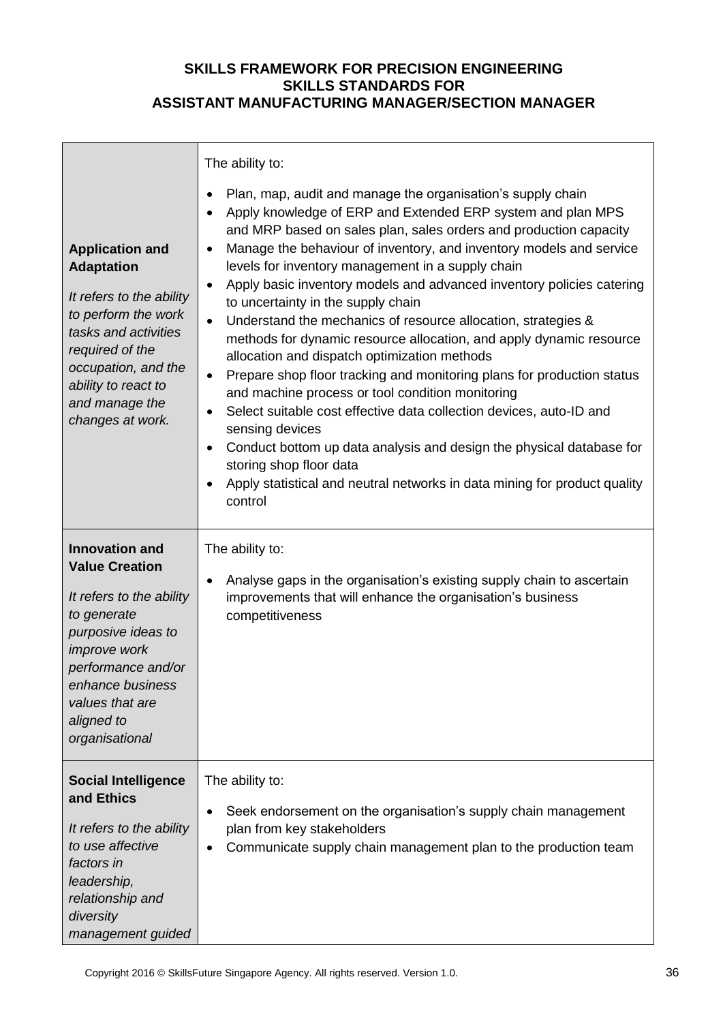| <b>Application and</b><br><b>Adaptation</b><br>It refers to the ability<br>to perform the work<br>tasks and activities<br>required of the<br>occupation, and the<br>ability to react to<br>and manage the<br>changes at work. | The ability to:<br>Plan, map, audit and manage the organisation's supply chain<br>$\bullet$<br>Apply knowledge of ERP and Extended ERP system and plan MPS<br>$\bullet$<br>and MRP based on sales plan, sales orders and production capacity<br>Manage the behaviour of inventory, and inventory models and service<br>$\bullet$<br>levels for inventory management in a supply chain<br>Apply basic inventory models and advanced inventory policies catering<br>$\bullet$<br>to uncertainty in the supply chain<br>Understand the mechanics of resource allocation, strategies &<br>$\bullet$<br>methods for dynamic resource allocation, and apply dynamic resource<br>allocation and dispatch optimization methods<br>Prepare shop floor tracking and monitoring plans for production status<br>٠<br>and machine process or tool condition monitoring<br>Select suitable cost effective data collection devices, auto-ID and<br>٠<br>sensing devices<br>Conduct bottom up data analysis and design the physical database for<br>$\bullet$<br>storing shop floor data<br>Apply statistical and neutral networks in data mining for product quality<br>٠<br>control |
|-------------------------------------------------------------------------------------------------------------------------------------------------------------------------------------------------------------------------------|-----------------------------------------------------------------------------------------------------------------------------------------------------------------------------------------------------------------------------------------------------------------------------------------------------------------------------------------------------------------------------------------------------------------------------------------------------------------------------------------------------------------------------------------------------------------------------------------------------------------------------------------------------------------------------------------------------------------------------------------------------------------------------------------------------------------------------------------------------------------------------------------------------------------------------------------------------------------------------------------------------------------------------------------------------------------------------------------------------------------------------------------------------------------------|
| <b>Innovation and</b><br><b>Value Creation</b><br>It refers to the ability<br>to generate<br>purposive ideas to<br>improve work<br>performance and/or<br>enhance business<br>values that are<br>aligned to<br>organisational  | The ability to:<br>Analyse gaps in the organisation's existing supply chain to ascertain<br>٠<br>improvements that will enhance the organisation's business<br>competitiveness                                                                                                                                                                                                                                                                                                                                                                                                                                                                                                                                                                                                                                                                                                                                                                                                                                                                                                                                                                                        |
| <b>Social Intelligence</b><br>and Ethics<br>It refers to the ability<br>to use affective<br>factors in<br>leadership,<br>relationship and<br>diversity<br>management guided                                                   | The ability to:<br>Seek endorsement on the organisation's supply chain management<br>plan from key stakeholders<br>Communicate supply chain management plan to the production team<br>$\bullet$                                                                                                                                                                                                                                                                                                                                                                                                                                                                                                                                                                                                                                                                                                                                                                                                                                                                                                                                                                       |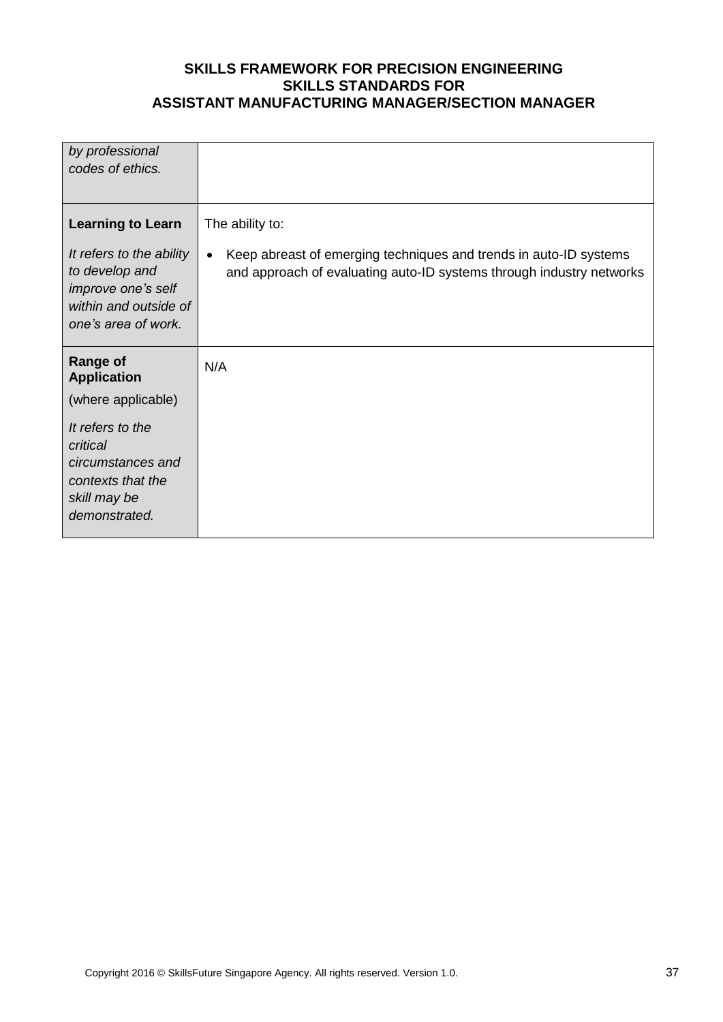| by professional<br>codes of ethics.                                                                                                                                    |                                                                                                                                                                           |
|------------------------------------------------------------------------------------------------------------------------------------------------------------------------|---------------------------------------------------------------------------------------------------------------------------------------------------------------------------|
| <b>Learning to Learn</b><br>It refers to the ability<br>to develop and<br>improve one's self<br>within and outside of<br>one's area of work.                           | The ability to:<br>Keep abreast of emerging techniques and trends in auto-ID systems<br>$\bullet$<br>and approach of evaluating auto-ID systems through industry networks |
| <b>Range of</b><br><b>Application</b><br>(where applicable)<br>It refers to the<br>critical<br>circumstances and<br>contexts that the<br>skill may be<br>demonstrated. | N/A                                                                                                                                                                       |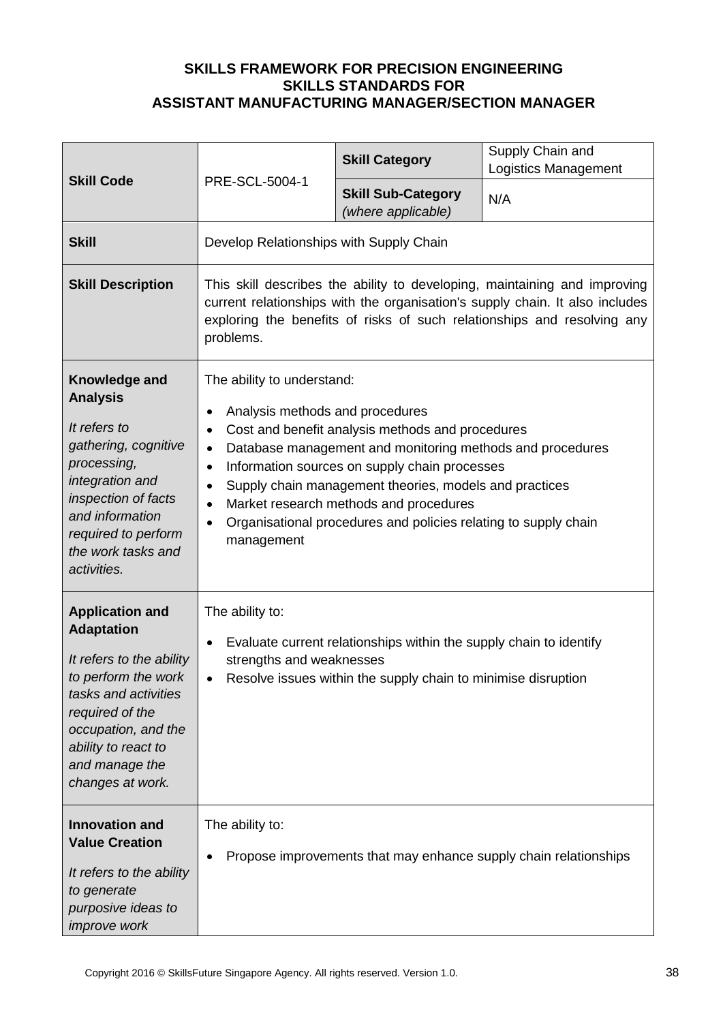|                                                                                                                                                                                                                               |                                                                                                                                                                                                                                                                                                                                                                                                                                                                                                                 | <b>Skill Category</b>                                                                                                               | Supply Chain and<br><b>Logistics Management</b>                  |
|-------------------------------------------------------------------------------------------------------------------------------------------------------------------------------------------------------------------------------|-----------------------------------------------------------------------------------------------------------------------------------------------------------------------------------------------------------------------------------------------------------------------------------------------------------------------------------------------------------------------------------------------------------------------------------------------------------------------------------------------------------------|-------------------------------------------------------------------------------------------------------------------------------------|------------------------------------------------------------------|
| <b>Skill Code</b>                                                                                                                                                                                                             | PRE-SCL-5004-1                                                                                                                                                                                                                                                                                                                                                                                                                                                                                                  | <b>Skill Sub-Category</b><br>(where applicable)                                                                                     | N/A                                                              |
| <b>Skill</b>                                                                                                                                                                                                                  | Develop Relationships with Supply Chain                                                                                                                                                                                                                                                                                                                                                                                                                                                                         |                                                                                                                                     |                                                                  |
| <b>Skill Description</b>                                                                                                                                                                                                      | This skill describes the ability to developing, maintaining and improving<br>current relationships with the organisation's supply chain. It also includes<br>exploring the benefits of risks of such relationships and resolving any<br>problems.                                                                                                                                                                                                                                                               |                                                                                                                                     |                                                                  |
| Knowledge and<br><b>Analysis</b><br>It refers to<br>gathering, cognitive<br>processing,<br>integration and<br>inspection of facts<br>and information<br>required to perform<br>the work tasks and<br>activities.              | The ability to understand:<br>Analysis methods and procedures<br>$\bullet$<br>Cost and benefit analysis methods and procedures<br>$\bullet$<br>Database management and monitoring methods and procedures<br>$\bullet$<br>Information sources on supply chain processes<br>$\bullet$<br>Supply chain management theories, models and practices<br>$\bullet$<br>Market research methods and procedures<br>$\bullet$<br>Organisational procedures and policies relating to supply chain<br>$\bullet$<br>management |                                                                                                                                     |                                                                  |
| <b>Application and</b><br><b>Adaptation</b><br>It refers to the ability<br>to perform the work<br>tasks and activities<br>required of the<br>occupation, and the<br>ability to react to<br>and manage the<br>changes at work. | The ability to:<br>$\bullet$<br>strengths and weaknesses<br>$\bullet$                                                                                                                                                                                                                                                                                                                                                                                                                                           | Evaluate current relationships within the supply chain to identify<br>Resolve issues within the supply chain to minimise disruption |                                                                  |
| <b>Innovation and</b><br><b>Value Creation</b><br>It refers to the ability<br>to generate<br>purposive ideas to<br><i>improve</i> work                                                                                        | The ability to:                                                                                                                                                                                                                                                                                                                                                                                                                                                                                                 |                                                                                                                                     | Propose improvements that may enhance supply chain relationships |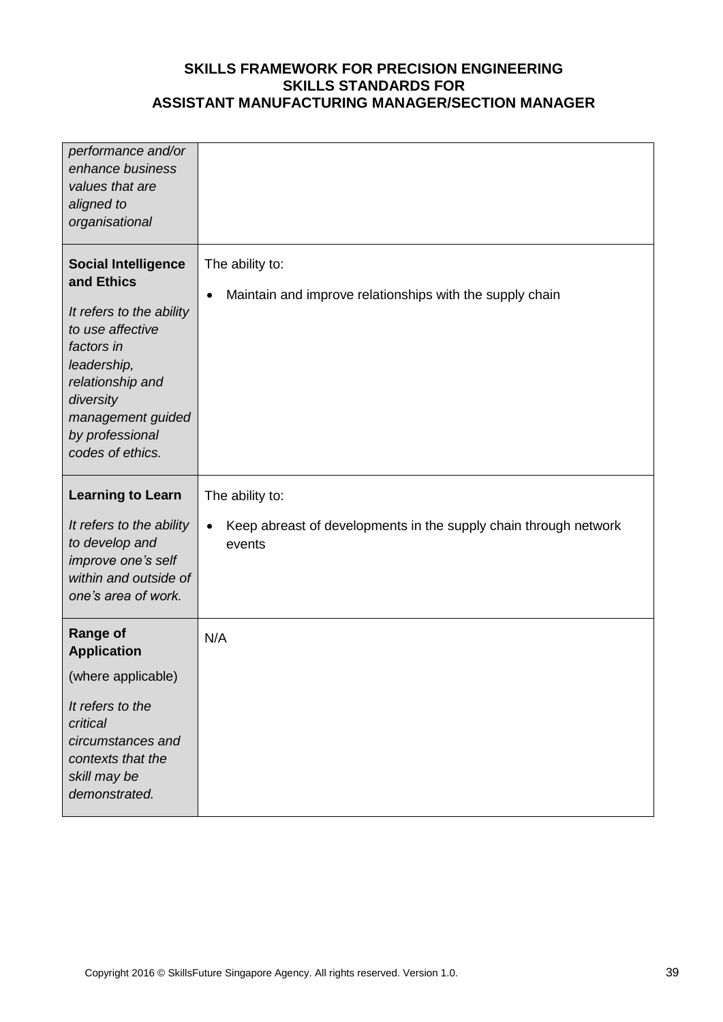| performance and/or<br>enhance business<br>values that are<br>aligned to<br>organisational                                                                                                                          |                                                                                                            |
|--------------------------------------------------------------------------------------------------------------------------------------------------------------------------------------------------------------------|------------------------------------------------------------------------------------------------------------|
| <b>Social Intelligence</b><br>and Ethics<br>It refers to the ability<br>to use affective<br>factors in<br>leadership,<br>relationship and<br>diversity<br>management guided<br>by professional<br>codes of ethics. | The ability to:<br>Maintain and improve relationships with the supply chain<br>$\bullet$                   |
| <b>Learning to Learn</b><br>It refers to the ability<br>to develop and<br>improve one's self<br>within and outside of<br>one's area of work.                                                                       | The ability to:<br>Keep abreast of developments in the supply chain through network<br>$\bullet$<br>events |
| <b>Range of</b><br><b>Application</b><br>(where applicable)<br>It refers to the<br>critical<br>circumstances and<br>contexts that the<br>skill may be<br>demonstrated.                                             | N/A                                                                                                        |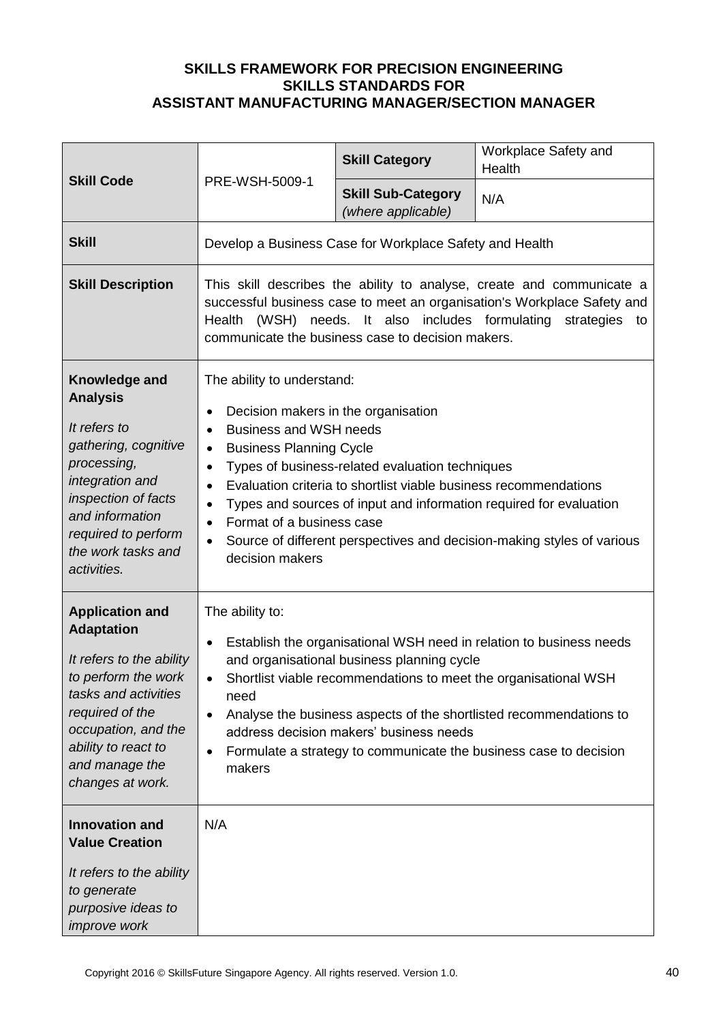|                                                                                                                                                                                                                               | PRE-WSH-5009-1                                                                                                                                                                                                                                                                               | <b>Skill Category</b>                                                                                               | Workplace Safety and<br>Health                                                                                                                                                                                                                                                    |
|-------------------------------------------------------------------------------------------------------------------------------------------------------------------------------------------------------------------------------|----------------------------------------------------------------------------------------------------------------------------------------------------------------------------------------------------------------------------------------------------------------------------------------------|---------------------------------------------------------------------------------------------------------------------|-----------------------------------------------------------------------------------------------------------------------------------------------------------------------------------------------------------------------------------------------------------------------------------|
| <b>Skill Code</b>                                                                                                                                                                                                             |                                                                                                                                                                                                                                                                                              | <b>Skill Sub-Category</b><br>(where applicable)                                                                     | N/A                                                                                                                                                                                                                                                                               |
| <b>Skill</b>                                                                                                                                                                                                                  |                                                                                                                                                                                                                                                                                              | Develop a Business Case for Workplace Safety and Health                                                             |                                                                                                                                                                                                                                                                                   |
| <b>Skill Description</b>                                                                                                                                                                                                      | This skill describes the ability to analyse, create and communicate a<br>successful business case to meet an organisation's Workplace Safety and<br>(WSH) needs. It also includes formulating<br>Health<br>strategies to<br>communicate the business case to decision makers.                |                                                                                                                     |                                                                                                                                                                                                                                                                                   |
| Knowledge and<br><b>Analysis</b><br>It refers to<br>gathering, cognitive<br>processing,<br>integration and<br>inspection of facts<br>and information<br>required to perform<br>the work tasks and<br>activities.              | The ability to understand:<br>Decision makers in the organisation<br>$\bullet$<br><b>Business and WSH needs</b><br>$\bullet$<br><b>Business Planning Cycle</b><br>$\bullet$<br>$\bullet$<br>$\bullet$<br>$\bullet$<br>Format of a business case<br>$\bullet$<br>$\bullet$<br>decision makers | Types of business-related evaluation techniques<br>Evaluation criteria to shortlist viable business recommendations | Types and sources of input and information required for evaluation<br>Source of different perspectives and decision-making styles of various                                                                                                                                      |
| <b>Application and</b><br><b>Adaptation</b><br>It refers to the ability<br>to perform the work<br>tasks and activities<br>required of the<br>occupation, and the<br>ability to react to<br>and manage the<br>changes at work. | The ability to:<br>$\bullet$<br>$\bullet$<br>need<br>$\bullet$<br>$\bullet$<br>makers                                                                                                                                                                                                        | and organisational business planning cycle<br>address decision makers' business needs                               | Establish the organisational WSH need in relation to business needs<br>Shortlist viable recommendations to meet the organisational WSH<br>Analyse the business aspects of the shortlisted recommendations to<br>Formulate a strategy to communicate the business case to decision |
| <b>Innovation and</b><br><b>Value Creation</b><br>It refers to the ability<br>to generate<br>purposive ideas to<br><i>improve</i> work                                                                                        | N/A                                                                                                                                                                                                                                                                                          |                                                                                                                     |                                                                                                                                                                                                                                                                                   |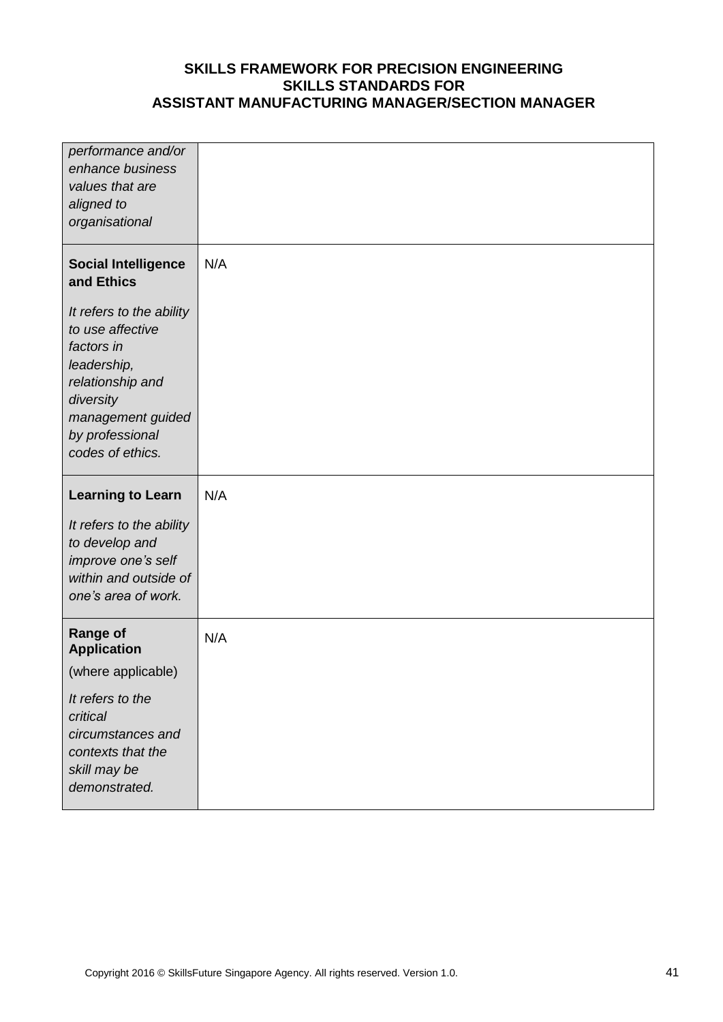| performance and/or<br>enhance business<br>values that are<br>aligned to<br>organisational                                                                              |     |
|------------------------------------------------------------------------------------------------------------------------------------------------------------------------|-----|
| <b>Social Intelligence</b><br>and Ethics                                                                                                                               | N/A |
| It refers to the ability<br>to use affective<br>factors in<br>leadership,<br>relationship and<br>diversity<br>management guided<br>by professional<br>codes of ethics. |     |
|                                                                                                                                                                        |     |
| <b>Learning to Learn</b>                                                                                                                                               | N/A |
| It refers to the ability<br>to develop and<br>improve one's self<br>within and outside of<br>one's area of work.                                                       |     |
| <b>Range of</b><br><b>Application</b>                                                                                                                                  | N/A |
| (where applicable)                                                                                                                                                     |     |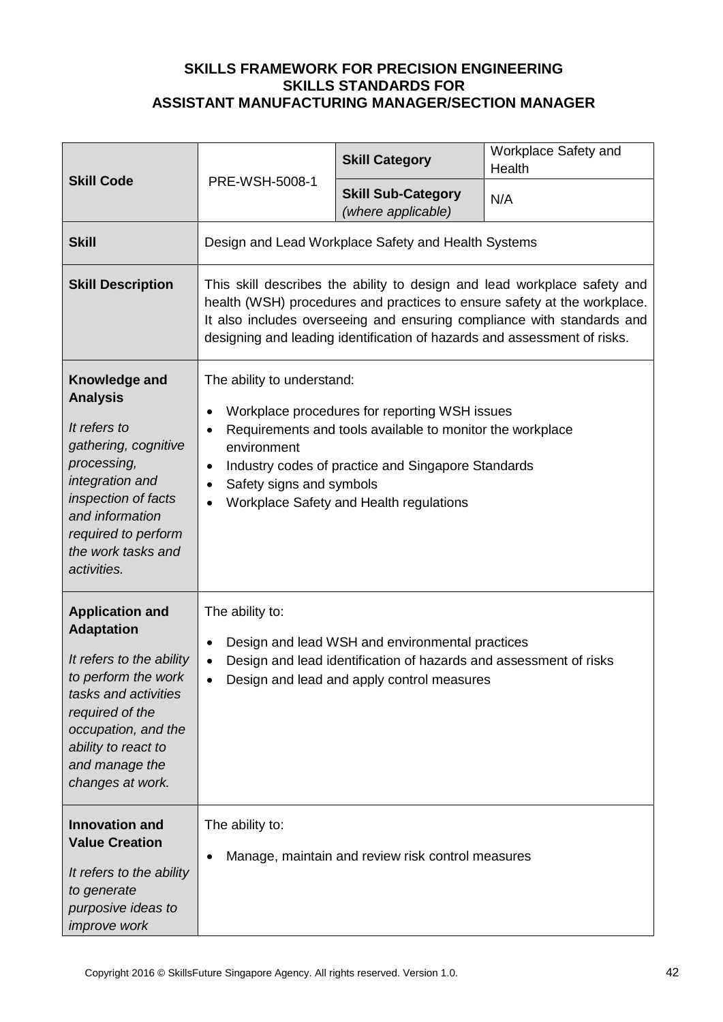|                                                                                                                                                                                                                               |                                                                                                                                                                                                                                                                                                            | <b>Skill Category</b>                                                                                                                                                                                       | Workplace Safety and<br>Health |
|-------------------------------------------------------------------------------------------------------------------------------------------------------------------------------------------------------------------------------|------------------------------------------------------------------------------------------------------------------------------------------------------------------------------------------------------------------------------------------------------------------------------------------------------------|-------------------------------------------------------------------------------------------------------------------------------------------------------------------------------------------------------------|--------------------------------|
| <b>Skill Code</b>                                                                                                                                                                                                             | PRE-WSH-5008-1                                                                                                                                                                                                                                                                                             | <b>Skill Sub-Category</b><br>(where applicable)                                                                                                                                                             | N/A                            |
| <b>Skill</b>                                                                                                                                                                                                                  |                                                                                                                                                                                                                                                                                                            | Design and Lead Workplace Safety and Health Systems                                                                                                                                                         |                                |
| <b>Skill Description</b>                                                                                                                                                                                                      | This skill describes the ability to design and lead workplace safety and<br>health (WSH) procedures and practices to ensure safety at the workplace.<br>It also includes overseeing and ensuring compliance with standards and<br>designing and leading identification of hazards and assessment of risks. |                                                                                                                                                                                                             |                                |
| Knowledge and<br><b>Analysis</b><br>It refers to<br>gathering, cognitive<br>processing,<br>integration and<br>inspection of facts<br>and information<br>required to perform<br>the work tasks and<br>activities.              | The ability to understand:<br>$\bullet$<br>٠<br>environment<br>$\bullet$<br>Safety signs and symbols<br>$\bullet$                                                                                                                                                                                          | Workplace procedures for reporting WSH issues<br>Requirements and tools available to monitor the workplace<br>Industry codes of practice and Singapore Standards<br>Workplace Safety and Health regulations |                                |
| <b>Application and</b><br><b>Adaptation</b><br>It refers to the ability<br>to perform the work<br>tasks and activities<br>required of the<br>occupation, and the<br>ability to react to<br>and manage the<br>changes at work. | The ability to:<br>$\bullet$<br>$\bullet$<br>$\bullet$                                                                                                                                                                                                                                                     | Design and lead WSH and environmental practices<br>Design and lead identification of hazards and assessment of risks<br>Design and lead and apply control measures                                          |                                |
| <b>Innovation and</b><br><b>Value Creation</b><br>It refers to the ability<br>to generate<br>purposive ideas to<br><i>improve</i> work                                                                                        | The ability to:                                                                                                                                                                                                                                                                                            | Manage, maintain and review risk control measures                                                                                                                                                           |                                |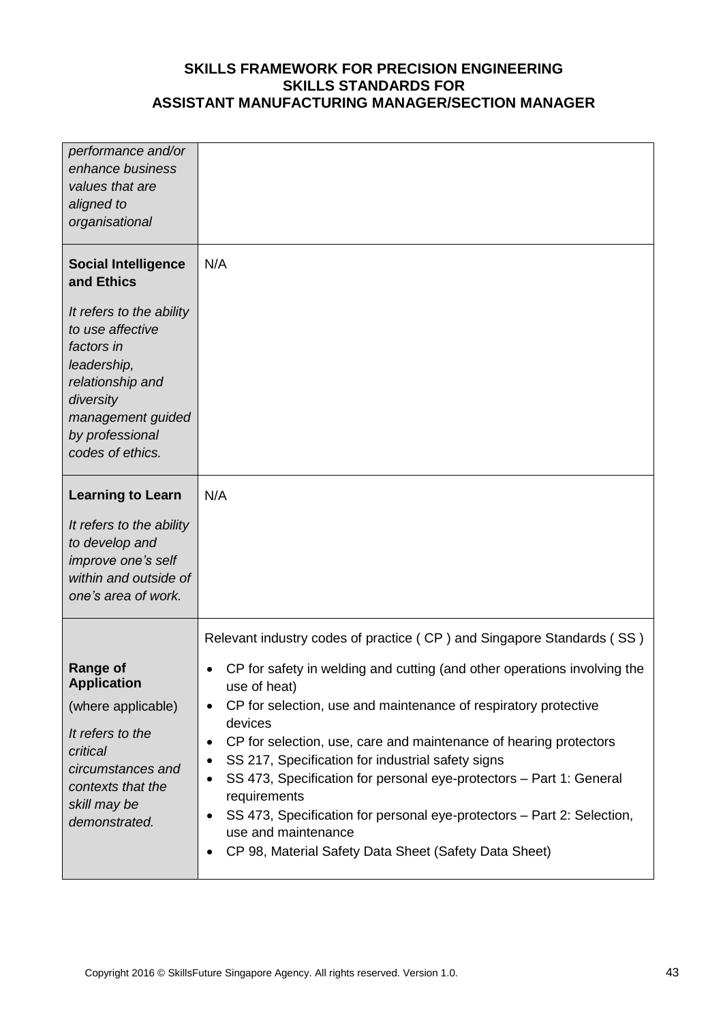| performance and/or<br>enhance business<br>values that are<br>aligned to<br>organisational                                                                              |                                                                                                                                                                                                                                                                                                                                                                                                                                                                                                                                                                                                              |
|------------------------------------------------------------------------------------------------------------------------------------------------------------------------|--------------------------------------------------------------------------------------------------------------------------------------------------------------------------------------------------------------------------------------------------------------------------------------------------------------------------------------------------------------------------------------------------------------------------------------------------------------------------------------------------------------------------------------------------------------------------------------------------------------|
| <b>Social Intelligence</b><br>and Ethics                                                                                                                               | N/A                                                                                                                                                                                                                                                                                                                                                                                                                                                                                                                                                                                                          |
| It refers to the ability<br>to use affective<br>factors in<br>leadership,<br>relationship and<br>diversity<br>management guided<br>by professional<br>codes of ethics. |                                                                                                                                                                                                                                                                                                                                                                                                                                                                                                                                                                                                              |
| <b>Learning to Learn</b>                                                                                                                                               | N/A                                                                                                                                                                                                                                                                                                                                                                                                                                                                                                                                                                                                          |
| It refers to the ability<br>to develop and<br>improve one's self<br>within and outside of<br>one's area of work.                                                       |                                                                                                                                                                                                                                                                                                                                                                                                                                                                                                                                                                                                              |
|                                                                                                                                                                        | Relevant industry codes of practice (CP) and Singapore Standards (SS)                                                                                                                                                                                                                                                                                                                                                                                                                                                                                                                                        |
| <b>Range of</b><br><b>Application</b><br>(where applicable)<br>It refers to the<br>critical<br>circumstances and<br>contexts that the<br>skill may be<br>demonstrated. | CP for safety in welding and cutting (and other operations involving the<br>$\bullet$<br>use of heat)<br>CP for selection, use and maintenance of respiratory protective<br>٠<br>devices<br>CP for selection, use, care and maintenance of hearing protectors<br>٠<br>SS 217, Specification for industrial safety signs<br>٠<br>SS 473, Specification for personal eye-protectors - Part 1: General<br>$\bullet$<br>requirements<br>SS 473, Specification for personal eye-protectors - Part 2: Selection,<br>٠<br>use and maintenance<br>CP 98, Material Safety Data Sheet (Safety Data Sheet)<br>$\bullet$ |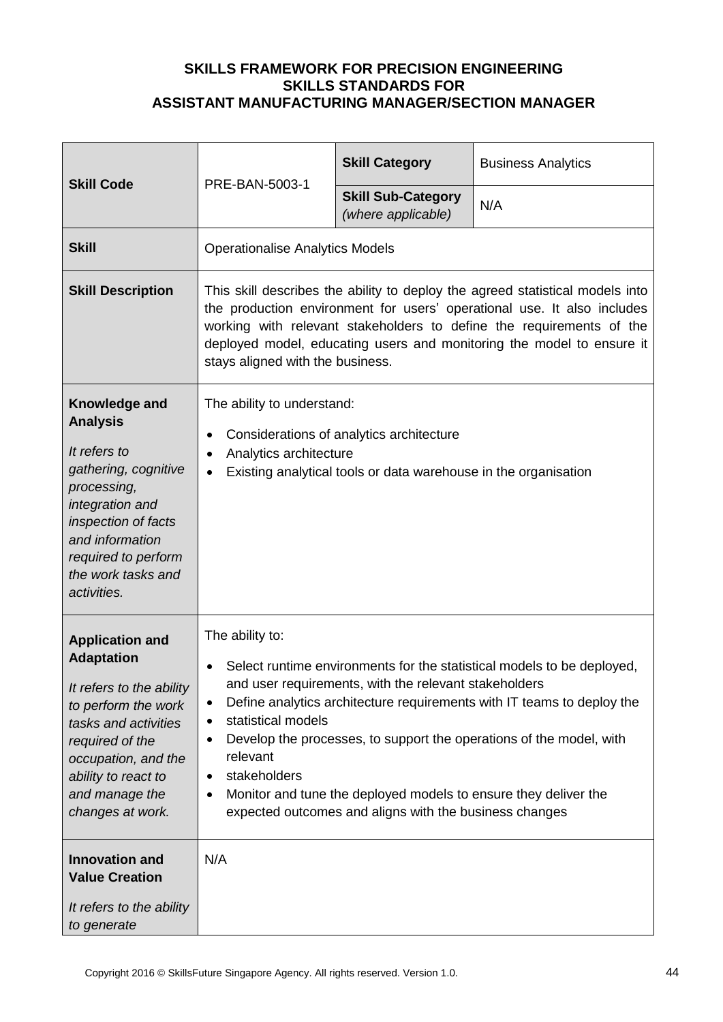| <b>Skill Code</b>                                                                                                                                                                                                                                                               | PRE-BAN-5003-1                                                                                                                                                                                                                                                                                                                                | <b>Skill Category</b>                                                                                                                                                              | <b>Business Analytics</b>                                                                                                                                                                                               |
|---------------------------------------------------------------------------------------------------------------------------------------------------------------------------------------------------------------------------------------------------------------------------------|-----------------------------------------------------------------------------------------------------------------------------------------------------------------------------------------------------------------------------------------------------------------------------------------------------------------------------------------------|------------------------------------------------------------------------------------------------------------------------------------------------------------------------------------|-------------------------------------------------------------------------------------------------------------------------------------------------------------------------------------------------------------------------|
|                                                                                                                                                                                                                                                                                 |                                                                                                                                                                                                                                                                                                                                               | <b>Skill Sub-Category</b><br>(where applicable)                                                                                                                                    | N/A                                                                                                                                                                                                                     |
| <b>Skill</b>                                                                                                                                                                                                                                                                    | <b>Operationalise Analytics Models</b>                                                                                                                                                                                                                                                                                                        |                                                                                                                                                                                    |                                                                                                                                                                                                                         |
| <b>Skill Description</b>                                                                                                                                                                                                                                                        | This skill describes the ability to deploy the agreed statistical models into<br>the production environment for users' operational use. It also includes<br>working with relevant stakeholders to define the requirements of the<br>deployed model, educating users and monitoring the model to ensure it<br>stays aligned with the business. |                                                                                                                                                                                    |                                                                                                                                                                                                                         |
| Knowledge and<br><b>Analysis</b><br>It refers to<br>gathering, cognitive<br>processing,<br>integration and<br>inspection of facts<br>and information<br>required to perform<br>the work tasks and<br>activities.                                                                | The ability to understand:<br>Considerations of analytics architecture<br>٠<br>Analytics architecture<br>$\bullet$<br>Existing analytical tools or data warehouse in the organisation<br>$\bullet$                                                                                                                                            |                                                                                                                                                                                    |                                                                                                                                                                                                                         |
| <b>Application and</b><br><b>Adaptation</b><br>It refers to the ability<br>to perform the work<br>tasks and activities<br>required of the<br>occupation, and the<br>ability to react to<br>and manage the<br>changes at work.<br><b>Innovation and</b><br><b>Value Creation</b> | The ability to:<br>$\bullet$<br>statistical models<br>٠<br>٠<br>relevant<br>stakeholders<br>$\bullet$<br>٠<br>N/A                                                                                                                                                                                                                             | and user requirements, with the relevant stakeholders<br>Monitor and tune the deployed models to ensure they deliver the<br>expected outcomes and aligns with the business changes | Select runtime environments for the statistical models to be deployed,<br>Define analytics architecture requirements with IT teams to deploy the<br>Develop the processes, to support the operations of the model, with |
| It refers to the ability<br>to generate                                                                                                                                                                                                                                         |                                                                                                                                                                                                                                                                                                                                               |                                                                                                                                                                                    |                                                                                                                                                                                                                         |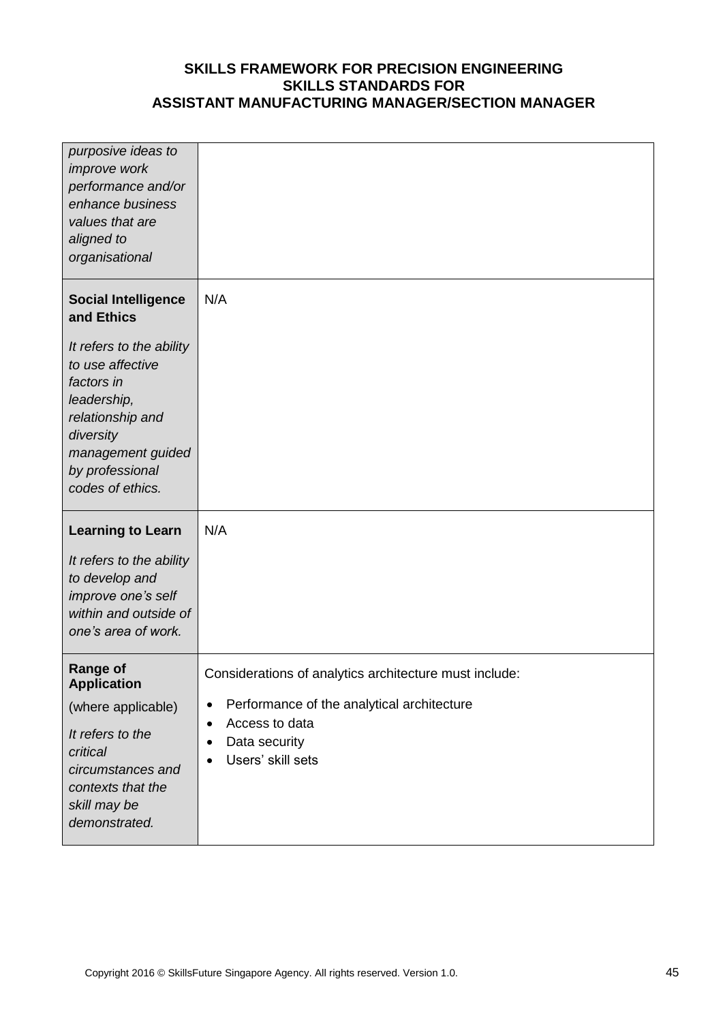| purposive ideas to<br><i>improve</i> work<br>performance and/or<br>enhance business<br>values that are<br>aligned to<br>organisational                                      |                                                                                                                                                                                          |
|-----------------------------------------------------------------------------------------------------------------------------------------------------------------------------|------------------------------------------------------------------------------------------------------------------------------------------------------------------------------------------|
| <b>Social Intelligence</b><br>and Ethics<br>It refers to the ability<br>to use affective<br>factors in<br>leadership,<br>relationship and<br>diversity<br>management guided | N/A                                                                                                                                                                                      |
| by professional<br>codes of ethics.<br><b>Learning to Learn</b>                                                                                                             | N/A                                                                                                                                                                                      |
| It refers to the ability<br>to develop and<br>improve one's self<br>within and outside of<br>one's area of work.                                                            |                                                                                                                                                                                          |
| <b>Range of</b><br><b>Application</b><br>(where applicable)<br>It refers to the<br>critical<br>circumstances and<br>contexts that the<br>skill may be<br>demonstrated.      | Considerations of analytics architecture must include:<br>Performance of the analytical architecture<br>٠<br>Access to data<br>٠<br>Data security<br>٠<br>Users' skill sets<br>$\bullet$ |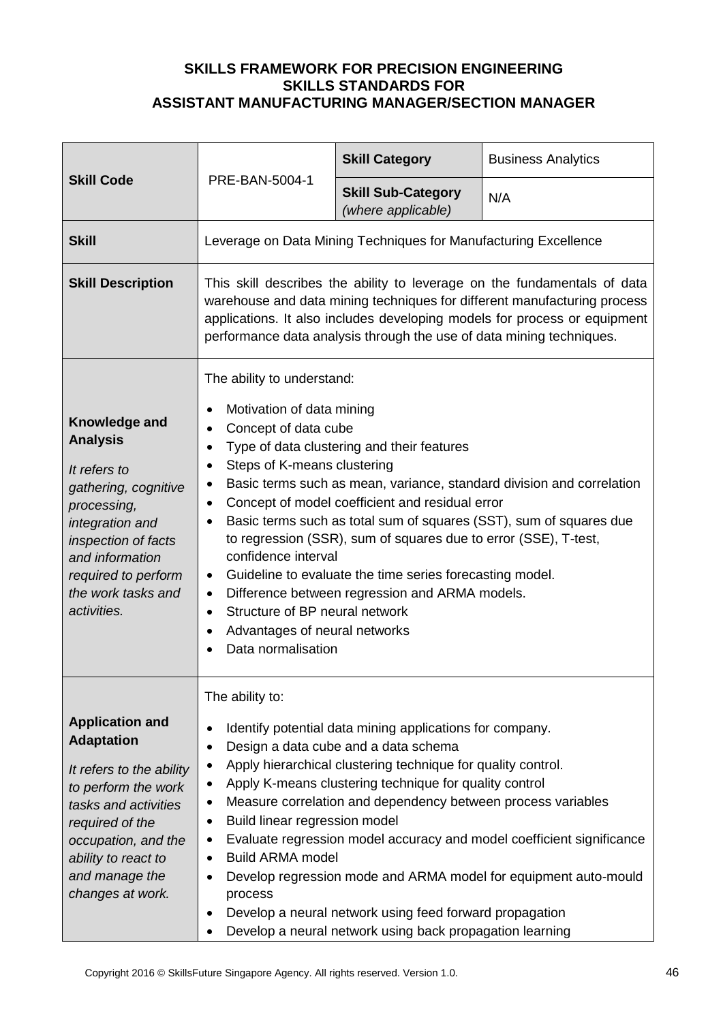|                                                                                                                                                                                                                               |                                                                                                                                                                                                                                                                                                                                                                                                                                                                                                                                                                                                                                                                                                                                                                                | <b>Skill Category</b>                                                                                                                                                                                                                                                                                                                                                                                             | <b>Business Analytics</b>                                                                                                                |
|-------------------------------------------------------------------------------------------------------------------------------------------------------------------------------------------------------------------------------|--------------------------------------------------------------------------------------------------------------------------------------------------------------------------------------------------------------------------------------------------------------------------------------------------------------------------------------------------------------------------------------------------------------------------------------------------------------------------------------------------------------------------------------------------------------------------------------------------------------------------------------------------------------------------------------------------------------------------------------------------------------------------------|-------------------------------------------------------------------------------------------------------------------------------------------------------------------------------------------------------------------------------------------------------------------------------------------------------------------------------------------------------------------------------------------------------------------|------------------------------------------------------------------------------------------------------------------------------------------|
| <b>Skill Code</b>                                                                                                                                                                                                             | PRE-BAN-5004-1                                                                                                                                                                                                                                                                                                                                                                                                                                                                                                                                                                                                                                                                                                                                                                 | <b>Skill Sub-Category</b><br>(where applicable)                                                                                                                                                                                                                                                                                                                                                                   | N/A                                                                                                                                      |
| <b>Skill</b>                                                                                                                                                                                                                  |                                                                                                                                                                                                                                                                                                                                                                                                                                                                                                                                                                                                                                                                                                                                                                                | Leverage on Data Mining Techniques for Manufacturing Excellence                                                                                                                                                                                                                                                                                                                                                   |                                                                                                                                          |
| <b>Skill Description</b>                                                                                                                                                                                                      | This skill describes the ability to leverage on the fundamentals of data<br>warehouse and data mining techniques for different manufacturing process<br>applications. It also includes developing models for process or equipment<br>performance data analysis through the use of data mining techniques.                                                                                                                                                                                                                                                                                                                                                                                                                                                                      |                                                                                                                                                                                                                                                                                                                                                                                                                   |                                                                                                                                          |
| Knowledge and<br><b>Analysis</b><br>It refers to<br>gathering, cognitive<br>processing,<br>integration and<br>inspection of facts<br>and information<br>required to perform<br>the work tasks and<br>activities.              | The ability to understand:<br>Motivation of data mining<br>٠<br>Concept of data cube<br>$\bullet$<br>Type of data clustering and their features<br>$\bullet$<br>Steps of K-means clustering<br>٠<br>Basic terms such as mean, variance, standard division and correlation<br>٠<br>Concept of model coefficient and residual error<br>٠<br>Basic terms such as total sum of squares (SST), sum of squares due<br>$\bullet$<br>to regression (SSR), sum of squares due to error (SSE), T-test,<br>confidence interval<br>Guideline to evaluate the time series forecasting model.<br>$\bullet$<br>Difference between regression and ARMA models.<br>$\bullet$<br>Structure of BP neural network<br>$\bullet$<br>Advantages of neural networks<br>$\bullet$<br>Data normalisation |                                                                                                                                                                                                                                                                                                                                                                                                                   |                                                                                                                                          |
| <b>Application and</b><br><b>Adaptation</b><br>It refers to the ability<br>to perform the work<br>tasks and activities<br>required of the<br>occupation, and the<br>ability to react to<br>and manage the<br>changes at work. | The ability to:<br>$\bullet$<br>٠<br>٠<br>$\bullet$<br>٠<br>Build linear regression model<br>٠<br>$\bullet$<br><b>Build ARMA model</b><br>٠<br>$\bullet$<br>process<br>$\bullet$<br>٠                                                                                                                                                                                                                                                                                                                                                                                                                                                                                                                                                                                          | Identify potential data mining applications for company.<br>Design a data cube and a data schema<br>Apply hierarchical clustering technique for quality control.<br>Apply K-means clustering technique for quality control<br>Measure correlation and dependency between process variables<br>Develop a neural network using feed forward propagation<br>Develop a neural network using back propagation learning | Evaluate regression model accuracy and model coefficient significance<br>Develop regression mode and ARMA model for equipment auto-mould |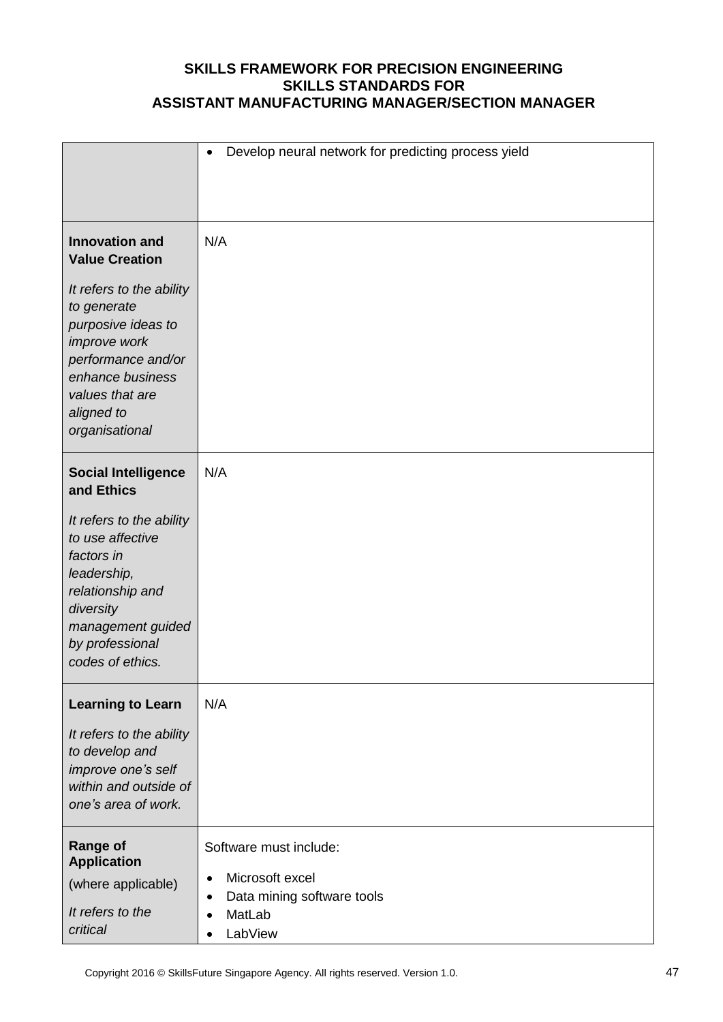|                                                                                                                                                                            | Develop neural network for predicting process yield<br>$\bullet$                                                                                 |
|----------------------------------------------------------------------------------------------------------------------------------------------------------------------------|--------------------------------------------------------------------------------------------------------------------------------------------------|
| <b>Innovation and</b><br><b>Value Creation</b>                                                                                                                             | N/A                                                                                                                                              |
| It refers to the ability<br>to generate<br>purposive ideas to<br>improve work<br>performance and/or<br>enhance business<br>values that are<br>aligned to<br>organisational |                                                                                                                                                  |
| <b>Social Intelligence</b><br>and Ethics                                                                                                                                   | N/A                                                                                                                                              |
| It refers to the ability<br>to use affective<br>factors in<br>leadership,<br>relationship and<br>diversity<br>management guided<br>by professional<br>codes of ethics.     |                                                                                                                                                  |
| <b>Learning to Learn</b><br>It refers to the ability<br>to develop and<br>improve one's self<br>within and outside of<br>one's area of work.                               | N/A                                                                                                                                              |
| <b>Range of</b><br><b>Application</b><br>(where applicable)<br>It refers to the<br>critical                                                                                | Software must include:<br>Microsoft excel<br>$\bullet$<br>Data mining software tools<br>$\bullet$<br>MatLab<br>$\bullet$<br>LabView<br>$\bullet$ |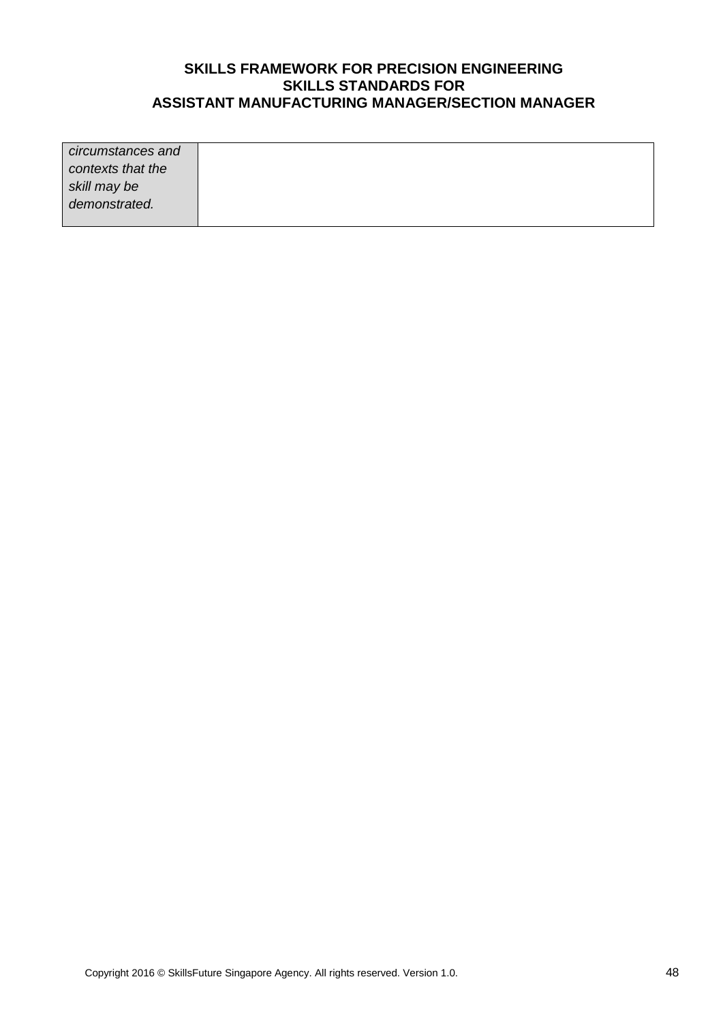| circumstances and |  |
|-------------------|--|
| contexts that the |  |
| skill may be      |  |
| demonstrated.     |  |
|                   |  |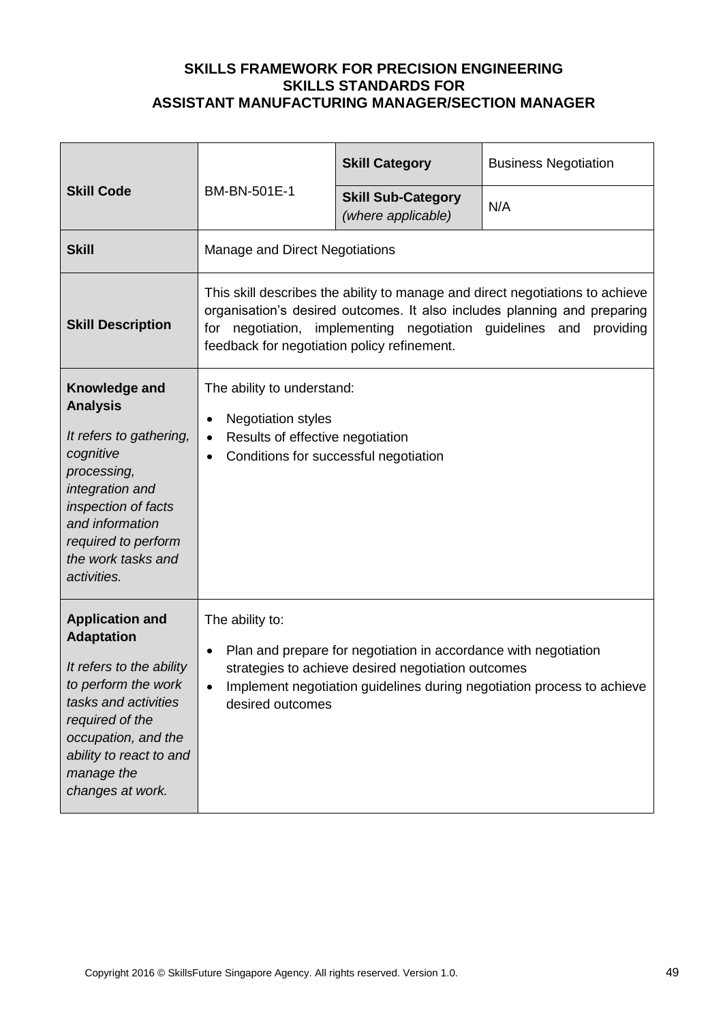| <b>Skill Code</b>                                                                                                                                                                                                             | BM-BN-501E-1                                                                                                                                                                                                                                                                   | <b>Skill Category</b>                           | <b>Business Negotiation</b> |
|-------------------------------------------------------------------------------------------------------------------------------------------------------------------------------------------------------------------------------|--------------------------------------------------------------------------------------------------------------------------------------------------------------------------------------------------------------------------------------------------------------------------------|-------------------------------------------------|-----------------------------|
|                                                                                                                                                                                                                               |                                                                                                                                                                                                                                                                                | <b>Skill Sub-Category</b><br>(where applicable) | N/A                         |
| <b>Skill</b>                                                                                                                                                                                                                  | Manage and Direct Negotiations                                                                                                                                                                                                                                                 |                                                 |                             |
| <b>Skill Description</b>                                                                                                                                                                                                      | This skill describes the ability to manage and direct negotiations to achieve<br>organisation's desired outcomes. It also includes planning and preparing<br>for negotiation, implementing negotiation guidelines and providing<br>feedback for negotiation policy refinement. |                                                 |                             |
| Knowledge and<br><b>Analysis</b><br>It refers to gathering,<br>cognitive<br>processing,<br>integration and<br>inspection of facts<br>and information<br>required to perform<br>the work tasks and<br>activities.              | The ability to understand:<br><b>Negotiation styles</b><br>٠<br>Results of effective negotiation<br>$\bullet$<br>Conditions for successful negotiation<br>$\bullet$                                                                                                            |                                                 |                             |
| <b>Application and</b><br><b>Adaptation</b><br>It refers to the ability<br>to perform the work<br>tasks and activities<br>required of the<br>occupation, and the<br>ability to react to and<br>manage the<br>changes at work. | The ability to:<br>Plan and prepare for negotiation in accordance with negotiation<br>$\bullet$<br>strategies to achieve desired negotiation outcomes<br>Implement negotiation guidelines during negotiation process to achieve<br>desired outcomes                            |                                                 |                             |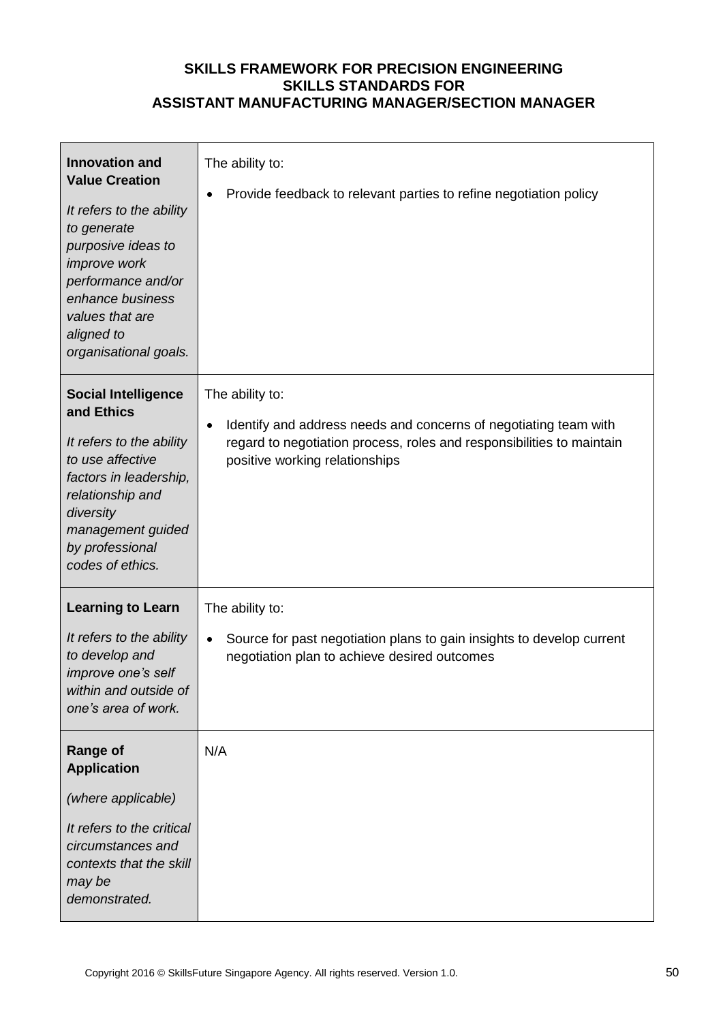| <b>Innovation and</b><br><b>Value Creation</b><br>It refers to the ability<br>to generate<br>purposive ideas to<br>improve work<br>performance and/or<br>enhance business<br>values that are<br>aligned to<br>organisational goals. | The ability to:<br>Provide feedback to relevant parties to refine negotiation policy                                                                                                           |
|-------------------------------------------------------------------------------------------------------------------------------------------------------------------------------------------------------------------------------------|------------------------------------------------------------------------------------------------------------------------------------------------------------------------------------------------|
| <b>Social Intelligence</b><br>and Ethics<br>It refers to the ability<br>to use affective<br>factors in leadership,<br>relationship and<br>diversity<br>management guided<br>by professional<br>codes of ethics.                     | The ability to:<br>Identify and address needs and concerns of negotiating team with<br>regard to negotiation process, roles and responsibilities to maintain<br>positive working relationships |
| <b>Learning to Learn</b><br>It refers to the ability<br>to develop and<br>improve one's self<br>within and outside of<br>one's area of work.                                                                                        | The ability to:<br>Source for past negotiation plans to gain insights to develop current<br>negotiation plan to achieve desired outcomes                                                       |
| <b>Range of</b><br><b>Application</b><br>(where applicable)<br>It refers to the critical<br>circumstances and<br>contexts that the skill<br>may be<br>demonstrated.                                                                 | N/A                                                                                                                                                                                            |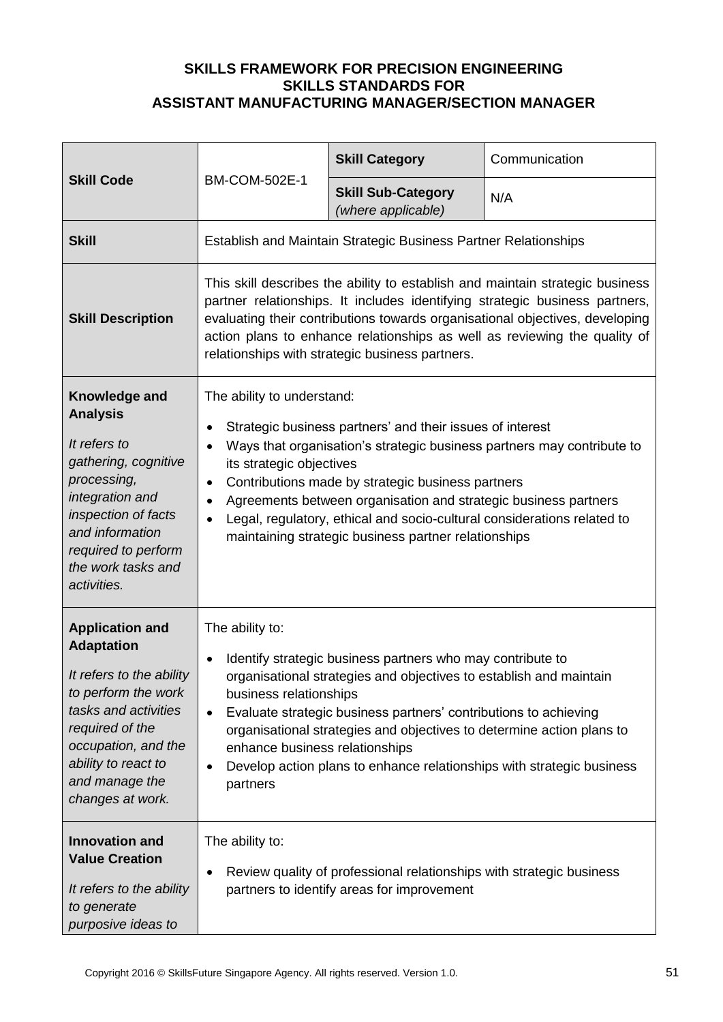| <b>Skill Code</b><br><b>BM-COM-502E-1</b>                                                                                                                                                                                     |                                                                                                                                                                                                                                                                                                                                                                                                                                                                                                                   | <b>Skill Category</b>                                                                                              | Communication |
|-------------------------------------------------------------------------------------------------------------------------------------------------------------------------------------------------------------------------------|-------------------------------------------------------------------------------------------------------------------------------------------------------------------------------------------------------------------------------------------------------------------------------------------------------------------------------------------------------------------------------------------------------------------------------------------------------------------------------------------------------------------|--------------------------------------------------------------------------------------------------------------------|---------------|
|                                                                                                                                                                                                                               |                                                                                                                                                                                                                                                                                                                                                                                                                                                                                                                   | <b>Skill Sub-Category</b><br>(where applicable)                                                                    | N/A           |
| <b>Skill</b>                                                                                                                                                                                                                  |                                                                                                                                                                                                                                                                                                                                                                                                                                                                                                                   | <b>Establish and Maintain Strategic Business Partner Relationships</b>                                             |               |
| <b>Skill Description</b>                                                                                                                                                                                                      | This skill describes the ability to establish and maintain strategic business<br>partner relationships. It includes identifying strategic business partners,<br>evaluating their contributions towards organisational objectives, developing<br>action plans to enhance relationships as well as reviewing the quality of<br>relationships with strategic business partners.                                                                                                                                      |                                                                                                                    |               |
| Knowledge and<br><b>Analysis</b><br>It refers to<br>gathering, cognitive<br>processing,<br>integration and<br>inspection of facts<br>and information<br>required to perform<br>the work tasks and<br>activities.              | The ability to understand:<br>Strategic business partners' and their issues of interest<br>$\bullet$<br>Ways that organisation's strategic business partners may contribute to<br>$\bullet$<br>its strategic objectives<br>Contributions made by strategic business partners<br>$\bullet$<br>Agreements between organisation and strategic business partners<br>٠<br>Legal, regulatory, ethical and socio-cultural considerations related to<br>$\bullet$<br>maintaining strategic business partner relationships |                                                                                                                    |               |
| <b>Application and</b><br><b>Adaptation</b><br>It refers to the ability<br>to perform the work<br>tasks and activities<br>required of the<br>occupation, and the<br>ability to react to<br>and manage the<br>changes at work. | The ability to:<br>Identify strategic business partners who may contribute to<br>$\bullet$<br>organisational strategies and objectives to establish and maintain<br>business relationships<br>Evaluate strategic business partners' contributions to achieving<br>$\bullet$<br>organisational strategies and objectives to determine action plans to<br>enhance business relationships<br>Develop action plans to enhance relationships with strategic business<br>٠<br>partners                                  |                                                                                                                    |               |
| <b>Innovation and</b><br><b>Value Creation</b><br>It refers to the ability<br>to generate<br>purposive ideas to                                                                                                               | The ability to:<br>٠                                                                                                                                                                                                                                                                                                                                                                                                                                                                                              | Review quality of professional relationships with strategic business<br>partners to identify areas for improvement |               |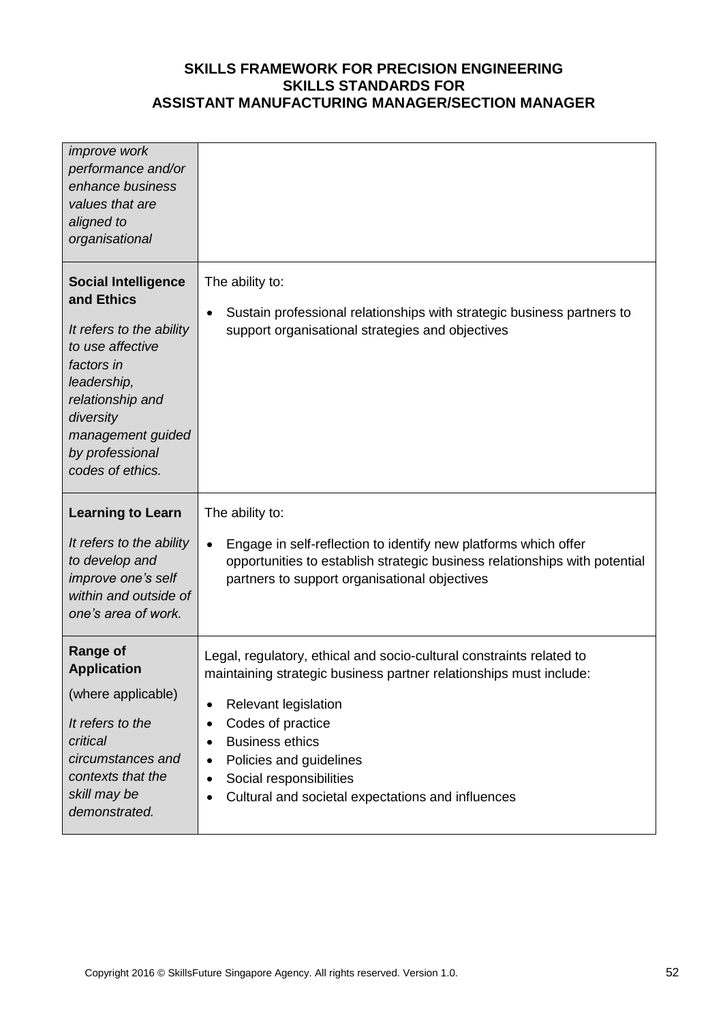| <i>improve</i> work<br>performance and/or<br>enhance business<br>values that are<br>aligned to<br>organisational                                                                                                   |                                                                                                                                                                                                                                                                                                                                                                                    |
|--------------------------------------------------------------------------------------------------------------------------------------------------------------------------------------------------------------------|------------------------------------------------------------------------------------------------------------------------------------------------------------------------------------------------------------------------------------------------------------------------------------------------------------------------------------------------------------------------------------|
| <b>Social Intelligence</b><br>and Ethics<br>It refers to the ability<br>to use affective<br>factors in<br>leadership,<br>relationship and<br>diversity<br>management guided<br>by professional<br>codes of ethics. | The ability to:<br>Sustain professional relationships with strategic business partners to<br>$\bullet$<br>support organisational strategies and objectives                                                                                                                                                                                                                         |
| <b>Learning to Learn</b><br>It refers to the ability<br>to develop and<br>improve one's self<br>within and outside of<br>one's area of work.                                                                       | The ability to:<br>Engage in self-reflection to identify new platforms which offer<br>$\bullet$<br>opportunities to establish strategic business relationships with potential<br>partners to support organisational objectives                                                                                                                                                     |
| <b>Range of</b><br><b>Application</b><br>(where applicable)<br>It refers to the<br>critical<br>circumstances and<br>contexts that the<br>skill may be<br>demonstrated.                                             | Legal, regulatory, ethical and socio-cultural constraints related to<br>maintaining strategic business partner relationships must include:<br>Relevant legislation<br>٠<br>Codes of practice<br>$\bullet$<br><b>Business ethics</b><br>٠<br>Policies and guidelines<br>٠<br>Social responsibilities<br>$\bullet$<br>Cultural and societal expectations and influences<br>$\bullet$ |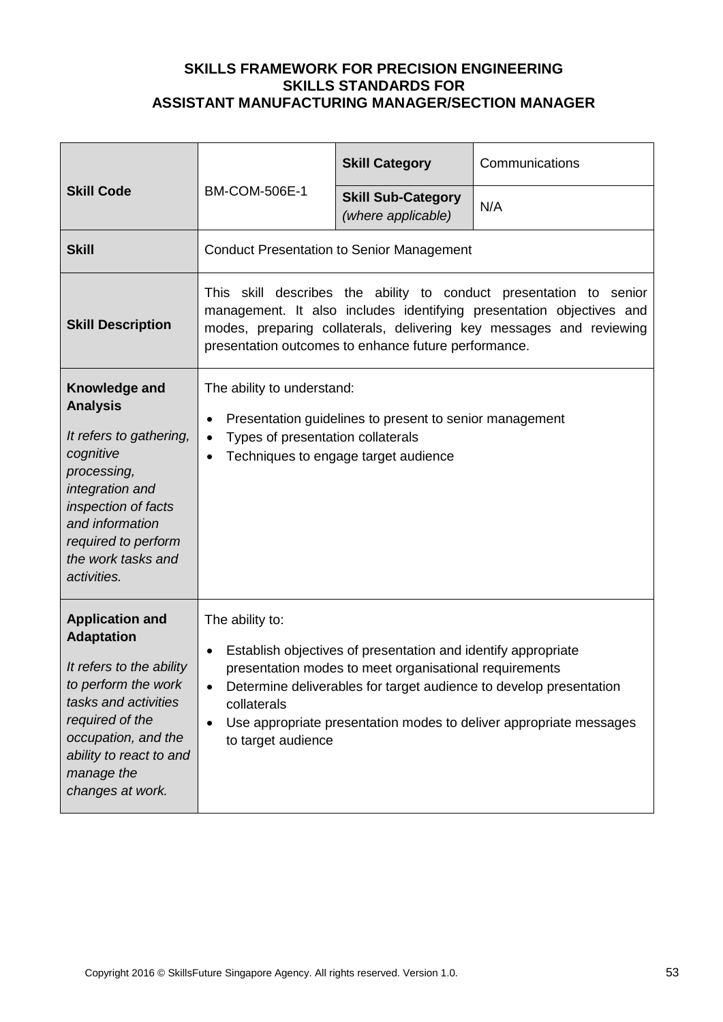|                                                                                                                                                                                                                               |                                                                                                                                                                                                                                                                                                                                                       | <b>Skill Category</b>                            | Communications |
|-------------------------------------------------------------------------------------------------------------------------------------------------------------------------------------------------------------------------------|-------------------------------------------------------------------------------------------------------------------------------------------------------------------------------------------------------------------------------------------------------------------------------------------------------------------------------------------------------|--------------------------------------------------|----------------|
| <b>Skill Code</b>                                                                                                                                                                                                             | <b>BM-COM-506E-1</b>                                                                                                                                                                                                                                                                                                                                  | <b>Skill Sub-Category</b><br>(where applicable)  | N/A            |
| <b>Skill</b>                                                                                                                                                                                                                  |                                                                                                                                                                                                                                                                                                                                                       | <b>Conduct Presentation to Senior Management</b> |                |
| <b>Skill Description</b>                                                                                                                                                                                                      | skill describes the ability to conduct presentation to senior<br>This .<br>management. It also includes identifying presentation objectives and<br>modes, preparing collaterals, delivering key messages and reviewing<br>presentation outcomes to enhance future performance.                                                                        |                                                  |                |
| Knowledge and<br><b>Analysis</b><br>It refers to gathering,<br>cognitive<br>processing,<br>integration and<br>inspection of facts<br>and information<br>required to perform<br>the work tasks and<br>activities.              | The ability to understand:<br>Presentation guidelines to present to senior management<br>٠<br>Types of presentation collaterals<br>$\bullet$<br>Techniques to engage target audience<br>$\bullet$                                                                                                                                                     |                                                  |                |
| <b>Application and</b><br><b>Adaptation</b><br>It refers to the ability<br>to perform the work<br>tasks and activities<br>required of the<br>occupation, and the<br>ability to react to and<br>manage the<br>changes at work. | The ability to:<br>Establish objectives of presentation and identify appropriate<br>$\bullet$<br>presentation modes to meet organisational requirements<br>Determine deliverables for target audience to develop presentation<br>collaterals<br>Use appropriate presentation modes to deliver appropriate messages<br>$\bullet$<br>to target audience |                                                  |                |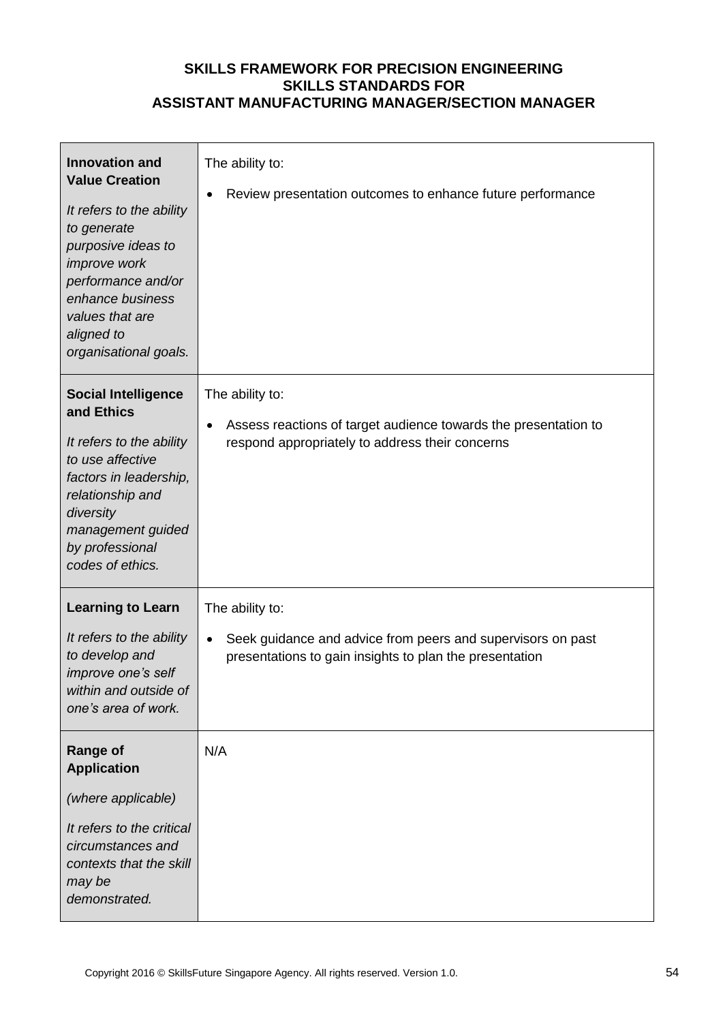| <b>Innovation and</b><br><b>Value Creation</b><br>It refers to the ability<br>to generate<br>purposive ideas to<br>improve work<br>performance and/or<br>enhance business<br>values that are<br>aligned to<br>organisational goals. | The ability to:<br>Review presentation outcomes to enhance future performance                                                             |
|-------------------------------------------------------------------------------------------------------------------------------------------------------------------------------------------------------------------------------------|-------------------------------------------------------------------------------------------------------------------------------------------|
| <b>Social Intelligence</b><br>and Ethics<br>It refers to the ability<br>to use affective<br>factors in leadership,<br>relationship and<br>diversity<br>management guided<br>by professional<br>codes of ethics.                     | The ability to:<br>Assess reactions of target audience towards the presentation to<br>respond appropriately to address their concerns     |
| <b>Learning to Learn</b><br>It refers to the ability<br>to develop and<br>improve one's self<br>within and outside of<br>one's area of work.                                                                                        | The ability to:<br>Seek guidance and advice from peers and supervisors on past<br>presentations to gain insights to plan the presentation |
| <b>Range of</b><br><b>Application</b><br>(where applicable)<br>It refers to the critical<br>circumstances and<br>contexts that the skill<br>may be<br>demonstrated.                                                                 | N/A                                                                                                                                       |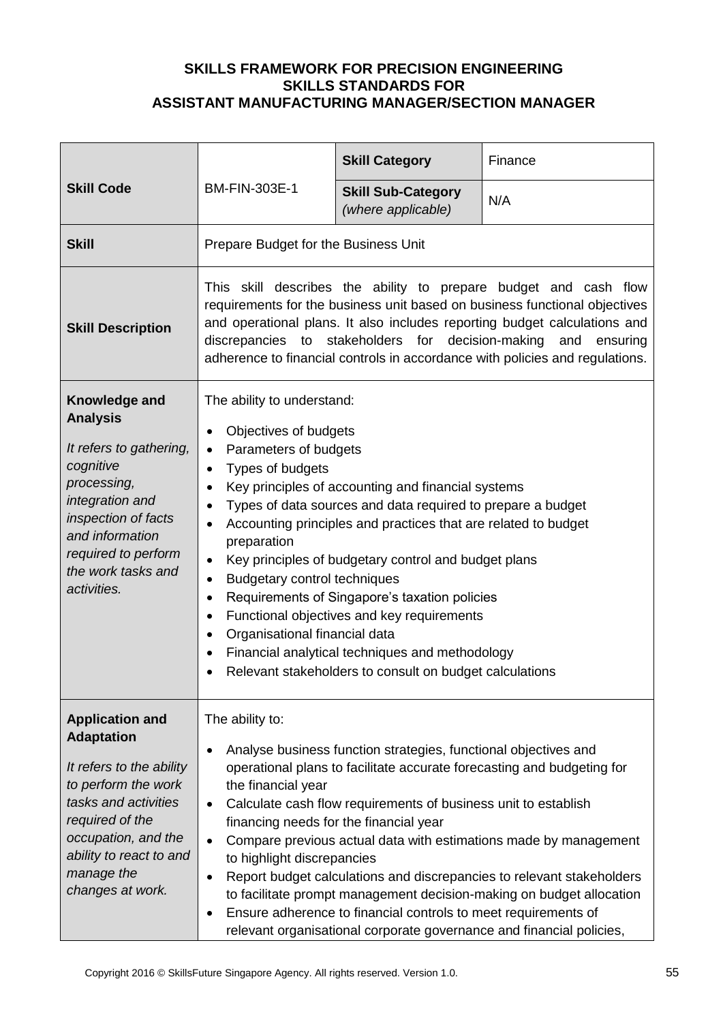| <b>Skill Code</b>                                                                                                                                                                                                             | BM-FIN-303E-1                                                                                                                                                                                                                                                                                                                                                                                                                                                                                                                                                                                                                                                                                                                                                                           | <b>Skill Category</b>                           | Finance |
|-------------------------------------------------------------------------------------------------------------------------------------------------------------------------------------------------------------------------------|-----------------------------------------------------------------------------------------------------------------------------------------------------------------------------------------------------------------------------------------------------------------------------------------------------------------------------------------------------------------------------------------------------------------------------------------------------------------------------------------------------------------------------------------------------------------------------------------------------------------------------------------------------------------------------------------------------------------------------------------------------------------------------------------|-------------------------------------------------|---------|
|                                                                                                                                                                                                                               |                                                                                                                                                                                                                                                                                                                                                                                                                                                                                                                                                                                                                                                                                                                                                                                         | <b>Skill Sub-Category</b><br>(where applicable) | N/A     |
| <b>Skill</b>                                                                                                                                                                                                                  | Prepare Budget for the Business Unit                                                                                                                                                                                                                                                                                                                                                                                                                                                                                                                                                                                                                                                                                                                                                    |                                                 |         |
| <b>Skill Description</b>                                                                                                                                                                                                      | This skill describes the ability to prepare budget and cash flow<br>requirements for the business unit based on business functional objectives<br>and operational plans. It also includes reporting budget calculations and<br>discrepancies to stakeholders for decision-making<br>and<br>ensuring<br>adherence to financial controls in accordance with policies and regulations.                                                                                                                                                                                                                                                                                                                                                                                                     |                                                 |         |
| Knowledge and<br><b>Analysis</b><br>It refers to gathering,<br>cognitive<br>processing,<br>integration and<br>inspection of facts<br>and information<br>required to perform<br>the work tasks and<br>activities.              | The ability to understand:<br>Objectives of budgets<br>$\bullet$<br>Parameters of budgets<br>٠<br>Types of budgets<br>$\bullet$<br>Key principles of accounting and financial systems<br>$\bullet$<br>Types of data sources and data required to prepare a budget<br>$\bullet$<br>Accounting principles and practices that are related to budget<br>٠<br>preparation<br>Key principles of budgetary control and budget plans<br>$\bullet$<br><b>Budgetary control techniques</b><br>٠<br>Requirements of Singapore's taxation policies<br>$\bullet$<br>Functional objectives and key requirements<br>$\bullet$<br>Organisational financial data<br>$\bullet$<br>Financial analytical techniques and methodology<br>$\bullet$<br>Relevant stakeholders to consult on budget calculations |                                                 |         |
| <b>Application and</b><br><b>Adaptation</b><br>It refers to the ability<br>to perform the work<br>tasks and activities<br>required of the<br>occupation, and the<br>ability to react to and<br>manage the<br>changes at work. | The ability to:<br>Analyse business function strategies, functional objectives and<br>$\bullet$<br>operational plans to facilitate accurate forecasting and budgeting for<br>the financial year<br>Calculate cash flow requirements of business unit to establish<br>$\bullet$<br>financing needs for the financial year<br>Compare previous actual data with estimations made by management<br>$\bullet$<br>to highlight discrepancies<br>Report budget calculations and discrepancies to relevant stakeholders<br>$\bullet$<br>to facilitate prompt management decision-making on budget allocation<br>Ensure adherence to financial controls to meet requirements of<br>٠<br>relevant organisational corporate governance and financial policies,                                    |                                                 |         |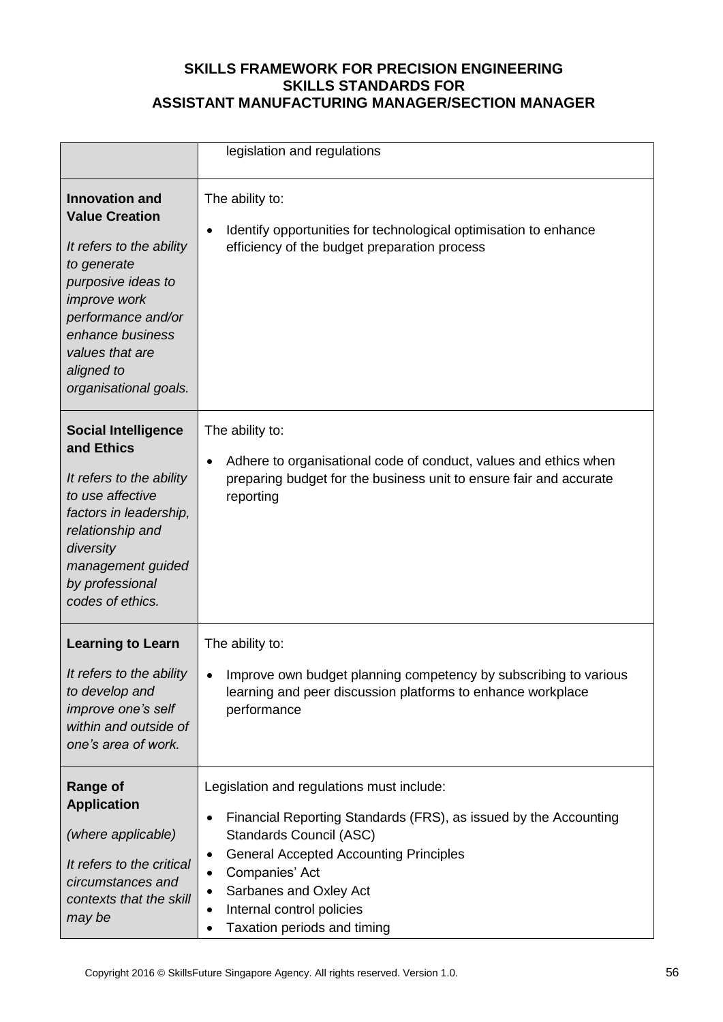|                                                                                                                                                                                                                                            | legislation and regulations                                                                                                                                                                                                                                                                                                                   |
|--------------------------------------------------------------------------------------------------------------------------------------------------------------------------------------------------------------------------------------------|-----------------------------------------------------------------------------------------------------------------------------------------------------------------------------------------------------------------------------------------------------------------------------------------------------------------------------------------------|
| <b>Innovation and</b><br><b>Value Creation</b><br>It refers to the ability<br>to generate<br>purposive ideas to<br><i>improve</i> work<br>performance and/or<br>enhance business<br>values that are<br>aligned to<br>organisational goals. | The ability to:<br>Identify opportunities for technological optimisation to enhance<br>$\bullet$<br>efficiency of the budget preparation process                                                                                                                                                                                              |
| <b>Social Intelligence</b><br>and Ethics<br>It refers to the ability<br>to use affective<br>factors in leadership,<br>relationship and<br>diversity<br>management guided<br>by professional<br>codes of ethics.                            | The ability to:<br>Adhere to organisational code of conduct, values and ethics when<br>$\bullet$<br>preparing budget for the business unit to ensure fair and accurate<br>reporting                                                                                                                                                           |
| <b>Learning to Learn</b><br>It refers to the ability<br>to develop and<br>improve one's self<br>within and outside of<br>one's area of work.                                                                                               | The ability to:<br>Improve own budget planning competency by subscribing to various<br>learning and peer discussion platforms to enhance workplace<br>performance                                                                                                                                                                             |
| <b>Range of</b><br><b>Application</b><br>(where applicable)<br>It refers to the critical<br>circumstances and<br>contexts that the skill<br>may be                                                                                         | Legislation and regulations must include:<br>Financial Reporting Standards (FRS), as issued by the Accounting<br>$\bullet$<br>Standards Council (ASC)<br><b>General Accepted Accounting Principles</b><br>$\bullet$<br>Companies' Act<br>٠<br>Sarbanes and Oxley Act<br>Internal control policies<br>Taxation periods and timing<br>$\bullet$ |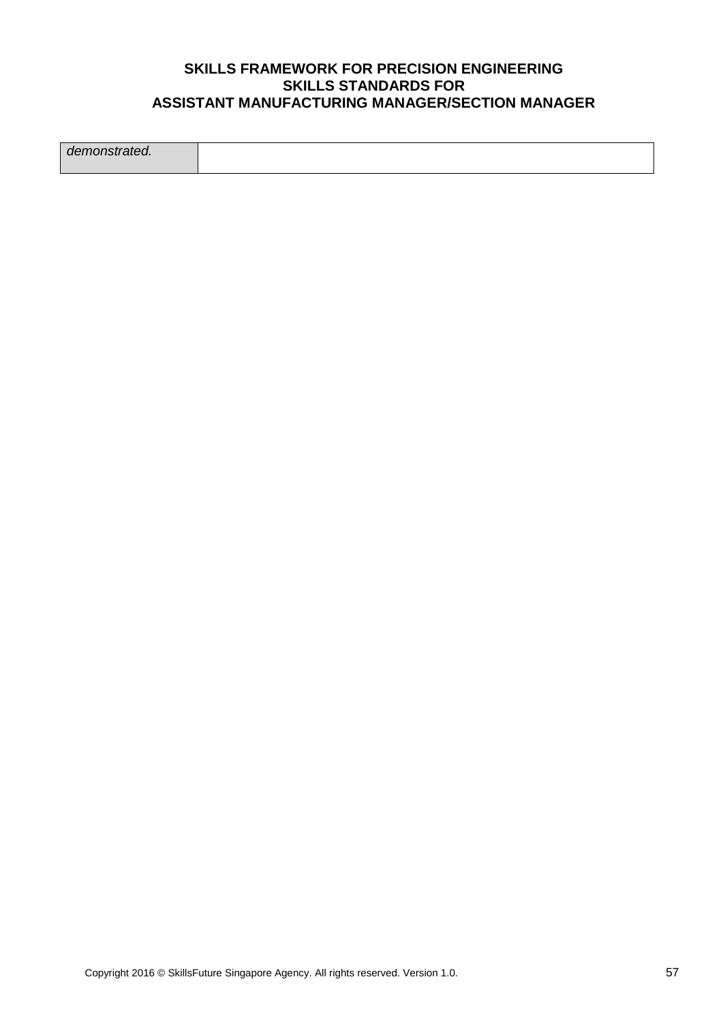*demonstrated.*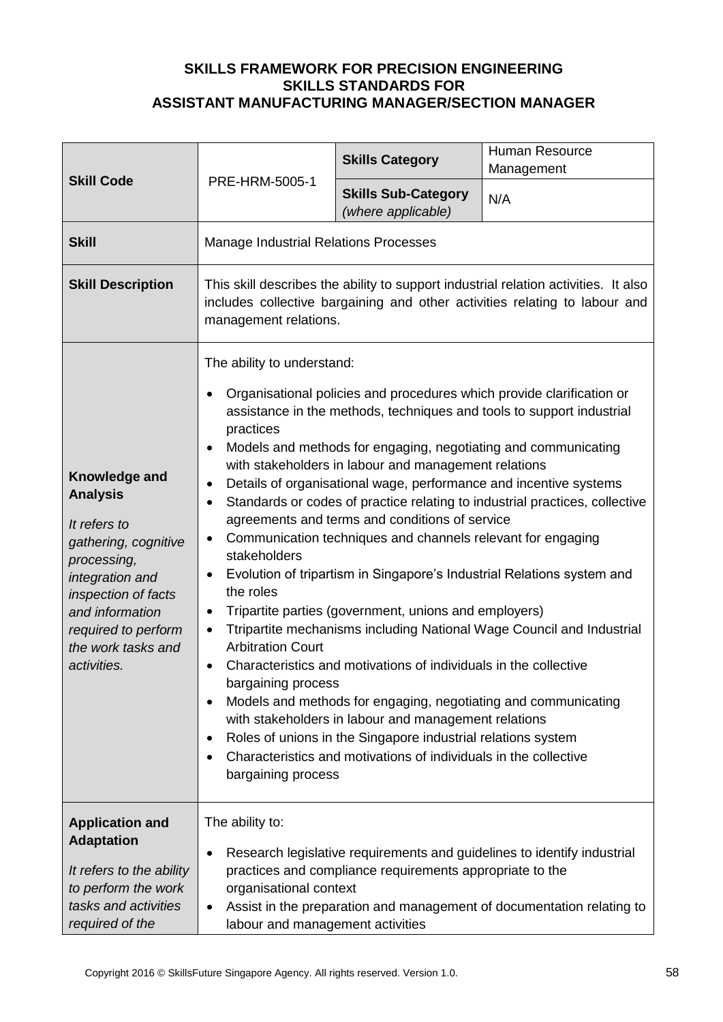| <b>Skill Code</b>                                                                                                                                                                                                | PRE-HRM-5005-1                                                                                                                                                                                                                                                                                                                                                                                                                                                                                                                                                                                                                                                                                                                                                                                                                                                                                                                                                                                                                                                                                                                                                                                                                                                                                                                                                                                  | <b>Skills Category</b>                                   | Human Resource<br>Management                                                                                                                     |
|------------------------------------------------------------------------------------------------------------------------------------------------------------------------------------------------------------------|-------------------------------------------------------------------------------------------------------------------------------------------------------------------------------------------------------------------------------------------------------------------------------------------------------------------------------------------------------------------------------------------------------------------------------------------------------------------------------------------------------------------------------------------------------------------------------------------------------------------------------------------------------------------------------------------------------------------------------------------------------------------------------------------------------------------------------------------------------------------------------------------------------------------------------------------------------------------------------------------------------------------------------------------------------------------------------------------------------------------------------------------------------------------------------------------------------------------------------------------------------------------------------------------------------------------------------------------------------------------------------------------------|----------------------------------------------------------|--------------------------------------------------------------------------------------------------------------------------------------------------|
|                                                                                                                                                                                                                  |                                                                                                                                                                                                                                                                                                                                                                                                                                                                                                                                                                                                                                                                                                                                                                                                                                                                                                                                                                                                                                                                                                                                                                                                                                                                                                                                                                                                 | <b>Skills Sub-Category</b><br>(where applicable)         | N/A                                                                                                                                              |
| <b>Skill</b>                                                                                                                                                                                                     | <b>Manage Industrial Relations Processes</b>                                                                                                                                                                                                                                                                                                                                                                                                                                                                                                                                                                                                                                                                                                                                                                                                                                                                                                                                                                                                                                                                                                                                                                                                                                                                                                                                                    |                                                          |                                                                                                                                                  |
| <b>Skill Description</b>                                                                                                                                                                                         | This skill describes the ability to support industrial relation activities. It also<br>includes collective bargaining and other activities relating to labour and<br>management relations.                                                                                                                                                                                                                                                                                                                                                                                                                                                                                                                                                                                                                                                                                                                                                                                                                                                                                                                                                                                                                                                                                                                                                                                                      |                                                          |                                                                                                                                                  |
| Knowledge and<br><b>Analysis</b><br>It refers to<br>gathering, cognitive<br>processing,<br>integration and<br>inspection of facts<br>and information<br>required to perform<br>the work tasks and<br>activities. | The ability to understand:<br>Organisational policies and procedures which provide clarification or<br>$\bullet$<br>assistance in the methods, techniques and tools to support industrial<br>practices<br>Models and methods for engaging, negotiating and communicating<br>$\bullet$<br>with stakeholders in labour and management relations<br>Details of organisational wage, performance and incentive systems<br>$\bullet$<br>Standards or codes of practice relating to industrial practices, collective<br>$\bullet$<br>agreements and terms and conditions of service<br>Communication techniques and channels relevant for engaging<br>٠<br>stakeholders<br>Evolution of tripartism in Singapore's Industrial Relations system and<br>$\bullet$<br>the roles<br>Tripartite parties (government, unions and employers)<br>$\bullet$<br>Ttripartite mechanisms including National Wage Council and Industrial<br>$\bullet$<br><b>Arbitration Court</b><br>Characteristics and motivations of individuals in the collective<br>$\bullet$<br>bargaining process<br>Models and methods for engaging, negotiating and communicating<br>$\bullet$<br>with stakeholders in labour and management relations<br>Roles of unions in the Singapore industrial relations system<br>$\bullet$<br>Characteristics and motivations of individuals in the collective<br>$\bullet$<br>bargaining process |                                                          |                                                                                                                                                  |
| <b>Application and</b><br><b>Adaptation</b><br>It refers to the ability<br>to perform the work<br>tasks and activities<br>required of the                                                                        | The ability to:<br>$\bullet$<br>organisational context<br>٠<br>labour and management activities                                                                                                                                                                                                                                                                                                                                                                                                                                                                                                                                                                                                                                                                                                                                                                                                                                                                                                                                                                                                                                                                                                                                                                                                                                                                                                 | practices and compliance requirements appropriate to the | Research legislative requirements and guidelines to identify industrial<br>Assist in the preparation and management of documentation relating to |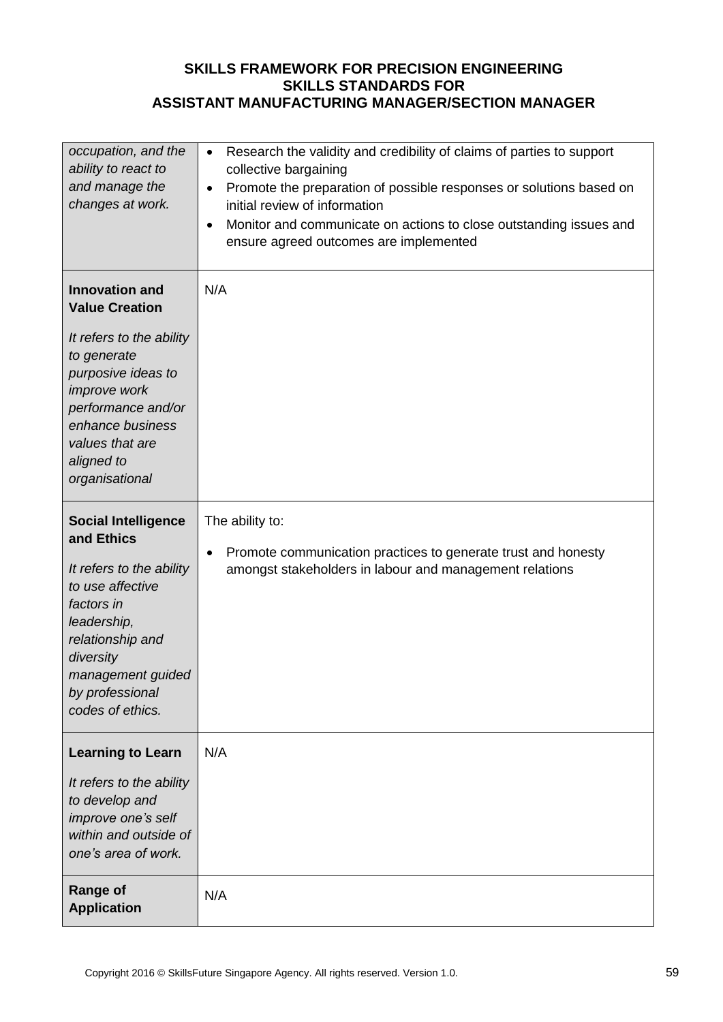| occupation, and the<br>ability to react to<br>and manage the<br>changes at work.                                                                                                                                             | Research the validity and credibility of claims of parties to support<br>$\bullet$<br>collective bargaining<br>Promote the preparation of possible responses or solutions based on<br>$\bullet$<br>initial review of information<br>Monitor and communicate on actions to close outstanding issues and<br>$\bullet$<br>ensure agreed outcomes are implemented |
|------------------------------------------------------------------------------------------------------------------------------------------------------------------------------------------------------------------------------|---------------------------------------------------------------------------------------------------------------------------------------------------------------------------------------------------------------------------------------------------------------------------------------------------------------------------------------------------------------|
| <b>Innovation and</b><br><b>Value Creation</b><br>It refers to the ability<br>to generate<br>purposive ideas to<br>improve work<br>performance and/or<br>enhance business<br>values that are<br>aligned to<br>organisational | N/A                                                                                                                                                                                                                                                                                                                                                           |
| <b>Social Intelligence</b><br>and Ethics<br>It refers to the ability<br>to use affective<br>factors in<br>leadership,<br>relationship and<br>diversity<br>management guided<br>by professional<br>codes of ethics.           | The ability to:<br>Promote communication practices to generate trust and honesty<br>$\bullet$<br>amongst stakeholders in labour and management relations                                                                                                                                                                                                      |
| <b>Learning to Learn</b><br>It refers to the ability<br>to develop and<br>improve one's self<br>within and outside of<br>one's area of work.                                                                                 | N/A                                                                                                                                                                                                                                                                                                                                                           |
| <b>Range of</b><br><b>Application</b>                                                                                                                                                                                        | N/A                                                                                                                                                                                                                                                                                                                                                           |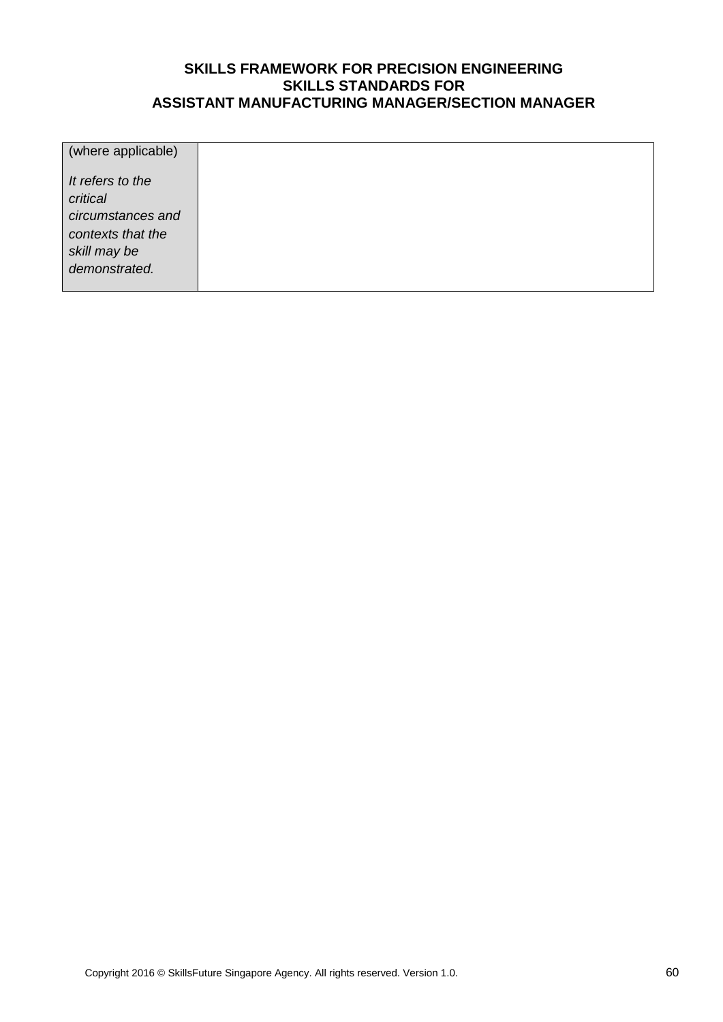| (where applicable)                                                                                      |  |
|---------------------------------------------------------------------------------------------------------|--|
| It refers to the<br>critical<br>circumstances and<br>contexts that the<br>skill may be<br>demonstrated. |  |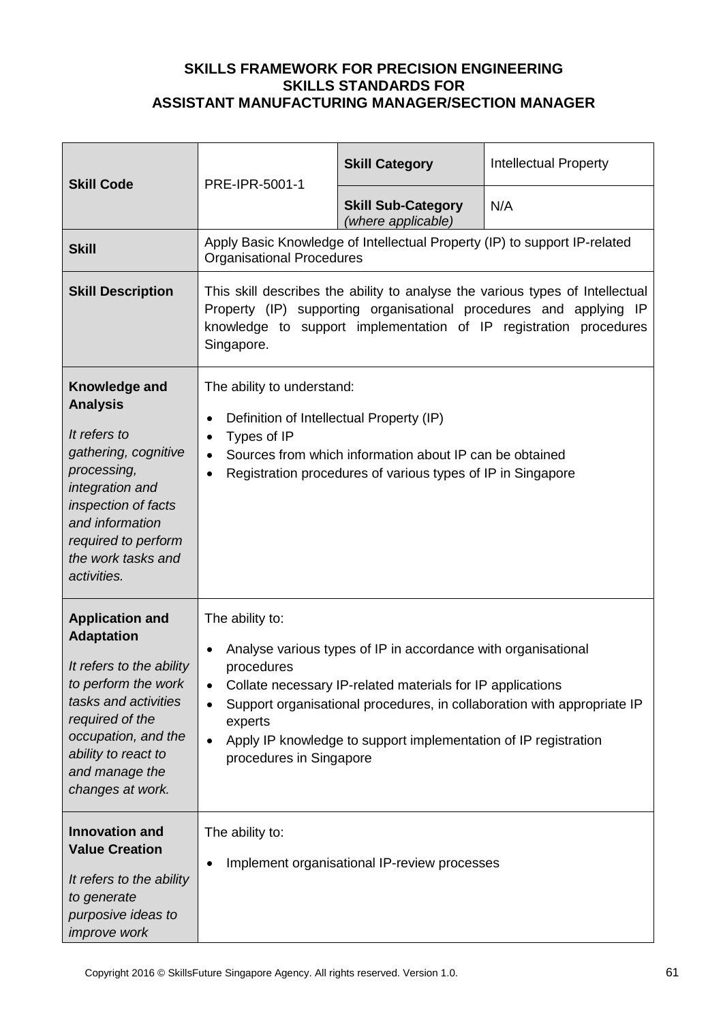| <b>Skill Code</b>                                                                                                                                                                                                             | PRE-IPR-5001-1                                                                                                                                                                                                                                                                                                                                                             | <b>Skill Category</b>                           | <b>Intellectual Property</b>                                              |
|-------------------------------------------------------------------------------------------------------------------------------------------------------------------------------------------------------------------------------|----------------------------------------------------------------------------------------------------------------------------------------------------------------------------------------------------------------------------------------------------------------------------------------------------------------------------------------------------------------------------|-------------------------------------------------|---------------------------------------------------------------------------|
|                                                                                                                                                                                                                               |                                                                                                                                                                                                                                                                                                                                                                            | <b>Skill Sub-Category</b><br>(where applicable) | N/A                                                                       |
| <b>Skill</b>                                                                                                                                                                                                                  | <b>Organisational Procedures</b>                                                                                                                                                                                                                                                                                                                                           |                                                 | Apply Basic Knowledge of Intellectual Property (IP) to support IP-related |
| <b>Skill Description</b>                                                                                                                                                                                                      | This skill describes the ability to analyse the various types of Intellectual<br>Property (IP) supporting organisational procedures and applying IP<br>knowledge to support implementation of IP registration procedures<br>Singapore.                                                                                                                                     |                                                 |                                                                           |
| Knowledge and<br><b>Analysis</b><br>It refers to<br>gathering, cognitive<br>processing,<br>integration and<br>inspection of facts<br>and information<br>required to perform<br>the work tasks and<br>activities.              | The ability to understand:<br>Definition of Intellectual Property (IP)<br>$\bullet$<br>Types of IP<br>$\bullet$<br>Sources from which information about IP can be obtained<br>$\bullet$<br>Registration procedures of various types of IP in Singapore<br>$\bullet$                                                                                                        |                                                 |                                                                           |
| <b>Application and</b><br><b>Adaptation</b><br>It refers to the ability<br>to perform the work<br>tasks and activities<br>required of the<br>occupation, and the<br>ability to react to<br>and manage the<br>changes at work. | The ability to:<br>Analyse various types of IP in accordance with organisational<br>$\bullet$<br>procedures<br>Collate necessary IP-related materials for IP applications<br>Support organisational procedures, in collaboration with appropriate IP<br>experts<br>Apply IP knowledge to support implementation of IP registration<br>$\bullet$<br>procedures in Singapore |                                                 |                                                                           |
| <b>Innovation and</b><br><b>Value Creation</b><br>It refers to the ability<br>to generate<br>purposive ideas to<br>improve work                                                                                               | The ability to:<br>٠                                                                                                                                                                                                                                                                                                                                                       | Implement organisational IP-review processes    |                                                                           |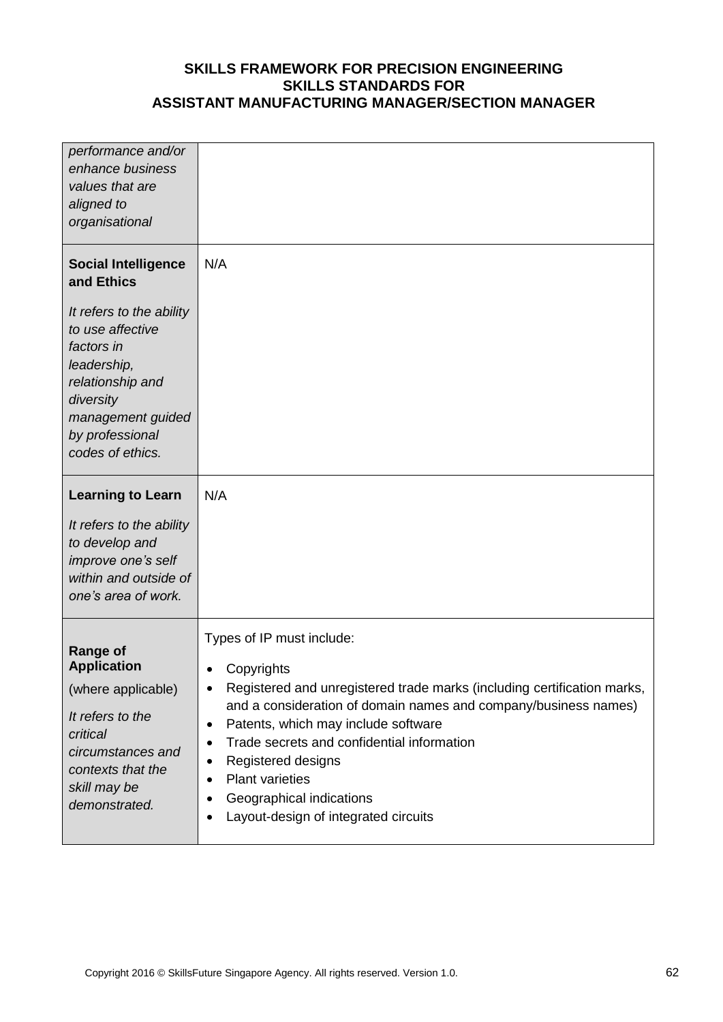| performance and/or<br>enhance business<br>values that are<br>aligned to<br>organisational                                                                              |                                                                                                                                                                                                                                                                                                                        |
|------------------------------------------------------------------------------------------------------------------------------------------------------------------------|------------------------------------------------------------------------------------------------------------------------------------------------------------------------------------------------------------------------------------------------------------------------------------------------------------------------|
| <b>Social Intelligence</b><br>and Ethics                                                                                                                               | N/A                                                                                                                                                                                                                                                                                                                    |
| It refers to the ability<br>to use affective<br>factors in<br>leadership,<br>relationship and<br>diversity<br>management guided<br>by professional<br>codes of ethics. |                                                                                                                                                                                                                                                                                                                        |
| <b>Learning to Learn</b>                                                                                                                                               | N/A                                                                                                                                                                                                                                                                                                                    |
| It refers to the ability<br>to develop and<br>improve one's self<br>within and outside of<br>one's area of work.                                                       |                                                                                                                                                                                                                                                                                                                        |
| <b>Range of</b>                                                                                                                                                        | Types of IP must include:                                                                                                                                                                                                                                                                                              |
| <b>Application</b><br>(where applicable)                                                                                                                               | Copyrights<br>٠<br>Registered and unregistered trade marks (including certification marks,<br>٠                                                                                                                                                                                                                        |
| It refers to the<br>critical<br>circumstances and<br>contexts that the<br>skill may be<br>demonstrated.                                                                | and a consideration of domain names and company/business names)<br>Patents, which may include software<br>٠<br>Trade secrets and confidential information<br>$\bullet$<br>Registered designs<br>٠<br><b>Plant varieties</b><br>$\bullet$<br>Geographical indications<br>٠<br>Layout-design of integrated circuits<br>٠ |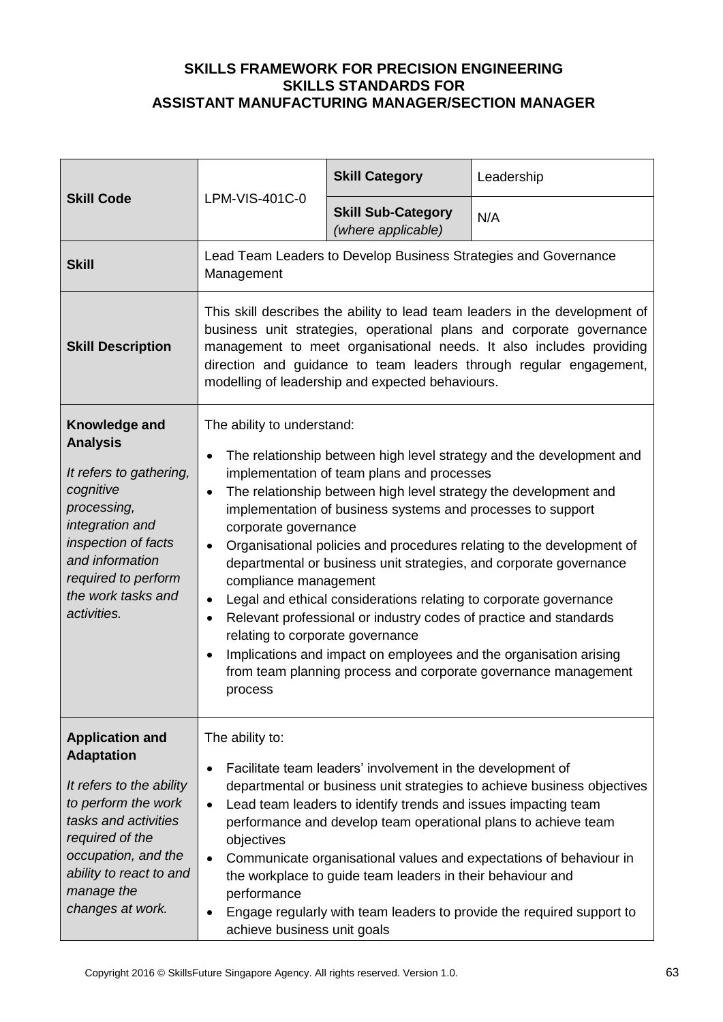| <b>Skill Code</b>                                                                                                                                                                                                             | LPM-VIS-401C-0                                                                                                                                                                                                                                                                                                                                                                                                                                                                                                                                                                                                                                                                                                                                                                                                                                                                                    | <b>Skill Category</b>                                                                                                                                                                      | Leadership                                                                                                                                                                                                                                                                               |
|-------------------------------------------------------------------------------------------------------------------------------------------------------------------------------------------------------------------------------|---------------------------------------------------------------------------------------------------------------------------------------------------------------------------------------------------------------------------------------------------------------------------------------------------------------------------------------------------------------------------------------------------------------------------------------------------------------------------------------------------------------------------------------------------------------------------------------------------------------------------------------------------------------------------------------------------------------------------------------------------------------------------------------------------------------------------------------------------------------------------------------------------|--------------------------------------------------------------------------------------------------------------------------------------------------------------------------------------------|------------------------------------------------------------------------------------------------------------------------------------------------------------------------------------------------------------------------------------------------------------------------------------------|
|                                                                                                                                                                                                                               |                                                                                                                                                                                                                                                                                                                                                                                                                                                                                                                                                                                                                                                                                                                                                                                                                                                                                                   | <b>Skill Sub-Category</b><br>(where applicable)                                                                                                                                            | N/A                                                                                                                                                                                                                                                                                      |
| <b>Skill</b>                                                                                                                                                                                                                  | Lead Team Leaders to Develop Business Strategies and Governance<br>Management                                                                                                                                                                                                                                                                                                                                                                                                                                                                                                                                                                                                                                                                                                                                                                                                                     |                                                                                                                                                                                            |                                                                                                                                                                                                                                                                                          |
| <b>Skill Description</b>                                                                                                                                                                                                      | This skill describes the ability to lead team leaders in the development of<br>business unit strategies, operational plans and corporate governance<br>management to meet organisational needs. It also includes providing<br>direction and guidance to team leaders through regular engagement,<br>modelling of leadership and expected behaviours.                                                                                                                                                                                                                                                                                                                                                                                                                                                                                                                                              |                                                                                                                                                                                            |                                                                                                                                                                                                                                                                                          |
| Knowledge and<br><b>Analysis</b><br>It refers to gathering,<br>cognitive<br>processing,<br>integration and<br>inspection of facts<br>and information<br>required to perform<br>the work tasks and<br>activities.              | The ability to understand:<br>The relationship between high level strategy and the development and<br>$\bullet$<br>implementation of team plans and processes<br>The relationship between high level strategy the development and<br>$\bullet$<br>implementation of business systems and processes to support<br>corporate governance<br>Organisational policies and procedures relating to the development of<br>$\bullet$<br>departmental or business unit strategies, and corporate governance<br>compliance management<br>Legal and ethical considerations relating to corporate governance<br>$\bullet$<br>Relevant professional or industry codes of practice and standards<br>$\bullet$<br>relating to corporate governance<br>Implications and impact on employees and the organisation arising<br>$\bullet$<br>from team planning process and corporate governance management<br>process |                                                                                                                                                                                            |                                                                                                                                                                                                                                                                                          |
| <b>Application and</b><br><b>Adaptation</b><br>It refers to the ability<br>to perform the work<br>tasks and activities<br>required of the<br>occupation, and the<br>ability to react to and<br>manage the<br>changes at work. | The ability to:<br>$\bullet$<br>$\bullet$<br>objectives<br>$\bullet$<br>performance<br>$\bullet$<br>achieve business unit goals                                                                                                                                                                                                                                                                                                                                                                                                                                                                                                                                                                                                                                                                                                                                                                   | Facilitate team leaders' involvement in the development of<br>Lead team leaders to identify trends and issues impacting team<br>the workplace to guide team leaders in their behaviour and | departmental or business unit strategies to achieve business objectives<br>performance and develop team operational plans to achieve team<br>Communicate organisational values and expectations of behaviour in<br>Engage regularly with team leaders to provide the required support to |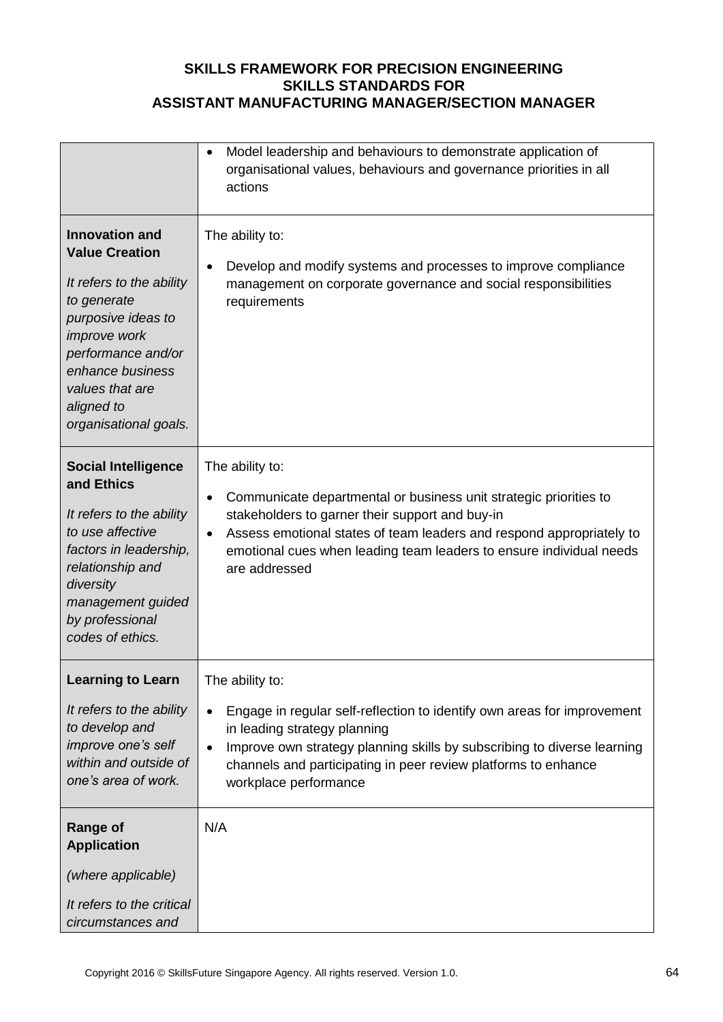|                                                                                                                                                                                                                                            | Model leadership and behaviours to demonstrate application of<br>$\bullet$<br>organisational values, behaviours and governance priorities in all<br>actions                                                                                                                                                          |
|--------------------------------------------------------------------------------------------------------------------------------------------------------------------------------------------------------------------------------------------|----------------------------------------------------------------------------------------------------------------------------------------------------------------------------------------------------------------------------------------------------------------------------------------------------------------------|
| <b>Innovation and</b><br><b>Value Creation</b><br>It refers to the ability<br>to generate<br>purposive ideas to<br><i>improve</i> work<br>performance and/or<br>enhance business<br>values that are<br>aligned to<br>organisational goals. | The ability to:<br>Develop and modify systems and processes to improve compliance<br>management on corporate governance and social responsibilities<br>requirements                                                                                                                                                  |
| <b>Social Intelligence</b><br>and Ethics<br>It refers to the ability<br>to use affective<br>factors in leadership,<br>relationship and<br>diversity<br>management guided<br>by professional<br>codes of ethics.                            | The ability to:<br>Communicate departmental or business unit strategic priorities to<br>stakeholders to garner their support and buy-in<br>Assess emotional states of team leaders and respond appropriately to<br>$\bullet$<br>emotional cues when leading team leaders to ensure individual needs<br>are addressed |
| <b>Learning to Learn</b><br>It refers to the ability<br>to develop and<br>improve one's self<br>within and outside of<br>one's area of work.                                                                                               | The ability to:<br>Engage in regular self-reflection to identify own areas for improvement<br>in leading strategy planning<br>Improve own strategy planning skills by subscribing to diverse learning<br>$\bullet$<br>channels and participating in peer review platforms to enhance<br>workplace performance        |
| <b>Range of</b><br><b>Application</b>                                                                                                                                                                                                      | N/A                                                                                                                                                                                                                                                                                                                  |
| (where applicable)<br>It refers to the critical<br>circumstances and                                                                                                                                                                       |                                                                                                                                                                                                                                                                                                                      |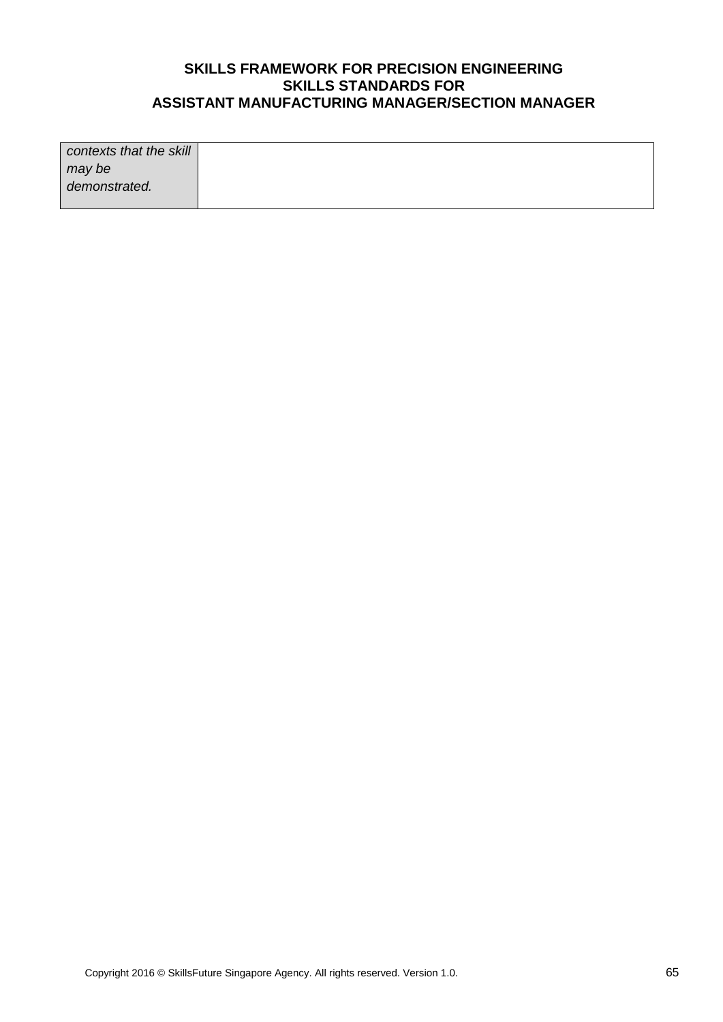| contexts that the skill |  |
|-------------------------|--|
| may be                  |  |
| demonstrated.           |  |
|                         |  |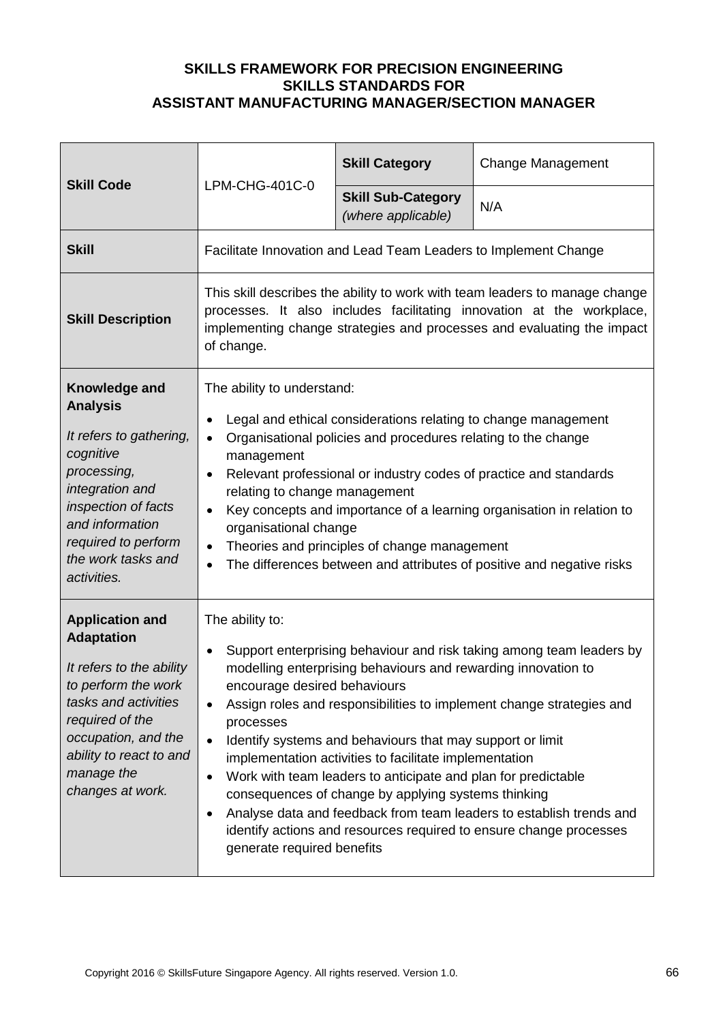| <b>Skill Code</b>                                                                                                                                                                                                             | LPM-CHG-401C-0                                                                                                                                                                                                                                                                                                                                                                                                                                                                                                                                                                                                                                                                                                                                                           | <b>Skill Category</b>                           | <b>Change Management</b> |
|-------------------------------------------------------------------------------------------------------------------------------------------------------------------------------------------------------------------------------|--------------------------------------------------------------------------------------------------------------------------------------------------------------------------------------------------------------------------------------------------------------------------------------------------------------------------------------------------------------------------------------------------------------------------------------------------------------------------------------------------------------------------------------------------------------------------------------------------------------------------------------------------------------------------------------------------------------------------------------------------------------------------|-------------------------------------------------|--------------------------|
|                                                                                                                                                                                                                               |                                                                                                                                                                                                                                                                                                                                                                                                                                                                                                                                                                                                                                                                                                                                                                          | <b>Skill Sub-Category</b><br>(where applicable) | N/A                      |
| <b>Skill</b>                                                                                                                                                                                                                  | Facilitate Innovation and Lead Team Leaders to Implement Change                                                                                                                                                                                                                                                                                                                                                                                                                                                                                                                                                                                                                                                                                                          |                                                 |                          |
| <b>Skill Description</b>                                                                                                                                                                                                      | This skill describes the ability to work with team leaders to manage change<br>processes. It also includes facilitating innovation at the workplace,<br>implementing change strategies and processes and evaluating the impact<br>of change.                                                                                                                                                                                                                                                                                                                                                                                                                                                                                                                             |                                                 |                          |
| Knowledge and<br><b>Analysis</b><br>It refers to gathering,<br>cognitive<br>processing,<br>integration and<br>inspection of facts<br>and information<br>required to perform<br>the work tasks and<br>activities.              | The ability to understand:<br>Legal and ethical considerations relating to change management<br>$\bullet$<br>Organisational policies and procedures relating to the change<br>$\bullet$<br>management<br>Relevant professional or industry codes of practice and standards<br>$\bullet$<br>relating to change management<br>Key concepts and importance of a learning organisation in relation to<br>$\bullet$<br>organisational change<br>Theories and principles of change management<br>٠<br>The differences between and attributes of positive and negative risks<br>$\bullet$                                                                                                                                                                                       |                                                 |                          |
| <b>Application and</b><br><b>Adaptation</b><br>It refers to the ability<br>to perform the work<br>tasks and activities<br>required of the<br>occupation, and the<br>ability to react to and<br>manage the<br>changes at work. | The ability to:<br>Support enterprising behaviour and risk taking among team leaders by<br>$\bullet$<br>modelling enterprising behaviours and rewarding innovation to<br>encourage desired behaviours<br>Assign roles and responsibilities to implement change strategies and<br>$\bullet$<br>processes<br>Identify systems and behaviours that may support or limit<br>$\bullet$<br>implementation activities to facilitate implementation<br>Work with team leaders to anticipate and plan for predictable<br>$\bullet$<br>consequences of change by applying systems thinking<br>Analyse data and feedback from team leaders to establish trends and<br>$\bullet$<br>identify actions and resources required to ensure change processes<br>generate required benefits |                                                 |                          |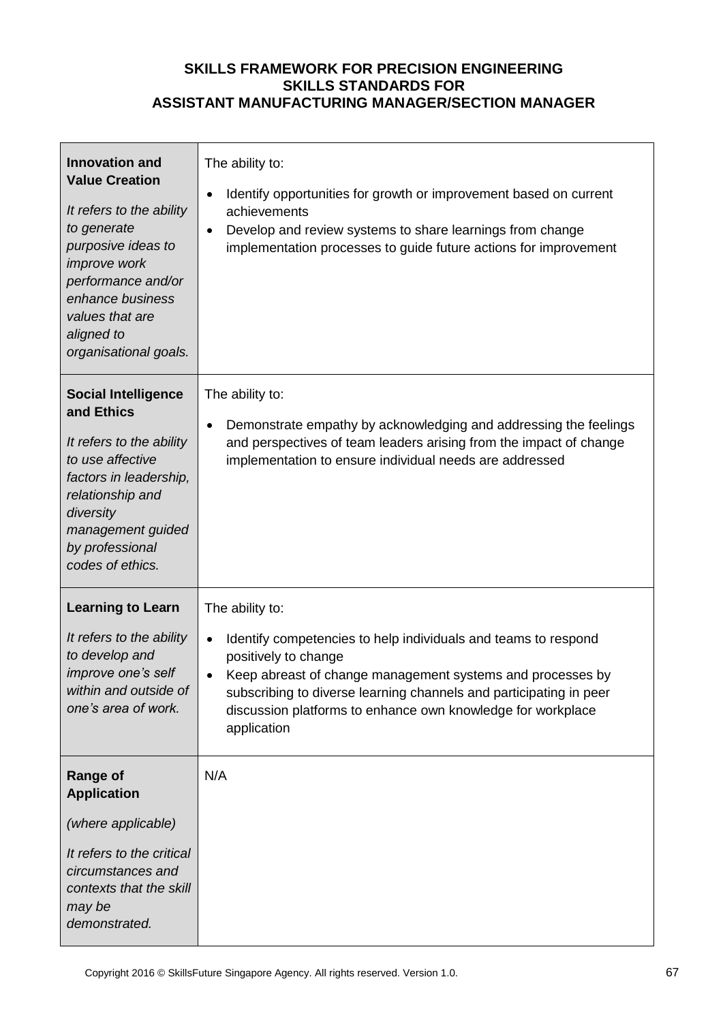| <b>Innovation and</b><br><b>Value Creation</b><br>It refers to the ability<br>to generate<br>purposive ideas to<br>improve work<br>performance and/or<br>enhance business<br>values that are<br>aligned to<br>organisational goals. | The ability to:<br>Identify opportunities for growth or improvement based on current<br>achievements<br>Develop and review systems to share learnings from change<br>implementation processes to guide future actions for improvement                                                                                                    |
|-------------------------------------------------------------------------------------------------------------------------------------------------------------------------------------------------------------------------------------|------------------------------------------------------------------------------------------------------------------------------------------------------------------------------------------------------------------------------------------------------------------------------------------------------------------------------------------|
| <b>Social Intelligence</b><br>and Ethics<br>It refers to the ability<br>to use affective<br>factors in leadership,<br>relationship and<br>diversity<br>management guided<br>by professional<br>codes of ethics.                     | The ability to:<br>Demonstrate empathy by acknowledging and addressing the feelings<br>and perspectives of team leaders arising from the impact of change<br>implementation to ensure individual needs are addressed                                                                                                                     |
| <b>Learning to Learn</b><br>It refers to the ability<br>to develop and<br>improve one's self<br>within and outside of<br>one's area of work.                                                                                        | The ability to:<br>Identify competencies to help individuals and teams to respond<br>positively to change<br>Keep abreast of change management systems and processes by<br>$\bullet$<br>subscribing to diverse learning channels and participating in peer<br>discussion platforms to enhance own knowledge for workplace<br>application |
| <b>Range of</b><br><b>Application</b><br>(where applicable)<br>It refers to the critical<br>circumstances and<br>contexts that the skill<br>may be<br>demonstrated.                                                                 | N/A                                                                                                                                                                                                                                                                                                                                      |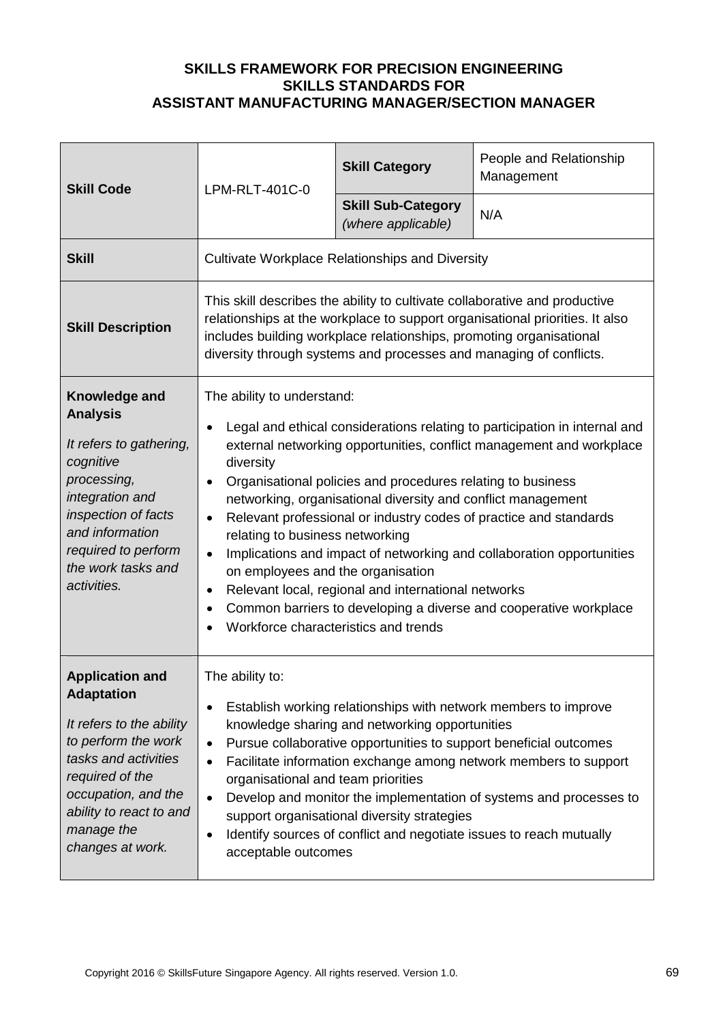| <b>Skill Code</b>                                                                                                                                                                                                             | LPM-RLT-401C-0                                                                                                                                                                                                                                                                                          | <b>Skill Category</b>                                                                                                                                                              | People and Relationship<br>Management                                                                                                                                                                                                                                                                                                                                 |
|-------------------------------------------------------------------------------------------------------------------------------------------------------------------------------------------------------------------------------|---------------------------------------------------------------------------------------------------------------------------------------------------------------------------------------------------------------------------------------------------------------------------------------------------------|------------------------------------------------------------------------------------------------------------------------------------------------------------------------------------|-----------------------------------------------------------------------------------------------------------------------------------------------------------------------------------------------------------------------------------------------------------------------------------------------------------------------------------------------------------------------|
|                                                                                                                                                                                                                               |                                                                                                                                                                                                                                                                                                         | <b>Skill Sub-Category</b><br>(where applicable)                                                                                                                                    | N/A                                                                                                                                                                                                                                                                                                                                                                   |
| <b>Skill</b>                                                                                                                                                                                                                  | <b>Cultivate Workplace Relationships and Diversity</b>                                                                                                                                                                                                                                                  |                                                                                                                                                                                    |                                                                                                                                                                                                                                                                                                                                                                       |
| <b>Skill Description</b>                                                                                                                                                                                                      | This skill describes the ability to cultivate collaborative and productive<br>relationships at the workplace to support organisational priorities. It also<br>includes building workplace relationships, promoting organisational<br>diversity through systems and processes and managing of conflicts. |                                                                                                                                                                                    |                                                                                                                                                                                                                                                                                                                                                                       |
| Knowledge and<br><b>Analysis</b><br>It refers to gathering,<br>cognitive<br>processing,<br>integration and<br>inspection of facts<br>and information<br>required to perform<br>the work tasks and<br>activities.              | The ability to understand:<br>diversity<br>$\bullet$<br>relating to business networking<br>on employees and the organisation<br>$\bullet$<br>Workforce characteristics and trends                                                                                                                       | Organisational policies and procedures relating to business<br>networking, organisational diversity and conflict management<br>Relevant local, regional and international networks | Legal and ethical considerations relating to participation in internal and<br>external networking opportunities, conflict management and workplace<br>Relevant professional or industry codes of practice and standards<br>Implications and impact of networking and collaboration opportunities<br>Common barriers to developing a diverse and cooperative workplace |
| <b>Application and</b><br><b>Adaptation</b><br>It refers to the ability<br>to perform the work<br>tasks and activities<br>required of the<br>occupation, and the<br>ability to react to and<br>manage the<br>changes at work. | The ability to:<br>٠<br>$\bullet$<br>$\bullet$<br>organisational and team priorities<br>$\bullet$<br>$\bullet$<br>acceptable outcomes                                                                                                                                                                   | knowledge sharing and networking opportunities<br>support organisational diversity strategies                                                                                      | Establish working relationships with network members to improve<br>Pursue collaborative opportunities to support beneficial outcomes<br>Facilitate information exchange among network members to support<br>Develop and monitor the implementation of systems and processes to<br>Identify sources of conflict and negotiate issues to reach mutually                 |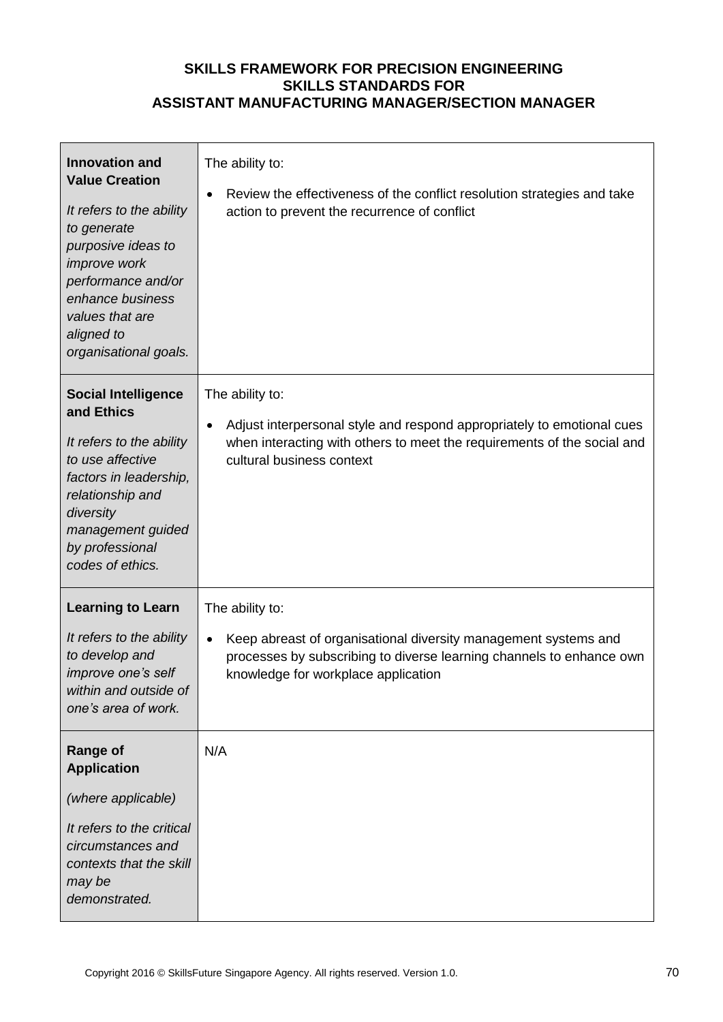| <b>Innovation and</b><br><b>Value Creation</b><br>It refers to the ability<br>to generate<br>purposive ideas to<br>improve work<br>performance and/or<br>enhance business<br>values that are<br>aligned to<br>organisational goals. | The ability to:<br>Review the effectiveness of the conflict resolution strategies and take<br>action to prevent the recurrence of conflict                                                                     |
|-------------------------------------------------------------------------------------------------------------------------------------------------------------------------------------------------------------------------------------|----------------------------------------------------------------------------------------------------------------------------------------------------------------------------------------------------------------|
| <b>Social Intelligence</b><br>and Ethics<br>It refers to the ability<br>to use affective<br>factors in leadership,<br>relationship and<br>diversity<br>management guided<br>by professional<br>codes of ethics.                     | The ability to:<br>Adjust interpersonal style and respond appropriately to emotional cues<br>when interacting with others to meet the requirements of the social and<br>cultural business context              |
| <b>Learning to Learn</b><br>It refers to the ability<br>to develop and<br>improve one's self<br>within and outside of<br>one's area of work.                                                                                        | The ability to:<br>Keep abreast of organisational diversity management systems and<br>$\bullet$<br>processes by subscribing to diverse learning channels to enhance own<br>knowledge for workplace application |
| <b>Range of</b><br><b>Application</b><br>(where applicable)<br>It refers to the critical<br>circumstances and<br>contexts that the skill<br>may be<br>demonstrated.                                                                 | N/A                                                                                                                                                                                                            |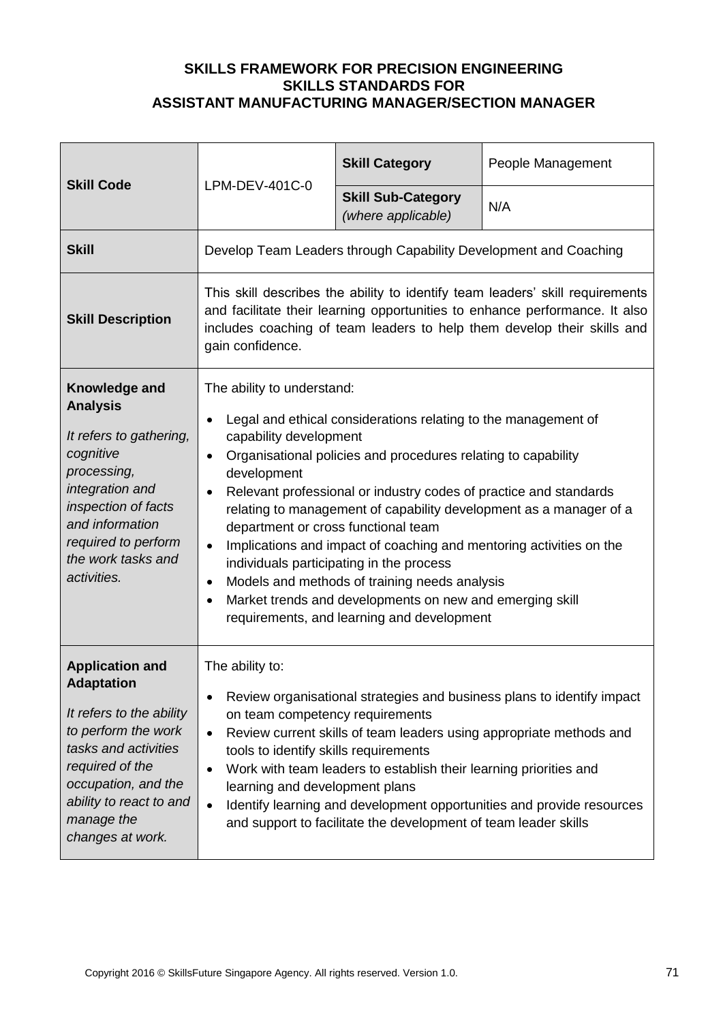| <b>Skill Code</b>                                                                                                                                                                                                             | LPM-DEV-401C-0                                                                                                                                                                           | <b>Skill Category</b>                                                                                                                                                                                                                                                                                                                                                                                                                                                              | People Management                                                                                                                                                                                                                       |
|-------------------------------------------------------------------------------------------------------------------------------------------------------------------------------------------------------------------------------|------------------------------------------------------------------------------------------------------------------------------------------------------------------------------------------|------------------------------------------------------------------------------------------------------------------------------------------------------------------------------------------------------------------------------------------------------------------------------------------------------------------------------------------------------------------------------------------------------------------------------------------------------------------------------------|-----------------------------------------------------------------------------------------------------------------------------------------------------------------------------------------------------------------------------------------|
|                                                                                                                                                                                                                               |                                                                                                                                                                                          | <b>Skill Sub-Category</b><br>(where applicable)                                                                                                                                                                                                                                                                                                                                                                                                                                    | N/A                                                                                                                                                                                                                                     |
| <b>Skill</b>                                                                                                                                                                                                                  | Develop Team Leaders through Capability Development and Coaching                                                                                                                         |                                                                                                                                                                                                                                                                                                                                                                                                                                                                                    |                                                                                                                                                                                                                                         |
| <b>Skill Description</b>                                                                                                                                                                                                      | gain confidence.                                                                                                                                                                         |                                                                                                                                                                                                                                                                                                                                                                                                                                                                                    | This skill describes the ability to identify team leaders' skill requirements<br>and facilitate their learning opportunities to enhance performance. It also<br>includes coaching of team leaders to help them develop their skills and |
| Knowledge and<br><b>Analysis</b><br>It refers to gathering,<br>cognitive<br>processing,<br>integration and<br>inspection of facts<br>and information<br>required to perform<br>the work tasks and<br>activities.              | The ability to understand:<br>$\bullet$<br>capability development<br>$\bullet$<br>development<br>$\bullet$<br>department or cross functional team<br>$\bullet$<br>$\bullet$<br>$\bullet$ | Legal and ethical considerations relating to the management of<br>Organisational policies and procedures relating to capability<br>Relevant professional or industry codes of practice and standards<br>Implications and impact of coaching and mentoring activities on the<br>individuals participating in the process<br>Models and methods of training needs analysis<br>Market trends and developments on new and emerging skill<br>requirements, and learning and development | relating to management of capability development as a manager of a                                                                                                                                                                      |
| <b>Application and</b><br><b>Adaptation</b><br>It refers to the ability<br>to perform the work<br>tasks and activities<br>required of the<br>occupation, and the<br>ability to react to and<br>manage the<br>changes at work. | The ability to:<br>$\bullet$<br>on team competency requirements<br>$\bullet$<br>tools to identify skills requirements<br>$\bullet$<br>learning and development plans<br>$\bullet$        | Work with team leaders to establish their learning priorities and<br>and support to facilitate the development of team leader skills                                                                                                                                                                                                                                                                                                                                               | Review organisational strategies and business plans to identify impact<br>Review current skills of team leaders using appropriate methods and<br>Identify learning and development opportunities and provide resources                  |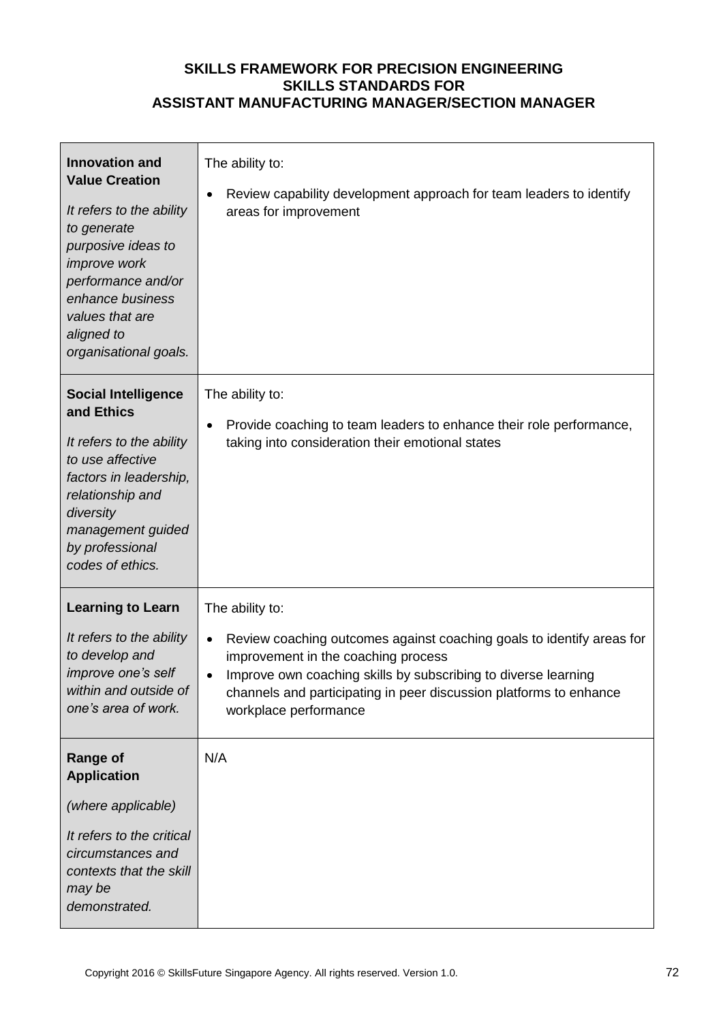| <b>Innovation and</b><br><b>Value Creation</b><br>It refers to the ability<br>to generate<br>purposive ideas to<br>improve work<br>performance and/or<br>enhance business<br>values that are<br>aligned to<br>organisational goals. | The ability to:<br>Review capability development approach for team leaders to identify<br>areas for improvement                                                                                                                                                                                               |
|-------------------------------------------------------------------------------------------------------------------------------------------------------------------------------------------------------------------------------------|---------------------------------------------------------------------------------------------------------------------------------------------------------------------------------------------------------------------------------------------------------------------------------------------------------------|
| <b>Social Intelligence</b><br>and Ethics<br>It refers to the ability<br>to use affective<br>factors in leadership,<br>relationship and<br>diversity<br>management guided<br>by professional<br>codes of ethics.                     | The ability to:<br>Provide coaching to team leaders to enhance their role performance,<br>taking into consideration their emotional states                                                                                                                                                                    |
| <b>Learning to Learn</b><br>It refers to the ability<br>to develop and<br>improve one's self<br>within and outside of<br>one's area of work.                                                                                        | The ability to:<br>Review coaching outcomes against coaching goals to identify areas for<br>$\bullet$<br>improvement in the coaching process<br>Improve own coaching skills by subscribing to diverse learning<br>channels and participating in peer discussion platforms to enhance<br>workplace performance |
| <b>Range of</b><br><b>Application</b><br>(where applicable)<br>It refers to the critical<br>circumstances and<br>contexts that the skill<br>may be<br>demonstrated.                                                                 | N/A                                                                                                                                                                                                                                                                                                           |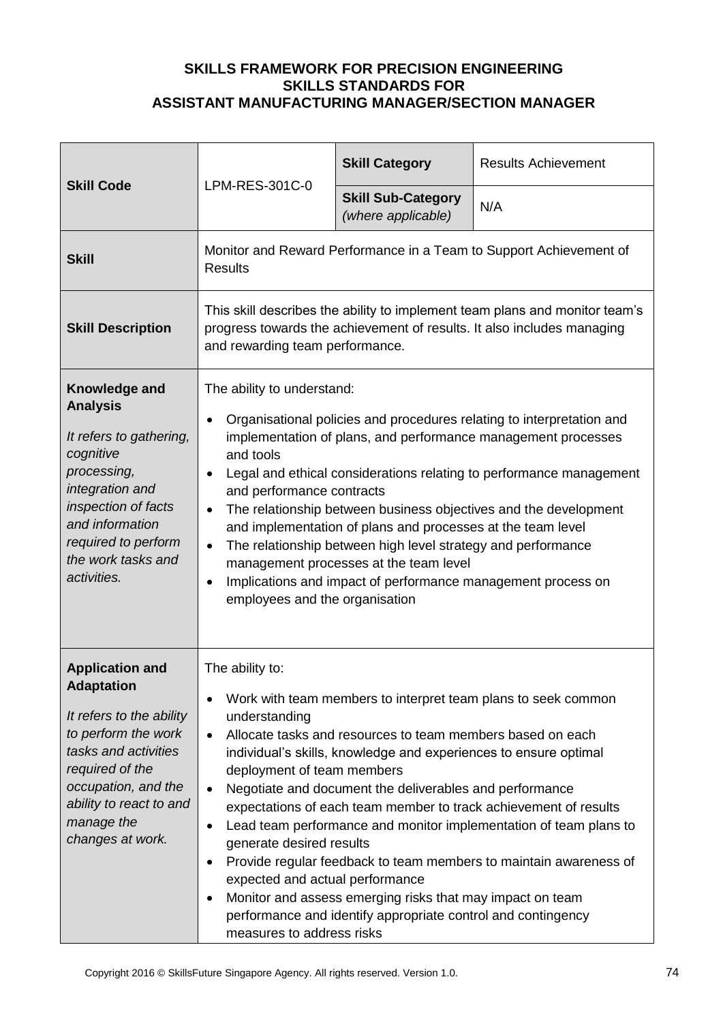| <b>Skill Code</b>                                                                                                                                                                                                             | LPM-RES-301C-0                                                                                                                                                                                                                                                                                                                                                                                                                                                                                                                                                                                                                                                                                                                                                                                                                            | <b>Skill Category</b>                           | <b>Results Achievement</b> |
|-------------------------------------------------------------------------------------------------------------------------------------------------------------------------------------------------------------------------------|-------------------------------------------------------------------------------------------------------------------------------------------------------------------------------------------------------------------------------------------------------------------------------------------------------------------------------------------------------------------------------------------------------------------------------------------------------------------------------------------------------------------------------------------------------------------------------------------------------------------------------------------------------------------------------------------------------------------------------------------------------------------------------------------------------------------------------------------|-------------------------------------------------|----------------------------|
|                                                                                                                                                                                                                               |                                                                                                                                                                                                                                                                                                                                                                                                                                                                                                                                                                                                                                                                                                                                                                                                                                           | <b>Skill Sub-Category</b><br>(where applicable) | N/A                        |
| <b>Skill</b>                                                                                                                                                                                                                  | Monitor and Reward Performance in a Team to Support Achievement of<br><b>Results</b>                                                                                                                                                                                                                                                                                                                                                                                                                                                                                                                                                                                                                                                                                                                                                      |                                                 |                            |
| <b>Skill Description</b>                                                                                                                                                                                                      | This skill describes the ability to implement team plans and monitor team's<br>progress towards the achievement of results. It also includes managing<br>and rewarding team performance.                                                                                                                                                                                                                                                                                                                                                                                                                                                                                                                                                                                                                                                  |                                                 |                            |
| Knowledge and<br><b>Analysis</b><br>It refers to gathering,<br>cognitive<br>processing,<br>integration and<br>inspection of facts<br>and information<br>required to perform<br>the work tasks and<br>activities.              | The ability to understand:<br>Organisational policies and procedures relating to interpretation and<br>$\bullet$<br>implementation of plans, and performance management processes<br>and tools<br>Legal and ethical considerations relating to performance management<br>$\bullet$<br>and performance contracts<br>The relationship between business objectives and the development<br>$\bullet$<br>and implementation of plans and processes at the team level<br>The relationship between high level strategy and performance<br>$\bullet$<br>management processes at the team level<br>Implications and impact of performance management process on<br>$\bullet$<br>employees and the organisation                                                                                                                                     |                                                 |                            |
| <b>Application and</b><br><b>Adaptation</b><br>It refers to the ability<br>to perform the work<br>tasks and activities<br>required of the<br>occupation, and the<br>ability to react to and<br>manage the<br>changes at work. | The ability to:<br>Work with team members to interpret team plans to seek common<br>٠<br>understanding<br>Allocate tasks and resources to team members based on each<br>$\bullet$<br>individual's skills, knowledge and experiences to ensure optimal<br>deployment of team members<br>Negotiate and document the deliverables and performance<br>$\bullet$<br>expectations of each team member to track achievement of results<br>Lead team performance and monitor implementation of team plans to<br>$\bullet$<br>generate desired results<br>Provide regular feedback to team members to maintain awareness of<br>$\bullet$<br>expected and actual performance<br>Monitor and assess emerging risks that may impact on team<br>$\bullet$<br>performance and identify appropriate control and contingency<br>measures to address risks |                                                 |                            |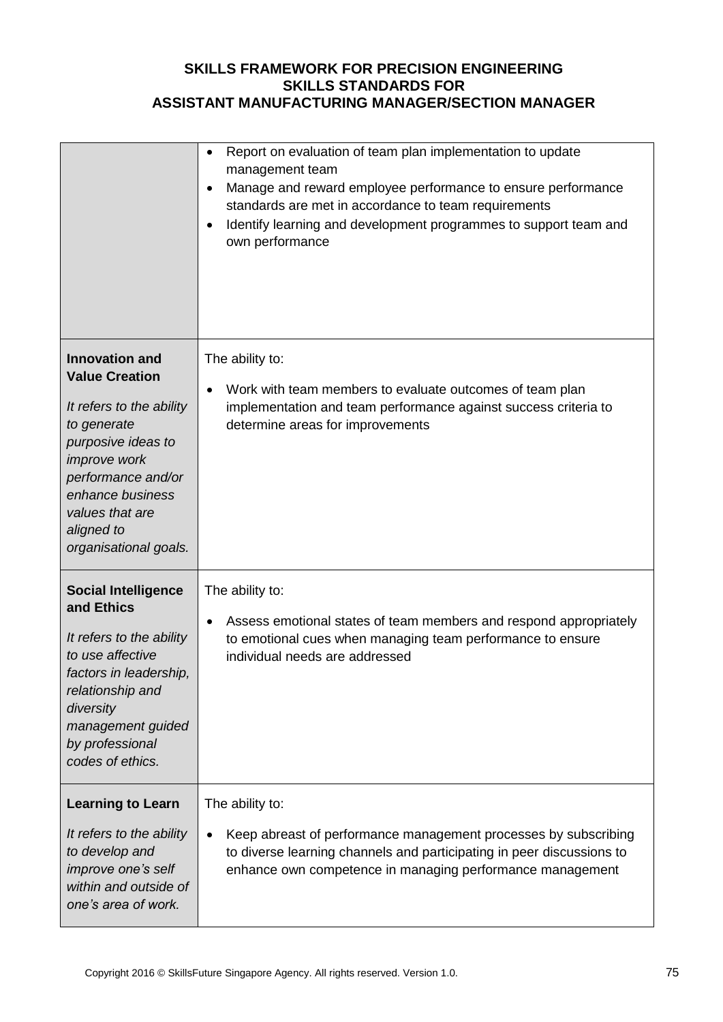|                                                                                                                                                                                                                                     | Report on evaluation of team plan implementation to update<br>management team<br>Manage and reward employee performance to ensure performance<br>standards are met in accordance to team requirements<br>Identify learning and development programmes to support team and<br>own performance |
|-------------------------------------------------------------------------------------------------------------------------------------------------------------------------------------------------------------------------------------|----------------------------------------------------------------------------------------------------------------------------------------------------------------------------------------------------------------------------------------------------------------------------------------------|
| <b>Innovation and</b><br><b>Value Creation</b><br>It refers to the ability<br>to generate<br>purposive ideas to<br>improve work<br>performance and/or<br>enhance business<br>values that are<br>aligned to<br>organisational goals. | The ability to:<br>Work with team members to evaluate outcomes of team plan<br>implementation and team performance against success criteria to<br>determine areas for improvements                                                                                                           |
| <b>Social Intelligence</b><br>and Ethics<br>It refers to the ability<br>to use affective<br>factors in leadership,<br>relationship and<br>diversity<br>management guided<br>by professional<br>codes of ethics.                     | The ability to:<br>Assess emotional states of team members and respond appropriately<br>$\bullet$<br>to emotional cues when managing team performance to ensure<br>individual needs are addressed                                                                                            |
| <b>Learning to Learn</b><br>It refers to the ability<br>to develop and<br>improve one's self<br>within and outside of<br>one's area of work.                                                                                        | The ability to:<br>Keep abreast of performance management processes by subscribing<br>to diverse learning channels and participating in peer discussions to<br>enhance own competence in managing performance management                                                                     |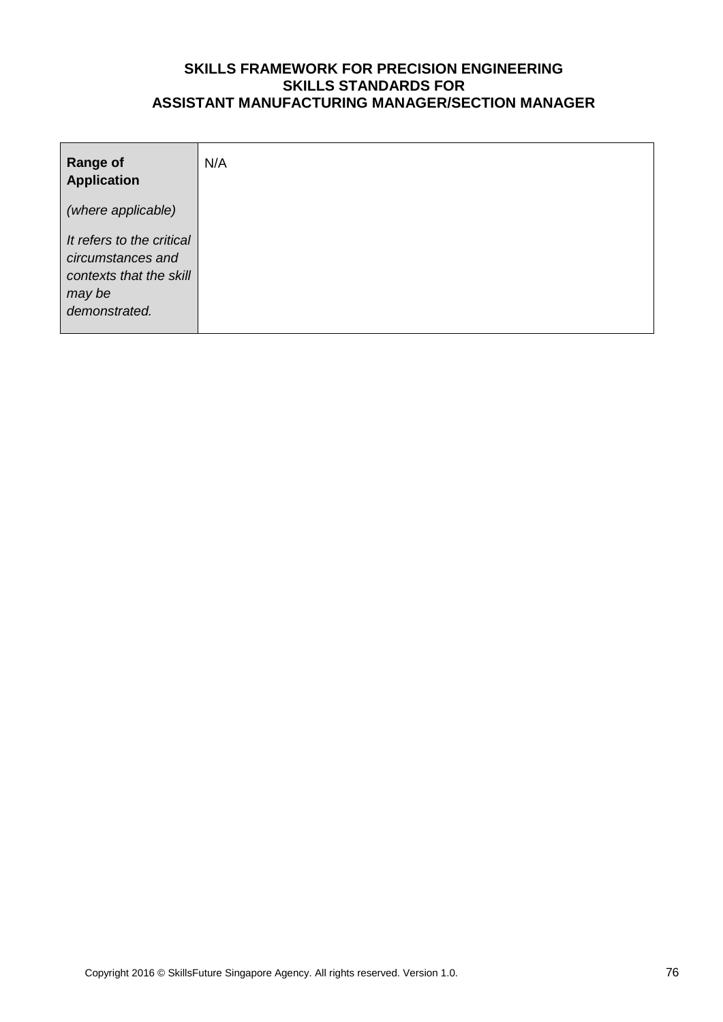| <b>Range of</b><br><b>Application</b>                                                                | N/A |
|------------------------------------------------------------------------------------------------------|-----|
| (where applicable)                                                                                   |     |
| It refers to the critical<br>circumstances and<br>contexts that the skill<br>may be<br>demonstrated. |     |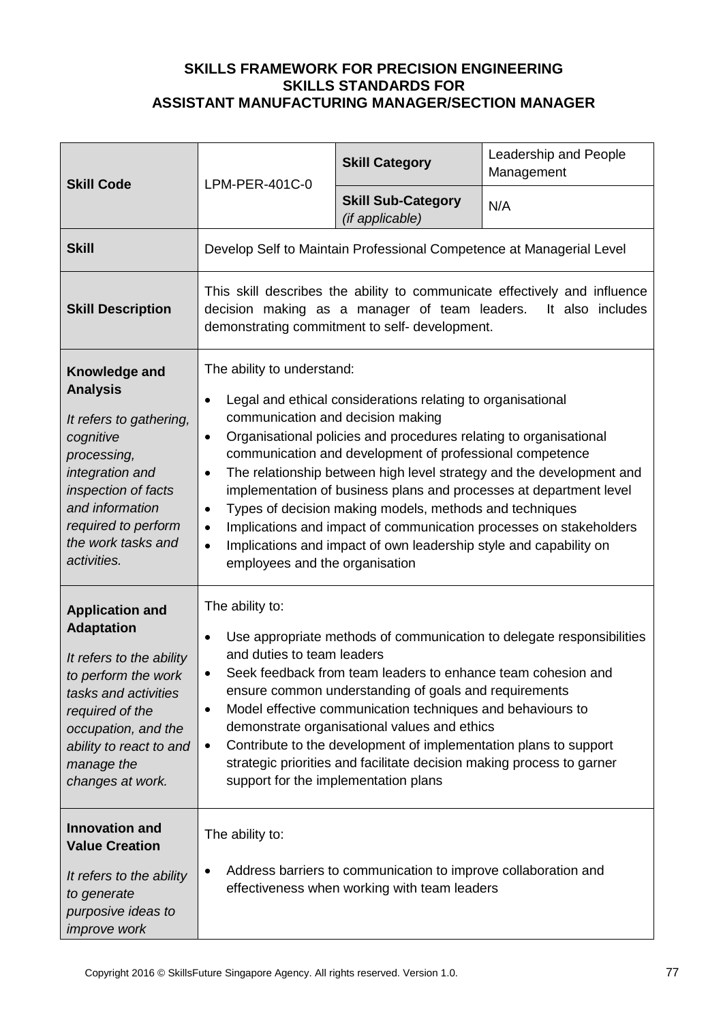| LPM-PER-401C-0<br><b>Skill Code</b>                                                                                                                                                                                           |                                                                                                                                                                                                                                                                                                                                                                                                                                                                                                                                                                                                                                                                                                                                     | <b>Skill Category</b> | Leadership and People<br>Management |
|-------------------------------------------------------------------------------------------------------------------------------------------------------------------------------------------------------------------------------|-------------------------------------------------------------------------------------------------------------------------------------------------------------------------------------------------------------------------------------------------------------------------------------------------------------------------------------------------------------------------------------------------------------------------------------------------------------------------------------------------------------------------------------------------------------------------------------------------------------------------------------------------------------------------------------------------------------------------------------|-----------------------|-------------------------------------|
|                                                                                                                                                                                                                               | <b>Skill Sub-Category</b><br>(if applicable)                                                                                                                                                                                                                                                                                                                                                                                                                                                                                                                                                                                                                                                                                        | N/A                   |                                     |
| <b>Skill</b>                                                                                                                                                                                                                  | Develop Self to Maintain Professional Competence at Managerial Level                                                                                                                                                                                                                                                                                                                                                                                                                                                                                                                                                                                                                                                                |                       |                                     |
| <b>Skill Description</b>                                                                                                                                                                                                      | This skill describes the ability to communicate effectively and influence<br>decision making as a manager of team leaders.<br>It also includes<br>demonstrating commitment to self- development.                                                                                                                                                                                                                                                                                                                                                                                                                                                                                                                                    |                       |                                     |
| Knowledge and<br><b>Analysis</b><br>It refers to gathering,<br>cognitive<br>processing,<br>integration and<br>inspection of facts<br>and information<br>required to perform<br>the work tasks and<br>activities.              | The ability to understand:<br>Legal and ethical considerations relating to organisational<br>$\bullet$<br>communication and decision making<br>Organisational policies and procedures relating to organisational<br>$\bullet$<br>communication and development of professional competence<br>The relationship between high level strategy and the development and<br>$\bullet$<br>implementation of business plans and processes at department level<br>Types of decision making models, methods and techniques<br>$\bullet$<br>Implications and impact of communication processes on stakeholders<br>$\bullet$<br>Implications and impact of own leadership style and capability on<br>$\bullet$<br>employees and the organisation |                       |                                     |
| <b>Application and</b><br><b>Adaptation</b><br>It refers to the ability<br>to perform the work<br>tasks and activities<br>required of the<br>occupation, and the<br>ability to react to and<br>manage the<br>changes at work. | The ability to:<br>Use appropriate methods of communication to delegate responsibilities<br>٠<br>and duties to team leaders<br>Seek feedback from team leaders to enhance team cohesion and<br>٠<br>ensure common understanding of goals and requirements<br>Model effective communication techniques and behaviours to<br>٠<br>demonstrate organisational values and ethics<br>Contribute to the development of implementation plans to support<br>$\bullet$<br>strategic priorities and facilitate decision making process to garner<br>support for the implementation plans                                                                                                                                                      |                       |                                     |
| <b>Innovation and</b><br><b>Value Creation</b><br>It refers to the ability<br>to generate<br>purposive ideas to<br><i>improve</i> work                                                                                        | The ability to:<br>Address barriers to communication to improve collaboration and<br>effectiveness when working with team leaders                                                                                                                                                                                                                                                                                                                                                                                                                                                                                                                                                                                                   |                       |                                     |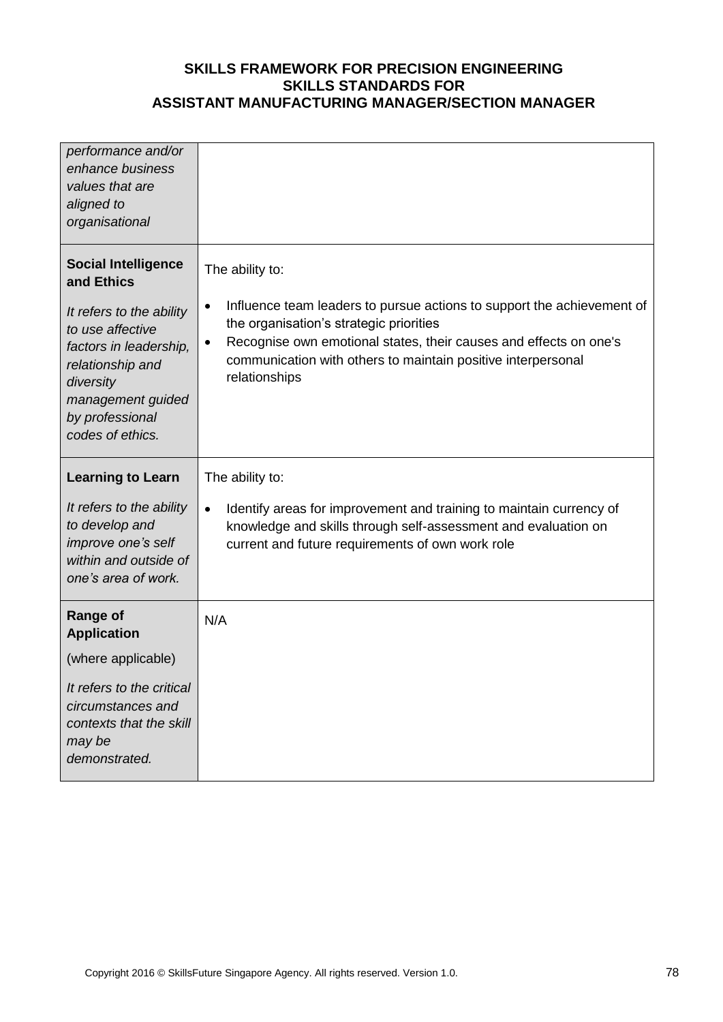| performance and/or<br>enhance business<br>values that are<br>aligned to<br>organisational                                                                                                                       |                                                                                                                                                                                                                                                                                                                      |
|-----------------------------------------------------------------------------------------------------------------------------------------------------------------------------------------------------------------|----------------------------------------------------------------------------------------------------------------------------------------------------------------------------------------------------------------------------------------------------------------------------------------------------------------------|
| <b>Social Intelligence</b><br>and Ethics<br>It refers to the ability<br>to use affective<br>factors in leadership,<br>relationship and<br>diversity<br>management guided<br>by professional<br>codes of ethics. | The ability to:<br>Influence team leaders to pursue actions to support the achievement of<br>$\bullet$<br>the organisation's strategic priorities<br>Recognise own emotional states, their causes and effects on one's<br>$\bullet$<br>communication with others to maintain positive interpersonal<br>relationships |
| <b>Learning to Learn</b><br>It refers to the ability<br>to develop and                                                                                                                                          | The ability to:<br>Identify areas for improvement and training to maintain currency of<br>$\bullet$<br>knowledge and skills through self-assessment and evaluation on                                                                                                                                                |
| improve one's self<br>within and outside of<br>one's area of work.                                                                                                                                              | current and future requirements of own work role                                                                                                                                                                                                                                                                     |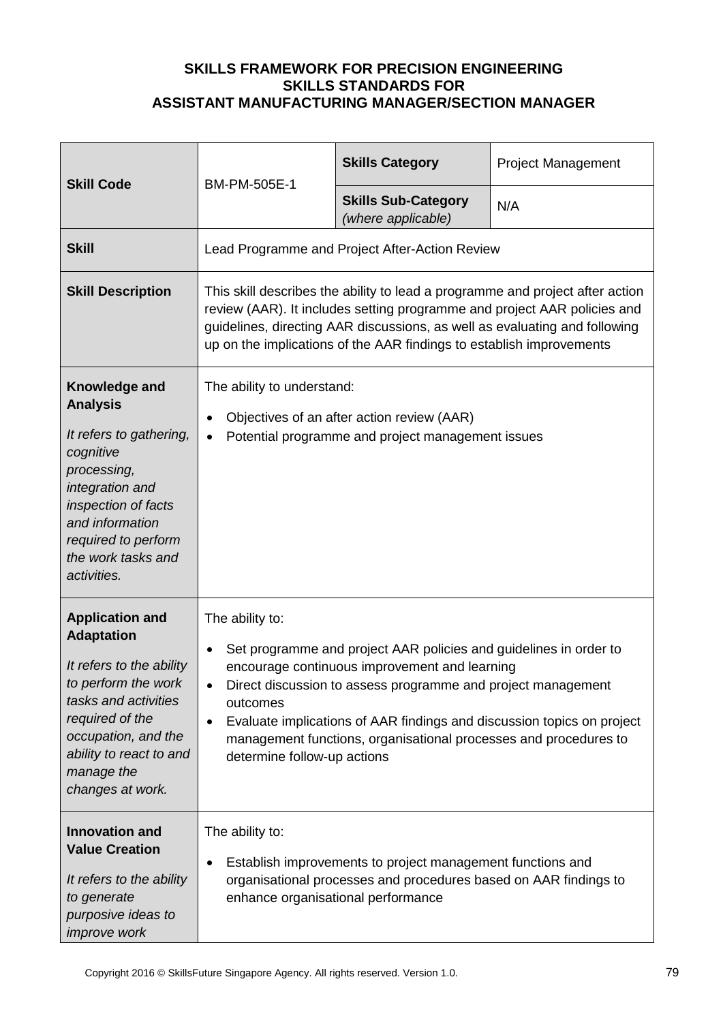|                                                                                                                                                                                                                               | <b>Skill Code</b><br>BM-PM-505E-1                                                                                                                                                                                                                                                                                                                                                                                        | <b>Skills Category</b>                           | <b>Project Management</b> |
|-------------------------------------------------------------------------------------------------------------------------------------------------------------------------------------------------------------------------------|--------------------------------------------------------------------------------------------------------------------------------------------------------------------------------------------------------------------------------------------------------------------------------------------------------------------------------------------------------------------------------------------------------------------------|--------------------------------------------------|---------------------------|
|                                                                                                                                                                                                                               |                                                                                                                                                                                                                                                                                                                                                                                                                          | <b>Skills Sub-Category</b><br>(where applicable) | N/A                       |
| <b>Skill</b>                                                                                                                                                                                                                  | Lead Programme and Project After-Action Review                                                                                                                                                                                                                                                                                                                                                                           |                                                  |                           |
| <b>Skill Description</b>                                                                                                                                                                                                      | This skill describes the ability to lead a programme and project after action<br>review (AAR). It includes setting programme and project AAR policies and<br>guidelines, directing AAR discussions, as well as evaluating and following<br>up on the implications of the AAR findings to establish improvements                                                                                                          |                                                  |                           |
| Knowledge and<br><b>Analysis</b><br>It refers to gathering,<br>cognitive<br>processing,<br>integration and<br>inspection of facts<br>and information<br>required to perform<br>the work tasks and<br>activities.              | The ability to understand:<br>Objectives of an after action review (AAR)<br>$\bullet$<br>Potential programme and project management issues<br>$\bullet$                                                                                                                                                                                                                                                                  |                                                  |                           |
| <b>Application and</b><br><b>Adaptation</b><br>It refers to the ability<br>to perform the work<br>tasks and activities<br>required of the<br>occupation, and the<br>ability to react to and<br>manage the<br>changes at work. | The ability to:<br>Set programme and project AAR policies and guidelines in order to<br>$\bullet$<br>encourage continuous improvement and learning<br>Direct discussion to assess programme and project management<br>outcomes<br>Evaluate implications of AAR findings and discussion topics on project<br>$\bullet$<br>management functions, organisational processes and procedures to<br>determine follow-up actions |                                                  |                           |
| <b>Innovation and</b><br><b>Value Creation</b><br>It refers to the ability<br>to generate<br>purposive ideas to<br>improve work                                                                                               | The ability to:<br>Establish improvements to project management functions and<br>$\bullet$<br>organisational processes and procedures based on AAR findings to<br>enhance organisational performance                                                                                                                                                                                                                     |                                                  |                           |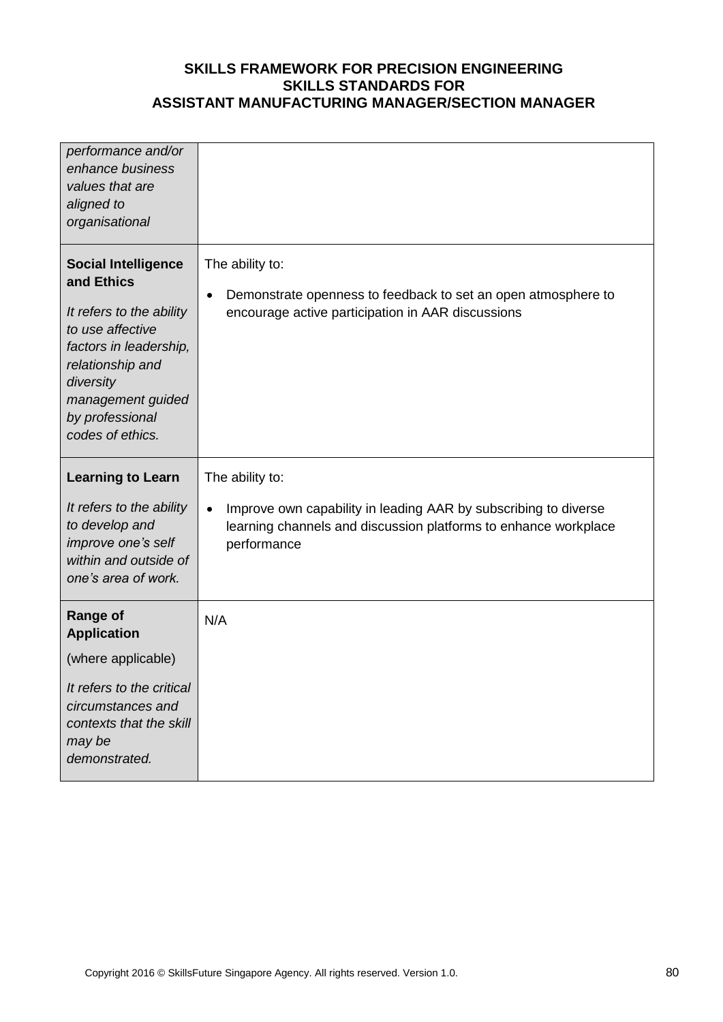| performance and/or<br>enhance business<br>values that are<br>aligned to<br>organisational                                                                                                                       |                                                                                                                                                                                   |
|-----------------------------------------------------------------------------------------------------------------------------------------------------------------------------------------------------------------|-----------------------------------------------------------------------------------------------------------------------------------------------------------------------------------|
| <b>Social Intelligence</b><br>and Ethics<br>It refers to the ability<br>to use affective<br>factors in leadership,<br>relationship and<br>diversity<br>management guided<br>by professional<br>codes of ethics. | The ability to:<br>Demonstrate openness to feedback to set an open atmosphere to<br>$\bullet$<br>encourage active participation in AAR discussions                                |
| <b>Learning to Learn</b><br>It refers to the ability<br>to develop and<br>improve one's self<br>within and outside of<br>one's area of work.                                                                    | The ability to:<br>Improve own capability in leading AAR by subscribing to diverse<br>$\bullet$<br>learning channels and discussion platforms to enhance workplace<br>performance |
| <b>Range of</b><br><b>Application</b><br>(where applicable)<br>It refers to the critical<br>circumstances and<br>contexts that the skill<br>may be<br>demonstrated.                                             | N/A                                                                                                                                                                               |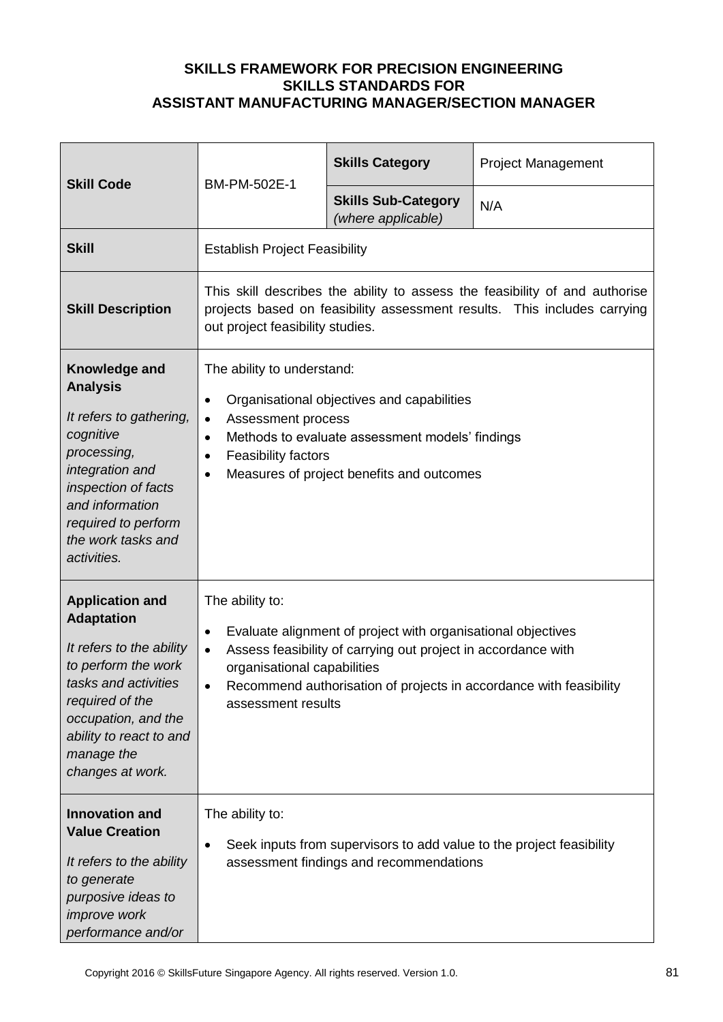| <b>Skill Code</b>                                                                                                                                                                                                             | BM-PM-502E-1                                                                                                                                                                                                                                                                                          | <b>Skills Category</b>                           | <b>Project Management</b> |
|-------------------------------------------------------------------------------------------------------------------------------------------------------------------------------------------------------------------------------|-------------------------------------------------------------------------------------------------------------------------------------------------------------------------------------------------------------------------------------------------------------------------------------------------------|--------------------------------------------------|---------------------------|
|                                                                                                                                                                                                                               |                                                                                                                                                                                                                                                                                                       | <b>Skills Sub-Category</b><br>(where applicable) | N/A                       |
| <b>Skill</b>                                                                                                                                                                                                                  | <b>Establish Project Feasibility</b>                                                                                                                                                                                                                                                                  |                                                  |                           |
| <b>Skill Description</b>                                                                                                                                                                                                      | This skill describes the ability to assess the feasibility of and authorise<br>projects based on feasibility assessment results. This includes carrying<br>out project feasibility studies.                                                                                                           |                                                  |                           |
| Knowledge and<br><b>Analysis</b><br>It refers to gathering,<br>cognitive<br>processing,<br>integration and<br>inspection of facts<br>and information<br>required to perform<br>the work tasks and<br>activities.              | The ability to understand:<br>Organisational objectives and capabilities<br>$\bullet$<br>Assessment process<br>$\bullet$<br>Methods to evaluate assessment models' findings<br>$\bullet$<br><b>Feasibility factors</b><br>$\bullet$<br>Measures of project benefits and outcomes<br>$\bullet$         |                                                  |                           |
| <b>Application and</b><br><b>Adaptation</b><br>It refers to the ability<br>to perform the work<br>tasks and activities<br>required of the<br>occupation, and the<br>ability to react to and<br>manage the<br>changes at work. | The ability to:<br>Evaluate alignment of project with organisational objectives<br>$\bullet$<br>Assess feasibility of carrying out project in accordance with<br>$\bullet$<br>organisational capabilities<br>Recommend authorisation of projects in accordance with feasibility<br>assessment results |                                                  |                           |
| <b>Innovation and</b><br><b>Value Creation</b><br>It refers to the ability<br>to generate<br>purposive ideas to<br><i>improve</i> work<br>performance and/or                                                                  | The ability to:<br>Seek inputs from supervisors to add value to the project feasibility<br>$\bullet$<br>assessment findings and recommendations                                                                                                                                                       |                                                  |                           |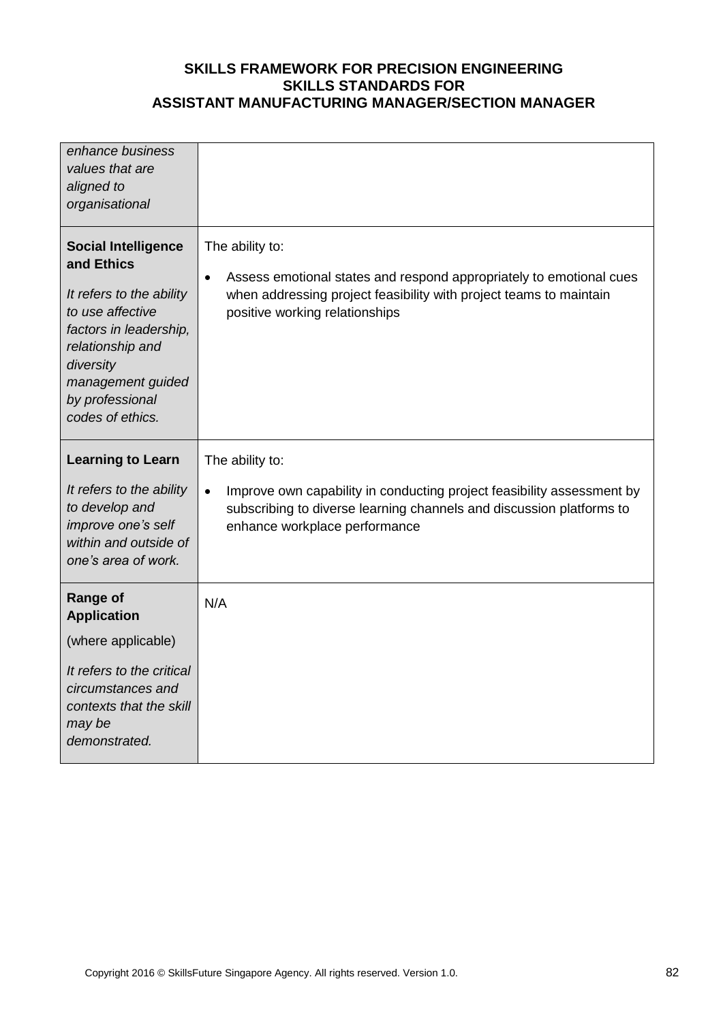| enhance business<br>values that are<br>aligned to<br>organisational                                                                                                                                             |                                                                                                                                                                                                             |
|-----------------------------------------------------------------------------------------------------------------------------------------------------------------------------------------------------------------|-------------------------------------------------------------------------------------------------------------------------------------------------------------------------------------------------------------|
| <b>Social Intelligence</b><br>and Ethics<br>It refers to the ability<br>to use affective<br>factors in leadership,<br>relationship and<br>diversity<br>management guided<br>by professional<br>codes of ethics. | The ability to:<br>Assess emotional states and respond appropriately to emotional cues<br>$\bullet$<br>when addressing project feasibility with project teams to maintain<br>positive working relationships |
| <b>Learning to Learn</b>                                                                                                                                                                                        | The ability to:                                                                                                                                                                                             |
| It refers to the ability<br>to develop and<br>improve one's self<br>within and outside of<br>one's area of work.                                                                                                | Improve own capability in conducting project feasibility assessment by<br>$\bullet$<br>subscribing to diverse learning channels and discussion platforms to<br>enhance workplace performance                |
|                                                                                                                                                                                                                 |                                                                                                                                                                                                             |
| <b>Range of</b><br><b>Application</b>                                                                                                                                                                           | N/A                                                                                                                                                                                                         |
| (where applicable)                                                                                                                                                                                              |                                                                                                                                                                                                             |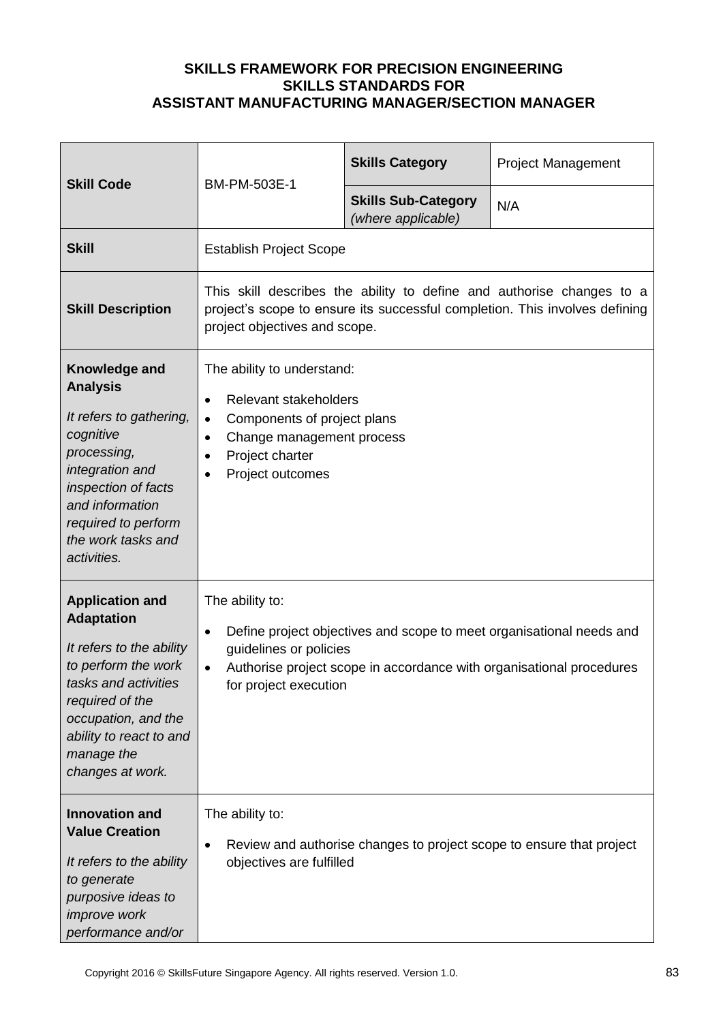| <b>Skill Code</b>                                                                                                                                                                                                             | BM-PM-503E-1                                                                                                                                                                                                                                 | <b>Skills Category</b>                           | <b>Project Management</b> |  |
|-------------------------------------------------------------------------------------------------------------------------------------------------------------------------------------------------------------------------------|----------------------------------------------------------------------------------------------------------------------------------------------------------------------------------------------------------------------------------------------|--------------------------------------------------|---------------------------|--|
|                                                                                                                                                                                                                               |                                                                                                                                                                                                                                              | <b>Skills Sub-Category</b><br>(where applicable) | N/A                       |  |
| <b>Skill</b>                                                                                                                                                                                                                  | <b>Establish Project Scope</b>                                                                                                                                                                                                               |                                                  |                           |  |
| <b>Skill Description</b>                                                                                                                                                                                                      | This skill describes the ability to define and authorise changes to a<br>project's scope to ensure its successful completion. This involves defining<br>project objectives and scope.                                                        |                                                  |                           |  |
| Knowledge and<br><b>Analysis</b><br>It refers to gathering,<br>cognitive<br>processing,<br>integration and<br>inspection of facts<br>and information<br>required to perform<br>the work tasks and<br>activities.              | The ability to understand:<br>Relevant stakeholders<br>$\bullet$<br>Components of project plans<br>$\bullet$<br>Change management process<br>$\bullet$<br>Project charter<br>$\bullet$<br>Project outcomes<br>$\bullet$                      |                                                  |                           |  |
| <b>Application and</b><br><b>Adaptation</b><br>It refers to the ability<br>to perform the work<br>tasks and activities<br>required of the<br>occupation, and the<br>ability to react to and<br>manage the<br>changes at work. | The ability to:<br>Define project objectives and scope to meet organisational needs and<br>$\bullet$<br>guidelines or policies<br>Authorise project scope in accordance with organisational procedures<br>$\bullet$<br>for project execution |                                                  |                           |  |
| <b>Innovation and</b><br><b>Value Creation</b><br>It refers to the ability<br>to generate<br>purposive ideas to<br><i>improve</i> work<br>performance and/or                                                                  | The ability to:<br>Review and authorise changes to project scope to ensure that project<br>$\bullet$<br>objectives are fulfilled                                                                                                             |                                                  |                           |  |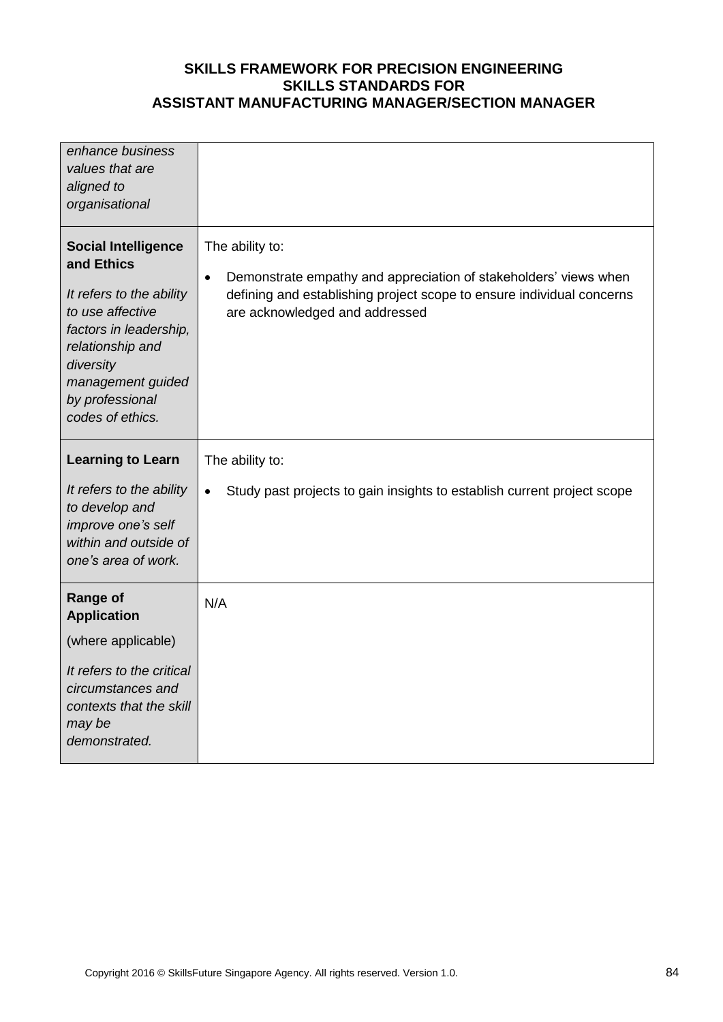| enhance business<br>values that are<br>aligned to<br>organisational                                                                                                                                             |                                                                                                                                                                                                             |
|-----------------------------------------------------------------------------------------------------------------------------------------------------------------------------------------------------------------|-------------------------------------------------------------------------------------------------------------------------------------------------------------------------------------------------------------|
| <b>Social Intelligence</b><br>and Ethics<br>It refers to the ability<br>to use affective<br>factors in leadership,<br>relationship and<br>diversity<br>management guided<br>by professional<br>codes of ethics. | The ability to:<br>Demonstrate empathy and appreciation of stakeholders' views when<br>$\bullet$<br>defining and establishing project scope to ensure individual concerns<br>are acknowledged and addressed |
| <b>Learning to Learn</b>                                                                                                                                                                                        | The ability to:                                                                                                                                                                                             |
| It refers to the ability<br>to develop and<br>improve one's self                                                                                                                                                | Study past projects to gain insights to establish current project scope<br>$\bullet$                                                                                                                        |
| within and outside of<br>one's area of work.                                                                                                                                                                    |                                                                                                                                                                                                             |
| <b>Range of</b><br><b>Application</b>                                                                                                                                                                           | N/A                                                                                                                                                                                                         |
| (where applicable)                                                                                                                                                                                              |                                                                                                                                                                                                             |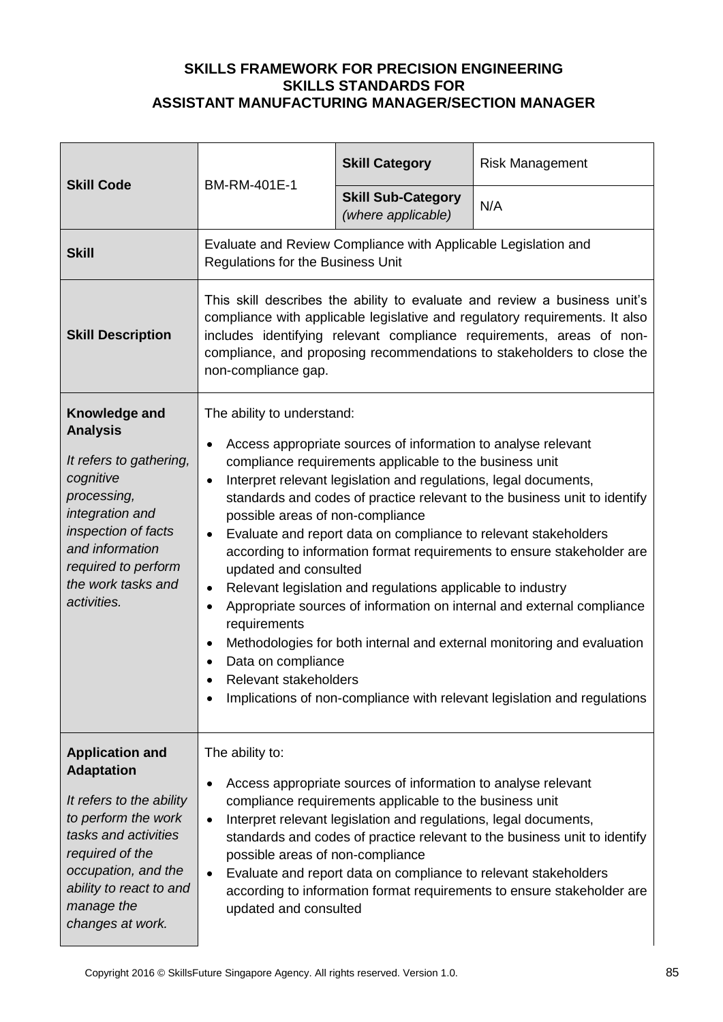| <b>Skill Code</b>                                                                                                                                                                                                             | BM-RM-401E-1                                                                                                                                                                                                                                                                                                                                                                                                                                                                                                                                                                                                                                                                                                                                                                                                                                                                                                                        | <b>Skill Category</b>                           | <b>Risk Management</b> |
|-------------------------------------------------------------------------------------------------------------------------------------------------------------------------------------------------------------------------------|-------------------------------------------------------------------------------------------------------------------------------------------------------------------------------------------------------------------------------------------------------------------------------------------------------------------------------------------------------------------------------------------------------------------------------------------------------------------------------------------------------------------------------------------------------------------------------------------------------------------------------------------------------------------------------------------------------------------------------------------------------------------------------------------------------------------------------------------------------------------------------------------------------------------------------------|-------------------------------------------------|------------------------|
|                                                                                                                                                                                                                               |                                                                                                                                                                                                                                                                                                                                                                                                                                                                                                                                                                                                                                                                                                                                                                                                                                                                                                                                     | <b>Skill Sub-Category</b><br>(where applicable) | N/A                    |
| <b>Skill</b>                                                                                                                                                                                                                  | Evaluate and Review Compliance with Applicable Legislation and<br>Regulations for the Business Unit                                                                                                                                                                                                                                                                                                                                                                                                                                                                                                                                                                                                                                                                                                                                                                                                                                 |                                                 |                        |
| <b>Skill Description</b>                                                                                                                                                                                                      | This skill describes the ability to evaluate and review a business unit's<br>compliance with applicable legislative and regulatory requirements. It also<br>includes identifying relevant compliance requirements, areas of non-<br>compliance, and proposing recommendations to stakeholders to close the<br>non-compliance gap.                                                                                                                                                                                                                                                                                                                                                                                                                                                                                                                                                                                                   |                                                 |                        |
| Knowledge and<br><b>Analysis</b><br>It refers to gathering,<br>cognitive<br>processing,<br>integration and<br>inspection of facts<br>and information<br>required to perform<br>the work tasks and<br>activities.              | The ability to understand:<br>Access appropriate sources of information to analyse relevant<br>compliance requirements applicable to the business unit<br>Interpret relevant legislation and regulations, legal documents,<br>$\bullet$<br>standards and codes of practice relevant to the business unit to identify<br>possible areas of non-compliance<br>Evaluate and report data on compliance to relevant stakeholders<br>$\bullet$<br>according to information format requirements to ensure stakeholder are<br>updated and consulted<br>Relevant legislation and regulations applicable to industry<br>$\bullet$<br>Appropriate sources of information on internal and external compliance<br>$\bullet$<br>requirements<br>Methodologies for both internal and external monitoring and evaluation<br>Data on compliance<br>Relevant stakeholders<br>Implications of non-compliance with relevant legislation and regulations |                                                 |                        |
| <b>Application and</b><br><b>Adaptation</b><br>It refers to the ability<br>to perform the work<br>tasks and activities<br>required of the<br>occupation, and the<br>ability to react to and<br>manage the<br>changes at work. | The ability to:<br>Access appropriate sources of information to analyse relevant<br>compliance requirements applicable to the business unit<br>Interpret relevant legislation and regulations, legal documents,<br>$\bullet$<br>standards and codes of practice relevant to the business unit to identify<br>possible areas of non-compliance<br>Evaluate and report data on compliance to relevant stakeholders<br>$\bullet$<br>according to information format requirements to ensure stakeholder are<br>updated and consulted                                                                                                                                                                                                                                                                                                                                                                                                    |                                                 |                        |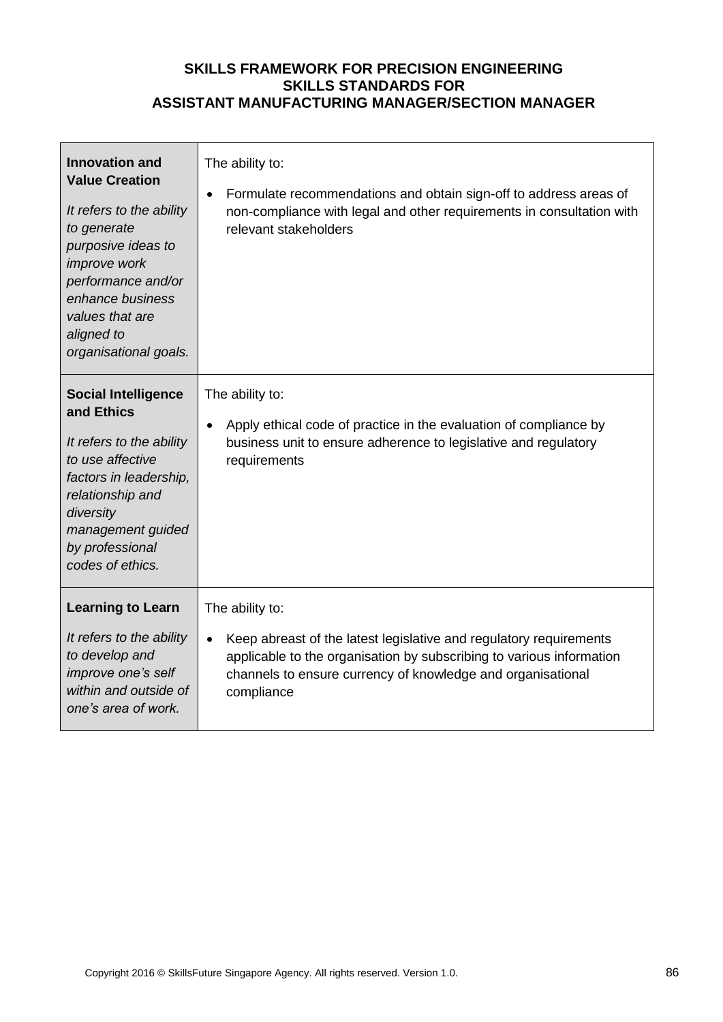| <b>Innovation and</b><br><b>Value Creation</b><br>It refers to the ability<br>to generate<br>purposive ideas to<br><i>improve</i> work<br>performance and/or<br>enhance business<br>values that are<br>aligned to<br>organisational goals. | The ability to:<br>Formulate recommendations and obtain sign-off to address areas of<br>$\bullet$<br>non-compliance with legal and other requirements in consultation with<br>relevant stakeholders                                                     |
|--------------------------------------------------------------------------------------------------------------------------------------------------------------------------------------------------------------------------------------------|---------------------------------------------------------------------------------------------------------------------------------------------------------------------------------------------------------------------------------------------------------|
| <b>Social Intelligence</b><br>and Ethics<br>It refers to the ability<br>to use affective<br>factors in leadership,<br>relationship and<br>diversity<br>management guided<br>by professional<br>codes of ethics.                            | The ability to:<br>Apply ethical code of practice in the evaluation of compliance by<br>$\bullet$<br>business unit to ensure adherence to legislative and regulatory<br>requirements                                                                    |
| <b>Learning to Learn</b><br>It refers to the ability<br>to develop and<br>improve one's self<br>within and outside of<br>one's area of work.                                                                                               | The ability to:<br>Keep abreast of the latest legislative and regulatory requirements<br>$\bullet$<br>applicable to the organisation by subscribing to various information<br>channels to ensure currency of knowledge and organisational<br>compliance |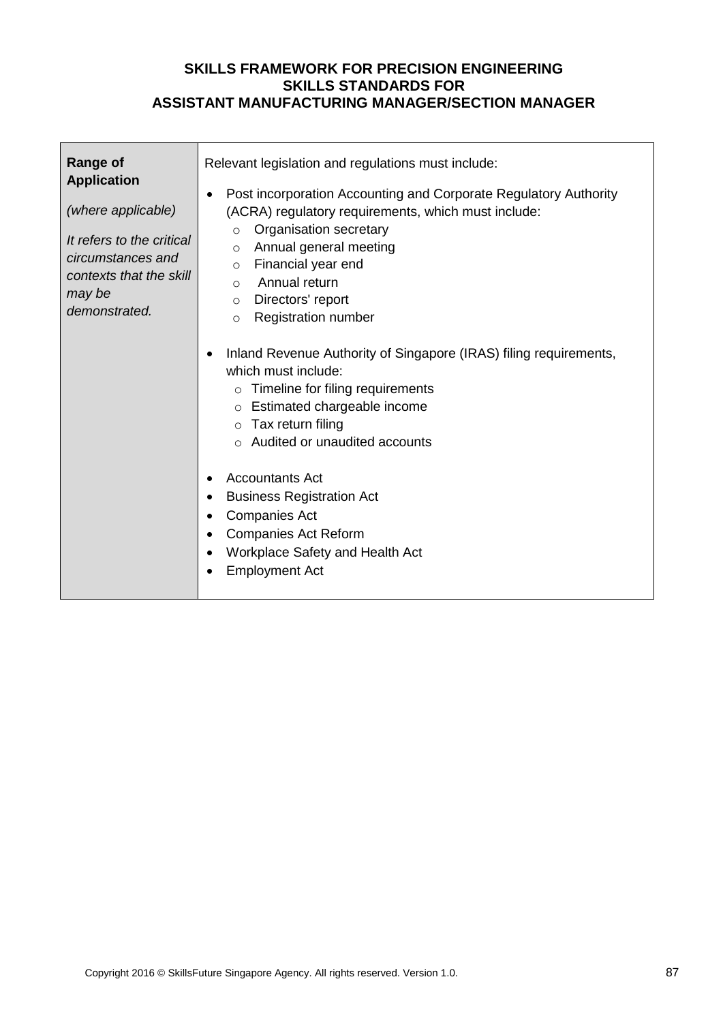| <b>Range of</b><br><b>Application</b><br>(where applicable)<br>It refers to the critical<br>circumstances and<br>contexts that the skill<br>may be<br>demonstrated. | Relevant legislation and regulations must include:<br>Post incorporation Accounting and Corporate Regulatory Authority<br>$\bullet$<br>(ACRA) regulatory requirements, which must include:<br>Organisation secretary<br>$\circ$<br>Annual general meeting<br>$\circ$<br>Financial year end<br>$\circ$<br>Annual return<br>$\circ$<br>Directors' report<br>$\circ$<br><b>Registration number</b><br>$\circ$<br>Inland Revenue Authority of Singapore (IRAS) filing requirements,<br>which must include:<br>Timeline for filing requirements<br>Estimated chargeable income<br>$\circ$<br>Tax return filing<br>$\circ$<br>Audited or unaudited accounts<br>$\circ$ |
|---------------------------------------------------------------------------------------------------------------------------------------------------------------------|------------------------------------------------------------------------------------------------------------------------------------------------------------------------------------------------------------------------------------------------------------------------------------------------------------------------------------------------------------------------------------------------------------------------------------------------------------------------------------------------------------------------------------------------------------------------------------------------------------------------------------------------------------------|
|                                                                                                                                                                     | <b>Accountants Act</b><br><b>Business Registration Act</b><br><b>Companies Act</b><br><b>Companies Act Reform</b><br>٠<br>Workplace Safety and Health Act<br>$\bullet$<br><b>Employment Act</b><br>$\bullet$                                                                                                                                                                                                                                                                                                                                                                                                                                                     |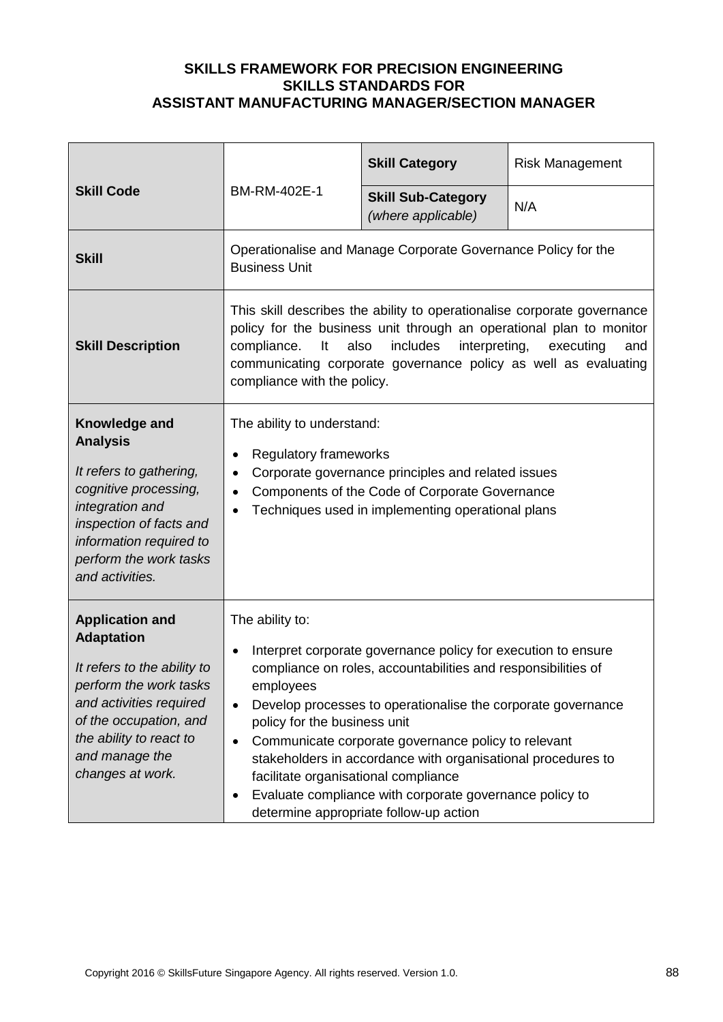|                                                                                                                                                                                                                            |                                                                                                                                                                                                                                                                                                                                | <b>Skill Category</b>                                                                                                                                                                                                                                                                                                                                                                                                      | <b>Risk Management</b> |
|----------------------------------------------------------------------------------------------------------------------------------------------------------------------------------------------------------------------------|--------------------------------------------------------------------------------------------------------------------------------------------------------------------------------------------------------------------------------------------------------------------------------------------------------------------------------|----------------------------------------------------------------------------------------------------------------------------------------------------------------------------------------------------------------------------------------------------------------------------------------------------------------------------------------------------------------------------------------------------------------------------|------------------------|
| <b>Skill Code</b>                                                                                                                                                                                                          | BM-RM-402E-1                                                                                                                                                                                                                                                                                                                   | <b>Skill Sub-Category</b><br>(where applicable)                                                                                                                                                                                                                                                                                                                                                                            | N/A                    |
| <b>Skill</b>                                                                                                                                                                                                               | <b>Business Unit</b>                                                                                                                                                                                                                                                                                                           | Operationalise and Manage Corporate Governance Policy for the                                                                                                                                                                                                                                                                                                                                                              |                        |
| <b>Skill Description</b>                                                                                                                                                                                                   | This skill describes the ability to operationalise corporate governance<br>policy for the business unit through an operational plan to monitor<br>interpreting,<br>includes<br>compliance.<br>It<br>also<br>executing<br>and<br>communicating corporate governance policy as well as evaluating<br>compliance with the policy. |                                                                                                                                                                                                                                                                                                                                                                                                                            |                        |
| Knowledge and<br><b>Analysis</b><br>It refers to gathering,<br>cognitive processing,<br>integration and<br>inspection of facts and<br>information required to<br>perform the work tasks<br>and activities.                 | The ability to understand:<br><b>Regulatory frameworks</b><br>Corporate governance principles and related issues<br>Components of the Code of Corporate Governance<br>Techniques used in implementing operational plans                                                                                                        |                                                                                                                                                                                                                                                                                                                                                                                                                            |                        |
| <b>Application and</b><br><b>Adaptation</b><br>It refers to the ability to<br>perform the work tasks<br>and activities required<br>of the occupation, and<br>the ability to react to<br>and manage the<br>changes at work. | The ability to:<br>employees<br>policy for the business unit<br>facilitate organisational compliance                                                                                                                                                                                                                           | Interpret corporate governance policy for execution to ensure<br>compliance on roles, accountabilities and responsibilities of<br>Develop processes to operationalise the corporate governance<br>Communicate corporate governance policy to relevant<br>stakeholders in accordance with organisational procedures to<br>Evaluate compliance with corporate governance policy to<br>determine appropriate follow-up action |                        |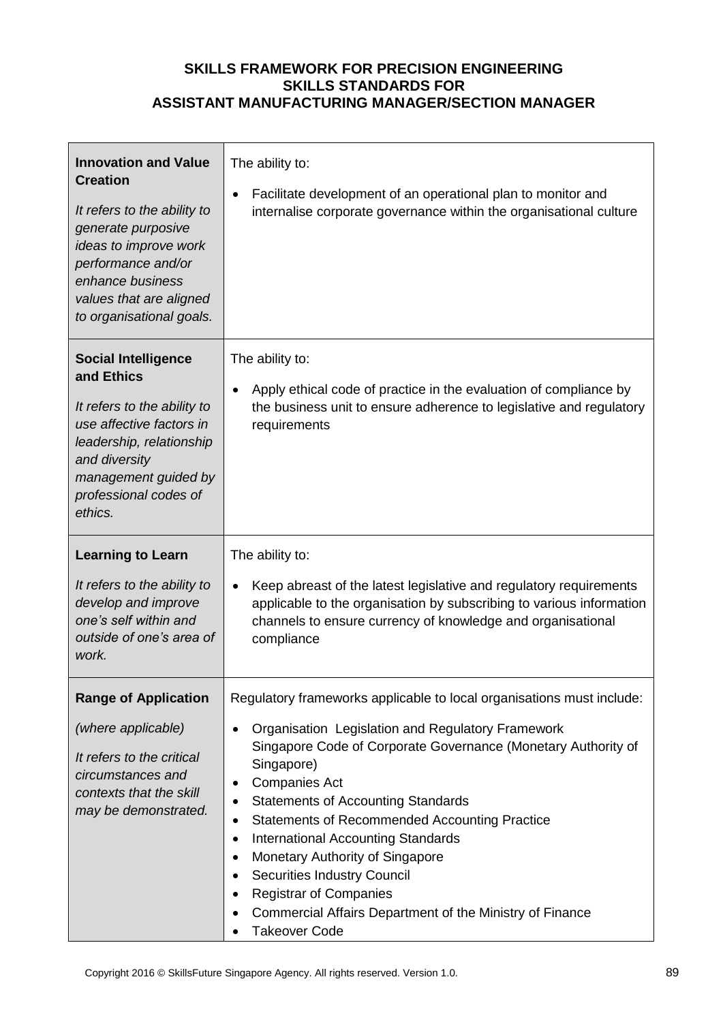| <b>Innovation and Value</b><br><b>Creation</b><br>It refers to the ability to<br>generate purposive<br>ideas to improve work<br>performance and/or<br>enhance business<br>values that are aligned<br>to organisational goals. | The ability to:<br>Facilitate development of an operational plan to monitor and<br>internalise corporate governance within the organisational culture                                                                                                                                                                                                                                                                                                                                                                                                                                                                                                     |  |  |
|-------------------------------------------------------------------------------------------------------------------------------------------------------------------------------------------------------------------------------|-----------------------------------------------------------------------------------------------------------------------------------------------------------------------------------------------------------------------------------------------------------------------------------------------------------------------------------------------------------------------------------------------------------------------------------------------------------------------------------------------------------------------------------------------------------------------------------------------------------------------------------------------------------|--|--|
| <b>Social Intelligence</b><br>and Ethics<br>It refers to the ability to<br>use affective factors in<br>leadership, relationship<br>and diversity<br>management guided by<br>professional codes of<br>ethics.                  | The ability to:<br>Apply ethical code of practice in the evaluation of compliance by<br>the business unit to ensure adherence to legislative and regulatory<br>requirements                                                                                                                                                                                                                                                                                                                                                                                                                                                                               |  |  |
| <b>Learning to Learn</b><br>It refers to the ability to<br>develop and improve<br>one's self within and<br>outside of one's area of<br>work.                                                                                  | The ability to:<br>Keep abreast of the latest legislative and regulatory requirements<br>applicable to the organisation by subscribing to various information<br>channels to ensure currency of knowledge and organisational<br>compliance                                                                                                                                                                                                                                                                                                                                                                                                                |  |  |
| <b>Range of Application</b><br>(where applicable)<br>It refers to the critical<br>circumstances and<br>contexts that the skill<br>may be demonstrated.                                                                        | Regulatory frameworks applicable to local organisations must include:<br>Organisation Legislation and Regulatory Framework<br>$\bullet$<br>Singapore Code of Corporate Governance (Monetary Authority of<br>Singapore)<br><b>Companies Act</b><br>٠<br><b>Statements of Accounting Standards</b><br>٠<br><b>Statements of Recommended Accounting Practice</b><br>$\bullet$<br><b>International Accounting Standards</b><br>٠<br>Monetary Authority of Singapore<br><b>Securities Industry Council</b><br>٠<br><b>Registrar of Companies</b><br>$\bullet$<br>Commercial Affairs Department of the Ministry of Finance<br><b>Takeover Code</b><br>$\bullet$ |  |  |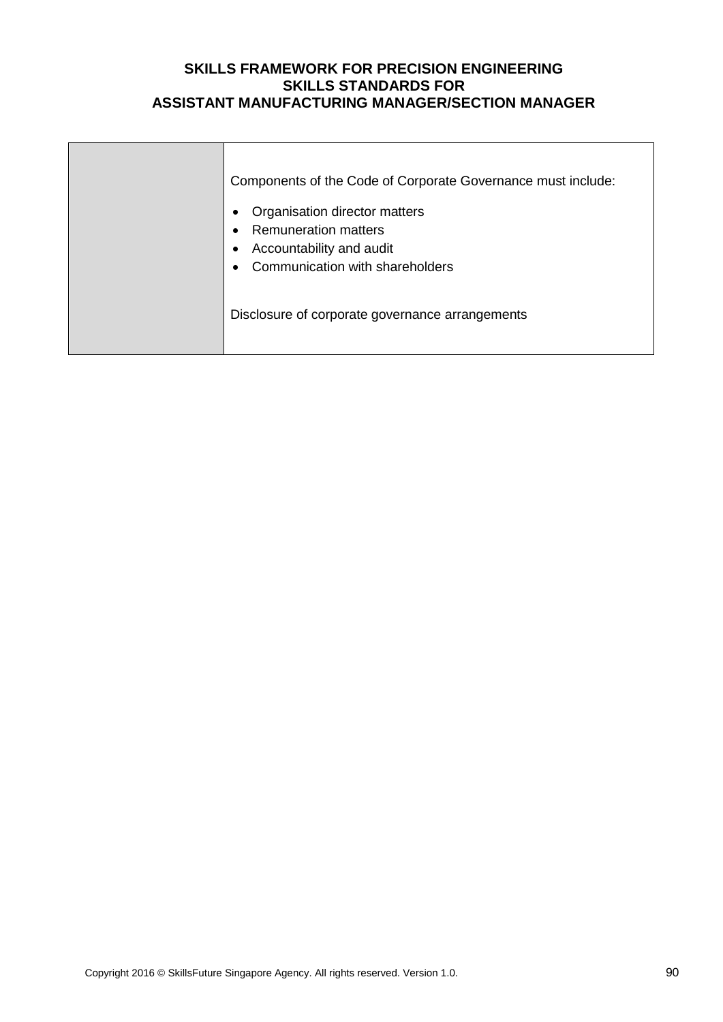| Components of the Code of Corporate Governance must include:<br>Organisation director matters<br><b>Remuneration matters</b><br>Accountability and audit |
|----------------------------------------------------------------------------------------------------------------------------------------------------------|
| Communication with shareholders<br>Disclosure of corporate governance arrangements                                                                       |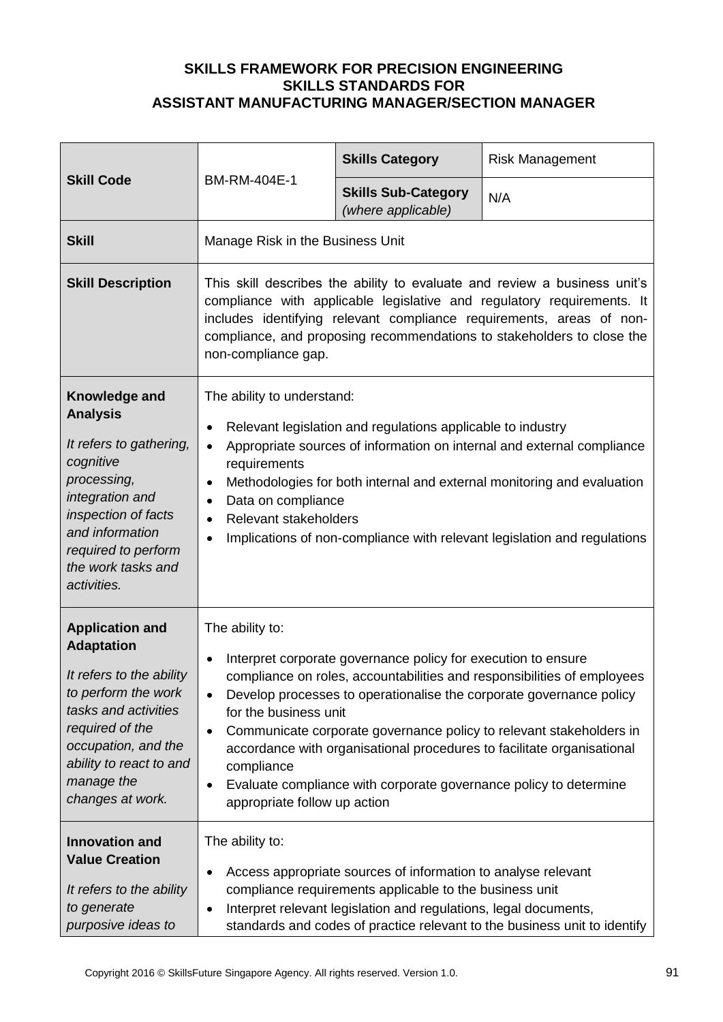| <b>Skill Code</b>                                                                                                                                                                                                             |                                                                                                                                                                                                                                                                                                                              | <b>Skills Category</b>                                                                                                                                                                       | <b>Risk Management</b>                                                                                                                                                                                                                                                                                                                                               |
|-------------------------------------------------------------------------------------------------------------------------------------------------------------------------------------------------------------------------------|------------------------------------------------------------------------------------------------------------------------------------------------------------------------------------------------------------------------------------------------------------------------------------------------------------------------------|----------------------------------------------------------------------------------------------------------------------------------------------------------------------------------------------|----------------------------------------------------------------------------------------------------------------------------------------------------------------------------------------------------------------------------------------------------------------------------------------------------------------------------------------------------------------------|
|                                                                                                                                                                                                                               | BM-RM-404E-1                                                                                                                                                                                                                                                                                                                 | <b>Skills Sub-Category</b><br>(where applicable)                                                                                                                                             | N/A                                                                                                                                                                                                                                                                                                                                                                  |
| <b>Skill</b>                                                                                                                                                                                                                  | Manage Risk in the Business Unit                                                                                                                                                                                                                                                                                             |                                                                                                                                                                                              |                                                                                                                                                                                                                                                                                                                                                                      |
| <b>Skill Description</b>                                                                                                                                                                                                      | This skill describes the ability to evaluate and review a business unit's<br>compliance with applicable legislative and regulatory requirements. It<br>includes identifying relevant compliance requirements, areas of non-<br>compliance, and proposing recommendations to stakeholders to close the<br>non-compliance gap. |                                                                                                                                                                                              |                                                                                                                                                                                                                                                                                                                                                                      |
| Knowledge and<br><b>Analysis</b><br>It refers to gathering,<br>cognitive<br>processing,<br>integration and<br>inspection of facts<br>and information<br>required to perform<br>the work tasks and<br>activities.              | The ability to understand:<br>$\bullet$<br>$\bullet$<br>requirements<br>$\bullet$<br>Data on compliance<br>$\bullet$<br>Relevant stakeholders<br>$\bullet$<br>٠                                                                                                                                                              | Relevant legislation and regulations applicable to industry                                                                                                                                  | Appropriate sources of information on internal and external compliance<br>Methodologies for both internal and external monitoring and evaluation<br>Implications of non-compliance with relevant legislation and regulations                                                                                                                                         |
| <b>Application and</b><br><b>Adaptation</b><br>It refers to the ability<br>to perform the work<br>tasks and activities<br>required of the<br>occupation, and the<br>ability to react to and<br>manage the<br>changes at work. | The ability to:<br>$\bullet$<br>for the business unit<br>$\bullet$<br>compliance<br>$\bullet$<br>appropriate follow up action                                                                                                                                                                                                | Interpret corporate governance policy for execution to ensure                                                                                                                                | compliance on roles, accountabilities and responsibilities of employees<br>Develop processes to operationalise the corporate governance policy<br>Communicate corporate governance policy to relevant stakeholders in<br>accordance with organisational procedures to facilitate organisational<br>Evaluate compliance with corporate governance policy to determine |
| <b>Innovation and</b><br><b>Value Creation</b><br>It refers to the ability<br>to generate<br>purposive ideas to                                                                                                               | The ability to:<br>$\bullet$<br>$\bullet$                                                                                                                                                                                                                                                                                    | Access appropriate sources of information to analyse relevant<br>compliance requirements applicable to the business unit<br>Interpret relevant legislation and regulations, legal documents, | standards and codes of practice relevant to the business unit to identify                                                                                                                                                                                                                                                                                            |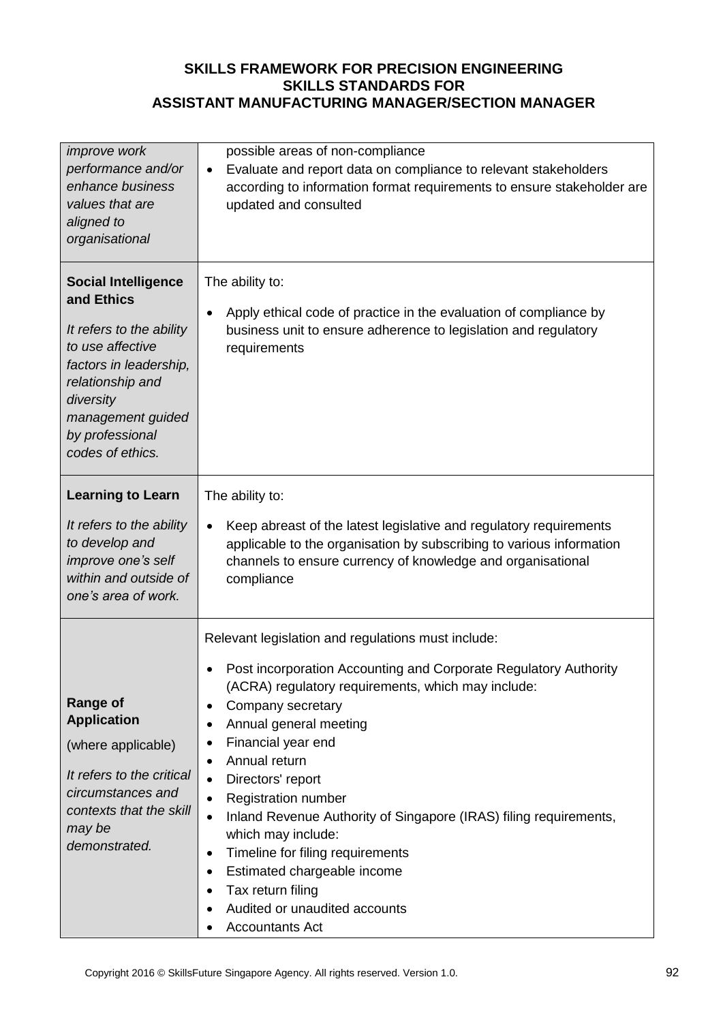| <i>improve</i> work<br>performance and/or<br>enhance business<br>values that are<br>aligned to<br>organisational                                                                                                | possible areas of non-compliance<br>Evaluate and report data on compliance to relevant stakeholders<br>$\bullet$<br>according to information format requirements to ensure stakeholder are<br>updated and consulted                                                                                                                                                                                                                                                                                                                                                                                                                                         |
|-----------------------------------------------------------------------------------------------------------------------------------------------------------------------------------------------------------------|-------------------------------------------------------------------------------------------------------------------------------------------------------------------------------------------------------------------------------------------------------------------------------------------------------------------------------------------------------------------------------------------------------------------------------------------------------------------------------------------------------------------------------------------------------------------------------------------------------------------------------------------------------------|
| <b>Social Intelligence</b><br>and Ethics<br>It refers to the ability<br>to use affective<br>factors in leadership,<br>relationship and<br>diversity<br>management guided<br>by professional<br>codes of ethics. | The ability to:<br>Apply ethical code of practice in the evaluation of compliance by<br>$\bullet$<br>business unit to ensure adherence to legislation and regulatory<br>requirements                                                                                                                                                                                                                                                                                                                                                                                                                                                                        |
| <b>Learning to Learn</b><br>It refers to the ability<br>to develop and<br>improve one's self<br>within and outside of<br>one's area of work.                                                                    | The ability to:<br>Keep abreast of the latest legislative and regulatory requirements<br>$\bullet$<br>applicable to the organisation by subscribing to various information<br>channels to ensure currency of knowledge and organisational<br>compliance                                                                                                                                                                                                                                                                                                                                                                                                     |
| <b>Range of</b><br><b>Application</b><br>(where applicable)<br>It refers to the critical<br>circumstances and<br>contexts that the skill<br>may be<br>demonstrated.                                             | Relevant legislation and regulations must include:<br>Post incorporation Accounting and Corporate Regulatory Authority<br>(ACRA) regulatory requirements, which may include:<br>Company secretary<br>٠<br>Annual general meeting<br>Financial year end<br>Annual return<br>$\bullet$<br>Directors' report<br>$\bullet$<br><b>Registration number</b><br>$\bullet$<br>Inland Revenue Authority of Singapore (IRAS) filing requirements,<br>$\bullet$<br>which may include:<br>Timeline for filing requirements<br>$\bullet$<br>Estimated chargeable income<br>$\bullet$<br>Tax return filing<br>Audited or unaudited accounts<br>٠<br><b>Accountants Act</b> |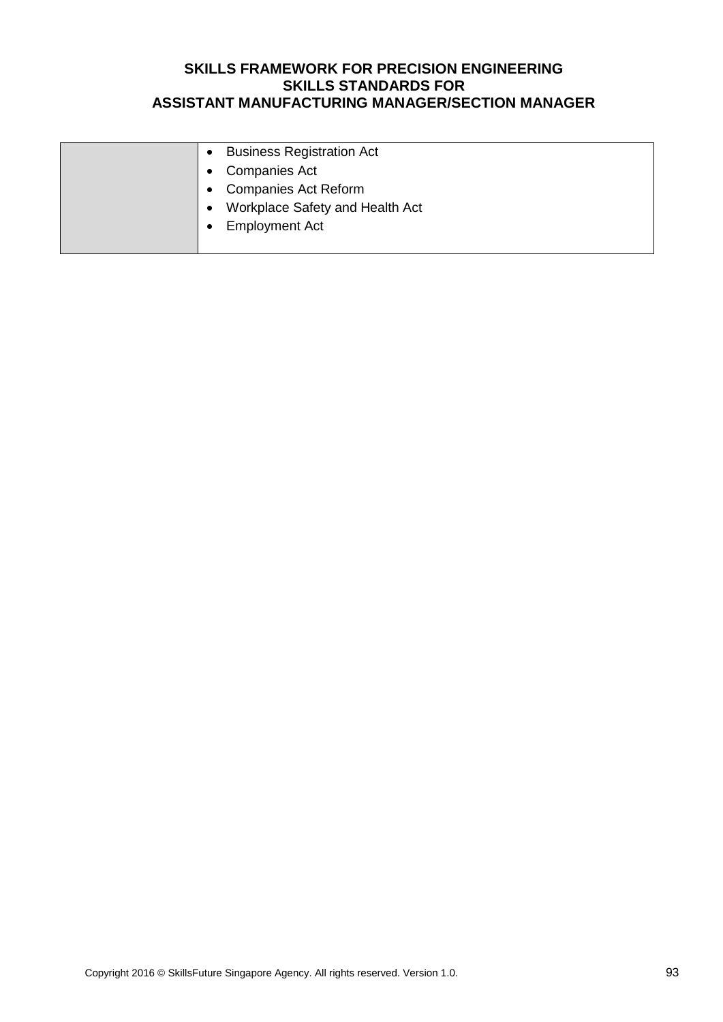| <b>Business Registration Act</b><br>$\bullet$ |
|-----------------------------------------------|
| <b>Companies Act</b>                          |
| <b>Companies Act Reform</b><br>$\bullet$      |
| Workplace Safety and Health Act<br>$\bullet$  |
| <b>Employment Act</b>                         |
|                                               |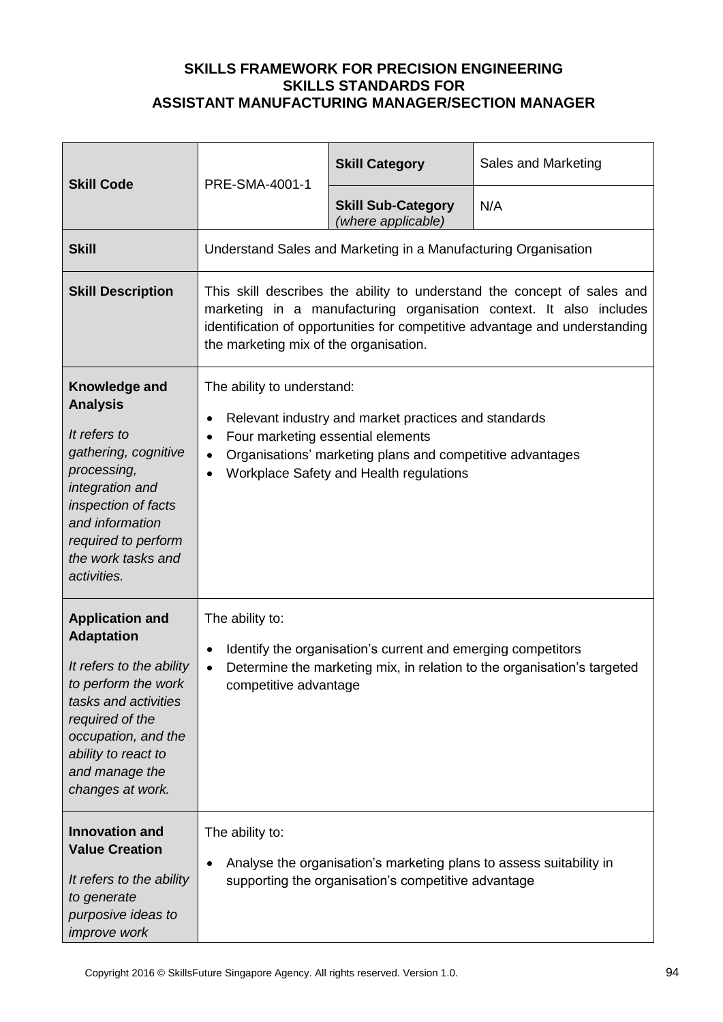| <b>Skill Code</b>                                                                                                                                                                                                             | PRE-SMA-4001-1                                                                                                                                                                                                                                                                      | <b>Skill Category</b>                                                                                                      | Sales and Marketing |
|-------------------------------------------------------------------------------------------------------------------------------------------------------------------------------------------------------------------------------|-------------------------------------------------------------------------------------------------------------------------------------------------------------------------------------------------------------------------------------------------------------------------------------|----------------------------------------------------------------------------------------------------------------------------|---------------------|
|                                                                                                                                                                                                                               |                                                                                                                                                                                                                                                                                     | <b>Skill Sub-Category</b><br>(where applicable)                                                                            | N/A                 |
| <b>Skill</b>                                                                                                                                                                                                                  |                                                                                                                                                                                                                                                                                     | Understand Sales and Marketing in a Manufacturing Organisation                                                             |                     |
| <b>Skill Description</b>                                                                                                                                                                                                      | This skill describes the ability to understand the concept of sales and<br>marketing in a manufacturing organisation context. It also includes<br>identification of opportunities for competitive advantage and understanding<br>the marketing mix of the organisation.             |                                                                                                                            |                     |
| Knowledge and<br><b>Analysis</b><br>It refers to<br>gathering, cognitive<br>processing,<br>integration and<br>inspection of facts<br>and information<br>required to perform<br>the work tasks and<br>activities.              | The ability to understand:<br>Relevant industry and market practices and standards<br>$\bullet$<br>Four marketing essential elements<br>$\bullet$<br>Organisations' marketing plans and competitive advantages<br>$\bullet$<br>Workplace Safety and Health regulations<br>$\bullet$ |                                                                                                                            |                     |
| <b>Application and</b><br><b>Adaptation</b><br>It refers to the ability<br>to perform the work<br>tasks and activities<br>required of the<br>occupation, and the<br>ability to react to<br>and manage the<br>changes at work. | The ability to:<br>Identify the organisation's current and emerging competitors<br>$\bullet$<br>Determine the marketing mix, in relation to the organisation's targeted<br>$\bullet$<br>competitive advantage                                                                       |                                                                                                                            |                     |
| <b>Innovation and</b><br><b>Value Creation</b><br>It refers to the ability<br>to generate<br>purposive ideas to<br>improve work                                                                                               | The ability to:<br>٠                                                                                                                                                                                                                                                                | Analyse the organisation's marketing plans to assess suitability in<br>supporting the organisation's competitive advantage |                     |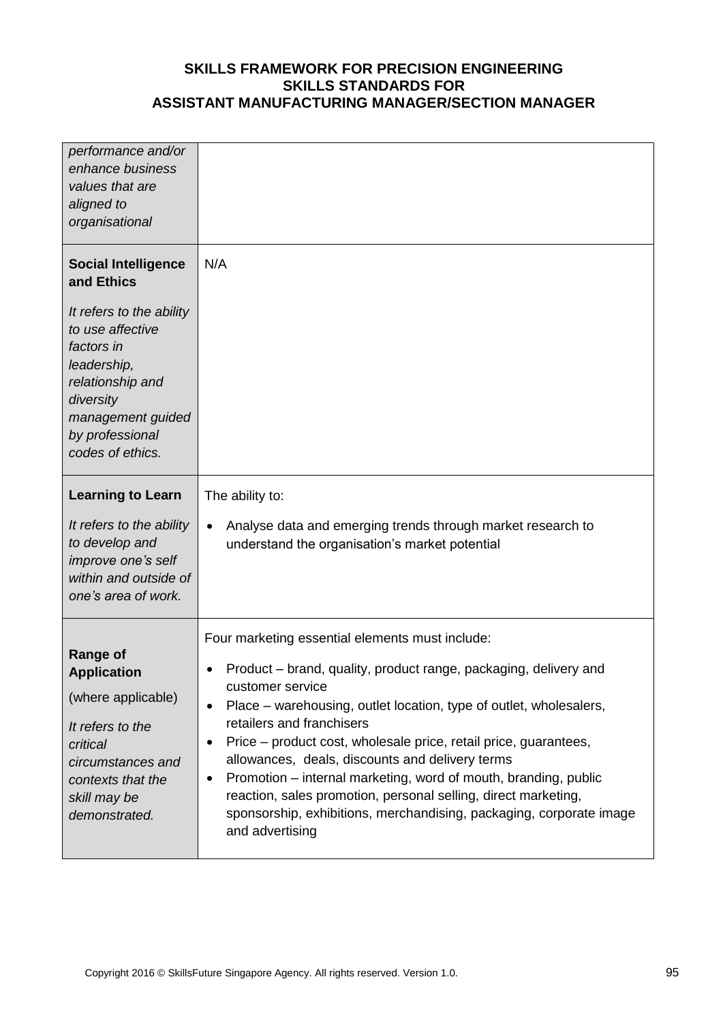| performance and/or<br>enhance business<br>values that are<br>aligned to<br>organisational                                                                                                                          |                                                                                                                                                                                                                                                                                                                                                                                                                                                                                                                                                                                                                                 |
|--------------------------------------------------------------------------------------------------------------------------------------------------------------------------------------------------------------------|---------------------------------------------------------------------------------------------------------------------------------------------------------------------------------------------------------------------------------------------------------------------------------------------------------------------------------------------------------------------------------------------------------------------------------------------------------------------------------------------------------------------------------------------------------------------------------------------------------------------------------|
| <b>Social Intelligence</b><br>and Ethics<br>It refers to the ability<br>to use affective<br>factors in<br>leadership,<br>relationship and<br>diversity<br>management guided<br>by professional<br>codes of ethics. | N/A                                                                                                                                                                                                                                                                                                                                                                                                                                                                                                                                                                                                                             |
| <b>Learning to Learn</b><br>It refers to the ability<br>to develop and<br>improve one's self<br>within and outside of<br>one's area of work.                                                                       | The ability to:<br>Analyse data and emerging trends through market research to<br>$\bullet$<br>understand the organisation's market potential                                                                                                                                                                                                                                                                                                                                                                                                                                                                                   |
| <b>Range of</b><br><b>Application</b><br>(where applicable)<br>It refers to the<br>critical<br>circumstances and<br>contexts that the<br>skill may be<br>demonstrated.                                             | Four marketing essential elements must include:<br>Product – brand, quality, product range, packaging, delivery and<br>customer service<br>Place – warehousing, outlet location, type of outlet, wholesalers,<br>$\bullet$<br>retailers and franchisers<br>Price – product cost, wholesale price, retail price, guarantees,<br>$\bullet$<br>allowances, deals, discounts and delivery terms<br>Promotion – internal marketing, word of mouth, branding, public<br>٠<br>reaction, sales promotion, personal selling, direct marketing,<br>sponsorship, exhibitions, merchandising, packaging, corporate image<br>and advertising |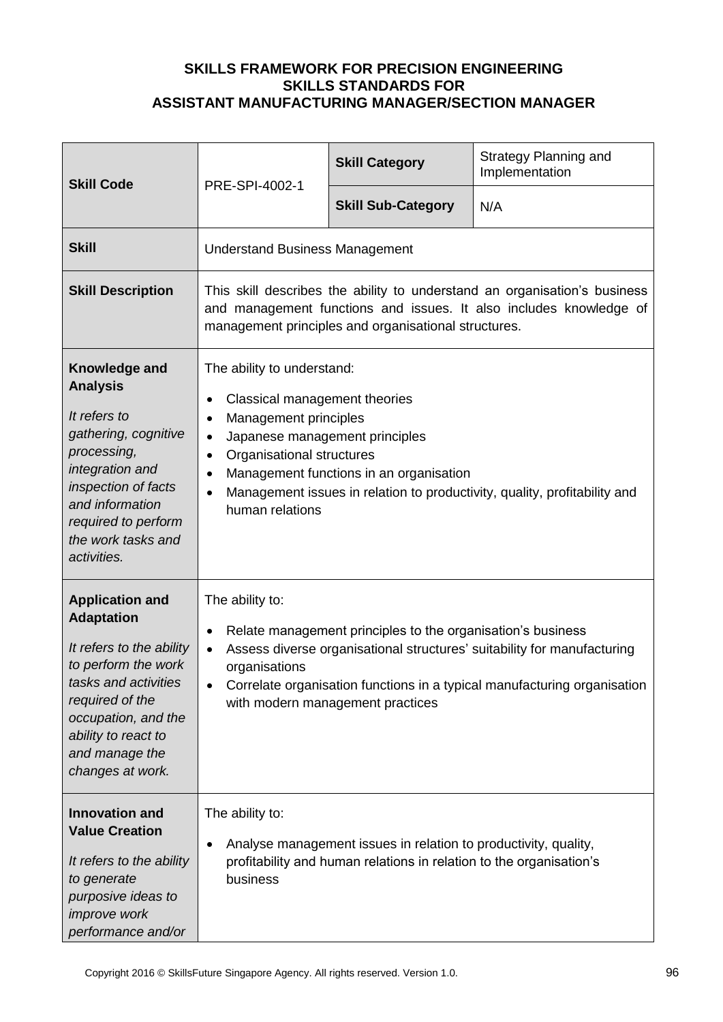| <b>Skill Code</b>                                                                                                                                                                                                             | PRE-SPI-4002-1                                                                                                                                                                                                                                                                                                                                                               | <b>Skill Category</b>                                                                                                                  | <b>Strategy Planning and</b><br>Implementation |
|-------------------------------------------------------------------------------------------------------------------------------------------------------------------------------------------------------------------------------|------------------------------------------------------------------------------------------------------------------------------------------------------------------------------------------------------------------------------------------------------------------------------------------------------------------------------------------------------------------------------|----------------------------------------------------------------------------------------------------------------------------------------|------------------------------------------------|
|                                                                                                                                                                                                                               |                                                                                                                                                                                                                                                                                                                                                                              | <b>Skill Sub-Category</b>                                                                                                              | N/A                                            |
| <b>Skill</b>                                                                                                                                                                                                                  | <b>Understand Business Management</b>                                                                                                                                                                                                                                                                                                                                        |                                                                                                                                        |                                                |
| <b>Skill Description</b>                                                                                                                                                                                                      | This skill describes the ability to understand an organisation's business<br>and management functions and issues. It also includes knowledge of<br>management principles and organisational structures.                                                                                                                                                                      |                                                                                                                                        |                                                |
| Knowledge and<br><b>Analysis</b><br>It refers to<br>gathering, cognitive<br>processing,<br>integration and<br>inspection of facts<br>and information<br>required to perform<br>the work tasks and<br>activities.              | The ability to understand:<br>Classical management theories<br>$\bullet$<br>Management principles<br>$\bullet$<br>Japanese management principles<br>$\bullet$<br>Organisational structures<br>$\bullet$<br>Management functions in an organisation<br>$\bullet$<br>Management issues in relation to productivity, quality, profitability and<br>$\bullet$<br>human relations |                                                                                                                                        |                                                |
| <b>Application and</b><br><b>Adaptation</b><br>It refers to the ability<br>to perform the work<br>tasks and activities<br>required of the<br>occupation, and the<br>ability to react to<br>and manage the<br>changes at work. | The ability to:<br>Relate management principles to the organisation's business<br>$\bullet$<br>Assess diverse organisational structures' suitability for manufacturing<br>$\bullet$<br>organisations<br>Correlate organisation functions in a typical manufacturing organisation<br>with modern management practices                                                         |                                                                                                                                        |                                                |
| <b>Innovation and</b><br><b>Value Creation</b><br>It refers to the ability<br>to generate<br>purposive ideas to<br><i>improve</i> work<br>performance and/or                                                                  | The ability to:<br>$\bullet$<br>business                                                                                                                                                                                                                                                                                                                                     | Analyse management issues in relation to productivity, quality,<br>profitability and human relations in relation to the organisation's |                                                |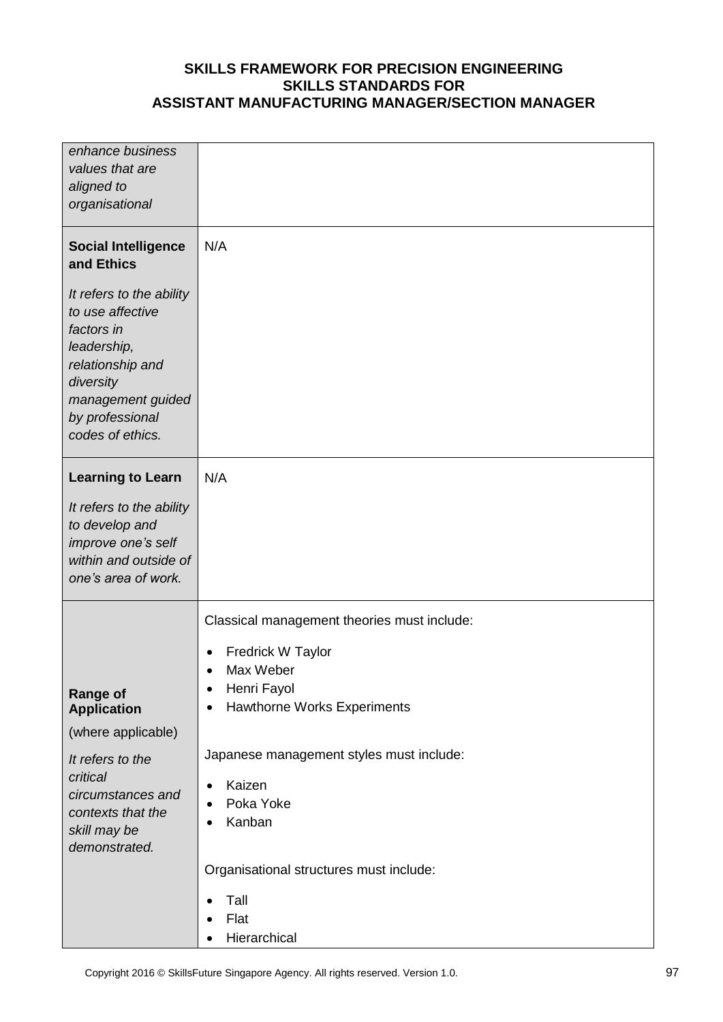| enhance business                                                                                                                                                       |                                                                               |
|------------------------------------------------------------------------------------------------------------------------------------------------------------------------|-------------------------------------------------------------------------------|
| values that are                                                                                                                                                        |                                                                               |
| aligned to                                                                                                                                                             |                                                                               |
| organisational                                                                                                                                                         |                                                                               |
| <b>Social Intelligence</b><br>and Ethics                                                                                                                               | N/A                                                                           |
| It refers to the ability<br>to use affective<br>factors in<br>leadership,<br>relationship and<br>diversity<br>management guided<br>by professional<br>codes of ethics. |                                                                               |
| <b>Learning to Learn</b>                                                                                                                                               | N/A                                                                           |
| It refers to the ability                                                                                                                                               |                                                                               |
| to develop and                                                                                                                                                         |                                                                               |
| improve one's self                                                                                                                                                     |                                                                               |
| within and outside of                                                                                                                                                  |                                                                               |
| one's area of work.                                                                                                                                                    |                                                                               |
|                                                                                                                                                                        | Classical management theories must include:<br>Fredrick W Taylor<br>$\bullet$ |
|                                                                                                                                                                        | Max Weber<br>$\bullet$                                                        |
| <b>Range of</b>                                                                                                                                                        | Henri Fayol<br>٠                                                              |
| <b>Application</b>                                                                                                                                                     | <b>Hawthorne Works Experiments</b><br>٠                                       |
| (where applicable)                                                                                                                                                     |                                                                               |
| It refers to the                                                                                                                                                       | Japanese management styles must include:                                      |
| critical                                                                                                                                                               | Kaizen<br>$\bullet$                                                           |
| circumstances and                                                                                                                                                      | Poka Yoke<br>$\bullet$                                                        |
| contexts that the                                                                                                                                                      | Kanban<br>٠                                                                   |
| skill may be<br>demonstrated.                                                                                                                                          |                                                                               |
|                                                                                                                                                                        |                                                                               |
|                                                                                                                                                                        | Organisational structures must include:                                       |
|                                                                                                                                                                        | Tall<br>$\bullet$                                                             |
|                                                                                                                                                                        | Flat                                                                          |
|                                                                                                                                                                        | Hierarchical<br>٠                                                             |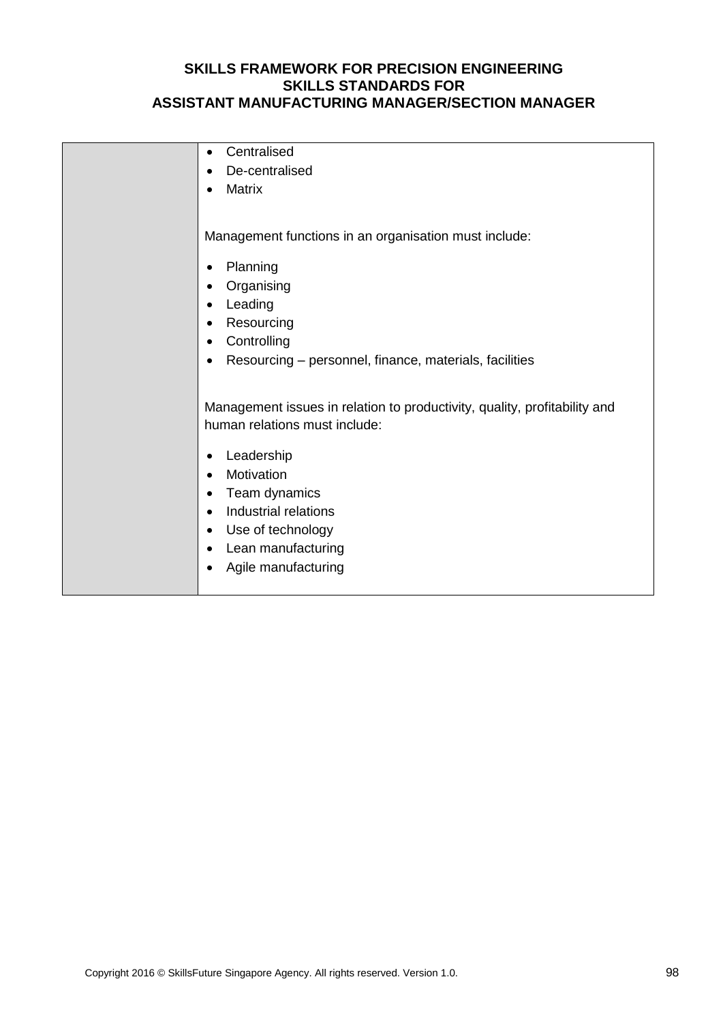| Centralised<br>$\bullet$                                                  |
|---------------------------------------------------------------------------|
| De-centralised<br>$\bullet$                                               |
| <b>Matrix</b><br>$\bullet$                                                |
|                                                                           |
|                                                                           |
| Management functions in an organisation must include:                     |
|                                                                           |
| Planning<br>$\bullet$                                                     |
| Organising<br>$\bullet$                                                   |
| Leading<br>$\bullet$                                                      |
| Resourcing<br>$\bullet$                                                   |
| Controlling<br>$\bullet$                                                  |
| Resourcing - personnel, finance, materials, facilities<br>$\bullet$       |
|                                                                           |
|                                                                           |
| Management issues in relation to productivity, quality, profitability and |
| human relations must include:                                             |
|                                                                           |
| Leadership<br>$\bullet$                                                   |
| Motivation<br>$\bullet$                                                   |
| Team dynamics<br>$\bullet$                                                |
| Industrial relations<br>$\bullet$                                         |
| Use of technology<br>$\bullet$                                            |
| Lean manufacturing<br>$\bullet$                                           |
| Agile manufacturing                                                       |
|                                                                           |
|                                                                           |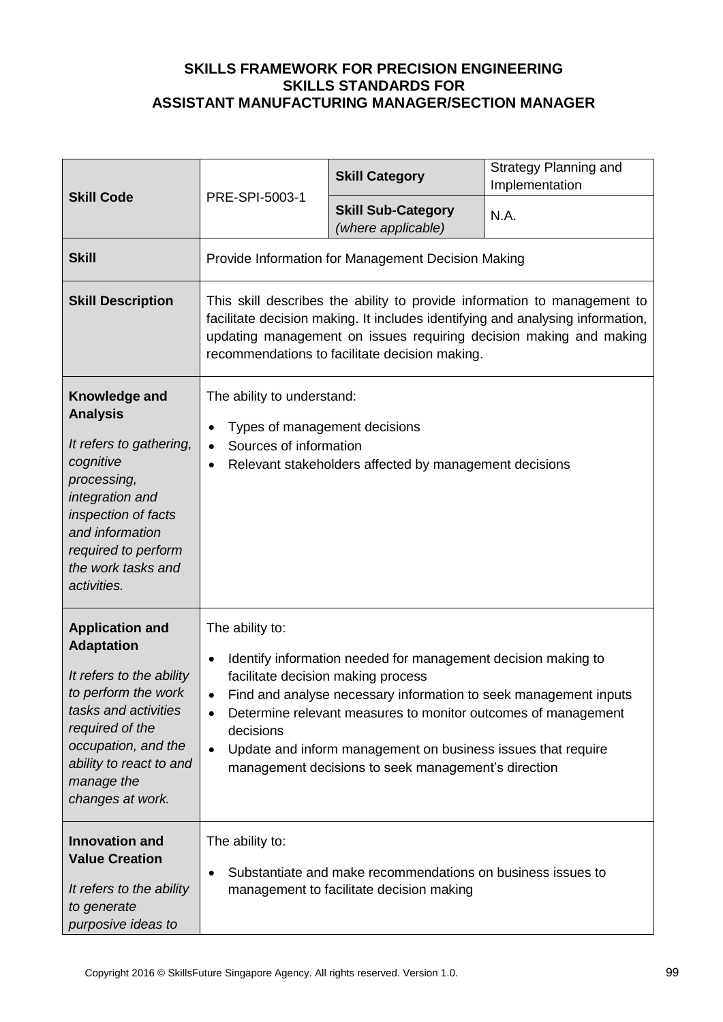| <b>Skill Code</b>                                                                                                                                                                                                             | PRE-SPI-5003-1                                                                                                                                                                                                                                                                     | <b>Skill Category</b>                                                                                                                                                                                                                                                                                                     | <b>Strategy Planning and</b><br>Implementation |
|-------------------------------------------------------------------------------------------------------------------------------------------------------------------------------------------------------------------------------|------------------------------------------------------------------------------------------------------------------------------------------------------------------------------------------------------------------------------------------------------------------------------------|---------------------------------------------------------------------------------------------------------------------------------------------------------------------------------------------------------------------------------------------------------------------------------------------------------------------------|------------------------------------------------|
|                                                                                                                                                                                                                               |                                                                                                                                                                                                                                                                                    | <b>Skill Sub-Category</b><br>(where applicable)                                                                                                                                                                                                                                                                           | N.A.                                           |
| <b>Skill</b>                                                                                                                                                                                                                  | Provide Information for Management Decision Making                                                                                                                                                                                                                                 |                                                                                                                                                                                                                                                                                                                           |                                                |
| <b>Skill Description</b>                                                                                                                                                                                                      | This skill describes the ability to provide information to management to<br>facilitate decision making. It includes identifying and analysing information,<br>updating management on issues requiring decision making and making<br>recommendations to facilitate decision making. |                                                                                                                                                                                                                                                                                                                           |                                                |
| Knowledge and<br><b>Analysis</b><br>It refers to gathering,<br>cognitive<br>processing,<br>integration and<br>inspection of facts<br>and information<br>required to perform<br>the work tasks and<br>activities.              | The ability to understand:<br>Types of management decisions<br>Sources of information<br>Relevant stakeholders affected by management decisions<br>$\bullet$                                                                                                                       |                                                                                                                                                                                                                                                                                                                           |                                                |
| <b>Application and</b><br><b>Adaptation</b><br>It refers to the ability<br>to perform the work<br>tasks and activities<br>required of the<br>occupation, and the<br>ability to react to and<br>manage the<br>changes at work. | The ability to:<br>facilitate decision making process<br>decisions<br>$\bullet$                                                                                                                                                                                                    | Identify information needed for management decision making to<br>Find and analyse necessary information to seek management inputs<br>Determine relevant measures to monitor outcomes of management<br>Update and inform management on business issues that require<br>management decisions to seek management's direction |                                                |
| <b>Innovation and</b><br><b>Value Creation</b><br>It refers to the ability<br>to generate<br>purposive ideas to                                                                                                               | The ability to:<br>Substantiate and make recommendations on business issues to<br>management to facilitate decision making                                                                                                                                                         |                                                                                                                                                                                                                                                                                                                           |                                                |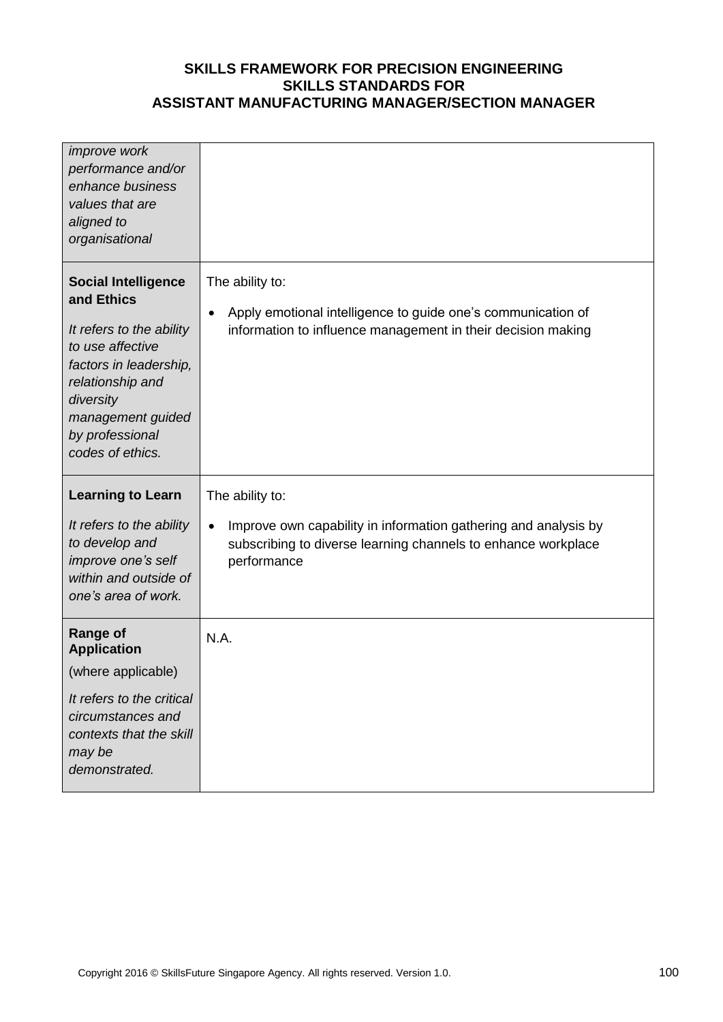| improve work<br>performance and/or<br>enhance business<br>values that are<br>aligned to<br>organisational                                                                                                       |                                                                                                                                                                                 |
|-----------------------------------------------------------------------------------------------------------------------------------------------------------------------------------------------------------------|---------------------------------------------------------------------------------------------------------------------------------------------------------------------------------|
| <b>Social Intelligence</b><br>and Ethics<br>It refers to the ability<br>to use affective<br>factors in leadership,<br>relationship and<br>diversity<br>management guided<br>by professional<br>codes of ethics. | The ability to:<br>Apply emotional intelligence to guide one's communication of<br>$\bullet$<br>information to influence management in their decision making                    |
| <b>Learning to Learn</b><br>It refers to the ability<br>to develop and<br>improve one's self<br>within and outside of<br>one's area of work.                                                                    | The ability to:<br>Improve own capability in information gathering and analysis by<br>$\bullet$<br>subscribing to diverse learning channels to enhance workplace<br>performance |
| <b>Range of</b><br><b>Application</b><br>(where applicable)<br>It refers to the critical<br>circumstances and<br>contexts that the skill<br>may be<br>demonstrated.                                             | N.A.                                                                                                                                                                            |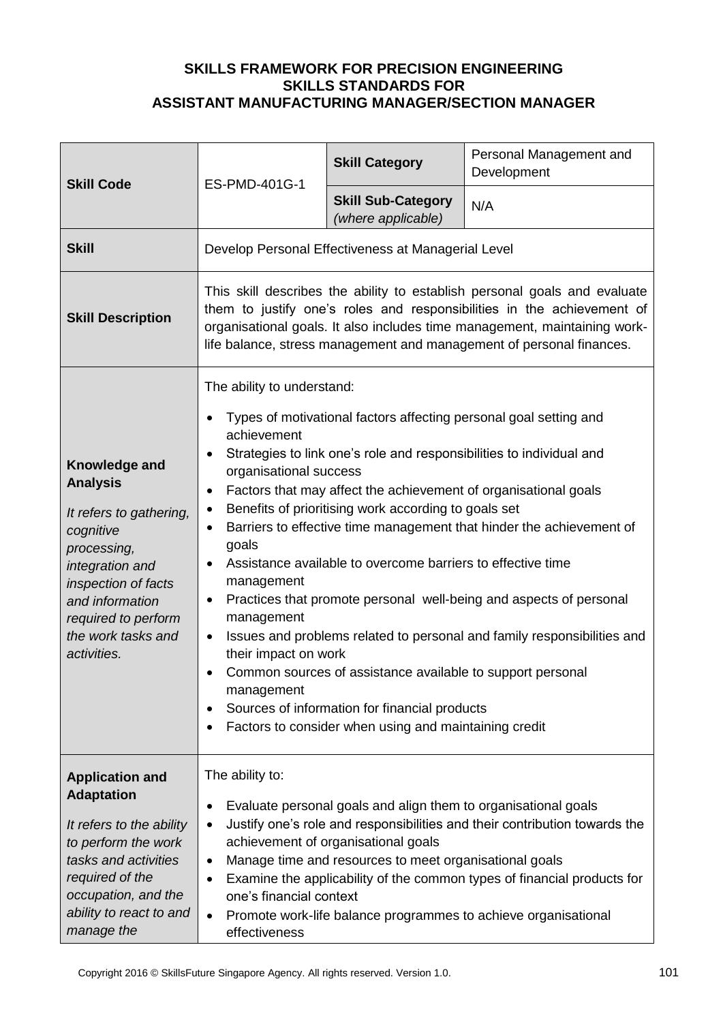| <b>Skill Code</b>                                                                                                                                                                                                | ES-PMD-401G-1                                                                                                                                                                                                                                                                                                                                                                                                                                                                                                                                                                                                                                                                                                                                                                                                                                                                                                                                                        | <b>Skill Category</b>                           | Personal Management and<br>Development |
|------------------------------------------------------------------------------------------------------------------------------------------------------------------------------------------------------------------|----------------------------------------------------------------------------------------------------------------------------------------------------------------------------------------------------------------------------------------------------------------------------------------------------------------------------------------------------------------------------------------------------------------------------------------------------------------------------------------------------------------------------------------------------------------------------------------------------------------------------------------------------------------------------------------------------------------------------------------------------------------------------------------------------------------------------------------------------------------------------------------------------------------------------------------------------------------------|-------------------------------------------------|----------------------------------------|
|                                                                                                                                                                                                                  |                                                                                                                                                                                                                                                                                                                                                                                                                                                                                                                                                                                                                                                                                                                                                                                                                                                                                                                                                                      | <b>Skill Sub-Category</b><br>(where applicable) | N/A                                    |
| <b>Skill</b>                                                                                                                                                                                                     | Develop Personal Effectiveness at Managerial Level                                                                                                                                                                                                                                                                                                                                                                                                                                                                                                                                                                                                                                                                                                                                                                                                                                                                                                                   |                                                 |                                        |
| <b>Skill Description</b>                                                                                                                                                                                         | This skill describes the ability to establish personal goals and evaluate<br>them to justify one's roles and responsibilities in the achievement of<br>organisational goals. It also includes time management, maintaining work-<br>life balance, stress management and management of personal finances.                                                                                                                                                                                                                                                                                                                                                                                                                                                                                                                                                                                                                                                             |                                                 |                                        |
| Knowledge and<br><b>Analysis</b><br>It refers to gathering,<br>cognitive<br>processing,<br>integration and<br>inspection of facts<br>and information<br>required to perform<br>the work tasks and<br>activities. | The ability to understand:<br>Types of motivational factors affecting personal goal setting and<br>achievement<br>Strategies to link one's role and responsibilities to individual and<br>organisational success<br>Factors that may affect the achievement of organisational goals<br>$\bullet$<br>Benefits of prioritising work according to goals set<br>$\bullet$<br>Barriers to effective time management that hinder the achievement of<br>$\bullet$<br>goals<br>Assistance available to overcome barriers to effective time<br>$\bullet$<br>management<br>Practices that promote personal well-being and aspects of personal<br>$\bullet$<br>management<br>Issues and problems related to personal and family responsibilities and<br>$\bullet$<br>their impact on work<br>Common sources of assistance available to support personal<br>management<br>Sources of information for financial products<br>Factors to consider when using and maintaining credit |                                                 |                                        |
| <b>Application and</b><br><b>Adaptation</b><br>It refers to the ability<br>to perform the work<br>tasks and activities<br>required of the<br>occupation, and the<br>ability to react to and<br>manage the        | The ability to:<br>Evaluate personal goals and align them to organisational goals<br>٠<br>Justify one's role and responsibilities and their contribution towards the<br>$\bullet$<br>achievement of organisational goals<br>Manage time and resources to meet organisational goals<br>$\bullet$<br>Examine the applicability of the common types of financial products for<br>$\bullet$<br>one's financial context<br>Promote work-life balance programmes to achieve organisational<br>$\bullet$<br>effectiveness                                                                                                                                                                                                                                                                                                                                                                                                                                                   |                                                 |                                        |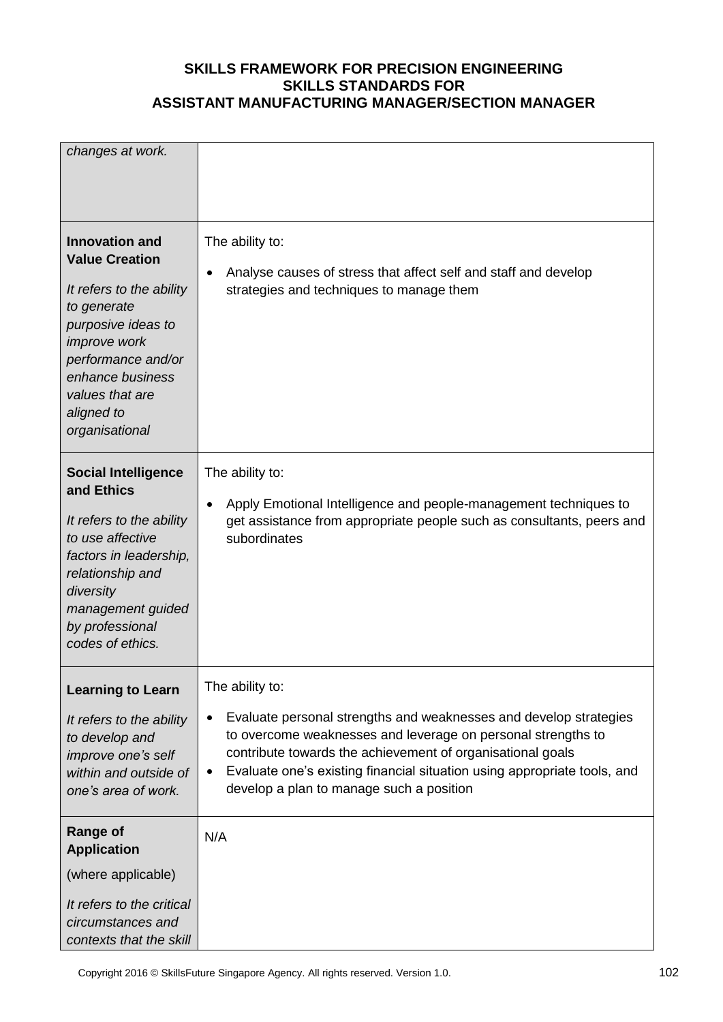| changes at work.                                                                                                                                                                                                                    |                                                                                                                                                                                                                                                                                                                                                                      |
|-------------------------------------------------------------------------------------------------------------------------------------------------------------------------------------------------------------------------------------|----------------------------------------------------------------------------------------------------------------------------------------------------------------------------------------------------------------------------------------------------------------------------------------------------------------------------------------------------------------------|
| <b>Innovation and</b><br><b>Value Creation</b><br>It refers to the ability<br>to generate<br>purposive ideas to<br><i>improve</i> work<br>performance and/or<br>enhance business<br>values that are<br>aligned to<br>organisational | The ability to:<br>Analyse causes of stress that affect self and staff and develop<br>$\bullet$<br>strategies and techniques to manage them                                                                                                                                                                                                                          |
| <b>Social Intelligence</b><br>and Ethics<br>It refers to the ability<br>to use affective<br>factors in leadership,<br>relationship and<br>diversity<br>management guided<br>by professional<br>codes of ethics.                     | The ability to:<br>Apply Emotional Intelligence and people-management techniques to<br>$\bullet$<br>get assistance from appropriate people such as consultants, peers and<br>subordinates                                                                                                                                                                            |
| <b>Learning to Learn</b><br>It refers to the ability<br>to develop and<br>improve one's self<br>within and outside of<br>one's area of work.                                                                                        | The ability to:<br>Evaluate personal strengths and weaknesses and develop strategies<br>$\bullet$<br>to overcome weaknesses and leverage on personal strengths to<br>contribute towards the achievement of organisational goals<br>Evaluate one's existing financial situation using appropriate tools, and<br>$\bullet$<br>develop a plan to manage such a position |
| <b>Range of</b><br><b>Application</b><br>(where applicable)<br>It refers to the critical<br>circumstances and<br>contexts that the skill                                                                                            | N/A                                                                                                                                                                                                                                                                                                                                                                  |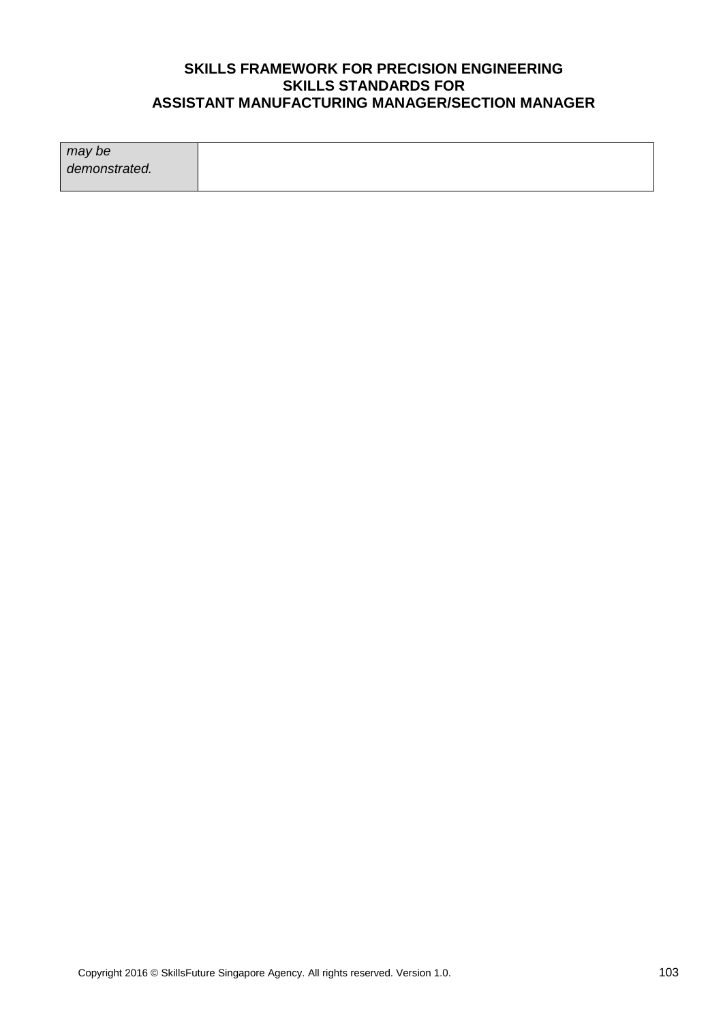| may be        |  |
|---------------|--|
| demonstrated. |  |
|               |  |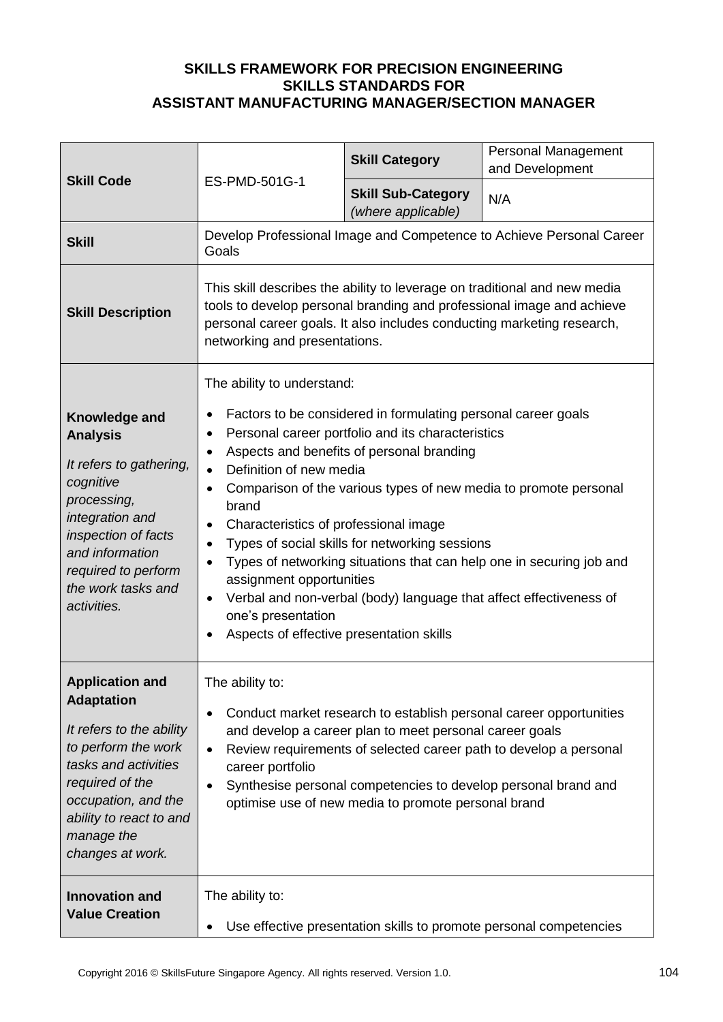| <b>Skill Code</b>                                                                                                                                                                                                             | ES-PMD-501G-1                                                                                                                                                                                                                                                                                                                                                                                                                                                                                                                                                                                                                                                                                                                                                     | <b>Skill Category</b>                           | <b>Personal Management</b><br>and Development |
|-------------------------------------------------------------------------------------------------------------------------------------------------------------------------------------------------------------------------------|-------------------------------------------------------------------------------------------------------------------------------------------------------------------------------------------------------------------------------------------------------------------------------------------------------------------------------------------------------------------------------------------------------------------------------------------------------------------------------------------------------------------------------------------------------------------------------------------------------------------------------------------------------------------------------------------------------------------------------------------------------------------|-------------------------------------------------|-----------------------------------------------|
|                                                                                                                                                                                                                               |                                                                                                                                                                                                                                                                                                                                                                                                                                                                                                                                                                                                                                                                                                                                                                   | <b>Skill Sub-Category</b><br>(where applicable) | N/A                                           |
| <b>Skill</b>                                                                                                                                                                                                                  | Develop Professional Image and Competence to Achieve Personal Career<br>Goals                                                                                                                                                                                                                                                                                                                                                                                                                                                                                                                                                                                                                                                                                     |                                                 |                                               |
| <b>Skill Description</b>                                                                                                                                                                                                      | This skill describes the ability to leverage on traditional and new media<br>tools to develop personal branding and professional image and achieve<br>personal career goals. It also includes conducting marketing research,<br>networking and presentations.                                                                                                                                                                                                                                                                                                                                                                                                                                                                                                     |                                                 |                                               |
| Knowledge and<br><b>Analysis</b><br>It refers to gathering,<br>cognitive<br>processing,<br>integration and<br>inspection of facts<br>and information<br>required to perform<br>the work tasks and<br>activities.              | The ability to understand:<br>Factors to be considered in formulating personal career goals<br>Personal career portfolio and its characteristics<br>$\bullet$<br>Aspects and benefits of personal branding<br>$\bullet$<br>Definition of new media<br>$\bullet$<br>Comparison of the various types of new media to promote personal<br>$\bullet$<br>brand<br>Characteristics of professional image<br>$\bullet$<br>Types of social skills for networking sessions<br>$\bullet$<br>Types of networking situations that can help one in securing job and<br>$\bullet$<br>assignment opportunities<br>Verbal and non-verbal (body) language that affect effectiveness of<br>$\bullet$<br>one's presentation<br>Aspects of effective presentation skills<br>$\bullet$ |                                                 |                                               |
| <b>Application and</b><br><b>Adaptation</b><br>It refers to the ability<br>to perform the work<br>tasks and activities<br>required of the<br>occupation, and the<br>ability to react to and<br>manage the<br>changes at work. | The ability to:<br>Conduct market research to establish personal career opportunities<br>$\bullet$<br>and develop a career plan to meet personal career goals<br>Review requirements of selected career path to develop a personal<br>$\bullet$<br>career portfolio<br>Synthesise personal competencies to develop personal brand and<br>$\bullet$<br>optimise use of new media to promote personal brand                                                                                                                                                                                                                                                                                                                                                         |                                                 |                                               |
| <b>Innovation and</b><br><b>Value Creation</b>                                                                                                                                                                                | The ability to:<br>Use effective presentation skills to promote personal competencies                                                                                                                                                                                                                                                                                                                                                                                                                                                                                                                                                                                                                                                                             |                                                 |                                               |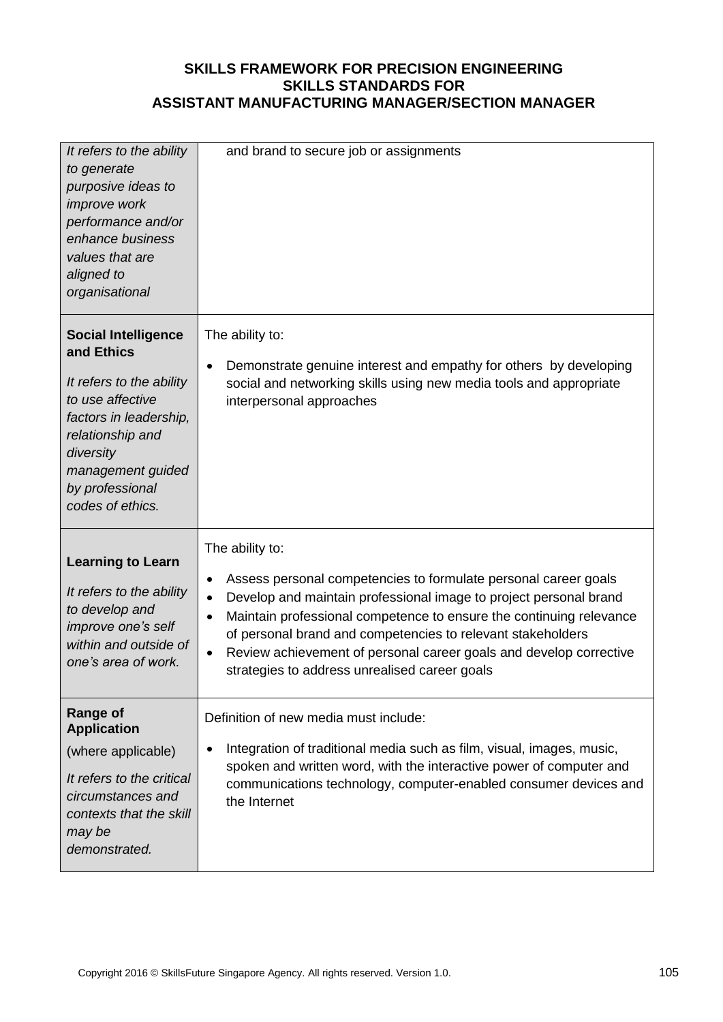| It refers to the ability<br>to generate<br>purposive ideas to<br><i>improve</i> work<br>performance and/or<br>enhance business<br>values that are<br>aligned to<br>organisational                               | and brand to secure job or assignments                                                                                                                                                                                                                                                                                                                                                                                                                                   |
|-----------------------------------------------------------------------------------------------------------------------------------------------------------------------------------------------------------------|--------------------------------------------------------------------------------------------------------------------------------------------------------------------------------------------------------------------------------------------------------------------------------------------------------------------------------------------------------------------------------------------------------------------------------------------------------------------------|
| <b>Social Intelligence</b><br>and Ethics<br>It refers to the ability<br>to use affective<br>factors in leadership,<br>relationship and<br>diversity<br>management guided<br>by professional<br>codes of ethics. | The ability to:<br>Demonstrate genuine interest and empathy for others by developing<br>$\bullet$<br>social and networking skills using new media tools and appropriate<br>interpersonal approaches                                                                                                                                                                                                                                                                      |
| <b>Learning to Learn</b><br>It refers to the ability<br>to develop and<br>improve one's self<br>within and outside of<br>one's area of work.                                                                    | The ability to:<br>Assess personal competencies to formulate personal career goals<br>$\bullet$<br>Develop and maintain professional image to project personal brand<br>$\bullet$<br>Maintain professional competence to ensure the continuing relevance<br>$\bullet$<br>of personal brand and competencies to relevant stakeholders<br>Review achievement of personal career goals and develop corrective<br>$\bullet$<br>strategies to address unrealised career goals |
| <b>Range of</b><br><b>Application</b><br>(where applicable)<br>It refers to the critical<br>circumstances and<br>contexts that the skill<br>may be<br>demonstrated.                                             | Definition of new media must include:<br>Integration of traditional media such as film, visual, images, music,<br>$\bullet$<br>spoken and written word, with the interactive power of computer and<br>communications technology, computer-enabled consumer devices and<br>the Internet                                                                                                                                                                                   |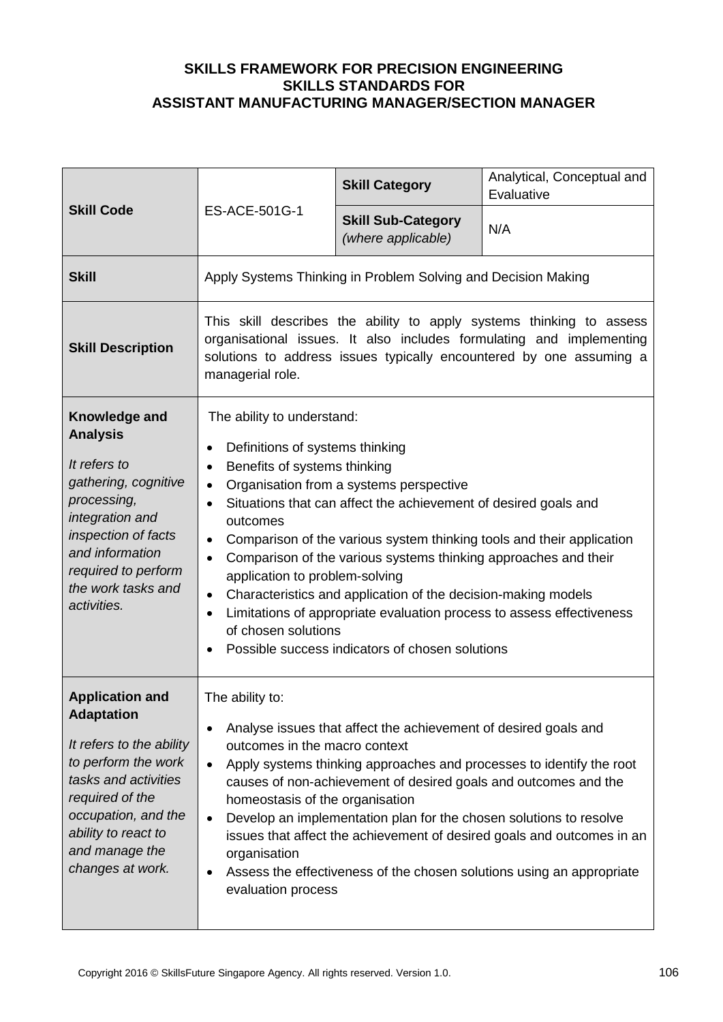| <b>Skill Code</b>                                                                                                                                                                                                             | ES-ACE-501G-1                                                                                                                                                                                                                                                                                                                                                                                                                                                                                                                                                                                                                                                                                                                                  | <b>Skill Category</b>                           | Analytical, Conceptual and<br>Evaluative |
|-------------------------------------------------------------------------------------------------------------------------------------------------------------------------------------------------------------------------------|------------------------------------------------------------------------------------------------------------------------------------------------------------------------------------------------------------------------------------------------------------------------------------------------------------------------------------------------------------------------------------------------------------------------------------------------------------------------------------------------------------------------------------------------------------------------------------------------------------------------------------------------------------------------------------------------------------------------------------------------|-------------------------------------------------|------------------------------------------|
|                                                                                                                                                                                                                               |                                                                                                                                                                                                                                                                                                                                                                                                                                                                                                                                                                                                                                                                                                                                                | <b>Skill Sub-Category</b><br>(where applicable) | N/A                                      |
| <b>Skill</b>                                                                                                                                                                                                                  | Apply Systems Thinking in Problem Solving and Decision Making                                                                                                                                                                                                                                                                                                                                                                                                                                                                                                                                                                                                                                                                                  |                                                 |                                          |
| <b>Skill Description</b>                                                                                                                                                                                                      | This skill describes the ability to apply systems thinking to assess<br>organisational issues. It also includes formulating and implementing<br>solutions to address issues typically encountered by one assuming a<br>managerial role.                                                                                                                                                                                                                                                                                                                                                                                                                                                                                                        |                                                 |                                          |
| Knowledge and<br><b>Analysis</b><br>It refers to<br>gathering, cognitive<br>processing,<br>integration and<br>inspection of facts<br>and information<br>required to perform<br>the work tasks and<br>activities.              | The ability to understand:<br>Definitions of systems thinking<br>$\bullet$<br>Benefits of systems thinking<br>$\bullet$<br>Organisation from a systems perspective<br>$\bullet$<br>Situations that can affect the achievement of desired goals and<br>$\bullet$<br>outcomes<br>Comparison of the various system thinking tools and their application<br>$\bullet$<br>Comparison of the various systems thinking approaches and their<br>$\bullet$<br>application to problem-solving<br>Characteristics and application of the decision-making models<br>$\bullet$<br>Limitations of appropriate evaluation process to assess effectiveness<br>$\bullet$<br>of chosen solutions<br>Possible success indicators of chosen solutions<br>$\bullet$ |                                                 |                                          |
| <b>Application and</b><br><b>Adaptation</b><br>It refers to the ability<br>to perform the work<br>tasks and activities<br>required of the<br>occupation, and the<br>ability to react to<br>and manage the<br>changes at work. | The ability to:<br>Analyse issues that affect the achievement of desired goals and<br>$\bullet$<br>outcomes in the macro context<br>Apply systems thinking approaches and processes to identify the root<br>$\bullet$<br>causes of non-achievement of desired goals and outcomes and the<br>homeostasis of the organisation<br>Develop an implementation plan for the chosen solutions to resolve<br>$\bullet$<br>issues that affect the achievement of desired goals and outcomes in an<br>organisation<br>Assess the effectiveness of the chosen solutions using an appropriate<br>$\bullet$<br>evaluation process                                                                                                                           |                                                 |                                          |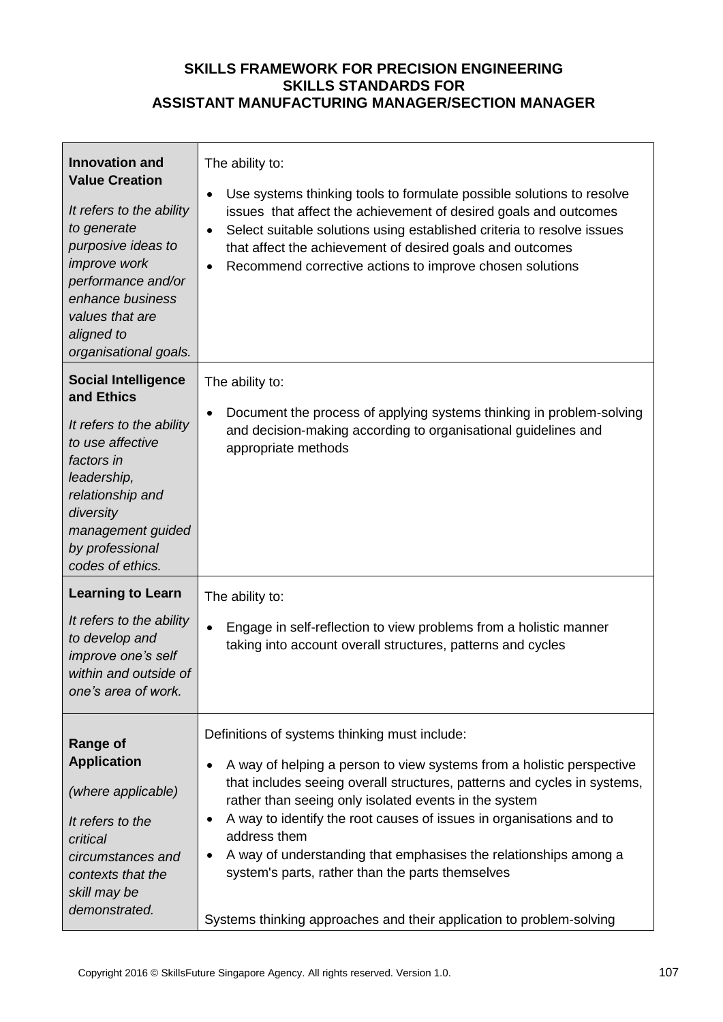| <b>Innovation and</b><br><b>Value Creation</b><br>It refers to the ability<br>to generate<br>purposive ideas to<br><i>improve</i> work<br>performance and/or<br>enhance business<br>values that are<br>aligned to<br>organisational goals. | The ability to:<br>Use systems thinking tools to formulate possible solutions to resolve<br>٠<br>issues that affect the achievement of desired goals and outcomes<br>Select suitable solutions using established criteria to resolve issues<br>$\bullet$<br>that affect the achievement of desired goals and outcomes<br>Recommend corrective actions to improve chosen solutions<br>$\bullet$                                                                                                                                                                            |
|--------------------------------------------------------------------------------------------------------------------------------------------------------------------------------------------------------------------------------------------|---------------------------------------------------------------------------------------------------------------------------------------------------------------------------------------------------------------------------------------------------------------------------------------------------------------------------------------------------------------------------------------------------------------------------------------------------------------------------------------------------------------------------------------------------------------------------|
| <b>Social Intelligence</b><br>and Ethics<br>It refers to the ability<br>to use affective<br>factors in<br>leadership,<br>relationship and<br>diversity<br>management guided<br>by professional<br>codes of ethics.                         | The ability to:<br>Document the process of applying systems thinking in problem-solving<br>$\bullet$<br>and decision-making according to organisational guidelines and<br>appropriate methods                                                                                                                                                                                                                                                                                                                                                                             |
| <b>Learning to Learn</b><br>It refers to the ability<br>to develop and<br>improve one's self<br>within and outside of<br>one's area of work.                                                                                               | The ability to:<br>$\bullet$<br>Engage in self-reflection to view problems from a holistic manner<br>taking into account overall structures, patterns and cycles                                                                                                                                                                                                                                                                                                                                                                                                          |
| <b>Range of</b><br><b>Application</b><br>(where applicable)<br>It refers to the<br>critical<br>circumstances and<br>contexts that the<br>skill may be<br>demonstrated.                                                                     | Definitions of systems thinking must include:<br>A way of helping a person to view systems from a holistic perspective<br>٠<br>that includes seeing overall structures, patterns and cycles in systems,<br>rather than seeing only isolated events in the system<br>A way to identify the root causes of issues in organisations and to<br>٠<br>address them<br>A way of understanding that emphasises the relationships among a<br>$\bullet$<br>system's parts, rather than the parts themselves<br>Systems thinking approaches and their application to problem-solving |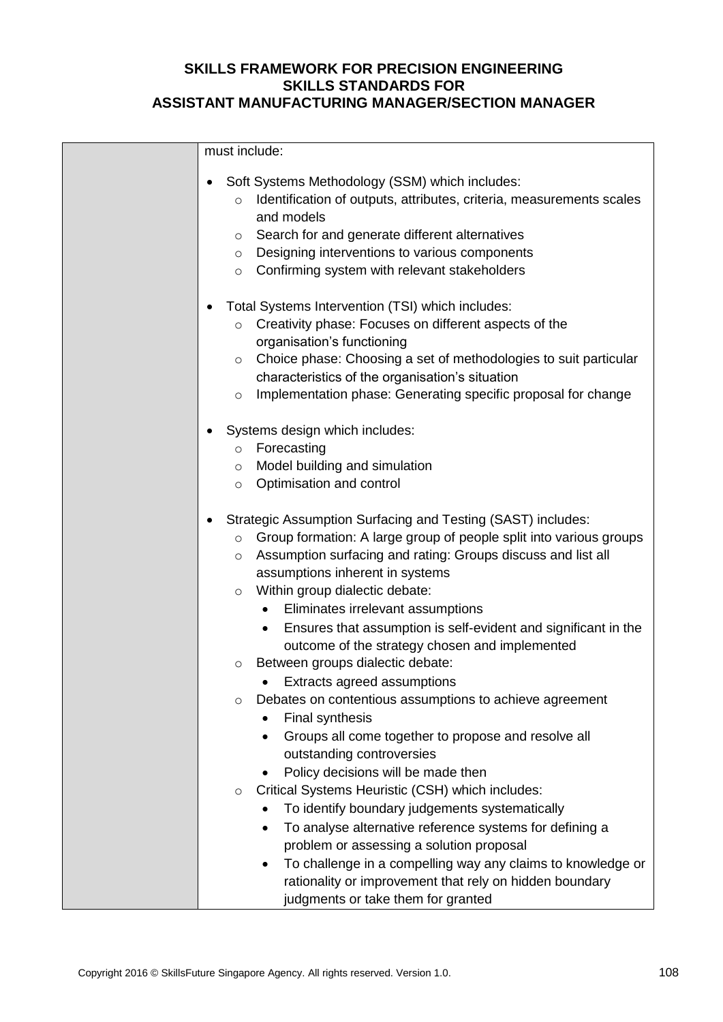| must include:                                                                                                                                                                                                                                                                                                                                                                                                                                                                                                                                                                                                                                                                                                                                                                                                                                                                                                                                                                                                                                                                                                                                                           |  |  |
|-------------------------------------------------------------------------------------------------------------------------------------------------------------------------------------------------------------------------------------------------------------------------------------------------------------------------------------------------------------------------------------------------------------------------------------------------------------------------------------------------------------------------------------------------------------------------------------------------------------------------------------------------------------------------------------------------------------------------------------------------------------------------------------------------------------------------------------------------------------------------------------------------------------------------------------------------------------------------------------------------------------------------------------------------------------------------------------------------------------------------------------------------------------------------|--|--|
| Soft Systems Methodology (SSM) which includes:<br>$\bullet$<br>Identification of outputs, attributes, criteria, measurements scales<br>$\circ$<br>and models<br>Search for and generate different alternatives<br>$\circ$<br>Designing interventions to various components<br>$\circ$<br>Confirming system with relevant stakeholders<br>$\circ$                                                                                                                                                                                                                                                                                                                                                                                                                                                                                                                                                                                                                                                                                                                                                                                                                        |  |  |
| Total Systems Intervention (TSI) which includes:<br>Creativity phase: Focuses on different aspects of the<br>$\circ$<br>organisation's functioning<br>Choice phase: Choosing a set of methodologies to suit particular<br>$\circ$<br>characteristics of the organisation's situation<br>Implementation phase: Generating specific proposal for change<br>$\circ$                                                                                                                                                                                                                                                                                                                                                                                                                                                                                                                                                                                                                                                                                                                                                                                                        |  |  |
| Systems design which includes:<br>Forecasting<br>$\circ$<br>Model building and simulation<br>$\circ$<br>Optimisation and control<br>$\circ$                                                                                                                                                                                                                                                                                                                                                                                                                                                                                                                                                                                                                                                                                                                                                                                                                                                                                                                                                                                                                             |  |  |
| Strategic Assumption Surfacing and Testing (SAST) includes:<br>Group formation: A large group of people split into various groups<br>$\circ$<br>Assumption surfacing and rating: Groups discuss and list all<br>$\circ$<br>assumptions inherent in systems<br>Within group dialectic debate:<br>$\circ$<br>Eliminates irrelevant assumptions<br>$\bullet$<br>Ensures that assumption is self-evident and significant in the<br>$\bullet$<br>outcome of the strategy chosen and implemented<br>Between groups dialectic debate:<br>O<br>Extracts agreed assumptions<br>Debates on contentious assumptions to achieve agreement<br>O<br><b>Final synthesis</b><br>Groups all come together to propose and resolve all<br>$\bullet$<br>outstanding controversies<br>Policy decisions will be made then<br>Critical Systems Heuristic (CSH) which includes:<br>$\circ$<br>To identify boundary judgements systematically<br>To analyse alternative reference systems for defining a<br>$\bullet$<br>problem or assessing a solution proposal<br>To challenge in a compelling way any claims to knowledge or<br>٠<br>rationality or improvement that rely on hidden boundary |  |  |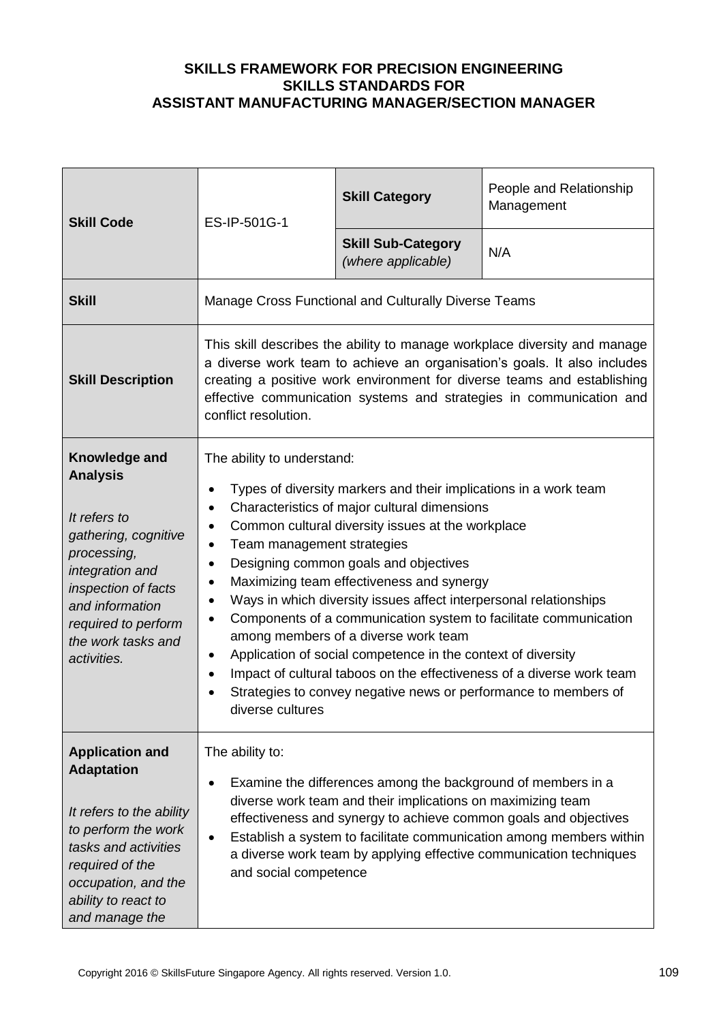| <b>Skill Code</b>                                                                                                                                                                                                | ES-IP-501G-1                                                                                                                                                                                                                                                                                                                                                                                                                                                                                                                                                                                                                                                                                                                                                                                 | <b>Skill Category</b>                           | People and Relationship<br>Management |
|------------------------------------------------------------------------------------------------------------------------------------------------------------------------------------------------------------------|----------------------------------------------------------------------------------------------------------------------------------------------------------------------------------------------------------------------------------------------------------------------------------------------------------------------------------------------------------------------------------------------------------------------------------------------------------------------------------------------------------------------------------------------------------------------------------------------------------------------------------------------------------------------------------------------------------------------------------------------------------------------------------------------|-------------------------------------------------|---------------------------------------|
|                                                                                                                                                                                                                  |                                                                                                                                                                                                                                                                                                                                                                                                                                                                                                                                                                                                                                                                                                                                                                                              | <b>Skill Sub-Category</b><br>(where applicable) | N/A                                   |
| <b>Skill</b>                                                                                                                                                                                                     | Manage Cross Functional and Culturally Diverse Teams                                                                                                                                                                                                                                                                                                                                                                                                                                                                                                                                                                                                                                                                                                                                         |                                                 |                                       |
| <b>Skill Description</b>                                                                                                                                                                                         | This skill describes the ability to manage workplace diversity and manage<br>a diverse work team to achieve an organisation's goals. It also includes<br>creating a positive work environment for diverse teams and establishing<br>effective communication systems and strategies in communication and<br>conflict resolution.                                                                                                                                                                                                                                                                                                                                                                                                                                                              |                                                 |                                       |
| Knowledge and<br><b>Analysis</b><br>It refers to<br>gathering, cognitive<br>processing,<br>integration and<br>inspection of facts<br>and information<br>required to perform<br>the work tasks and<br>activities. | The ability to understand:<br>Types of diversity markers and their implications in a work team<br>Characteristics of major cultural dimensions<br>Common cultural diversity issues at the workplace<br>$\bullet$<br>Team management strategies<br>$\bullet$<br>Designing common goals and objectives<br>Maximizing team effectiveness and synergy<br>Ways in which diversity issues affect interpersonal relationships<br>Components of a communication system to facilitate communication<br>$\bullet$<br>among members of a diverse work team<br>Application of social competence in the context of diversity<br>Impact of cultural taboos on the effectiveness of a diverse work team<br>$\bullet$<br>Strategies to convey negative news or performance to members of<br>diverse cultures |                                                 |                                       |
| <b>Application and</b><br><b>Adaptation</b><br>It refers to the ability<br>to perform the work<br>tasks and activities<br>required of the<br>occupation, and the<br>ability to react to<br>and manage the        | The ability to:<br>Examine the differences among the background of members in a<br>diverse work team and their implications on maximizing team<br>effectiveness and synergy to achieve common goals and objectives<br>Establish a system to facilitate communication among members within<br>a diverse work team by applying effective communication techniques<br>and social competence                                                                                                                                                                                                                                                                                                                                                                                                     |                                                 |                                       |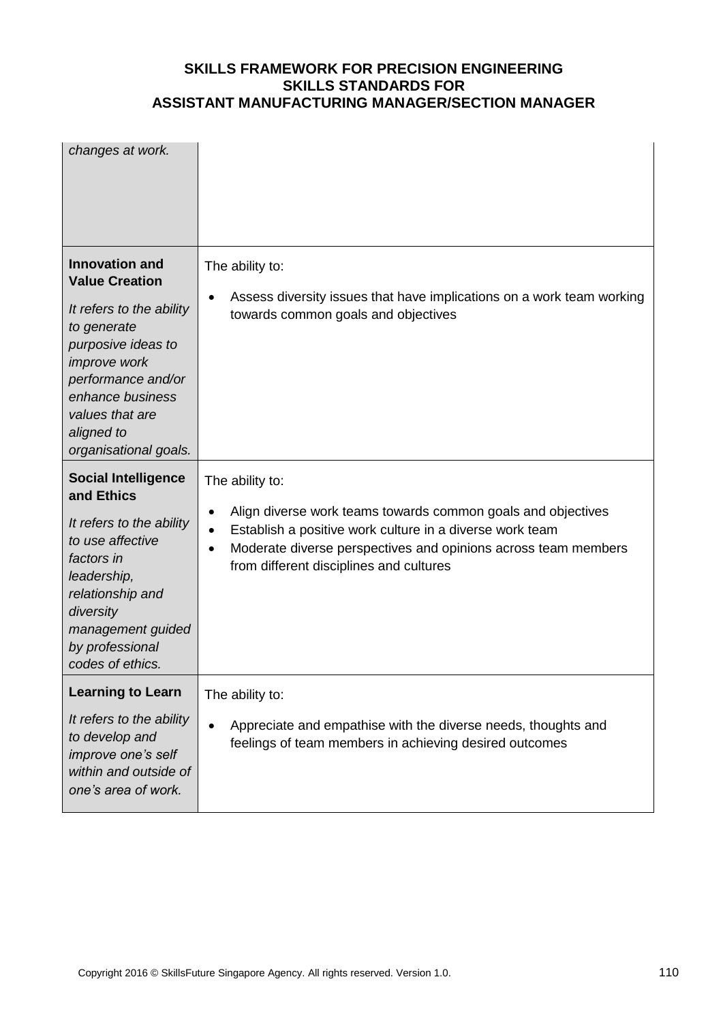| changes at work.                                                                                                                                                                                                                           |                                                                                                                                                                                                                                                                                                 |
|--------------------------------------------------------------------------------------------------------------------------------------------------------------------------------------------------------------------------------------------|-------------------------------------------------------------------------------------------------------------------------------------------------------------------------------------------------------------------------------------------------------------------------------------------------|
| <b>Innovation and</b><br><b>Value Creation</b><br>It refers to the ability<br>to generate<br>purposive ideas to<br><i>improve</i> work<br>performance and/or<br>enhance business<br>values that are<br>aligned to<br>organisational goals. | The ability to:<br>Assess diversity issues that have implications on a work team working<br>$\bullet$<br>towards common goals and objectives                                                                                                                                                    |
| <b>Social Intelligence</b><br>and Ethics<br>It refers to the ability<br>to use affective<br>factors in<br>leadership,<br>relationship and<br>diversity<br>management guided<br>by professional<br>codes of ethics.                         | The ability to:<br>Align diverse work teams towards common goals and objectives<br>$\bullet$<br>Establish a positive work culture in a diverse work team<br>$\bullet$<br>Moderate diverse perspectives and opinions across team members<br>$\bullet$<br>from different disciplines and cultures |
| <b>Learning to Learn</b><br>It refers to the ability<br>to develop and<br>improve one's self<br>within and outside of<br>one's area of work.                                                                                               | The ability to:<br>Appreciate and empathise with the diverse needs, thoughts and<br>feelings of team members in achieving desired outcomes                                                                                                                                                      |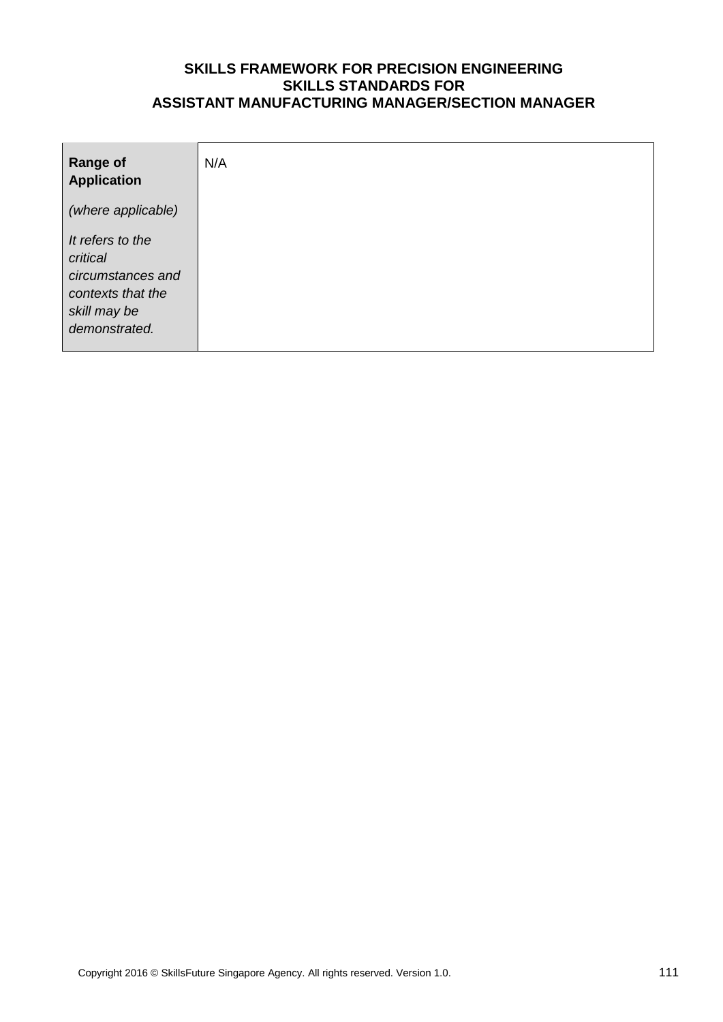| <b>Range of</b><br><b>Application</b>                                                                   | N/A |
|---------------------------------------------------------------------------------------------------------|-----|
| (where applicable)                                                                                      |     |
| It refers to the<br>critical<br>circumstances and<br>contexts that the<br>skill may be<br>demonstrated. |     |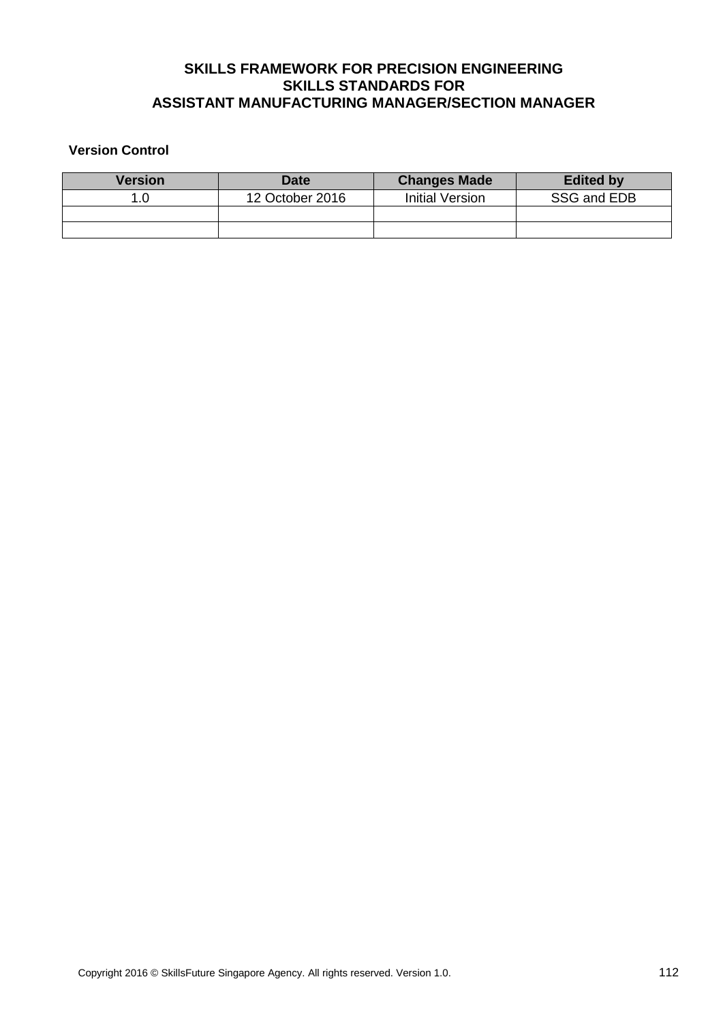#### **Version Control**

| Version | Date            | <b>Changes Made</b> | <b>Edited by</b> |
|---------|-----------------|---------------------|------------------|
|         | 12 October 2016 | Initial Version     | SSG and EDB      |
|         |                 |                     |                  |
|         |                 |                     |                  |